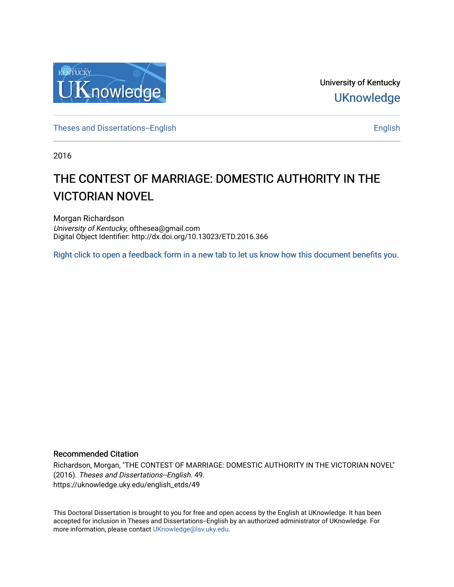

University of Kentucky **UKnowledge** 

[Theses and Dissertations--English](https://uknowledge.uky.edu/english_etds) [English](https://uknowledge.uky.edu/english) English English English

2016

# THE CONTEST OF MARRIAGE: DOMESTIC AUTHORITY IN THE VICTORIAN NOVEL

Morgan Richardson University of Kentucky, ofthesea@gmail.com Digital Object Identifier: http://dx.doi.org/10.13023/ETD.2016.366

[Right click to open a feedback form in a new tab to let us know how this document benefits you.](https://uky.az1.qualtrics.com/jfe/form/SV_9mq8fx2GnONRfz7)

#### Recommended Citation

Richardson, Morgan, "THE CONTEST OF MARRIAGE: DOMESTIC AUTHORITY IN THE VICTORIAN NOVEL" (2016). Theses and Dissertations--English. 49. https://uknowledge.uky.edu/english\_etds/49

This Doctoral Dissertation is brought to you for free and open access by the English at UKnowledge. It has been accepted for inclusion in Theses and Dissertations--English by an authorized administrator of UKnowledge. For more information, please contact [UKnowledge@lsv.uky.edu](mailto:UKnowledge@lsv.uky.edu).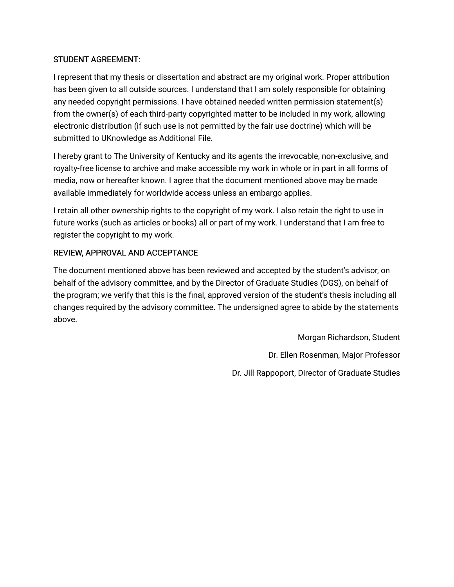# STUDENT AGREEMENT:

I represent that my thesis or dissertation and abstract are my original work. Proper attribution has been given to all outside sources. I understand that I am solely responsible for obtaining any needed copyright permissions. I have obtained needed written permission statement(s) from the owner(s) of each third-party copyrighted matter to be included in my work, allowing electronic distribution (if such use is not permitted by the fair use doctrine) which will be submitted to UKnowledge as Additional File.

I hereby grant to The University of Kentucky and its agents the irrevocable, non-exclusive, and royalty-free license to archive and make accessible my work in whole or in part in all forms of media, now or hereafter known. I agree that the document mentioned above may be made available immediately for worldwide access unless an embargo applies.

I retain all other ownership rights to the copyright of my work. I also retain the right to use in future works (such as articles or books) all or part of my work. I understand that I am free to register the copyright to my work.

# REVIEW, APPROVAL AND ACCEPTANCE

The document mentioned above has been reviewed and accepted by the student's advisor, on behalf of the advisory committee, and by the Director of Graduate Studies (DGS), on behalf of the program; we verify that this is the final, approved version of the student's thesis including all changes required by the advisory committee. The undersigned agree to abide by the statements above.

> Morgan Richardson, Student Dr. Ellen Rosenman, Major Professor Dr. Jill Rappoport, Director of Graduate Studies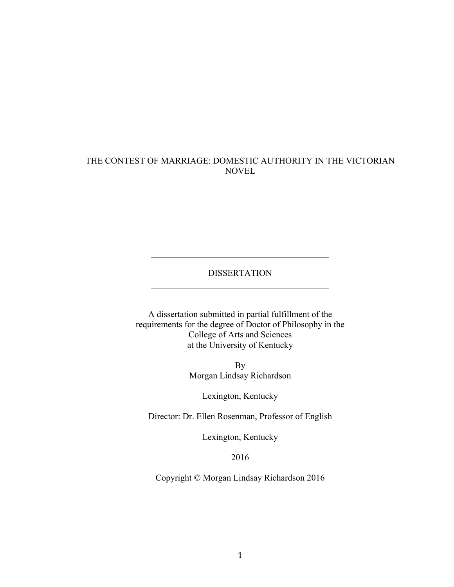## THE CONTEST OF MARRIAGE: DOMESTIC AUTHORITY IN THE VICTORIAN NOVEL

## DISSERTATION  $\mathcal{L}_\text{max}$  , and the contract of the contract of the contract of the contract of the contract of the contract of the contract of the contract of the contract of the contract of the contract of the contract of the contr

 $\mathcal{L}_\text{max}$  , and the contract of the contract of the contract of the contract of the contract of the contract of the contract of the contract of the contract of the contract of the contract of the contract of the contr

A dissertation submitted in partial fulfillment of the requirements for the degree of Doctor of Philosophy in the College of Arts and Sciences at the University of Kentucky

> By Morgan Lindsay Richardson

> > Lexington, Kentucky

Director: Dr. Ellen Rosenman, Professor of English

Lexington, Kentucky

2016

Copyright © Morgan Lindsay Richardson 2016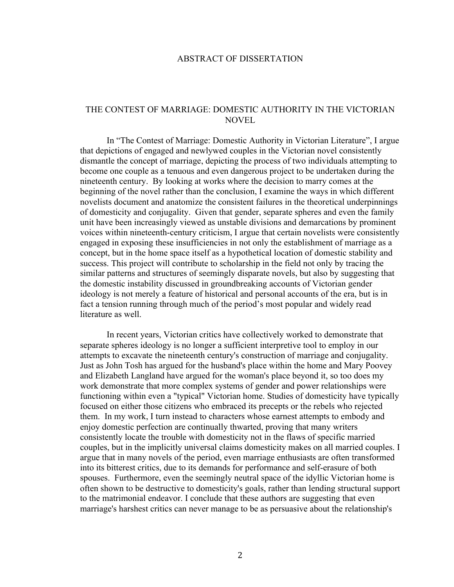#### ABSTRACT OF DISSERTATION

## THE CONTEST OF MARRIAGE: DOMESTIC AUTHORITY IN THE VICTORIAN NOVEL

In "The Contest of Marriage: Domestic Authority in Victorian Literature", I argue that depictions of engaged and newlywed couples in the Victorian novel consistently dismantle the concept of marriage, depicting the process of two individuals attempting to become one couple as a tenuous and even dangerous project to be undertaken during the nineteenth century. By looking at works where the decision to marry comes at the beginning of the novel rather than the conclusion, I examine the ways in which different novelists document and anatomize the consistent failures in the theoretical underpinnings of domesticity and conjugality. Given that gender, separate spheres and even the family unit have been increasingly viewed as unstable divisions and demarcations by prominent voices within nineteenth-century criticism, I argue that certain novelists were consistently engaged in exposing these insufficiencies in not only the establishment of marriage as a concept, but in the home space itself as a hypothetical location of domestic stability and success. This project will contribute to scholarship in the field not only by tracing the similar patterns and structures of seemingly disparate novels, but also by suggesting that the domestic instability discussed in groundbreaking accounts of Victorian gender ideology is not merely a feature of historical and personal accounts of the era, but is in fact a tension running through much of the period's most popular and widely read literature as well.

In recent years, Victorian critics have collectively worked to demonstrate that separate spheres ideology is no longer a sufficient interpretive tool to employ in our attempts to excavate the nineteenth century's construction of marriage and conjugality. Just as John Tosh has argued for the husband's place within the home and Mary Poovey and Elizabeth Langland have argued for the woman's place beyond it, so too does my work demonstrate that more complex systems of gender and power relationships were functioning within even a "typical" Victorian home. Studies of domesticity have typically focused on either those citizens who embraced its precepts or the rebels who rejected them. In my work, I turn instead to characters whose earnest attempts to embody and enjoy domestic perfection are continually thwarted, proving that many writers consistently locate the trouble with domesticity not in the flaws of specific married couples, but in the implicitly universal claims domesticity makes on all married couples. I argue that in many novels of the period, even marriage enthusiasts are often transformed into its bitterest critics, due to its demands for performance and self-erasure of both spouses. Furthermore, even the seemingly neutral space of the idyllic Victorian home is often shown to be destructive to domesticity's goals, rather than lending structural support to the matrimonial endeavor. I conclude that these authors are suggesting that even marriage's harshest critics can never manage to be as persuasive about the relationship's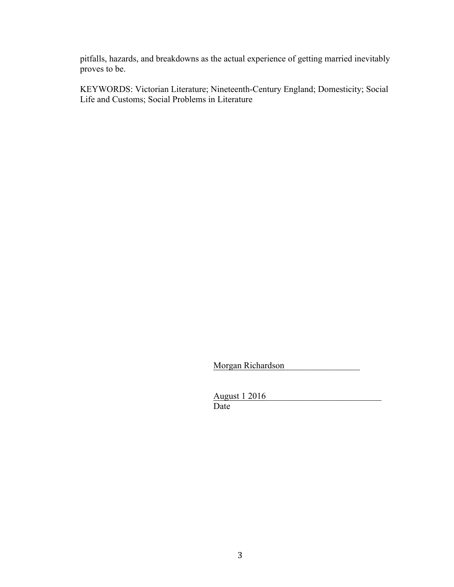pitfalls, hazards, and breakdowns as the actual experience of getting married inevitably proves to be.

KEYWORDS: Victorian Literature; Nineteenth-Century England; Domesticity; Social Life and Customs; Social Problems in Literature

Morgan Richardson

August 1 2016\_\_\_\_\_\_\_\_\_\_\_\_\_\_\_\_\_\_\_\_\_\_\_\_\_\_ Date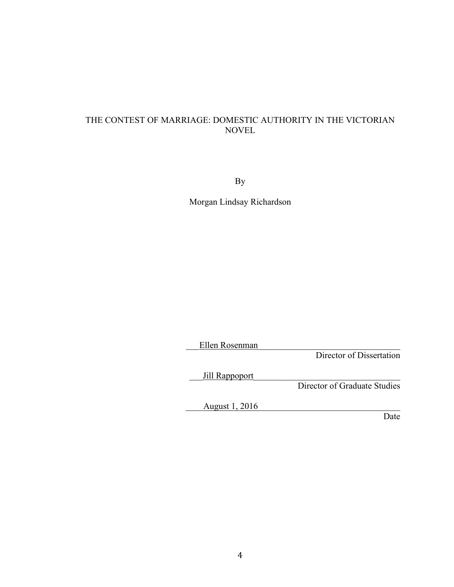# THE CONTEST OF MARRIAGE: DOMESTIC AUTHORITY IN THE VICTORIAN NOVEL

By

Morgan Lindsay Richardson

Ellen Rosenman

Director of Dissertation

Jill Rappoport

Director of Graduate Studies

August 1, 2016

**Date**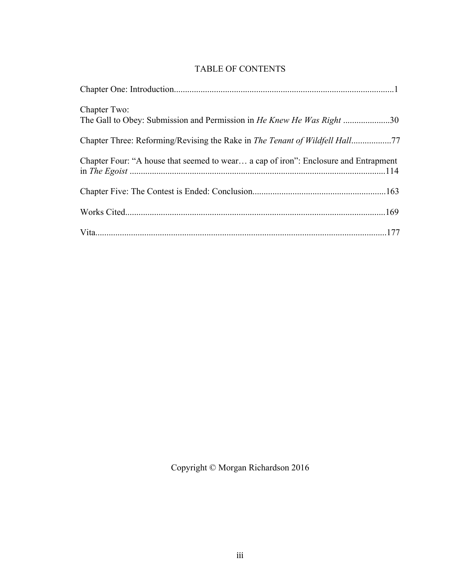# TABLE OF CONTENTS

| Chapter Two:<br>The Gall to Obey: Submission and Permission in <i>He Knew He Was Right</i> 30 |  |
|-----------------------------------------------------------------------------------------------|--|
| Chapter Three: Reforming/Revising the Rake in The Tenant of Wildfell Hall77                   |  |
| Chapter Four: "A house that seemed to wear a cap of iron": Enclosure and Entrapment           |  |
|                                                                                               |  |
|                                                                                               |  |
|                                                                                               |  |

Copyright © Morgan Richardson 2016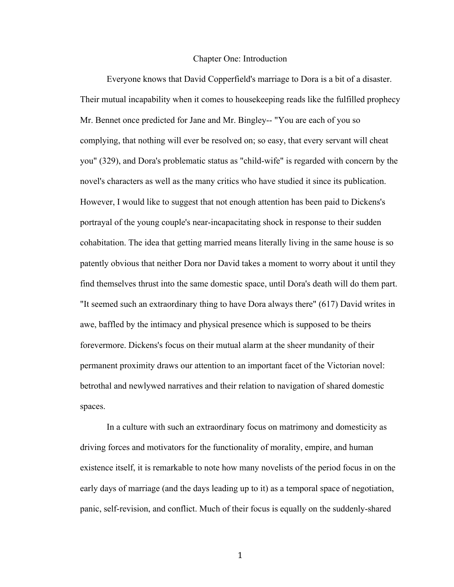#### Chapter One: Introduction

<span id="page-7-0"></span>Everyone knows that David Copperfield's marriage to Dora is a bit of a disaster. Their mutual incapability when it comes to housekeeping reads like the fulfilled prophecy Mr. Bennet once predicted for Jane and Mr. Bingley-- "You are each of you so complying, that nothing will ever be resolved on; so easy, that every servant will cheat you" (329), and Dora's problematic status as "child-wife" is regarded with concern by the novel's characters as well as the many critics who have studied it since its publication. However, I would like to suggest that not enough attention has been paid to Dickens's portrayal of the young couple's near-incapacitating shock in response to their sudden cohabitation. The idea that getting married means literally living in the same house is so patently obvious that neither Dora nor David takes a moment to worry about it until they find themselves thrust into the same domestic space, until Dora's death will do them part. "It seemed such an extraordinary thing to have Dora always there" (617) David writes in awe, baffled by the intimacy and physical presence which is supposed to be theirs forevermore. Dickens's focus on their mutual alarm at the sheer mundanity of their permanent proximity draws our attention to an important facet of the Victorian novel: betrothal and newlywed narratives and their relation to navigation of shared domestic spaces.

In a culture with such an extraordinary focus on matrimony and domesticity as driving forces and motivators for the functionality of morality, empire, and human existence itself, it is remarkable to note how many novelists of the period focus in on the early days of marriage (and the days leading up to it) as a temporal space of negotiation, panic, self-revision, and conflict. Much of their focus is equally on the suddenly-shared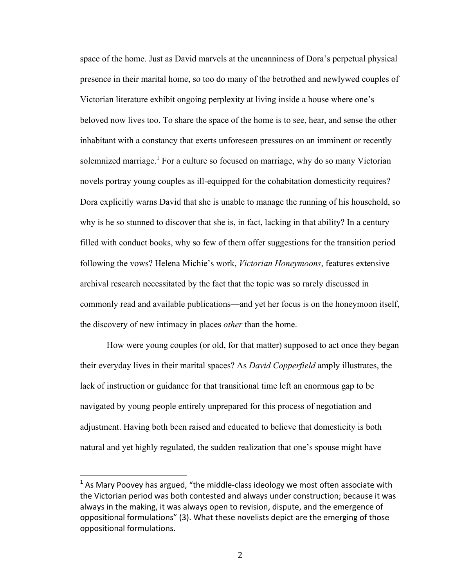space of the home. Just as David marvels at the uncanniness of Dora's perpetual physical presence in their marital home, so too do many of the betrothed and newlywed couples of Victorian literature exhibit ongoing perplexity at living inside a house where one's beloved now lives too. To share the space of the home is to see, hear, and sense the other inhabitant with a constancy that exerts unforeseen pressures on an imminent or recently solemnized marriage.<sup>1</sup> For a culture so focused on marriage, why do so many Victorian novels portray young couples as ill-equipped for the cohabitation domesticity requires? Dora explicitly warns David that she is unable to manage the running of his household, so why is he so stunned to discover that she is, in fact, lacking in that ability? In a century filled with conduct books, why so few of them offer suggestions for the transition period following the vows? Helena Michie's work, *Victorian Honeymoons*, features extensive archival research necessitated by the fact that the topic was so rarely discussed in commonly read and available publications—and yet her focus is on the honeymoon itself, the discovery of new intimacy in places *other* than the home.

How were young couples (or old, for that matter) supposed to act once they began their everyday lives in their marital spaces? As *David Copperfield* amply illustrates, the lack of instruction or guidance for that transitional time left an enormous gap to be navigated by young people entirely unprepared for this process of negotiation and adjustment. Having both been raised and educated to believe that domesticity is both natural and yet highly regulated, the sudden realization that one's spouse might have

 $1$  As Mary Poovey has argued, "the middle-class ideology we most often associate with the Victorian period was both contested and always under construction; because it was always in the making, it was always open to revision, dispute, and the emergence of oppositional formulations" (3). What these novelists depict are the emerging of those oppositional formulations.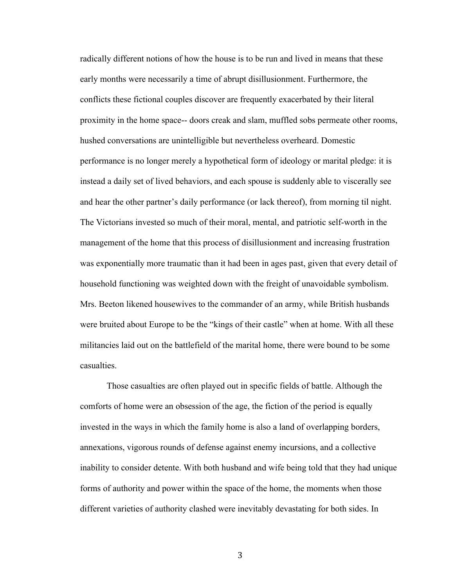radically different notions of how the house is to be run and lived in means that these early months were necessarily a time of abrupt disillusionment. Furthermore, the conflicts these fictional couples discover are frequently exacerbated by their literal proximity in the home space-- doors creak and slam, muffled sobs permeate other rooms, hushed conversations are unintelligible but nevertheless overheard. Domestic performance is no longer merely a hypothetical form of ideology or marital pledge: it is instead a daily set of lived behaviors, and each spouse is suddenly able to viscerally see and hear the other partner's daily performance (or lack thereof), from morning til night. The Victorians invested so much of their moral, mental, and patriotic self-worth in the management of the home that this process of disillusionment and increasing frustration was exponentially more traumatic than it had been in ages past, given that every detail of household functioning was weighted down with the freight of unavoidable symbolism. Mrs. Beeton likened housewives to the commander of an army, while British husbands were bruited about Europe to be the "kings of their castle" when at home. With all these militancies laid out on the battlefield of the marital home, there were bound to be some casualties.

Those casualties are often played out in specific fields of battle. Although the comforts of home were an obsession of the age, the fiction of the period is equally invested in the ways in which the family home is also a land of overlapping borders, annexations, vigorous rounds of defense against enemy incursions, and a collective inability to consider detente. With both husband and wife being told that they had unique forms of authority and power within the space of the home, the moments when those different varieties of authority clashed were inevitably devastating for both sides. In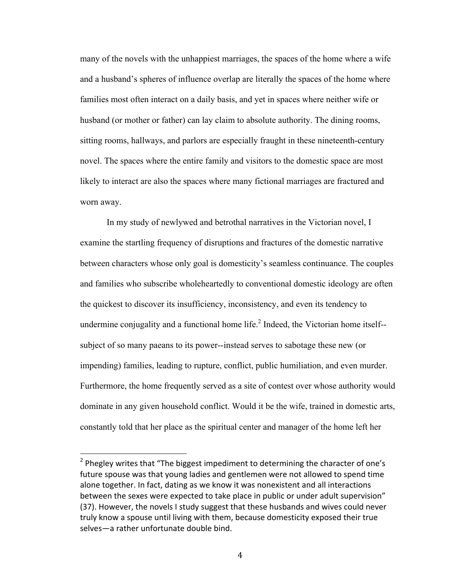many of the novels with the unhappiest marriages, the spaces of the home where a wife and a husband's spheres of influence overlap are literally the spaces of the home where families most often interact on a daily basis, and yet in spaces where neither wife or husband (or mother or father) can lay claim to absolute authority. The dining rooms, sitting rooms, hallways, and parlors are especially fraught in these nineteenth-century novel. The spaces where the entire family and visitors to the domestic space are most likely to interact are also the spaces where many fictional marriages are fractured and worn away.

In my study of newlywed and betrothal narratives in the Victorian novel, I examine the startling frequency of disruptions and fractures of the domestic narrative between characters whose only goal is domesticity's seamless continuance. The couples and families who subscribe wholeheartedly to conventional domestic ideology are often the quickest to discover its insufficiency, inconsistency, and even its tendency to undermine conjugality and a functional home life.<sup>2</sup> Indeed, the Victorian home itself-subject of so many paeans to its power--instead serves to sabotage these new (or impending) families, leading to rupture, conflict, public humiliation, and even murder. Furthermore, the home frequently served as a site of contest over whose authority would dominate in any given household conflict. Would it be the wife, trained in domestic arts, constantly told that her place as the spiritual center and manager of the home left her

 $2$  Phegley writes that "The biggest impediment to determining the character of one's future spouse was that young ladies and gentlemen were not allowed to spend time alone together. In fact, dating as we know it was nonexistent and all interactions between the sexes were expected to take place in public or under adult supervision" (37). However, the novels I study suggest that these husbands and wives could never truly know a spouse until living with them, because domesticity exposed their true selves—a rather unfortunate double bind.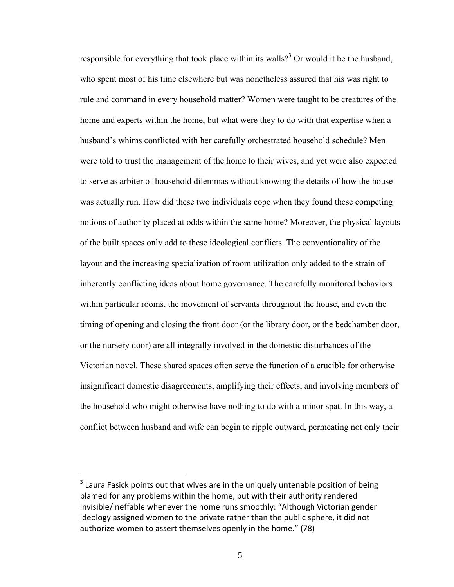responsible for everything that took place within its walls?<sup>3</sup> Or would it be the husband, who spent most of his time elsewhere but was nonetheless assured that his was right to rule and command in every household matter? Women were taught to be creatures of the home and experts within the home, but what were they to do with that expertise when a husband's whims conflicted with her carefully orchestrated household schedule? Men were told to trust the management of the home to their wives, and yet were also expected to serve as arbiter of household dilemmas without knowing the details of how the house was actually run. How did these two individuals cope when they found these competing notions of authority placed at odds within the same home? Moreover, the physical layouts of the built spaces only add to these ideological conflicts. The conventionality of the layout and the increasing specialization of room utilization only added to the strain of inherently conflicting ideas about home governance. The carefully monitored behaviors within particular rooms, the movement of servants throughout the house, and even the timing of opening and closing the front door (or the library door, or the bedchamber door, or the nursery door) are all integrally involved in the domestic disturbances of the Victorian novel. These shared spaces often serve the function of a crucible for otherwise insignificant domestic disagreements, amplifying their effects, and involving members of the household who might otherwise have nothing to do with a minor spat. In this way, a conflict between husband and wife can begin to ripple outward, permeating not only their

 $3$  Laura Fasick points out that wives are in the uniquely untenable position of being blamed for any problems within the home, but with their authority rendered invisible/ineffable whenever the home runs smoothly: "Although Victorian gender ideology assigned women to the private rather than the public sphere, it did not authorize women to assert themselves openly in the home." (78)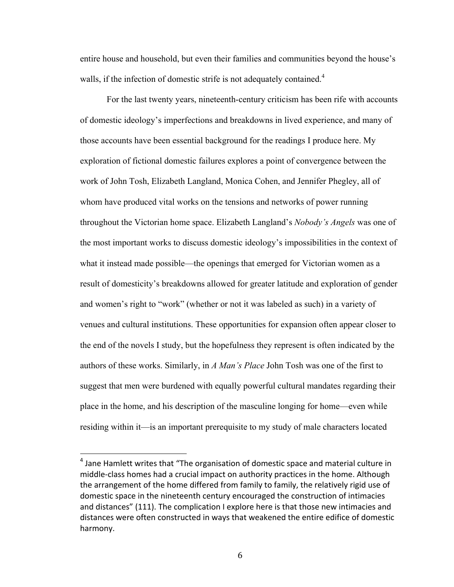entire house and household, but even their families and communities beyond the house's walls, if the infection of domestic strife is not adequately contained.<sup>4</sup>

For the last twenty years, nineteenth-century criticism has been rife with accounts of domestic ideology's imperfections and breakdowns in lived experience, and many of those accounts have been essential background for the readings I produce here. My exploration of fictional domestic failures explores a point of convergence between the work of John Tosh, Elizabeth Langland, Monica Cohen, and Jennifer Phegley, all of whom have produced vital works on the tensions and networks of power running throughout the Victorian home space. Elizabeth Langland's *Nobody's Angels* was one of the most important works to discuss domestic ideology's impossibilities in the context of what it instead made possible—the openings that emerged for Victorian women as a result of domesticity's breakdowns allowed for greater latitude and exploration of gender and women's right to "work" (whether or not it was labeled as such) in a variety of venues and cultural institutions. These opportunities for expansion often appear closer to the end of the novels I study, but the hopefulness they represent is often indicated by the authors of these works. Similarly, in *A Man's Place* John Tosh was one of the first to suggest that men were burdened with equally powerful cultural mandates regarding their place in the home, and his description of the masculine longing for home—even while residing within it—is an important prerequisite to my study of male characters located

 $4$  Jane Hamlett writes that "The organisation of domestic space and material culture in middle-class homes had a crucial impact on authority practices in the home. Although the arrangement of the home differed from family to family, the relatively rigid use of domestic space in the nineteenth century encouraged the construction of intimacies and distances" (111). The complication I explore here is that those new intimacies and distances were often constructed in ways that weakened the entire edifice of domestic harmony.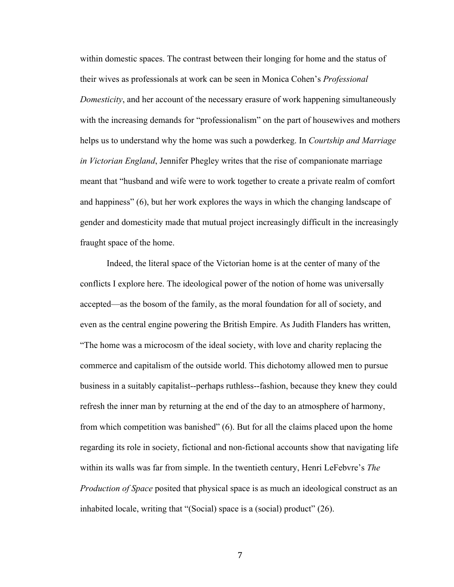within domestic spaces. The contrast between their longing for home and the status of their wives as professionals at work can be seen in Monica Cohen's *Professional Domesticity*, and her account of the necessary erasure of work happening simultaneously with the increasing demands for "professionalism" on the part of housewives and mothers helps us to understand why the home was such a powderkeg. In *Courtship and Marriage in Victorian England*, Jennifer Phegley writes that the rise of companionate marriage meant that "husband and wife were to work together to create a private realm of comfort and happiness" (6), but her work explores the ways in which the changing landscape of gender and domesticity made that mutual project increasingly difficult in the increasingly fraught space of the home.

Indeed, the literal space of the Victorian home is at the center of many of the conflicts I explore here. The ideological power of the notion of home was universally accepted—as the bosom of the family, as the moral foundation for all of society, and even as the central engine powering the British Empire. As Judith Flanders has written, "The home was a microcosm of the ideal society, with love and charity replacing the commerce and capitalism of the outside world. This dichotomy allowed men to pursue business in a suitably capitalist--perhaps ruthless--fashion, because they knew they could refresh the inner man by returning at the end of the day to an atmosphere of harmony, from which competition was banished" (6). But for all the claims placed upon the home regarding its role in society, fictional and non-fictional accounts show that navigating life within its walls was far from simple. In the twentieth century, Henri LeFebvre's *The Production of Space* posited that physical space is as much an ideological construct as an inhabited locale, writing that "(Social) space is a (social) product" (26).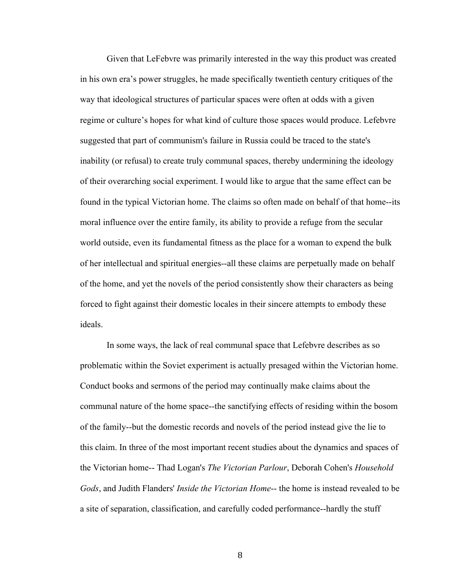Given that LeFebvre was primarily interested in the way this product was created in his own era's power struggles, he made specifically twentieth century critiques of the way that ideological structures of particular spaces were often at odds with a given regime or culture's hopes for what kind of culture those spaces would produce. Lefebvre suggested that part of communism's failure in Russia could be traced to the state's inability (or refusal) to create truly communal spaces, thereby undermining the ideology of their overarching social experiment. I would like to argue that the same effect can be found in the typical Victorian home. The claims so often made on behalf of that home--its moral influence over the entire family, its ability to provide a refuge from the secular world outside, even its fundamental fitness as the place for a woman to expend the bulk of her intellectual and spiritual energies--all these claims are perpetually made on behalf of the home, and yet the novels of the period consistently show their characters as being forced to fight against their domestic locales in their sincere attempts to embody these ideals.

In some ways, the lack of real communal space that Lefebvre describes as so problematic within the Soviet experiment is actually presaged within the Victorian home. Conduct books and sermons of the period may continually make claims about the communal nature of the home space--the sanctifying effects of residing within the bosom of the family--but the domestic records and novels of the period instead give the lie to this claim. In three of the most important recent studies about the dynamics and spaces of the Victorian home-- Thad Logan's *The Victorian Parlour*, Deborah Cohen's *Household Gods*, and Judith Flanders' *Inside the Victorian Home*-- the home is instead revealed to be a site of separation, classification, and carefully coded performance--hardly the stuff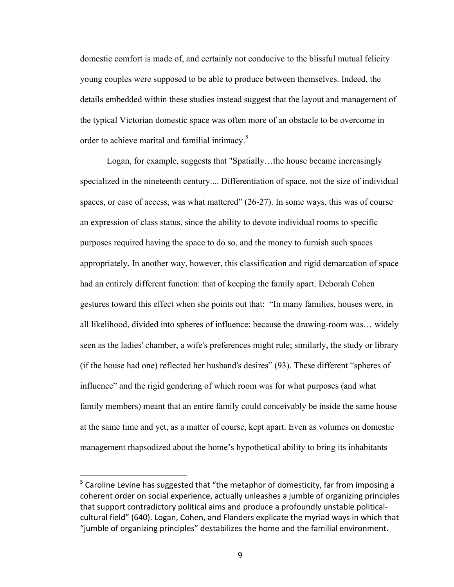domestic comfort is made of, and certainly not conducive to the blissful mutual felicity young couples were supposed to be able to produce between themselves. Indeed, the details embedded within these studies instead suggest that the layout and management of the typical Victorian domestic space was often more of an obstacle to be overcome in order to achieve marital and familial intimacy.<sup>5</sup>

Logan, for example, suggests that "Spatially…the house became increasingly specialized in the nineteenth century.... Differentiation of space, not the size of individual spaces, or ease of access, was what mattered" (26-27). In some ways, this was of course an expression of class status, since the ability to devote individual rooms to specific purposes required having the space to do so, and the money to furnish such spaces appropriately. In another way, however, this classification and rigid demarcation of space had an entirely different function: that of keeping the family apart. Deborah Cohen gestures toward this effect when she points out that: "In many families, houses were, in all likelihood, divided into spheres of influence: because the drawing-room was… widely seen as the ladies' chamber, a wife's preferences might rule; similarly, the study or library (if the house had one) reflected her husband's desires" (93). These different "spheres of influence" and the rigid gendering of which room was for what purposes (and what family members) meant that an entire family could conceivably be inside the same house at the same time and yet, as a matter of course, kept apart. Even as volumes on domestic management rhapsodized about the home's hypothetical ability to bring its inhabitants

 $5$  Caroline Levine has suggested that "the metaphor of domesticity, far from imposing a coherent order on social experience, actually unleashes a jumble of organizing principles that support contradictory political aims and produce a profoundly unstable politicalcultural field" (640). Logan, Cohen, and Flanders explicate the myriad ways in which that "jumble of organizing principles" destabilizes the home and the familial environment.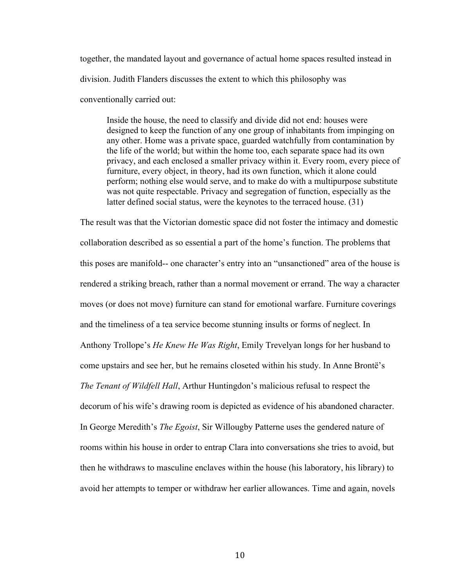together, the mandated layout and governance of actual home spaces resulted instead in division. Judith Flanders discusses the extent to which this philosophy was conventionally carried out:

Inside the house, the need to classify and divide did not end: houses were designed to keep the function of any one group of inhabitants from impinging on any other. Home was a private space, guarded watchfully from contamination by the life of the world; but within the home too, each separate space had its own privacy, and each enclosed a smaller privacy within it. Every room, every piece of furniture, every object, in theory, had its own function, which it alone could perform; nothing else would serve, and to make do with a multipurpose substitute was not quite respectable. Privacy and segregation of function, especially as the latter defined social status, were the keynotes to the terraced house. (31)

The result was that the Victorian domestic space did not foster the intimacy and domestic collaboration described as so essential a part of the home's function. The problems that this poses are manifold-- one character's entry into an "unsanctioned" area of the house is rendered a striking breach, rather than a normal movement or errand. The way a character moves (or does not move) furniture can stand for emotional warfare. Furniture coverings and the timeliness of a tea service become stunning insults or forms of neglect. In Anthony Trollope's *He Knew He Was Right*, Emily Trevelyan longs for her husband to come upstairs and see her, but he remains closeted within his study. In Anne Brontë's *The Tenant of Wildfell Hall*, Arthur Huntingdon's malicious refusal to respect the decorum of his wife's drawing room is depicted as evidence of his abandoned character. In George Meredith's *The Egoist*, Sir Willougby Patterne uses the gendered nature of rooms within his house in order to entrap Clara into conversations she tries to avoid, but then he withdraws to masculine enclaves within the house (his laboratory, his library) to avoid her attempts to temper or withdraw her earlier allowances. Time and again, novels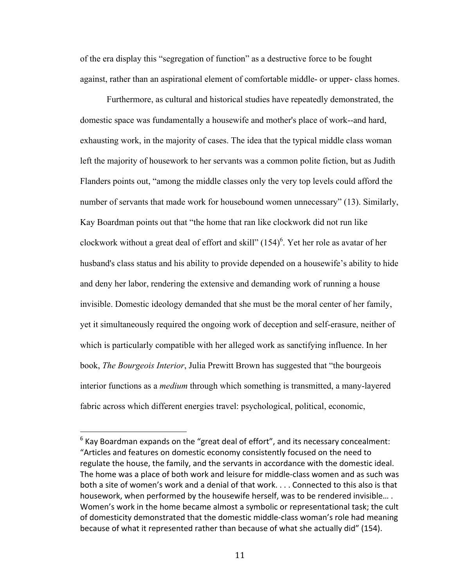of the era display this "segregation of function" as a destructive force to be fought against, rather than an aspirational element of comfortable middle- or upper- class homes.

Furthermore, as cultural and historical studies have repeatedly demonstrated, the domestic space was fundamentally a housewife and mother's place of work--and hard, exhausting work, in the majority of cases. The idea that the typical middle class woman left the majority of housework to her servants was a common polite fiction, but as Judith Flanders points out, "among the middle classes only the very top levels could afford the number of servants that made work for housebound women unnecessary" (13). Similarly, Kay Boardman points out that "the home that ran like clockwork did not run like clockwork without a great deal of effort and skill"  $(154)^6$ . Yet her role as avatar of her husband's class status and his ability to provide depended on a housewife's ability to hide and deny her labor, rendering the extensive and demanding work of running a house invisible. Domestic ideology demanded that she must be the moral center of her family, yet it simultaneously required the ongoing work of deception and self-erasure, neither of which is particularly compatible with her alleged work as sanctifying influence. In her book, *The Bourgeois Interior*, Julia Prewitt Brown has suggested that "the bourgeois interior functions as a *medium* through which something is transmitted, a many-layered fabric across which different energies travel: psychological, political, economic,

 $6$  Kay Boardman expands on the "great deal of effort", and its necessary concealment: "Articles and features on domestic economy consistently focused on the need to regulate the house, the family, and the servants in accordance with the domestic ideal. The home was a place of both work and leisure for middle-class women and as such was both a site of women's work and a denial of that work. . . . Connected to this also is that housework, when performed by the housewife herself, was to be rendered invisible.... Women's work in the home became almost a symbolic or representational task; the cult of domesticity demonstrated that the domestic middle-class woman's role had meaning because of what it represented rather than because of what she actually did" (154).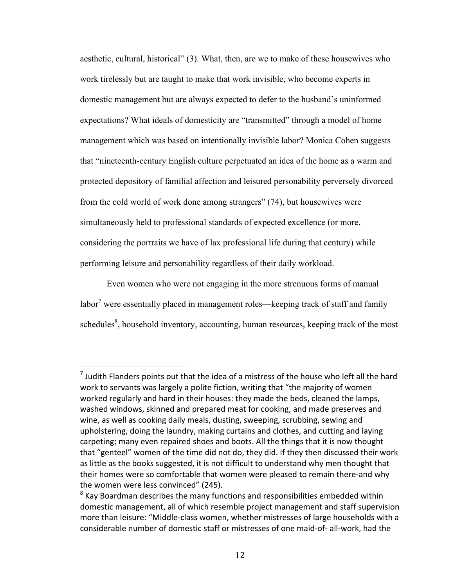aesthetic, cultural, historical" (3). What, then, are we to make of these housewives who work tirelessly but are taught to make that work invisible, who become experts in domestic management but are always expected to defer to the husband's uninformed expectations? What ideals of domesticity are "transmitted" through a model of home management which was based on intentionally invisible labor? Monica Cohen suggests that "nineteenth-century English culture perpetuated an idea of the home as a warm and protected depository of familial affection and leisured personability perversely divorced from the cold world of work done among strangers" (74), but housewives were simultaneously held to professional standards of expected excellence (or more, considering the portraits we have of lax professional life during that century) while performing leisure and personability regardless of their daily workload.

Even women who were not engaging in the more strenuous forms of manual labor<sup>7</sup> were essentially placed in management roles—keeping track of staff and family schedules<sup>8</sup>, household inventory, accounting, human resources, keeping track of the most

 $<sup>7</sup>$  Judith Flanders points out that the idea of a mistress of the house who left all the hard</sup> work to servants was largely a polite fiction, writing that "the majority of women worked regularly and hard in their houses: they made the beds, cleaned the lamps, washed windows, skinned and prepared meat for cooking, and made preserves and wine, as well as cooking daily meals, dusting, sweeping, scrubbing, sewing and upholstering, doing the laundry, making curtains and clothes, and cutting and laying carpeting; many even repaired shoes and boots. All the things that it is now thought that "genteel" women of the time did not do, they did. If they then discussed their work as little as the books suggested, it is not difficult to understand why men thought that their homes were so comfortable that women were pleased to remain there-and why the women were less convinced" (245).

 $8$  Kay Boardman describes the many functions and responsibilities embedded within domestic management, all of which resemble project management and staff supervision more than leisure: "Middle-class women, whether mistresses of large households with a considerable number of domestic staff or mistresses of one maid-of- all-work, had the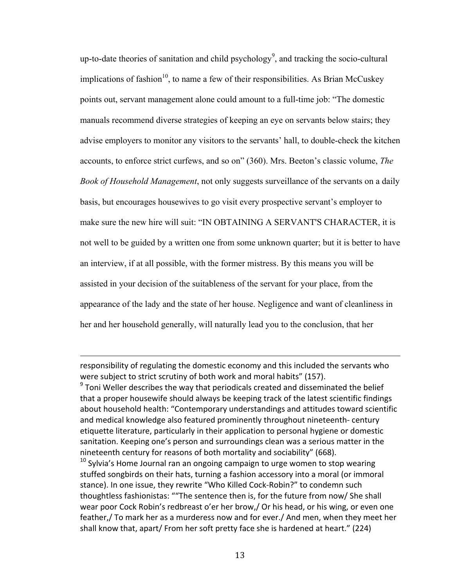up-to-date theories of sanitation and child psychology<sup>9</sup>, and tracking the socio-cultural implications of fashion<sup>10</sup>, to name a few of their responsibilities. As Brian McCuskey points out, servant management alone could amount to a full-time job: "The domestic manuals recommend diverse strategies of keeping an eye on servants below stairs; they advise employers to monitor any visitors to the servants' hall, to double-check the kitchen accounts, to enforce strict curfews, and so on" (360). Mrs. Beeton's classic volume, *The Book of Household Management*, not only suggests surveillance of the servants on a daily basis, but encourages housewives to go visit every prospective servant's employer to make sure the new hire will suit: "IN OBTAINING A SERVANT'S CHARACTER, it is not well to be guided by a written one from some unknown quarter; but it is better to have an interview, if at all possible, with the former mistress. By this means you will be assisted in your decision of the suitableness of the servant for your place, from the appearance of the lady and the state of her house. Negligence and want of cleanliness in her and her household generally, will naturally lead you to the conclusion, that her

responsibility of regulating the domestic economy and this included the servants who were subject to strict scrutiny of both work and moral habits" (157).

<u> 1989 - Andrea Santa Andrea Andrea Andrea Andrea Andrea Andrea Andrea Andrea Andrea Andrea Andrea Andrea Andr</u>

 $9$  Toni Weller describes the way that periodicals created and disseminated the belief that a proper housewife should always be keeping track of the latest scientific findings about household health: "Contemporary understandings and attitudes toward scientific and medical knowledge also featured prominently throughout nineteenth- century etiquette literature, particularly in their application to personal hygiene or domestic sanitation. Keeping one's person and surroundings clean was a serious matter in the nineteenth century for reasons of both mortality and sociability" (668).

 $10$  Sylvia's Home Journal ran an ongoing campaign to urge women to stop wearing stuffed songbirds on their hats, turning a fashion accessory into a moral (or immoral stance). In one issue, they rewrite "Who Killed Cock-Robin?" to condemn such thoughtless fashionistas: ""The sentence then is, for the future from now/ She shall wear poor Cock Robin's redbreast o'er her brow,/ Or his head, or his wing, or even one feather,/ To mark her as a murderess now and for ever./ And men, when they meet her shall know that, apart/ From her soft pretty face she is hardened at heart." (224)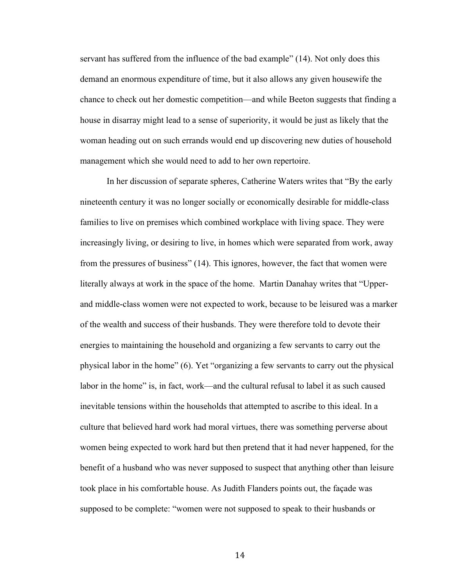servant has suffered from the influence of the bad example" (14). Not only does this demand an enormous expenditure of time, but it also allows any given housewife the chance to check out her domestic competition—and while Beeton suggests that finding a house in disarray might lead to a sense of superiority, it would be just as likely that the woman heading out on such errands would end up discovering new duties of household management which she would need to add to her own repertoire.

In her discussion of separate spheres, Catherine Waters writes that "By the early nineteenth century it was no longer socially or economically desirable for middle-class families to live on premises which combined workplace with living space. They were increasingly living, or desiring to live, in homes which were separated from work, away from the pressures of business" (14). This ignores, however, the fact that women were literally always at work in the space of the home. Martin Danahay writes that "Upperand middle-class women were not expected to work, because to be leisured was a marker of the wealth and success of their husbands. They were therefore told to devote their energies to maintaining the household and organizing a few servants to carry out the physical labor in the home" (6). Yet "organizing a few servants to carry out the physical labor in the home" is, in fact, work—and the cultural refusal to label it as such caused inevitable tensions within the households that attempted to ascribe to this ideal. In a culture that believed hard work had moral virtues, there was something perverse about women being expected to work hard but then pretend that it had never happened, for the benefit of a husband who was never supposed to suspect that anything other than leisure took place in his comfortable house. As Judith Flanders points out, the façade was supposed to be complete: "women were not supposed to speak to their husbands or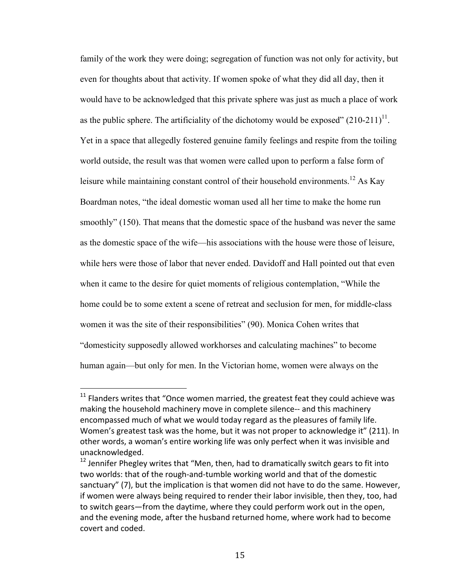family of the work they were doing; segregation of function was not only for activity, but even for thoughts about that activity. If women spoke of what they did all day, then it would have to be acknowledged that this private sphere was just as much a place of work as the public sphere. The artificiality of the dichotomy would be exposed"  $(210-211)^{11}$ . Yet in a space that allegedly fostered genuine family feelings and respite from the toiling world outside, the result was that women were called upon to perform a false form of leisure while maintaining constant control of their household environments.<sup>12</sup> As Kay Boardman notes, "the ideal domestic woman used all her time to make the home run smoothly" (150). That means that the domestic space of the husband was never the same as the domestic space of the wife—his associations with the house were those of leisure, while hers were those of labor that never ended. Davidoff and Hall pointed out that even when it came to the desire for quiet moments of religious contemplation, "While the home could be to some extent a scene of retreat and seclusion for men, for middle-class women it was the site of their responsibilities" (90). Monica Cohen writes that "domesticity supposedly allowed workhorses and calculating machines" to become human again—but only for men. In the Victorian home, women were always on the

 $11$  Flanders writes that "Once women married, the greatest feat they could achieve was making the household machinery move in complete silence-- and this machinery encompassed much of what we would today regard as the pleasures of family life. Women's greatest task was the home, but it was not proper to acknowledge it" (211). In other words, a woman's entire working life was only perfect when it was invisible and unacknowledged.

 $12$  Jennifer Phegley writes that "Men, then, had to dramatically switch gears to fit into two worlds: that of the rough-and-tumble working world and that of the domestic sanctuary" (7), but the implication is that women did not have to do the same. However, if women were always being required to render their labor invisible, then they, too, had to switch gears—from the daytime, where they could perform work out in the open, and the evening mode, after the husband returned home, where work had to become covert and coded.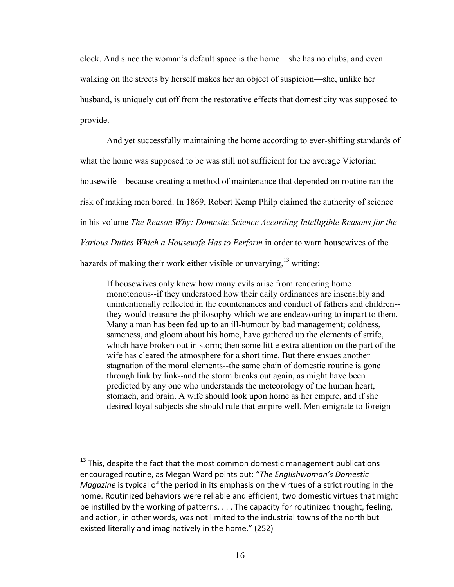clock. And since the woman's default space is the home—she has no clubs, and even walking on the streets by herself makes her an object of suspicion—she, unlike her husband, is uniquely cut off from the restorative effects that domesticity was supposed to provide.

And yet successfully maintaining the home according to ever-shifting standards of what the home was supposed to be was still not sufficient for the average Victorian housewife—because creating a method of maintenance that depended on routine ran the risk of making men bored. In 1869, Robert Kemp Philp claimed the authority of science in his volume *The Reason Why: Domestic Science According Intelligible Reasons for the Various Duties Which a Housewife Has to Perform* in order to warn housewives of the hazards of making their work either visible or unvarying,  $13$  writing:

If housewives only knew how many evils arise from rendering home monotonous--if they understood how their daily ordinances are insensibly and unintentionally reflected in the countenances and conduct of fathers and children- they would treasure the philosophy which we are endeavouring to impart to them. Many a man has been fed up to an ill-humour by bad management; coldness, sameness, and gloom about his home, have gathered up the elements of strife, which have broken out in storm; then some little extra attention on the part of the wife has cleared the atmosphere for a short time. But there ensues another stagnation of the moral elements--the same chain of domestic routine is gone through link by link--and the storm breaks out again, as might have been predicted by any one who understands the meteorology of the human heart, stomach, and brain. A wife should look upon home as her empire, and if she desired loyal subjects she should rule that empire well. Men emigrate to foreign

 $13$  This, despite the fact that the most common domestic management publications encouraged routine, as Megan Ward points out: "The Englishwoman's Domestic *Magazine* is typical of the period in its emphasis on the virtues of a strict routing in the home. Routinized behaviors were reliable and efficient, two domestic virtues that might be instilled by the working of patterns. . . . The capacity for routinized thought, feeling, and action, in other words, was not limited to the industrial towns of the north but existed literally and imaginatively in the home." (252)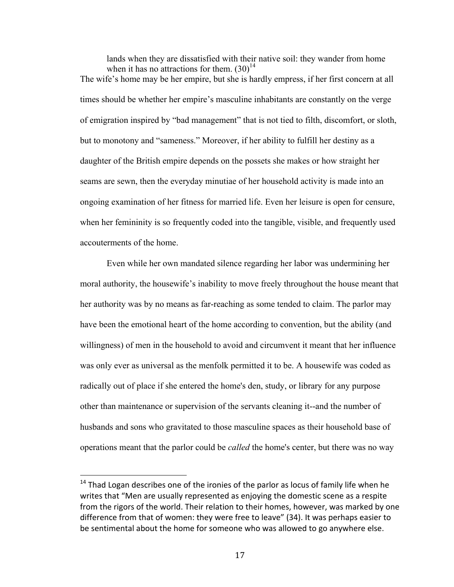lands when they are dissatisfied with their native soil: they wander from home when it has no attractions for them.  $(30)^{14}$ The wife's home may be her empire, but she is hardly empress, if her first concern at all times should be whether her empire's masculine inhabitants are constantly on the verge of emigration inspired by "bad management" that is not tied to filth, discomfort, or sloth, but to monotony and "sameness." Moreover, if her ability to fulfill her destiny as a daughter of the British empire depends on the possets she makes or how straight her seams are sewn, then the everyday minutiae of her household activity is made into an ongoing examination of her fitness for married life. Even her leisure is open for censure, when her femininity is so frequently coded into the tangible, visible, and frequently used accouterments of the home.

Even while her own mandated silence regarding her labor was undermining her moral authority, the housewife's inability to move freely throughout the house meant that her authority was by no means as far-reaching as some tended to claim. The parlor may have been the emotional heart of the home according to convention, but the ability (and willingness) of men in the household to avoid and circumvent it meant that her influence was only ever as universal as the menfolk permitted it to be. A housewife was coded as radically out of place if she entered the home's den, study, or library for any purpose other than maintenance or supervision of the servants cleaning it--and the number of husbands and sons who gravitated to those masculine spaces as their household base of operations meant that the parlor could be *called* the home's center, but there was no way

 $14$  Thad Logan describes one of the ironies of the parlor as locus of family life when he writes that "Men are usually represented as enjoying the domestic scene as a respite from the rigors of the world. Their relation to their homes, however, was marked by one difference from that of women: they were free to leave" (34). It was perhaps easier to be sentimental about the home for someone who was allowed to go anywhere else.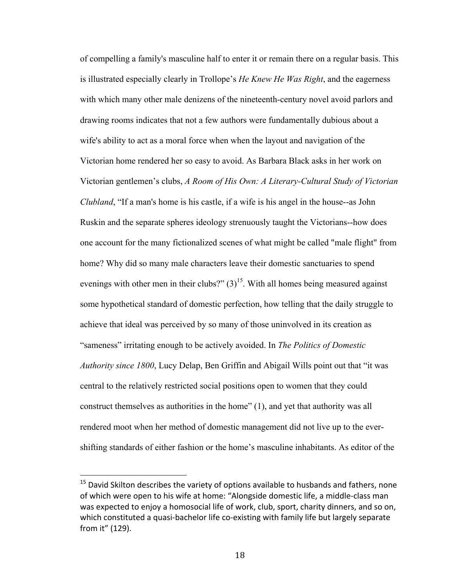of compelling a family's masculine half to enter it or remain there on a regular basis. This is illustrated especially clearly in Trollope's *He Knew He Was Right*, and the eagerness with which many other male denizens of the nineteenth-century novel avoid parlors and drawing rooms indicates that not a few authors were fundamentally dubious about a wife's ability to act as a moral force when when the layout and navigation of the Victorian home rendered her so easy to avoid. As Barbara Black asks in her work on Victorian gentlemen's clubs, *A Room of His Own: A Literary-Cultural Study of Victorian Clubland*, "If a man's home is his castle, if a wife is his angel in the house--as John Ruskin and the separate spheres ideology strenuously taught the Victorians--how does one account for the many fictionalized scenes of what might be called "male flight" from home? Why did so many male characters leave their domestic sanctuaries to spend evenings with other men in their clubs?"  $(3)^{15}$ . With all homes being measured against some hypothetical standard of domestic perfection, how telling that the daily struggle to achieve that ideal was perceived by so many of those uninvolved in its creation as "sameness" irritating enough to be actively avoided. In *The Politics of Domestic Authority since 1800*, Lucy Delap, Ben Griffin and Abigail Wills point out that "it was central to the relatively restricted social positions open to women that they could construct themselves as authorities in the home" (1), and yet that authority was all rendered moot when her method of domestic management did not live up to the evershifting standards of either fashion or the home's masculine inhabitants. As editor of the

 $15$  David Skilton describes the variety of options available to husbands and fathers, none of which were open to his wife at home: "Alongside domestic life, a middle-class man was expected to enjoy a homosocial life of work, club, sport, charity dinners, and so on, which constituted a quasi-bachelor life co-existing with family life but largely separate from it" (129).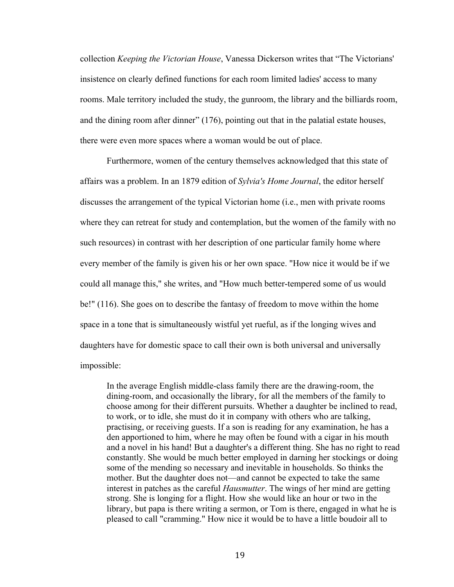collection *Keeping the Victorian House*, Vanessa Dickerson writes that "The Victorians' insistence on clearly defined functions for each room limited ladies' access to many rooms. Male territory included the study, the gunroom, the library and the billiards room, and the dining room after dinner" (176), pointing out that in the palatial estate houses, there were even more spaces where a woman would be out of place.

Furthermore, women of the century themselves acknowledged that this state of affairs was a problem. In an 1879 edition of *Sylvia's Home Journal*, the editor herself discusses the arrangement of the typical Victorian home (i.e., men with private rooms where they can retreat for study and contemplation, but the women of the family with no such resources) in contrast with her description of one particular family home where every member of the family is given his or her own space. "How nice it would be if we could all manage this," she writes, and "How much better-tempered some of us would be!" (116). She goes on to describe the fantasy of freedom to move within the home space in a tone that is simultaneously wistful yet rueful, as if the longing wives and daughters have for domestic space to call their own is both universal and universally impossible:

In the average English middle-class family there are the drawing-room, the dining-room, and occasionally the library, for all the members of the family to choose among for their different pursuits. Whether a daughter be inclined to read, to work, or to idle, she must do it in company with others who are talking, practising, or receiving guests. If a son is reading for any examination, he has a den apportioned to him, where he may often be found with a cigar in his mouth and a novel in his hand! But a daughter's a different thing. She has no right to read constantly. She would be much better employed in darning her stockings or doing some of the mending so necessary and inevitable in households. So thinks the mother. But the daughter does not—and cannot be expected to take the same interest in patches as the careful *Hausmutter*. The wings of her mind are getting strong. She is longing for a flight. How she would like an hour or two in the library, but papa is there writing a sermon, or Tom is there, engaged in what he is pleased to call "cramming." How nice it would be to have a little boudoir all to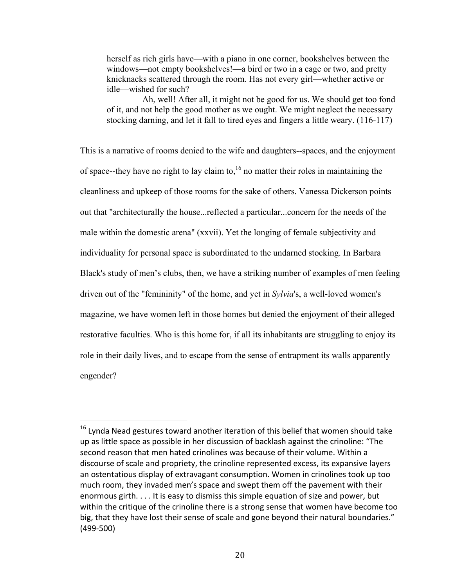herself as rich girls have—with a piano in one corner, bookshelves between the windows—not empty bookshelves!—a bird or two in a cage or two, and pretty knicknacks scattered through the room. Has not every girl—whether active or idle—wished for such?

Ah, well! After all, it might not be good for us. We should get too fond of it, and not help the good mother as we ought. We might neglect the necessary stocking darning, and let it fall to tired eyes and fingers a little weary. (116-117)

This is a narrative of rooms denied to the wife and daughters--spaces, and the enjoyment of space--they have no right to lay claim to,<sup>16</sup> no matter their roles in maintaining the cleanliness and upkeep of those rooms for the sake of others. Vanessa Dickerson points out that "architecturally the house...reflected a particular...concern for the needs of the male within the domestic arena" (xxvii). Yet the longing of female subjectivity and individuality for personal space is subordinated to the undarned stocking. In Barbara Black's study of men's clubs, then, we have a striking number of examples of men feeling driven out of the "femininity" of the home, and yet in *Sylvia*'s, a well-loved women's magazine, we have women left in those homes but denied the enjoyment of their alleged restorative faculties. Who is this home for, if all its inhabitants are struggling to enjoy its role in their daily lives, and to escape from the sense of entrapment its walls apparently engender?

 $16$  Lynda Nead gestures toward another iteration of this belief that women should take up as little space as possible in her discussion of backlash against the crinoline: "The second reason that men hated crinolines was because of their volume. Within a discourse of scale and propriety, the crinoline represented excess, its expansive layers an ostentatious display of extravagant consumption. Women in crinolines took up too much room, they invaded men's space and swept them off the pavement with their enormous girth.  $\dots$  It is easy to dismiss this simple equation of size and power, but within the critique of the crinoline there is a strong sense that women have become too big, that they have lost their sense of scale and gone beyond their natural boundaries." (499-500)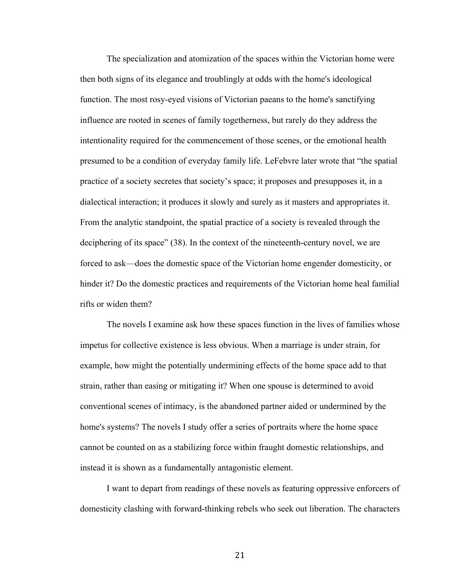The specialization and atomization of the spaces within the Victorian home were then both signs of its elegance and troublingly at odds with the home's ideological function. The most rosy-eyed visions of Victorian paeans to the home's sanctifying influence are rooted in scenes of family togetherness, but rarely do they address the intentionality required for the commencement of those scenes, or the emotional health presumed to be a condition of everyday family life. LeFebvre later wrote that "the spatial practice of a society secretes that society's space; it proposes and presupposes it, in a dialectical interaction; it produces it slowly and surely as it masters and appropriates it. From the analytic standpoint, the spatial practice of a society is revealed through the deciphering of its space" (38). In the context of the nineteenth-century novel, we are forced to ask—does the domestic space of the Victorian home engender domesticity, or hinder it? Do the domestic practices and requirements of the Victorian home heal familial rifts or widen them?

The novels I examine ask how these spaces function in the lives of families whose impetus for collective existence is less obvious. When a marriage is under strain, for example, how might the potentially undermining effects of the home space add to that strain, rather than easing or mitigating it? When one spouse is determined to avoid conventional scenes of intimacy, is the abandoned partner aided or undermined by the home's systems? The novels I study offer a series of portraits where the home space cannot be counted on as a stabilizing force within fraught domestic relationships, and instead it is shown as a fundamentally antagonistic element.

I want to depart from readings of these novels as featuring oppressive enforcers of domesticity clashing with forward-thinking rebels who seek out liberation. The characters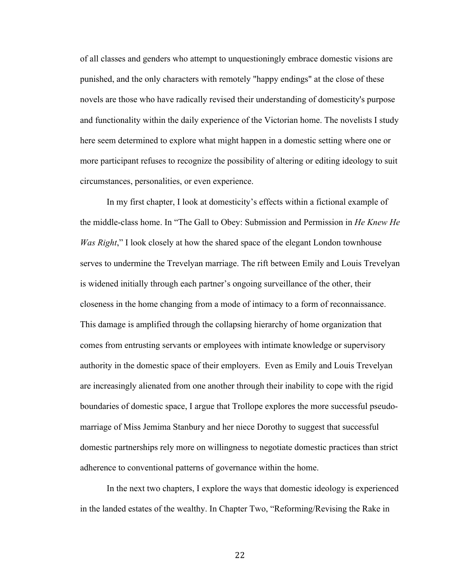of all classes and genders who attempt to unquestioningly embrace domestic visions are punished, and the only characters with remotely "happy endings" at the close of these novels are those who have radically revised their understanding of domesticity's purpose and functionality within the daily experience of the Victorian home. The novelists I study here seem determined to explore what might happen in a domestic setting where one or more participant refuses to recognize the possibility of altering or editing ideology to suit circumstances, personalities, or even experience.

In my first chapter, I look at domesticity's effects within a fictional example of the middle-class home. In "The Gall to Obey: Submission and Permission in *He Knew He Was Right*," I look closely at how the shared space of the elegant London townhouse serves to undermine the Trevelyan marriage. The rift between Emily and Louis Trevelyan is widened initially through each partner's ongoing surveillance of the other, their closeness in the home changing from a mode of intimacy to a form of reconnaissance. This damage is amplified through the collapsing hierarchy of home organization that comes from entrusting servants or employees with intimate knowledge or supervisory authority in the domestic space of their employers. Even as Emily and Louis Trevelyan are increasingly alienated from one another through their inability to cope with the rigid boundaries of domestic space, I argue that Trollope explores the more successful pseudomarriage of Miss Jemima Stanbury and her niece Dorothy to suggest that successful domestic partnerships rely more on willingness to negotiate domestic practices than strict adherence to conventional patterns of governance within the home.

In the next two chapters, I explore the ways that domestic ideology is experienced in the landed estates of the wealthy. In Chapter Two, "Reforming/Revising the Rake in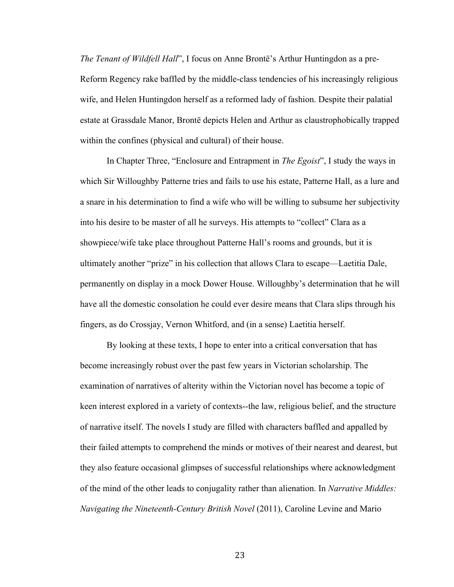*The Tenant of Wildfell Hall*", I focus on Anne Brontë's Arthur Huntingdon as a pre-Reform Regency rake baffled by the middle-class tendencies of his increasingly religious wife, and Helen Huntingdon herself as a reformed lady of fashion. Despite their palatial estate at Grassdale Manor, Brontë depicts Helen and Arthur as claustrophobically trapped within the confines (physical and cultural) of their house.

In Chapter Three, "Enclosure and Entrapment in *The Egoist*", I study the ways in which Sir Willoughby Patterne tries and fails to use his estate, Patterne Hall, as a lure and a snare in his determination to find a wife who will be willing to subsume her subjectivity into his desire to be master of all he surveys. His attempts to "collect" Clara as a showpiece/wife take place throughout Patterne Hall's rooms and grounds, but it is ultimately another "prize" in his collection that allows Clara to escape—Laetitia Dale, permanently on display in a mock Dower House. Willoughby's determination that he will have all the domestic consolation he could ever desire means that Clara slips through his fingers, as do Crossjay, Vernon Whitford, and (in a sense) Laetitia herself.

By looking at these texts, I hope to enter into a critical conversation that has become increasingly robust over the past few years in Victorian scholarship. The examination of narratives of alterity within the Victorian novel has become a topic of keen interest explored in a variety of contexts--the law, religious belief, and the structure of narrative itself. The novels I study are filled with characters baffled and appalled by their failed attempts to comprehend the minds or motives of their nearest and dearest, but they also feature occasional glimpses of successful relationships where acknowledgment of the mind of the other leads to conjugality rather than alienation. In *Narrative Middles: Navigating the Nineteenth-Century British Novel* (2011), Caroline Levine and Mario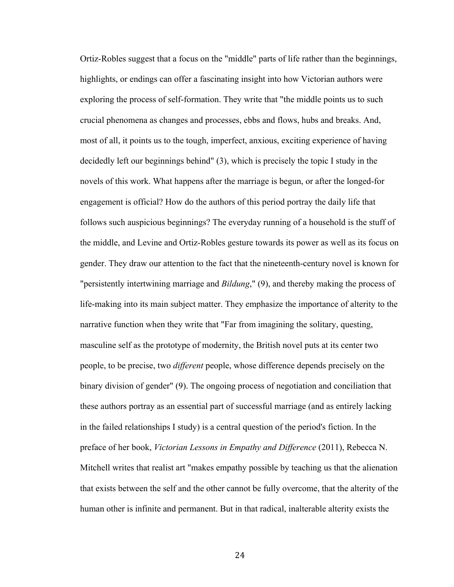Ortiz-Robles suggest that a focus on the "middle" parts of life rather than the beginnings, highlights, or endings can offer a fascinating insight into how Victorian authors were exploring the process of self-formation. They write that "the middle points us to such crucial phenomena as changes and processes, ebbs and flows, hubs and breaks. And, most of all, it points us to the tough, imperfect, anxious, exciting experience of having decidedly left our beginnings behind" (3), which is precisely the topic I study in the novels of this work. What happens after the marriage is begun, or after the longed-for engagement is official? How do the authors of this period portray the daily life that follows such auspicious beginnings? The everyday running of a household is the stuff of the middle, and Levine and Ortiz-Robles gesture towards its power as well as its focus on gender. They draw our attention to the fact that the nineteenth-century novel is known for "persistently intertwining marriage and *Bildung*," (9), and thereby making the process of life-making into its main subject matter. They emphasize the importance of alterity to the narrative function when they write that "Far from imagining the solitary, questing, masculine self as the prototype of modernity, the British novel puts at its center two people, to be precise, two *different* people, whose difference depends precisely on the binary division of gender" (9). The ongoing process of negotiation and conciliation that these authors portray as an essential part of successful marriage (and as entirely lacking in the failed relationships I study) is a central question of the period's fiction. In the preface of her book, *Victorian Lessons in Empathy and Difference* (2011), Rebecca N. Mitchell writes that realist art "makes empathy possible by teaching us that the alienation that exists between the self and the other cannot be fully overcome, that the alterity of the human other is infinite and permanent. But in that radical, inalterable alterity exists the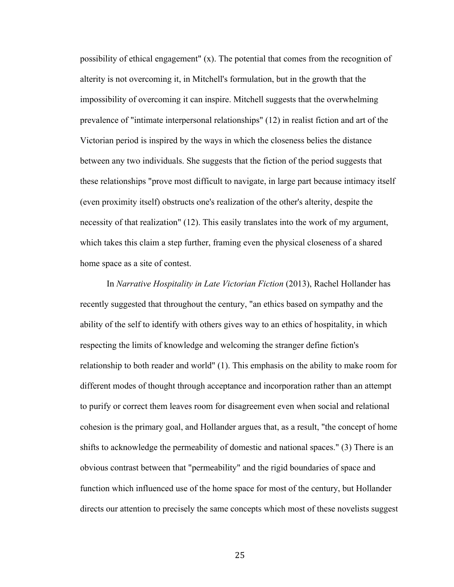possibility of ethical engagement" (x). The potential that comes from the recognition of alterity is not overcoming it, in Mitchell's formulation, but in the growth that the impossibility of overcoming it can inspire. Mitchell suggests that the overwhelming prevalence of "intimate interpersonal relationships" (12) in realist fiction and art of the Victorian period is inspired by the ways in which the closeness belies the distance between any two individuals. She suggests that the fiction of the period suggests that these relationships "prove most difficult to navigate, in large part because intimacy itself (even proximity itself) obstructs one's realization of the other's alterity, despite the necessity of that realization" (12). This easily translates into the work of my argument, which takes this claim a step further, framing even the physical closeness of a shared home space as a site of contest.

In *Narrative Hospitality in Late Victorian Fiction* (2013), Rachel Hollander has recently suggested that throughout the century, "an ethics based on sympathy and the ability of the self to identify with others gives way to an ethics of hospitality, in which respecting the limits of knowledge and welcoming the stranger define fiction's relationship to both reader and world" (1). This emphasis on the ability to make room for different modes of thought through acceptance and incorporation rather than an attempt to purify or correct them leaves room for disagreement even when social and relational cohesion is the primary goal, and Hollander argues that, as a result, "the concept of home shifts to acknowledge the permeability of domestic and national spaces." (3) There is an obvious contrast between that "permeability" and the rigid boundaries of space and function which influenced use of the home space for most of the century, but Hollander directs our attention to precisely the same concepts which most of these novelists suggest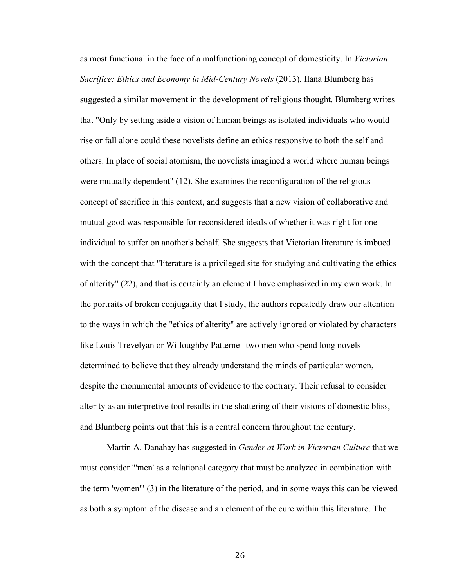as most functional in the face of a malfunctioning concept of domesticity. In *Victorian Sacrifice: Ethics and Economy in Mid-Century Novels* (2013), Ilana Blumberg has suggested a similar movement in the development of religious thought. Blumberg writes that "Only by setting aside a vision of human beings as isolated individuals who would rise or fall alone could these novelists define an ethics responsive to both the self and others. In place of social atomism, the novelists imagined a world where human beings were mutually dependent" (12). She examines the reconfiguration of the religious concept of sacrifice in this context, and suggests that a new vision of collaborative and mutual good was responsible for reconsidered ideals of whether it was right for one individual to suffer on another's behalf. She suggests that Victorian literature is imbued with the concept that "literature is a privileged site for studying and cultivating the ethics of alterity" (22), and that is certainly an element I have emphasized in my own work. In the portraits of broken conjugality that I study, the authors repeatedly draw our attention to the ways in which the "ethics of alterity" are actively ignored or violated by characters like Louis Trevelyan or Willoughby Patterne--two men who spend long novels determined to believe that they already understand the minds of particular women, despite the monumental amounts of evidence to the contrary. Their refusal to consider alterity as an interpretive tool results in the shattering of their visions of domestic bliss, and Blumberg points out that this is a central concern throughout the century.

Martin A. Danahay has suggested in *Gender at Work in Victorian Culture* that we must consider "'men' as a relational category that must be analyzed in combination with the term 'women'" (3) in the literature of the period, and in some ways this can be viewed as both a symptom of the disease and an element of the cure within this literature. The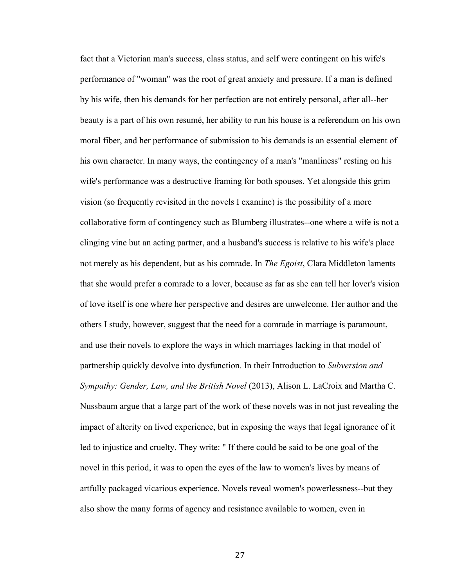fact that a Victorian man's success, class status, and self were contingent on his wife's performance of "woman" was the root of great anxiety and pressure. If a man is defined by his wife, then his demands for her perfection are not entirely personal, after all--her beauty is a part of his own resumé, her ability to run his house is a referendum on his own moral fiber, and her performance of submission to his demands is an essential element of his own character. In many ways, the contingency of a man's "manliness" resting on his wife's performance was a destructive framing for both spouses. Yet alongside this grim vision (so frequently revisited in the novels I examine) is the possibility of a more collaborative form of contingency such as Blumberg illustrates--one where a wife is not a clinging vine but an acting partner, and a husband's success is relative to his wife's place not merely as his dependent, but as his comrade. In *The Egoist*, Clara Middleton laments that she would prefer a comrade to a lover, because as far as she can tell her lover's vision of love itself is one where her perspective and desires are unwelcome. Her author and the others I study, however, suggest that the need for a comrade in marriage is paramount, and use their novels to explore the ways in which marriages lacking in that model of partnership quickly devolve into dysfunction. In their Introduction to *Subversion and Sympathy: Gender, Law, and the British Novel* (2013), Alison L. LaCroix and Martha C. Nussbaum argue that a large part of the work of these novels was in not just revealing the impact of alterity on lived experience, but in exposing the ways that legal ignorance of it led to injustice and cruelty. They write: " If there could be said to be one goal of the novel in this period, it was to open the eyes of the law to women's lives by means of artfully packaged vicarious experience. Novels reveal women's powerlessness--but they also show the many forms of agency and resistance available to women, even in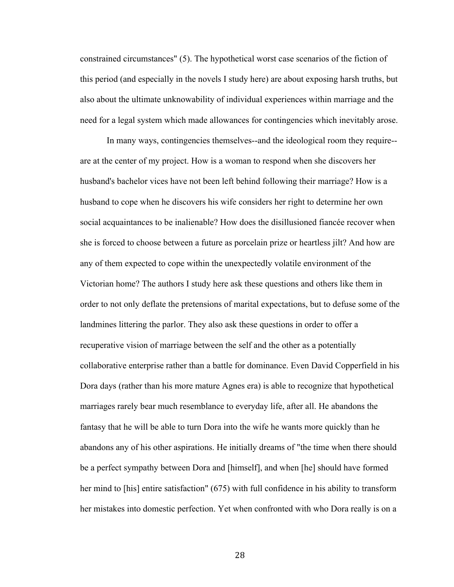constrained circumstances" (5). The hypothetical worst case scenarios of the fiction of this period (and especially in the novels I study here) are about exposing harsh truths, but also about the ultimate unknowability of individual experiences within marriage and the need for a legal system which made allowances for contingencies which inevitably arose.

In many ways, contingencies themselves--and the ideological room they require- are at the center of my project. How is a woman to respond when she discovers her husband's bachelor vices have not been left behind following their marriage? How is a husband to cope when he discovers his wife considers her right to determine her own social acquaintances to be inalienable? How does the disillusioned fiancée recover when she is forced to choose between a future as porcelain prize or heartless jilt? And how are any of them expected to cope within the unexpectedly volatile environment of the Victorian home? The authors I study here ask these questions and others like them in order to not only deflate the pretensions of marital expectations, but to defuse some of the landmines littering the parlor. They also ask these questions in order to offer a recuperative vision of marriage between the self and the other as a potentially collaborative enterprise rather than a battle for dominance. Even David Copperfield in his Dora days (rather than his more mature Agnes era) is able to recognize that hypothetical marriages rarely bear much resemblance to everyday life, after all. He abandons the fantasy that he will be able to turn Dora into the wife he wants more quickly than he abandons any of his other aspirations. He initially dreams of "the time when there should be a perfect sympathy between Dora and [himself], and when [he] should have formed her mind to [his] entire satisfaction" (675) with full confidence in his ability to transform her mistakes into domestic perfection. Yet when confronted with who Dora really is on a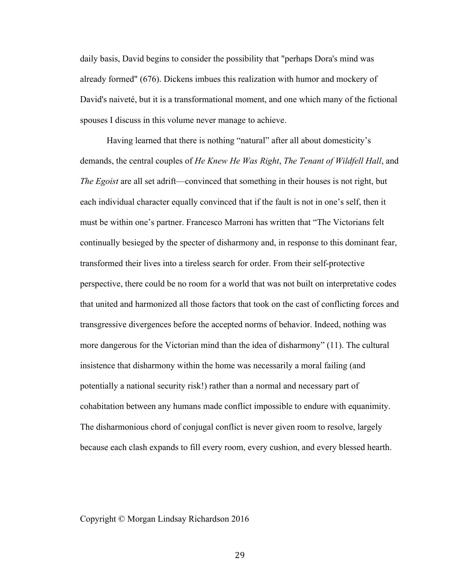daily basis, David begins to consider the possibility that "perhaps Dora's mind was already formed" (676). Dickens imbues this realization with humor and mockery of David's naiveté, but it is a transformational moment, and one which many of the fictional spouses I discuss in this volume never manage to achieve.

Having learned that there is nothing "natural" after all about domesticity's demands, the central couples of *He Knew He Was Right*, *The Tenant of Wildfell Hall*, and *The Egoist* are all set adrift—convinced that something in their houses is not right, but each individual character equally convinced that if the fault is not in one's self, then it must be within one's partner. Francesco Marroni has written that "The Victorians felt continually besieged by the specter of disharmony and, in response to this dominant fear, transformed their lives into a tireless search for order. From their self-protective perspective, there could be no room for a world that was not built on interpretative codes that united and harmonized all those factors that took on the cast of conflicting forces and transgressive divergences before the accepted norms of behavior. Indeed, nothing was more dangerous for the Victorian mind than the idea of disharmony" (11). The cultural insistence that disharmony within the home was necessarily a moral failing (and potentially a national security risk!) rather than a normal and necessary part of cohabitation between any humans made conflict impossible to endure with equanimity. The disharmonious chord of conjugal conflict is never given room to resolve, largely because each clash expands to fill every room, every cushion, and every blessed hearth.

#### Copyright © Morgan Lindsay Richardson 2016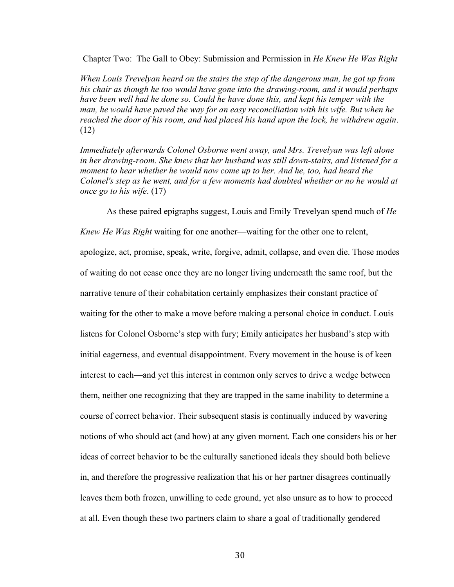Chapter Two: The Gall to Obey: Submission and Permission in *He Knew He Was Right*

*When Louis Trevelyan heard on the stairs the step of the dangerous man, he got up from his chair as though he too would have gone into the drawing-room, and it would perhaps have been well had he done so. Could he have done this, and kept his temper with the man, he would have paved the way for an easy reconciliation with his wife. But when he reached the door of his room, and had placed his hand upon the lock, he withdrew again*. (12)

*Immediately afterwards Colonel Osborne went away, and Mrs. Trevelyan was left alone in her drawing-room. She knew that her husband was still down-stairs, and listened for a moment to hear whether he would now come up to her. And he, too, had heard the Colonel's step as he went, and for a few moments had doubted whether or no he would at once go to his wife*. (17)

As these paired epigraphs suggest, Louis and Emily Trevelyan spend much of *He Knew He Was Right* waiting for one another—waiting for the other one to relent, apologize, act, promise, speak, write, forgive, admit, collapse, and even die. Those modes of waiting do not cease once they are no longer living underneath the same roof, but the narrative tenure of their cohabitation certainly emphasizes their constant practice of waiting for the other to make a move before making a personal choice in conduct. Louis listens for Colonel Osborne's step with fury; Emily anticipates her husband's step with initial eagerness, and eventual disappointment. Every movement in the house is of keen interest to each—and yet this interest in common only serves to drive a wedge between them, neither one recognizing that they are trapped in the same inability to determine a course of correct behavior. Their subsequent stasis is continually induced by wavering notions of who should act (and how) at any given moment. Each one considers his or her ideas of correct behavior to be the culturally sanctioned ideals they should both believe in, and therefore the progressive realization that his or her partner disagrees continually leaves them both frozen, unwilling to cede ground, yet also unsure as to how to proceed at all. Even though these two partners claim to share a goal of traditionally gendered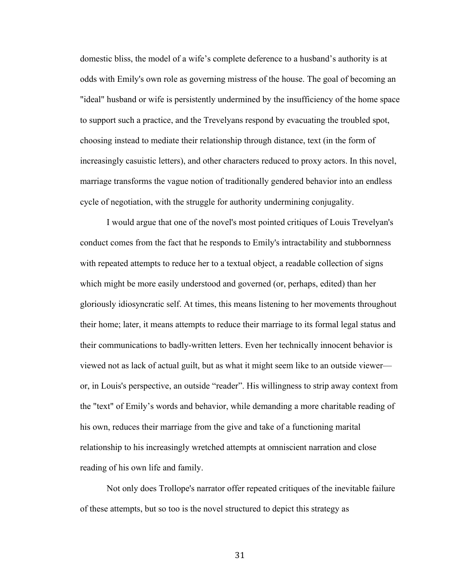domestic bliss, the model of a wife's complete deference to a husband's authority is at odds with Emily's own role as governing mistress of the house. The goal of becoming an "ideal" husband or wife is persistently undermined by the insufficiency of the home space to support such a practice, and the Trevelyans respond by evacuating the troubled spot, choosing instead to mediate their relationship through distance, text (in the form of increasingly casuistic letters), and other characters reduced to proxy actors. In this novel, marriage transforms the vague notion of traditionally gendered behavior into an endless cycle of negotiation, with the struggle for authority undermining conjugality.

I would argue that one of the novel's most pointed critiques of Louis Trevelyan's conduct comes from the fact that he responds to Emily's intractability and stubbornness with repeated attempts to reduce her to a textual object, a readable collection of signs which might be more easily understood and governed (or, perhaps, edited) than her gloriously idiosyncratic self. At times, this means listening to her movements throughout their home; later, it means attempts to reduce their marriage to its formal legal status and their communications to badly-written letters. Even her technically innocent behavior is viewed not as lack of actual guilt, but as what it might seem like to an outside viewer or, in Louis's perspective, an outside "reader". His willingness to strip away context from the "text" of Emily's words and behavior, while demanding a more charitable reading of his own, reduces their marriage from the give and take of a functioning marital relationship to his increasingly wretched attempts at omniscient narration and close reading of his own life and family.

Not only does Trollope's narrator offer repeated critiques of the inevitable failure of these attempts, but so too is the novel structured to depict this strategy as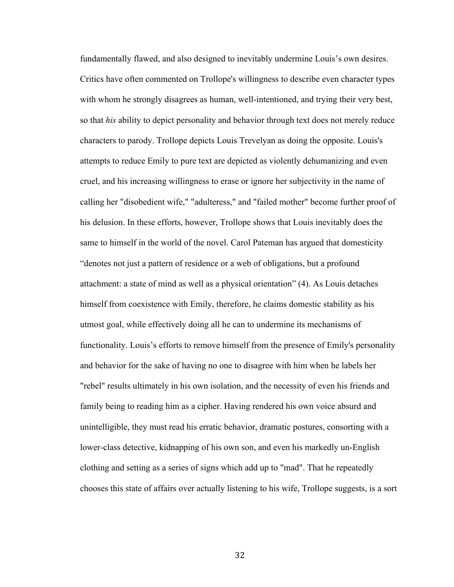fundamentally flawed, and also designed to inevitably undermine Louis's own desires. Critics have often commented on Trollope's willingness to describe even character types with whom he strongly disagrees as human, well-intentioned, and trying their very best, so that *his* ability to depict personality and behavior through text does not merely reduce characters to parody. Trollope depicts Louis Trevelyan as doing the opposite. Louis's attempts to reduce Emily to pure text are depicted as violently dehumanizing and even cruel, and his increasing willingness to erase or ignore her subjectivity in the name of calling her "disobedient wife," "adulteress," and "failed mother" become further proof of his delusion. In these efforts, however, Trollope shows that Louis inevitably does the same to himself in the world of the novel. Carol Pateman has argued that domesticity "denotes not just a pattern of residence or a web of obligations, but a profound attachment: a state of mind as well as a physical orientation" (4). As Louis detaches himself from coexistence with Emily, therefore, he claims domestic stability as his utmost goal, while effectively doing all he can to undermine its mechanisms of functionality. Louis's efforts to remove himself from the presence of Emily's personality and behavior for the sake of having no one to disagree with him when he labels her "rebel" results ultimately in his own isolation, and the necessity of even his friends and family being to reading him as a cipher. Having rendered his own voice absurd and unintelligible, they must read his erratic behavior, dramatic postures, consorting with a lower-class detective, kidnapping of his own son, and even his markedly un-English clothing and setting as a series of signs which add up to "mad". That he repeatedly chooses this state of affairs over actually listening to his wife, Trollope suggests, is a sort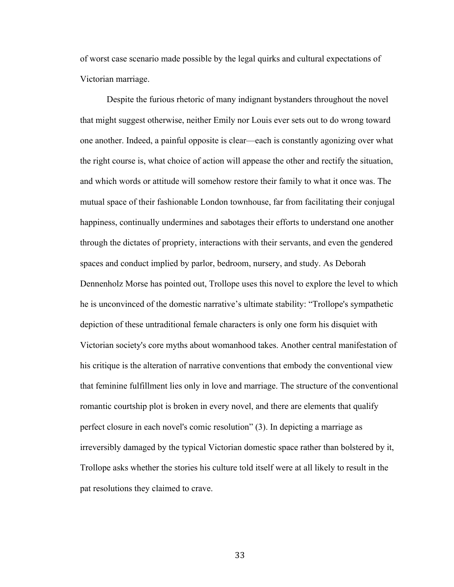of worst case scenario made possible by the legal quirks and cultural expectations of Victorian marriage.

Despite the furious rhetoric of many indignant bystanders throughout the novel that might suggest otherwise, neither Emily nor Louis ever sets out to do wrong toward one another. Indeed, a painful opposite is clear—each is constantly agonizing over what the right course is, what choice of action will appease the other and rectify the situation, and which words or attitude will somehow restore their family to what it once was. The mutual space of their fashionable London townhouse, far from facilitating their conjugal happiness, continually undermines and sabotages their efforts to understand one another through the dictates of propriety, interactions with their servants, and even the gendered spaces and conduct implied by parlor, bedroom, nursery, and study. As Deborah Dennenholz Morse has pointed out, Trollope uses this novel to explore the level to which he is unconvinced of the domestic narrative's ultimate stability: "Trollope's sympathetic depiction of these untraditional female characters is only one form his disquiet with Victorian society's core myths about womanhood takes. Another central manifestation of his critique is the alteration of narrative conventions that embody the conventional view that feminine fulfillment lies only in love and marriage. The structure of the conventional romantic courtship plot is broken in every novel, and there are elements that qualify perfect closure in each novel's comic resolution" (3). In depicting a marriage as irreversibly damaged by the typical Victorian domestic space rather than bolstered by it, Trollope asks whether the stories his culture told itself were at all likely to result in the pat resolutions they claimed to crave.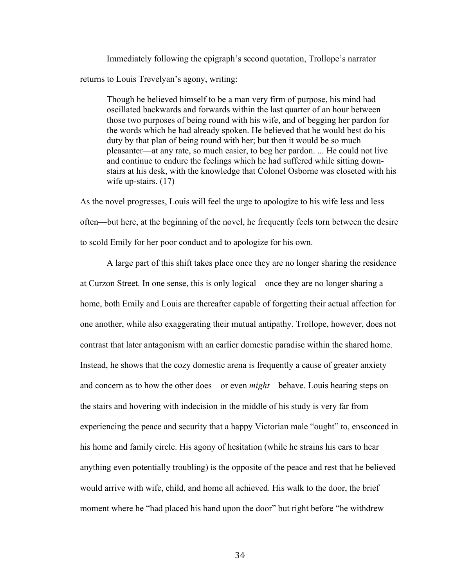Immediately following the epigraph's second quotation, Trollope's narrator returns to Louis Trevelyan's agony, writing:

Though he believed himself to be a man very firm of purpose, his mind had oscillated backwards and forwards within the last quarter of an hour between those two purposes of being round with his wife, and of begging her pardon for the words which he had already spoken. He believed that he would best do his duty by that plan of being round with her; but then it would be so much pleasanter—at any rate, so much easier, to beg her pardon. ... He could not live and continue to endure the feelings which he had suffered while sitting downstairs at his desk, with the knowledge that Colonel Osborne was closeted with his wife up-stairs. (17)

As the novel progresses, Louis will feel the urge to apologize to his wife less and less often—but here, at the beginning of the novel, he frequently feels torn between the desire to scold Emily for her poor conduct and to apologize for his own.

A large part of this shift takes place once they are no longer sharing the residence at Curzon Street. In one sense, this is only logical—once they are no longer sharing a home, both Emily and Louis are thereafter capable of forgetting their actual affection for one another, while also exaggerating their mutual antipathy. Trollope, however, does not contrast that later antagonism with an earlier domestic paradise within the shared home. Instead, he shows that the cozy domestic arena is frequently a cause of greater anxiety and concern as to how the other does—or even *might*—behave. Louis hearing steps on the stairs and hovering with indecision in the middle of his study is very far from experiencing the peace and security that a happy Victorian male "ought" to, ensconced in his home and family circle. His agony of hesitation (while he strains his ears to hear anything even potentially troubling) is the opposite of the peace and rest that he believed would arrive with wife, child, and home all achieved. His walk to the door, the brief moment where he "had placed his hand upon the door" but right before "he withdrew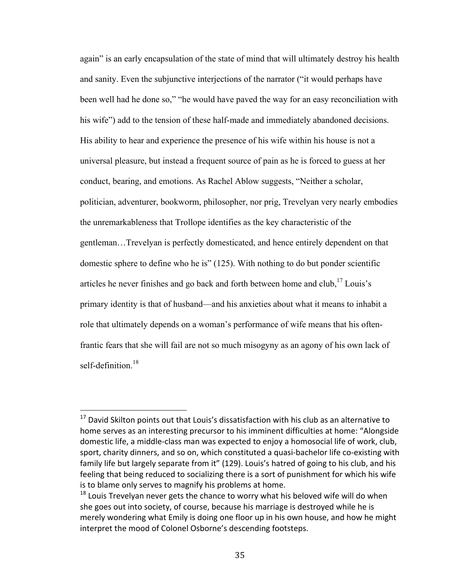again" is an early encapsulation of the state of mind that will ultimately destroy his health and sanity. Even the subjunctive interjections of the narrator ("it would perhaps have been well had he done so," "he would have paved the way for an easy reconciliation with his wife") add to the tension of these half-made and immediately abandoned decisions. His ability to hear and experience the presence of his wife within his house is not a universal pleasure, but instead a frequent source of pain as he is forced to guess at her conduct, bearing, and emotions. As Rachel Ablow suggests, "Neither a scholar, politician, adventurer, bookworm, philosopher, nor prig, Trevelyan very nearly embodies the unremarkableness that Trollope identifies as the key characteristic of the gentleman…Trevelyan is perfectly domesticated, and hence entirely dependent on that domestic sphere to define who he is" (125). With nothing to do but ponder scientific articles he never finishes and go back and forth between home and club,  $17$  Louis's primary identity is that of husband—and his anxieties about what it means to inhabit a role that ultimately depends on a woman's performance of wife means that his oftenfrantic fears that she will fail are not so much misogyny as an agony of his own lack of self-definition. $18$ 

 $17$  David Skilton points out that Louis's dissatisfaction with his club as an alternative to home serves as an interesting precursor to his imminent difficulties at home: "Alongside domestic life, a middle-class man was expected to enjoy a homosocial life of work, club, sport, charity dinners, and so on, which constituted a quasi-bachelor life co-existing with family life but largely separate from it" (129). Louis's hatred of going to his club, and his feeling that being reduced to socializing there is a sort of punishment for which his wife is to blame only serves to magnify his problems at home.

 $^{18}$  Louis Trevelyan never gets the chance to worry what his beloved wife will do when she goes out into society, of course, because his marriage is destroyed while he is merely wondering what Emily is doing one floor up in his own house, and how he might interpret the mood of Colonel Osborne's descending footsteps.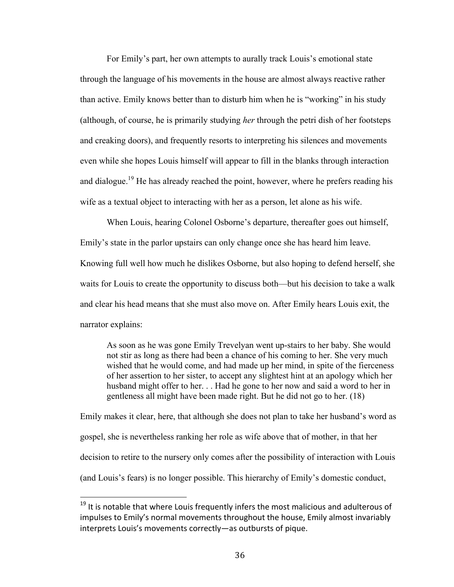For Emily's part, her own attempts to aurally track Louis's emotional state through the language of his movements in the house are almost always reactive rather than active. Emily knows better than to disturb him when he is "working" in his study (although, of course, he is primarily studying *her* through the petri dish of her footsteps and creaking doors), and frequently resorts to interpreting his silences and movements even while she hopes Louis himself will appear to fill in the blanks through interaction and dialogue.<sup>19</sup> He has already reached the point, however, where he prefers reading his wife as a textual object to interacting with her as a person, let alone as his wife.

When Louis, hearing Colonel Osborne's departure, thereafter goes out himself, Emily's state in the parlor upstairs can only change once she has heard him leave. Knowing full well how much he dislikes Osborne, but also hoping to defend herself, she waits for Louis to create the opportunity to discuss both—but his decision to take a walk and clear his head means that she must also move on. After Emily hears Louis exit, the narrator explains:

As soon as he was gone Emily Trevelyan went up-stairs to her baby. She would not stir as long as there had been a chance of his coming to her. She very much wished that he would come, and had made up her mind, in spite of the fierceness of her assertion to her sister, to accept any slightest hint at an apology which her husband might offer to her. . . Had he gone to her now and said a word to her in gentleness all might have been made right. But he did not go to her. (18)

Emily makes it clear, here, that although she does not plan to take her husband's word as gospel, she is nevertheless ranking her role as wife above that of mother, in that her decision to retire to the nursery only comes after the possibility of interaction with Louis (and Louis's fears) is no longer possible. This hierarchy of Emily's domestic conduct,

 $19$  It is notable that where Louis frequently infers the most malicious and adulterous of impulses to Emily's normal movements throughout the house, Emily almost invariably interprets Louis's movements correctly—as outbursts of pique.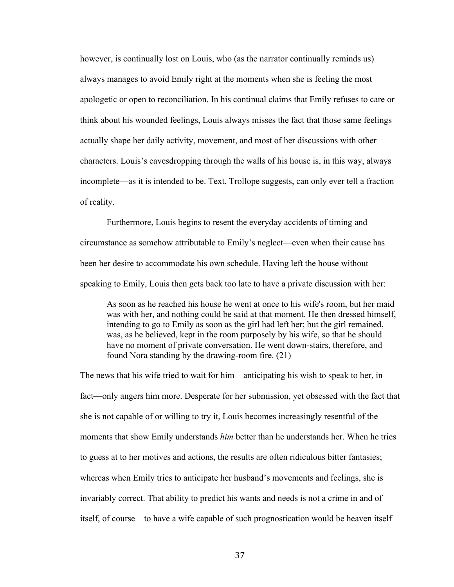however, is continually lost on Louis, who (as the narrator continually reminds us) always manages to avoid Emily right at the moments when she is feeling the most apologetic or open to reconciliation. In his continual claims that Emily refuses to care or think about his wounded feelings, Louis always misses the fact that those same feelings actually shape her daily activity, movement, and most of her discussions with other characters. Louis's eavesdropping through the walls of his house is, in this way, always incomplete—as it is intended to be. Text, Trollope suggests, can only ever tell a fraction of reality.

Furthermore, Louis begins to resent the everyday accidents of timing and circumstance as somehow attributable to Emily's neglect—even when their cause has been her desire to accommodate his own schedule. Having left the house without speaking to Emily, Louis then gets back too late to have a private discussion with her:

As soon as he reached his house he went at once to his wife's room, but her maid was with her, and nothing could be said at that moment. He then dressed himself, intending to go to Emily as soon as the girl had left her; but the girl remained, was, as he believed, kept in the room purposely by his wife, so that he should have no moment of private conversation. He went down-stairs, therefore, and found Nora standing by the drawing-room fire. (21)

The news that his wife tried to wait for him—anticipating his wish to speak to her, in fact—only angers him more. Desperate for her submission, yet obsessed with the fact that she is not capable of or willing to try it, Louis becomes increasingly resentful of the moments that show Emily understands *him* better than he understands her. When he tries to guess at to her motives and actions, the results are often ridiculous bitter fantasies; whereas when Emily tries to anticipate her husband's movements and feelings, she is invariably correct. That ability to predict his wants and needs is not a crime in and of itself, of course—to have a wife capable of such prognostication would be heaven itself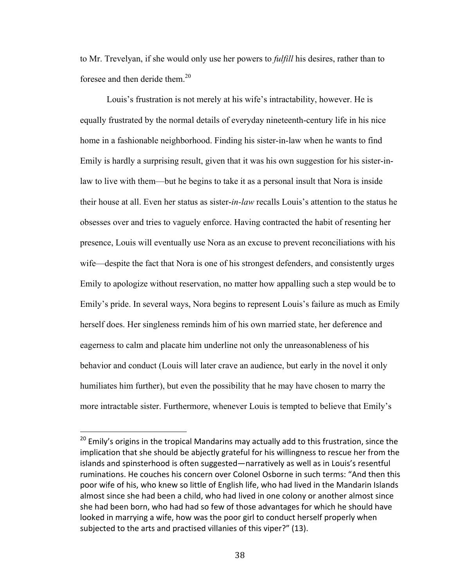to Mr. Trevelyan, if she would only use her powers to *fulfill* his desires, rather than to foresee and then deride them.<sup>20</sup>

Louis's frustration is not merely at his wife's intractability, however. He is equally frustrated by the normal details of everyday nineteenth-century life in his nice home in a fashionable neighborhood. Finding his sister-in-law when he wants to find Emily is hardly a surprising result, given that it was his own suggestion for his sister-inlaw to live with them—but he begins to take it as a personal insult that Nora is inside their house at all. Even her status as sister-*in-law* recalls Louis's attention to the status he obsesses over and tries to vaguely enforce. Having contracted the habit of resenting her presence, Louis will eventually use Nora as an excuse to prevent reconciliations with his wife—despite the fact that Nora is one of his strongest defenders, and consistently urges Emily to apologize without reservation, no matter how appalling such a step would be to Emily's pride. In several ways, Nora begins to represent Louis's failure as much as Emily herself does. Her singleness reminds him of his own married state, her deference and eagerness to calm and placate him underline not only the unreasonableness of his behavior and conduct (Louis will later crave an audience, but early in the novel it only humiliates him further), but even the possibility that he may have chosen to marry the more intractable sister. Furthermore, whenever Louis is tempted to believe that Emily's

 $20$  Emily's origins in the tropical Mandarins may actually add to this frustration, since the implication that she should be abjectly grateful for his willingness to rescue her from the islands and spinsterhood is often suggested—narratively as well as in Louis's resentful ruminations. He couches his concern over Colonel Osborne in such terms: "And then this poor wife of his, who knew so little of English life, who had lived in the Mandarin Islands almost since she had been a child, who had lived in one colony or another almost since she had been born, who had had so few of those advantages for which he should have looked in marrying a wife, how was the poor girl to conduct herself properly when subjected to the arts and practised villanies of this viper?" (13).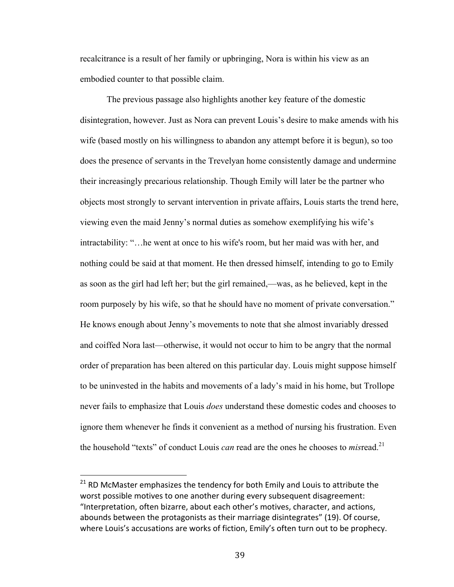recalcitrance is a result of her family or upbringing, Nora is within his view as an embodied counter to that possible claim.

The previous passage also highlights another key feature of the domestic disintegration, however. Just as Nora can prevent Louis's desire to make amends with his wife (based mostly on his willingness to abandon any attempt before it is begun), so too does the presence of servants in the Trevelyan home consistently damage and undermine their increasingly precarious relationship. Though Emily will later be the partner who objects most strongly to servant intervention in private affairs, Louis starts the trend here, viewing even the maid Jenny's normal duties as somehow exemplifying his wife's intractability: "…he went at once to his wife's room, but her maid was with her, and nothing could be said at that moment. He then dressed himself, intending to go to Emily as soon as the girl had left her; but the girl remained,—was, as he believed, kept in the room purposely by his wife, so that he should have no moment of private conversation." He knows enough about Jenny's movements to note that she almost invariably dressed and coiffed Nora last—otherwise, it would not occur to him to be angry that the normal order of preparation has been altered on this particular day. Louis might suppose himself to be uninvested in the habits and movements of a lady's maid in his home, but Trollope never fails to emphasize that Louis *does* understand these domestic codes and chooses to ignore them whenever he finds it convenient as a method of nursing his frustration. Even the household "texts" of conduct Louis *can* read are the ones he chooses to *misread*.<sup>21</sup>

 $21$  RD McMaster emphasizes the tendency for both Emily and Louis to attribute the worst possible motives to one another during every subsequent disagreement: "Interpretation, often bizarre, about each other's motives, character, and actions, abounds between the protagonists as their marriage disintegrates" (19). Of course, where Louis's accusations are works of fiction, Emily's often turn out to be prophecy.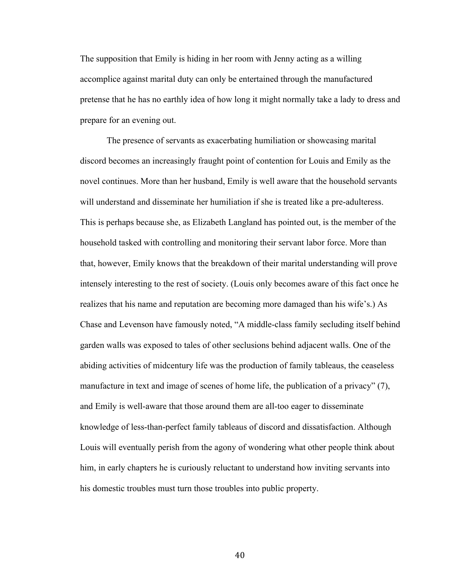The supposition that Emily is hiding in her room with Jenny acting as a willing accomplice against marital duty can only be entertained through the manufactured pretense that he has no earthly idea of how long it might normally take a lady to dress and prepare for an evening out.

The presence of servants as exacerbating humiliation or showcasing marital discord becomes an increasingly fraught point of contention for Louis and Emily as the novel continues. More than her husband, Emily is well aware that the household servants will understand and disseminate her humiliation if she is treated like a pre-adulteress. This is perhaps because she, as Elizabeth Langland has pointed out, is the member of the household tasked with controlling and monitoring their servant labor force. More than that, however, Emily knows that the breakdown of their marital understanding will prove intensely interesting to the rest of society. (Louis only becomes aware of this fact once he realizes that his name and reputation are becoming more damaged than his wife's.) As Chase and Levenson have famously noted, "A middle-class family secluding itself behind garden walls was exposed to tales of other seclusions behind adjacent walls. One of the abiding activities of midcentury life was the production of family tableaus, the ceaseless manufacture in text and image of scenes of home life, the publication of a privacy" (7), and Emily is well-aware that those around them are all-too eager to disseminate knowledge of less-than-perfect family tableaus of discord and dissatisfaction. Although Louis will eventually perish from the agony of wondering what other people think about him, in early chapters he is curiously reluctant to understand how inviting servants into his domestic troubles must turn those troubles into public property.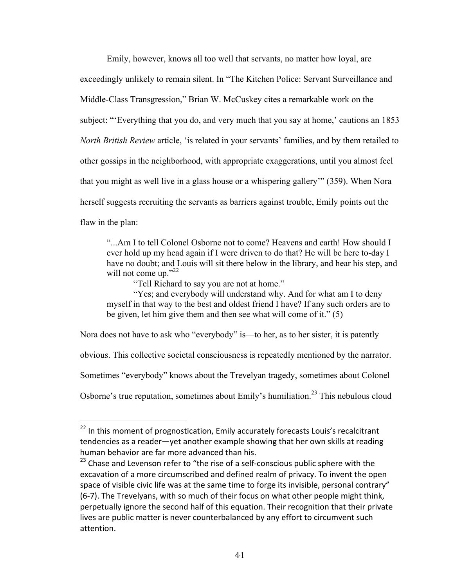Emily, however, knows all too well that servants, no matter how loyal, are exceedingly unlikely to remain silent. In "The Kitchen Police: Servant Surveillance and Middle-Class Transgression," Brian W. McCuskey cites a remarkable work on the subject: "'Everything that you do, and very much that you say at home,' cautions an 1853 *North British Review* article, 'is related in your servants' families, and by them retailed to other gossips in the neighborhood, with appropriate exaggerations, until you almost feel that you might as well live in a glass house or a whispering gallery'" (359). When Nora herself suggests recruiting the servants as barriers against trouble, Emily points out the flaw in the plan:

"...Am I to tell Colonel Osborne not to come? Heavens and earth! How should I ever hold up my head again if I were driven to do that? He will be here to-day I have no doubt; and Louis will sit there below in the library, and hear his step, and will not come up." $^{22}$ 

"Tell Richard to say you are not at home."

"Yes; and everybody will understand why. And for what am I to deny myself in that way to the best and oldest friend I have? If any such orders are to be given, let him give them and then see what will come of it." (5)

Nora does not have to ask who "everybody" is—to her, as to her sister, it is patently

obvious. This collective societal consciousness is repeatedly mentioned by the narrator.

Sometimes "everybody" knows about the Trevelyan tragedy, sometimes about Colonel

Osborne's true reputation, sometimes about Emily's humiliation.<sup>23</sup> This nebulous cloud

 $22$  In this moment of prognostication, Emily accurately forecasts Louis's recalcitrant tendencies as a reader—yet another example showing that her own skills at reading human behavior are far more advanced than his.

 $23$  Chase and Levenson refer to "the rise of a self-conscious public sphere with the excavation of a more circumscribed and defined realm of privacy. To invent the open space of visible civic life was at the same time to forge its invisible, personal contrary" (6-7). The Trevelyans, with so much of their focus on what other people might think, perpetually ignore the second half of this equation. Their recognition that their private lives are public matter is never counterbalanced by any effort to circumvent such attention.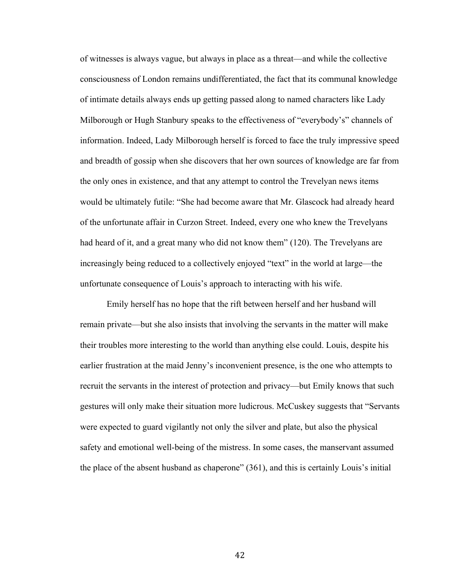of witnesses is always vague, but always in place as a threat—and while the collective consciousness of London remains undifferentiated, the fact that its communal knowledge of intimate details always ends up getting passed along to named characters like Lady Milborough or Hugh Stanbury speaks to the effectiveness of "everybody's" channels of information. Indeed, Lady Milborough herself is forced to face the truly impressive speed and breadth of gossip when she discovers that her own sources of knowledge are far from the only ones in existence, and that any attempt to control the Trevelyan news items would be ultimately futile: "She had become aware that Mr. Glascock had already heard of the unfortunate affair in Curzon Street. Indeed, every one who knew the Trevelyans had heard of it, and a great many who did not know them" (120). The Trevelyans are increasingly being reduced to a collectively enjoyed "text" in the world at large—the unfortunate consequence of Louis's approach to interacting with his wife.

Emily herself has no hope that the rift between herself and her husband will remain private—but she also insists that involving the servants in the matter will make their troubles more interesting to the world than anything else could. Louis, despite his earlier frustration at the maid Jenny's inconvenient presence, is the one who attempts to recruit the servants in the interest of protection and privacy—but Emily knows that such gestures will only make their situation more ludicrous. McCuskey suggests that "Servants were expected to guard vigilantly not only the silver and plate, but also the physical safety and emotional well-being of the mistress. In some cases, the manservant assumed the place of the absent husband as chaperone" (361), and this is certainly Louis's initial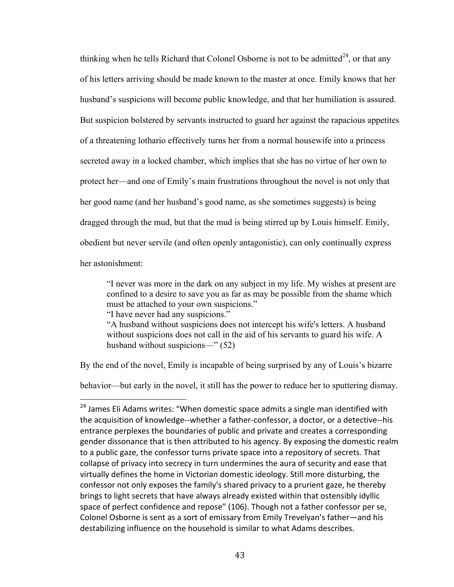thinking when he tells Richard that Colonel Osborne is not to be admitted<sup>24</sup>, or that any of his letters arriving should be made known to the master at once. Emily knows that her husband's suspicions will become public knowledge, and that her humiliation is assured. But suspicion bolstered by servants instructed to guard her against the rapacious appetites of a threatening lothario effectively turns her from a normal housewife into a princess secreted away in a locked chamber, which implies that she has no virtue of her own to protect her—and one of Emily's main frustrations throughout the novel is not only that her good name (and her husband's good name, as she sometimes suggests) is being dragged through the mud, but that the mud is being stirred up by Louis himself. Emily, obedient but never servile (and often openly antagonistic), can only continually express her astonishment:

"I never was more in the dark on any subject in my life. My wishes at present are confined to a desire to save you as far as may be possible from the shame which must be attached to your own suspicions."

"I have never had any suspicions."

 

"A husband without suspicions does not intercept his wife's letters. A husband without suspicions does not call in the aid of his servants to guard his wife. A husband without suspicions—" (52)

By the end of the novel, Emily is incapable of being surprised by any of Louis's bizarre

behavior—but early in the novel, it still has the power to reduce her to sputtering dismay.

 $24$  James Eli Adams writes: "When domestic space admits a single man identified with the acquisition of knowledge--whether a father-confessor, a doctor, or a detective--his entrance perplexes the boundaries of public and private and creates a corresponding gender dissonance that is then attributed to his agency. By exposing the domestic realm to a public gaze, the confessor turns private space into a repository of secrets. That collapse of privacy into secrecy in turn undermines the aura of security and ease that virtually defines the home in Victorian domestic ideology. Still more disturbing, the confessor not only exposes the family's shared privacy to a prurient gaze, he thereby brings to light secrets that have always already existed within that ostensibly idyllic space of perfect confidence and repose" (106). Though not a father confessor per se, Colonel Osborne is sent as a sort of emissary from Emily Trevelyan's father—and his destabilizing influence on the household is similar to what Adams describes.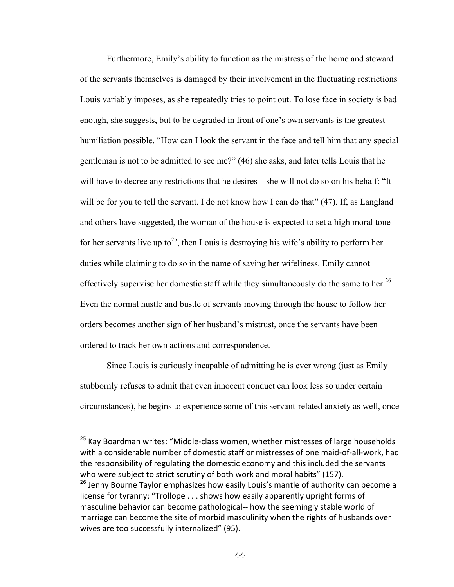Furthermore, Emily's ability to function as the mistress of the home and steward of the servants themselves is damaged by their involvement in the fluctuating restrictions Louis variably imposes, as she repeatedly tries to point out. To lose face in society is bad enough, she suggests, but to be degraded in front of one's own servants is the greatest humiliation possible. "How can I look the servant in the face and tell him that any special gentleman is not to be admitted to see me?" (46) she asks, and later tells Louis that he will have to decree any restrictions that he desires—she will not do so on his behalf: "It will be for you to tell the servant. I do not know how I can do that" (47). If, as Langland and others have suggested, the woman of the house is expected to set a high moral tone for her servants live up to<sup>25</sup>, then Louis is destroying his wife's ability to perform her duties while claiming to do so in the name of saving her wifeliness. Emily cannot effectively supervise her domestic staff while they simultaneously do the same to her.<sup>26</sup> Even the normal hustle and bustle of servants moving through the house to follow her orders becomes another sign of her husband's mistrust, once the servants have been ordered to track her own actions and correspondence.

Since Louis is curiously incapable of admitting he is ever wrong (just as Emily stubbornly refuses to admit that even innocent conduct can look less so under certain circumstances), he begins to experience some of this servant-related anxiety as well, once

 $25$  Kay Boardman writes: "Middle-class women, whether mistresses of large households with a considerable number of domestic staff or mistresses of one maid-of-all-work, had the responsibility of regulating the domestic economy and this included the servants who were subject to strict scrutiny of both work and moral habits" (157).  $26$  Jenny Bourne Taylor emphasizes how easily Louis's mantle of authority can become a license for tyranny: "Trollope . . . shows how easily apparently upright forms of masculine behavior can become pathological-- how the seemingly stable world of marriage can become the site of morbid masculinity when the rights of husbands over wives are too successfully internalized" (95).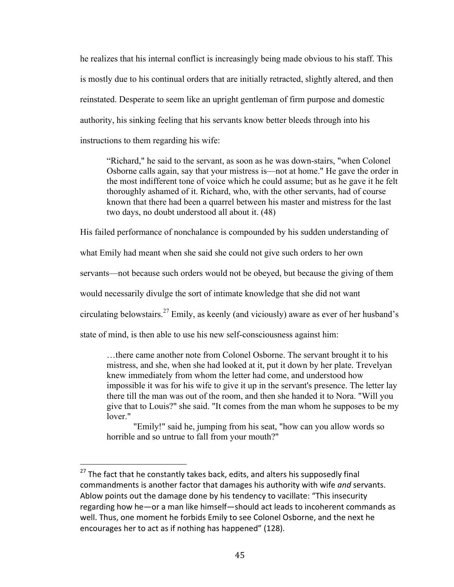he realizes that his internal conflict is increasingly being made obvious to his staff. This is mostly due to his continual orders that are initially retracted, slightly altered, and then reinstated. Desperate to seem like an upright gentleman of firm purpose and domestic authority, his sinking feeling that his servants know better bleeds through into his instructions to them regarding his wife:

"Richard," he said to the servant, as soon as he was down-stairs, "when Colonel Osborne calls again, say that your mistress is—not at home." He gave the order in the most indifferent tone of voice which he could assume; but as he gave it he felt thoroughly ashamed of it. Richard, who, with the other servants, had of course known that there had been a quarrel between his master and mistress for the last two days, no doubt understood all about it. (48)

His failed performance of nonchalance is compounded by his sudden understanding of

what Emily had meant when she said she could not give such orders to her own

servants—not because such orders would not be obeyed, but because the giving of them

would necessarily divulge the sort of intimate knowledge that she did not want

circulating belowstairs.<sup>27</sup> Emily, as keenly (and viciously) aware as ever of her husband's

state of mind, is then able to use his new self-consciousness against him:

 

…there came another note from Colonel Osborne. The servant brought it to his mistress, and she, when she had looked at it, put it down by her plate. Trevelyan knew immediately from whom the letter had come, and understood how impossible it was for his wife to give it up in the servant's presence. The letter lay there till the man was out of the room, and then she handed it to Nora. "Will you give that to Louis?" she said. "It comes from the man whom he supposes to be my lover."

"Emily!" said he, jumping from his seat, "how can you allow words so horrible and so untrue to fall from your mouth?"

 $27$  The fact that he constantly takes back, edits, and alters his supposedly final commandments is another factor that damages his authority with wife *and* servants. Ablow points out the damage done by his tendency to vacillate: "This insecurity regarding how he—or a man like himself—should act leads to incoherent commands as well. Thus, one moment he forbids Emily to see Colonel Osborne, and the next he encourages her to act as if nothing has happened" (128).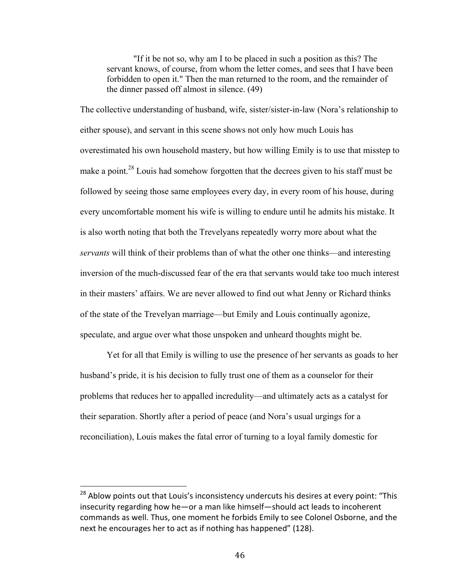"If it be not so, why am I to be placed in such a position as this? The servant knows, of course, from whom the letter comes, and sees that I have been forbidden to open it." Then the man returned to the room, and the remainder of the dinner passed off almost in silence. (49)

The collective understanding of husband, wife, sister/sister-in-law (Nora's relationship to either spouse), and servant in this scene shows not only how much Louis has overestimated his own household mastery, but how willing Emily is to use that misstep to make a point.<sup>28</sup> Louis had somehow forgotten that the decrees given to his staff must be followed by seeing those same employees every day, in every room of his house, during every uncomfortable moment his wife is willing to endure until he admits his mistake. It is also worth noting that both the Trevelyans repeatedly worry more about what the *servants* will think of their problems than of what the other one thinks—and interesting inversion of the much-discussed fear of the era that servants would take too much interest in their masters' affairs. We are never allowed to find out what Jenny or Richard thinks of the state of the Trevelyan marriage—but Emily and Louis continually agonize, speculate, and argue over what those unspoken and unheard thoughts might be.

Yet for all that Emily is willing to use the presence of her servants as goads to her husband's pride, it is his decision to fully trust one of them as a counselor for their problems that reduces her to appalled incredulity—and ultimately acts as a catalyst for their separation. Shortly after a period of peace (and Nora's usual urgings for a reconciliation), Louis makes the fatal error of turning to a loyal family domestic for

 $28$  Ablow points out that Louis's inconsistency undercuts his desires at every point: "This insecurity regarding how he—or a man like himself—should act leads to incoherent commands as well. Thus, one moment he forbids Emily to see Colonel Osborne, and the next he encourages her to act as if nothing has happened" (128).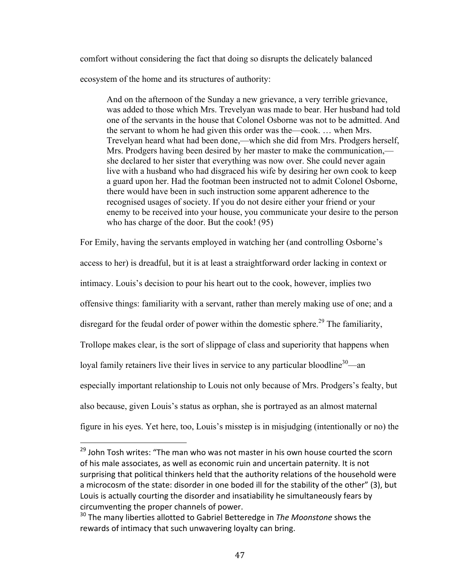comfort without considering the fact that doing so disrupts the delicately balanced ecosystem of the home and its structures of authority:

And on the afternoon of the Sunday a new grievance, a very terrible grievance, was added to those which Mrs. Trevelyan was made to bear. Her husband had told one of the servants in the house that Colonel Osborne was not to be admitted. And the servant to whom he had given this order was the—cook. … when Mrs. Trevelyan heard what had been done,—which she did from Mrs. Prodgers herself, Mrs. Prodgers having been desired by her master to make the communication, she declared to her sister that everything was now over. She could never again live with a husband who had disgraced his wife by desiring her own cook to keep a guard upon her. Had the footman been instructed not to admit Colonel Osborne, there would have been in such instruction some apparent adherence to the recognised usages of society. If you do not desire either your friend or your enemy to be received into your house, you communicate your desire to the person who has charge of the door. But the cook! (95)

For Emily, having the servants employed in watching her (and controlling Osborne's

access to her) is dreadful, but it is at least a straightforward order lacking in context or

intimacy. Louis's decision to pour his heart out to the cook, however, implies two

offensive things: familiarity with a servant, rather than merely making use of one; and a

disregard for the feudal order of power within the domestic sphere.<sup>29</sup> The familiarity,

Trollope makes clear, is the sort of slippage of class and superiority that happens when

loyal family retainers live their lives in service to any particular bloodline<sup>30</sup>—an

especially important relationship to Louis not only because of Mrs. Prodgers's fealty, but

also because, given Louis's status as orphan, she is portrayed as an almost maternal

 

figure in his eyes. Yet here, too, Louis's misstep is in misjudging (intentionally or no) the

 $^{29}$  John Tosh writes: "The man who was not master in his own house courted the scorn of his male associates, as well as economic ruin and uncertain paternity. It is not surprising that political thinkers held that the authority relations of the household were a microcosm of the state: disorder in one boded ill for the stability of the other" (3), but Louis is actually courting the disorder and insatiability he simultaneously fears by circumventing the proper channels of power.

<sup>&</sup>lt;sup>30</sup> The many liberties allotted to Gabriel Betteredge in *The Moonstone* shows the rewards of intimacy that such unwavering loyalty can bring.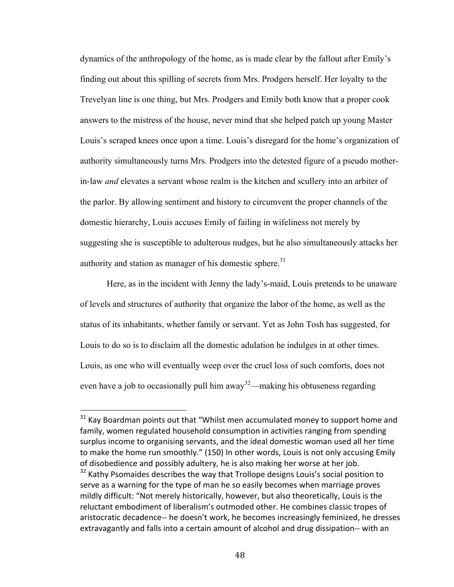dynamics of the anthropology of the home, as is made clear by the fallout after Emily's finding out about this spilling of secrets from Mrs. Prodgers herself. Her loyalty to the Trevelyan line is one thing, but Mrs. Prodgers and Emily both know that a proper cook answers to the mistress of the house, never mind that she helped patch up young Master Louis's scraped knees once upon a time. Louis's disregard for the home's organization of authority simultaneously turns Mrs. Prodgers into the detested figure of a pseudo motherin-law *and* elevates a servant whose realm is the kitchen and scullery into an arbiter of the parlor. By allowing sentiment and history to circumvent the proper channels of the domestic hierarchy, Louis accuses Emily of failing in wifeliness not merely by suggesting she is susceptible to adulterous nudges, but he also simultaneously attacks her authority and station as manager of his domestic sphere. $31$ 

Here, as in the incident with Jenny the lady's-maid, Louis pretends to be unaware of levels and structures of authority that organize the labor of the home, as well as the status of its inhabitants, whether family or servant. Yet as John Tosh has suggested, for Louis to do so is to disclaim all the domestic adulation he indulges in at other times. Louis, as one who will eventually weep over the cruel loss of such comforts, does not even have a job to occasionally pull him away<sup>32</sup>—making his obtuseness regarding

 $31$  Kay Boardman points out that "Whilst men accumulated money to support home and family, women regulated household consumption in activities ranging from spending surplus income to organising servants, and the ideal domestic woman used all her time to make the home run smoothly." (150) In other words, Louis is not only accusing Emily of disobedience and possibly adultery, he is also making her worse at her job.  $32$  Kathy Psomaides describes the way that Trollope designs Louis's social position to serve as a warning for the type of man he so easily becomes when marriage proves mildly difficult: "Not merely historically, however, but also theoretically, Louis is the reluctant embodiment of liberalism's outmoded other. He combines classic tropes of aristocratic decadence-- he doesn't work, he becomes increasingly feminized, he dresses extravagantly and falls into a certain amount of alcohol and drug dissipation-- with an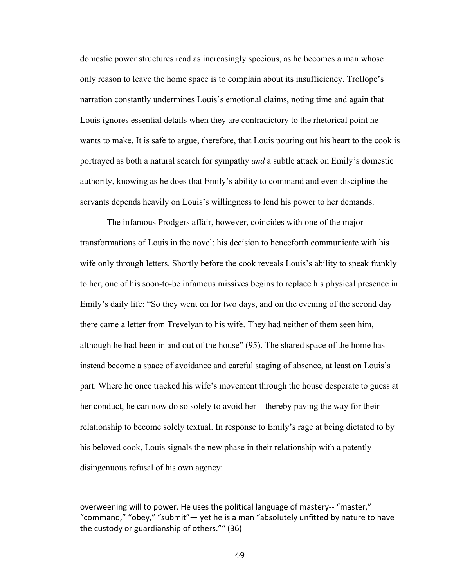domestic power structures read as increasingly specious, as he becomes a man whose only reason to leave the home space is to complain about its insufficiency. Trollope's narration constantly undermines Louis's emotional claims, noting time and again that Louis ignores essential details when they are contradictory to the rhetorical point he wants to make. It is safe to argue, therefore, that Louis pouring out his heart to the cook is portrayed as both a natural search for sympathy *and* a subtle attack on Emily's domestic authority, knowing as he does that Emily's ability to command and even discipline the servants depends heavily on Louis's willingness to lend his power to her demands.

The infamous Prodgers affair, however, coincides with one of the major transformations of Louis in the novel: his decision to henceforth communicate with his wife only through letters. Shortly before the cook reveals Louis's ability to speak frankly to her, one of his soon-to-be infamous missives begins to replace his physical presence in Emily's daily life: "So they went on for two days, and on the evening of the second day there came a letter from Trevelyan to his wife. They had neither of them seen him, although he had been in and out of the house" (95). The shared space of the home has instead become a space of avoidance and careful staging of absence, at least on Louis's part. Where he once tracked his wife's movement through the house desperate to guess at her conduct, he can now do so solely to avoid her—thereby paving the way for their relationship to become solely textual. In response to Emily's rage at being dictated to by his beloved cook, Louis signals the new phase in their relationship with a patently disingenuous refusal of his own agency:

<u> 1989 - Andrea San Andrea San Andrea San Andrea San Andrea San Andrea San Andrea San Andrea San Andrea San An</u>

overweening will to power. He uses the political language of mastery-- "master," "command," "obey," "submit"  $-$  yet he is a man "absolutely unfitted by nature to have the custody or guardianship of others."" (36)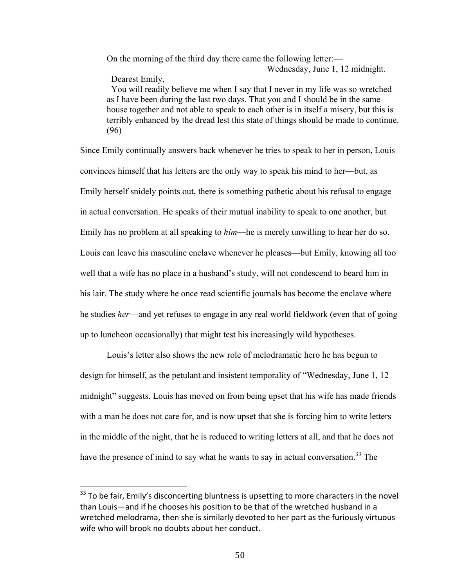On the morning of the third day there came the following letter:— Wednesday, June 1, 12 midnight. Dearest Emily,

 You will readily believe me when I say that I never in my life was so wretched as I have been during the last two days. That you and I should be in the same house together and not able to speak to each other is in itself a misery, but this is terribly enhanced by the dread lest this state of things should be made to continue. (96)

Since Emily continually answers back whenever he tries to speak to her in person, Louis convinces himself that his letters are the only way to speak his mind to her—but, as Emily herself snidely points out, there is something pathetic about his refusal to engage in actual conversation. He speaks of their mutual inability to speak to one another, but Emily has no problem at all speaking to *him*—he is merely unwilling to hear her do so. Louis can leave his masculine enclave whenever he pleases—but Emily, knowing all too well that a wife has no place in a husband's study, will not condescend to beard him in his lair. The study where he once read scientific journals has become the enclave where he studies *her*—and yet refuses to engage in any real world fieldwork (even that of going up to luncheon occasionally) that might test his increasingly wild hypotheses.

Louis's letter also shows the new role of melodramatic hero he has begun to design for himself, as the petulant and insistent temporality of "Wednesday, June 1, 12 midnight" suggests. Louis has moved on from being upset that his wife has made friends with a man he does not care for, and is now upset that she is forcing him to write letters in the middle of the night, that he is reduced to writing letters at all, and that he does not have the presence of mind to say what he wants to say in actual conversation.<sup>33</sup> The

 $33$  To be fair, Emily's disconcerting bluntness is upsetting to more characters in the novel than Louis—and if he chooses his position to be that of the wretched husband in a wretched melodrama, then she is similarly devoted to her part as the furiously virtuous wife who will brook no doubts about her conduct.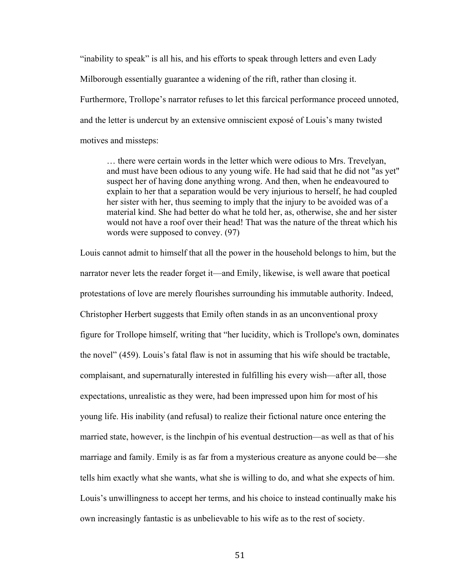"inability to speak" is all his, and his efforts to speak through letters and even Lady Milborough essentially guarantee a widening of the rift, rather than closing it. Furthermore, Trollope's narrator refuses to let this farcical performance proceed unnoted, and the letter is undercut by an extensive omniscient exposé of Louis's many twisted motives and missteps:

… there were certain words in the letter which were odious to Mrs. Trevelyan, and must have been odious to any young wife. He had said that he did not "as yet" suspect her of having done anything wrong. And then, when he endeavoured to explain to her that a separation would be very injurious to herself, he had coupled her sister with her, thus seeming to imply that the injury to be avoided was of a material kind. She had better do what he told her, as, otherwise, she and her sister would not have a roof over their head! That was the nature of the threat which his words were supposed to convey. (97)

Louis cannot admit to himself that all the power in the household belongs to him, but the narrator never lets the reader forget it—and Emily, likewise, is well aware that poetical protestations of love are merely flourishes surrounding his immutable authority. Indeed, Christopher Herbert suggests that Emily often stands in as an unconventional proxy figure for Trollope himself, writing that "her lucidity, which is Trollope's own, dominates the novel" (459). Louis's fatal flaw is not in assuming that his wife should be tractable, complaisant, and supernaturally interested in fulfilling his every wish—after all, those expectations, unrealistic as they were, had been impressed upon him for most of his young life. His inability (and refusal) to realize their fictional nature once entering the married state, however, is the linchpin of his eventual destruction—as well as that of his marriage and family. Emily is as far from a mysterious creature as anyone could be—she tells him exactly what she wants, what she is willing to do, and what she expects of him. Louis's unwillingness to accept her terms, and his choice to instead continually make his own increasingly fantastic is as unbelievable to his wife as to the rest of society.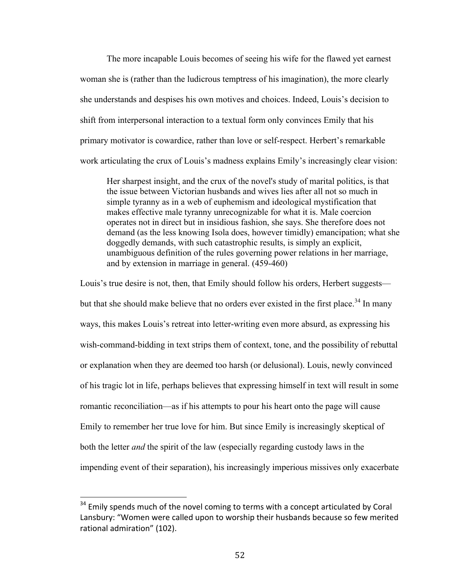The more incapable Louis becomes of seeing his wife for the flawed yet earnest woman she is (rather than the ludicrous temptress of his imagination), the more clearly she understands and despises his own motives and choices. Indeed, Louis's decision to shift from interpersonal interaction to a textual form only convinces Emily that his primary motivator is cowardice, rather than love or self-respect. Herbert's remarkable work articulating the crux of Louis's madness explains Emily's increasingly clear vision:

Her sharpest insight, and the crux of the novel's study of marital politics, is that the issue between Victorian husbands and wives lies after all not so much in simple tyranny as in a web of euphemism and ideological mystification that makes effective male tyranny unrecognizable for what it is. Male coercion operates not in direct but in insidious fashion, she says. She therefore does not demand (as the less knowing Isola does, however timidly) emancipation; what she doggedly demands, with such catastrophic results, is simply an explicit, unambiguous definition of the rules governing power relations in her marriage, and by extension in marriage in general. (459-460)

Louis's true desire is not, then, that Emily should follow his orders, Herbert suggests but that she should make believe that no orders ever existed in the first place.<sup>34</sup> In many ways, this makes Louis's retreat into letter-writing even more absurd, as expressing his wish-command-bidding in text strips them of context, tone, and the possibility of rebuttal or explanation when they are deemed too harsh (or delusional). Louis, newly convinced of his tragic lot in life, perhaps believes that expressing himself in text will result in some romantic reconciliation—as if his attempts to pour his heart onto the page will cause Emily to remember her true love for him. But since Emily is increasingly skeptical of both the letter *and* the spirit of the law (especially regarding custody laws in the impending event of their separation), his increasingly imperious missives only exacerbate

 $34$  Emily spends much of the novel coming to terms with a concept articulated by Coral Lansbury: "Women were called upon to worship their husbands because so few merited rational admiration" (102).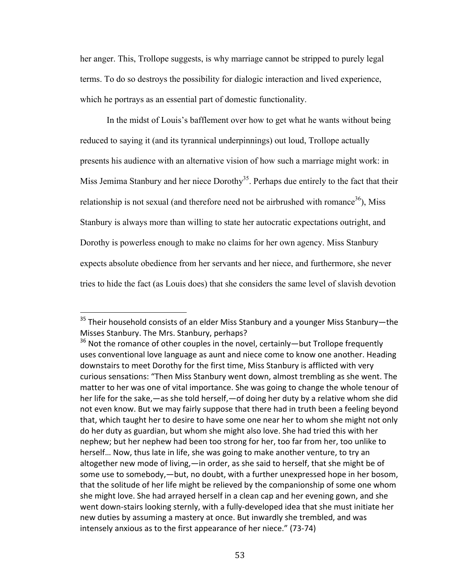her anger. This, Trollope suggests, is why marriage cannot be stripped to purely legal terms. To do so destroys the possibility for dialogic interaction and lived experience, which he portrays as an essential part of domestic functionality.

In the midst of Louis's bafflement over how to get what he wants without being reduced to saying it (and its tyrannical underpinnings) out loud, Trollope actually presents his audience with an alternative vision of how such a marriage might work: in Miss Jemima Stanbury and her niece  $Dorothy<sup>35</sup>$ . Perhaps due entirely to the fact that their relationship is not sexual (and therefore need not be airbrushed with romance<sup>36</sup>), Miss Stanbury is always more than willing to state her autocratic expectations outright, and Dorothy is powerless enough to make no claims for her own agency. Miss Stanbury expects absolute obedience from her servants and her niece, and furthermore, she never tries to hide the fact (as Louis does) that she considers the same level of slavish devotion

 $35$  Their household consists of an elder Miss Stanbury and a younger Miss Stanbury—the Misses Stanbury. The Mrs. Stanbury, perhaps?

 $36$  Not the romance of other couples in the novel, certainly—but Trollope frequently uses conventional love language as aunt and niece come to know one another. Heading downstairs to meet Dorothy for the first time, Miss Stanbury is afflicted with very curious sensations: "Then Miss Stanbury went down, almost trembling as she went. The matter to her was one of vital importance. She was going to change the whole tenour of her life for the sake,—as she told herself,—of doing her duty by a relative whom she did not even know. But we may fairly suppose that there had in truth been a feeling beyond that, which taught her to desire to have some one near her to whom she might not only do her duty as guardian, but whom she might also love. She had tried this with her nephew; but her nephew had been too strong for her, too far from her, too unlike to herself... Now, thus late in life, she was going to make another venture, to try an altogether new mode of living,—in order, as she said to herself, that she might be of some use to somebody, —but, no doubt, with a further unexpressed hope in her bosom, that the solitude of her life might be relieved by the companionship of some one whom she might love. She had arrayed herself in a clean cap and her evening gown, and she went down-stairs looking sternly, with a fully-developed idea that she must initiate her new duties by assuming a mastery at once. But inwardly she trembled, and was intensely anxious as to the first appearance of her niece." (73-74)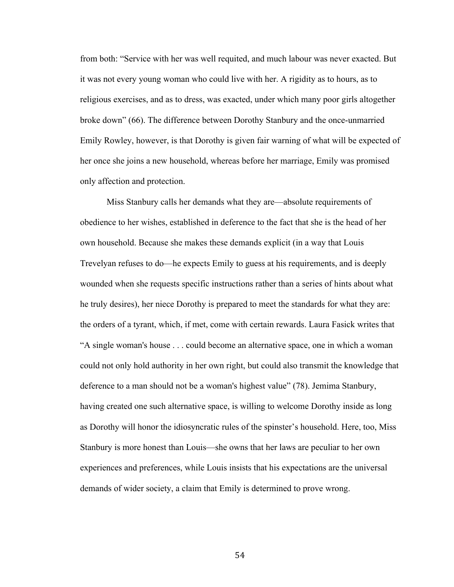from both: "Service with her was well requited, and much labour was never exacted. But it was not every young woman who could live with her. A rigidity as to hours, as to religious exercises, and as to dress, was exacted, under which many poor girls altogether broke down" (66). The difference between Dorothy Stanbury and the once-unmarried Emily Rowley, however, is that Dorothy is given fair warning of what will be expected of her once she joins a new household, whereas before her marriage, Emily was promised only affection and protection.

Miss Stanbury calls her demands what they are—absolute requirements of obedience to her wishes, established in deference to the fact that she is the head of her own household. Because she makes these demands explicit (in a way that Louis Trevelyan refuses to do—he expects Emily to guess at his requirements, and is deeply wounded when she requests specific instructions rather than a series of hints about what he truly desires), her niece Dorothy is prepared to meet the standards for what they are: the orders of a tyrant, which, if met, come with certain rewards. Laura Fasick writes that "A single woman's house . . . could become an alternative space, one in which a woman could not only hold authority in her own right, but could also transmit the knowledge that deference to a man should not be a woman's highest value" (78). Jemima Stanbury, having created one such alternative space, is willing to welcome Dorothy inside as long as Dorothy will honor the idiosyncratic rules of the spinster's household. Here, too, Miss Stanbury is more honest than Louis—she owns that her laws are peculiar to her own experiences and preferences, while Louis insists that his expectations are the universal demands of wider society, a claim that Emily is determined to prove wrong.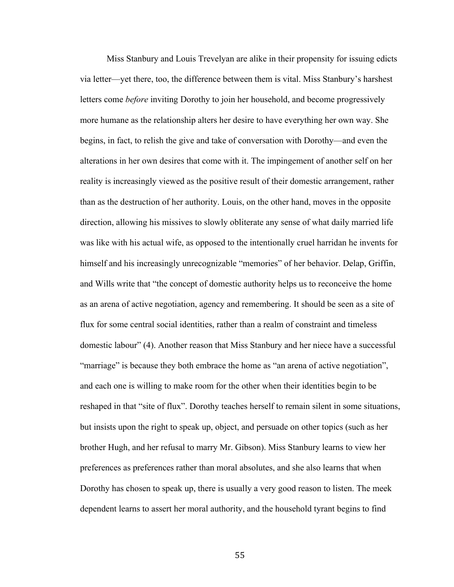Miss Stanbury and Louis Trevelyan are alike in their propensity for issuing edicts via letter—yet there, too, the difference between them is vital. Miss Stanbury's harshest letters come *before* inviting Dorothy to join her household, and become progressively more humane as the relationship alters her desire to have everything her own way. She begins, in fact, to relish the give and take of conversation with Dorothy—and even the alterations in her own desires that come with it. The impingement of another self on her reality is increasingly viewed as the positive result of their domestic arrangement, rather than as the destruction of her authority. Louis, on the other hand, moves in the opposite direction, allowing his missives to slowly obliterate any sense of what daily married life was like with his actual wife, as opposed to the intentionally cruel harridan he invents for himself and his increasingly unrecognizable "memories" of her behavior. Delap, Griffin, and Wills write that "the concept of domestic authority helps us to reconceive the home as an arena of active negotiation, agency and remembering. It should be seen as a site of flux for some central social identities, rather than a realm of constraint and timeless domestic labour" (4). Another reason that Miss Stanbury and her niece have a successful "marriage" is because they both embrace the home as "an arena of active negotiation", and each one is willing to make room for the other when their identities begin to be reshaped in that "site of flux". Dorothy teaches herself to remain silent in some situations, but insists upon the right to speak up, object, and persuade on other topics (such as her brother Hugh, and her refusal to marry Mr. Gibson). Miss Stanbury learns to view her preferences as preferences rather than moral absolutes, and she also learns that when Dorothy has chosen to speak up, there is usually a very good reason to listen. The meek dependent learns to assert her moral authority, and the household tyrant begins to find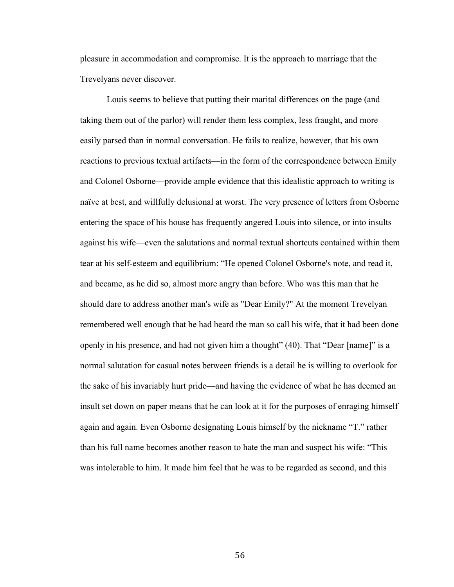pleasure in accommodation and compromise. It is the approach to marriage that the Trevelyans never discover.

Louis seems to believe that putting their marital differences on the page (and taking them out of the parlor) will render them less complex, less fraught, and more easily parsed than in normal conversation. He fails to realize, however, that his own reactions to previous textual artifacts—in the form of the correspondence between Emily and Colonel Osborne—provide ample evidence that this idealistic approach to writing is naïve at best, and willfully delusional at worst. The very presence of letters from Osborne entering the space of his house has frequently angered Louis into silence, or into insults against his wife—even the salutations and normal textual shortcuts contained within them tear at his self-esteem and equilibrium: "He opened Colonel Osborne's note, and read it, and became, as he did so, almost more angry than before. Who was this man that he should dare to address another man's wife as "Dear Emily?" At the moment Trevelyan remembered well enough that he had heard the man so call his wife, that it had been done openly in his presence, and had not given him a thought" (40). That "Dear [name]" is a normal salutation for casual notes between friends is a detail he is willing to overlook for the sake of his invariably hurt pride—and having the evidence of what he has deemed an insult set down on paper means that he can look at it for the purposes of enraging himself again and again. Even Osborne designating Louis himself by the nickname "T." rather than his full name becomes another reason to hate the man and suspect his wife: "This was intolerable to him. It made him feel that he was to be regarded as second, and this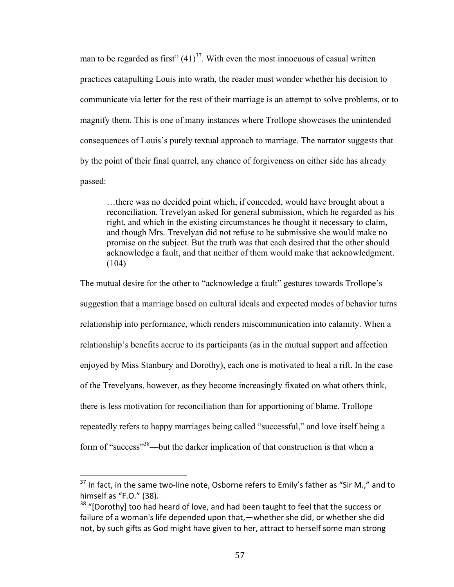man to be regarded as first"  $(41)^{37}$ . With even the most innocuous of casual written practices catapulting Louis into wrath, the reader must wonder whether his decision to communicate via letter for the rest of their marriage is an attempt to solve problems, or to magnify them. This is one of many instances where Trollope showcases the unintended consequences of Louis's purely textual approach to marriage. The narrator suggests that by the point of their final quarrel, any chance of forgiveness on either side has already passed:

…there was no decided point which, if conceded, would have brought about a reconciliation. Trevelyan asked for general submission, which he regarded as his right, and which in the existing circumstances he thought it necessary to claim, and though Mrs. Trevelyan did not refuse to be submissive she would make no promise on the subject. But the truth was that each desired that the other should acknowledge a fault, and that neither of them would make that acknowledgment. (104)

The mutual desire for the other to "acknowledge a fault" gestures towards Trollope's suggestion that a marriage based on cultural ideals and expected modes of behavior turns relationship into performance, which renders miscommunication into calamity. When a relationship's benefits accrue to its participants (as in the mutual support and affection enjoyed by Miss Stanbury and Dorothy), each one is motivated to heal a rift. In the case of the Trevelyans, however, as they become increasingly fixated on what others think, there is less motivation for reconciliation than for apportioning of blame. Trollope repeatedly refers to happy marriages being called "successful," and love itself being a form of "success"<sup>38</sup>—but the darker implication of that construction is that when a

 $37$  In fact, in the same two-line note, Osborne refers to Emily's father as "Sir M.," and to himself as "F.O." (38).

 $38$  "[Dorothy] too had heard of love, and had been taught to feel that the success or failure of a woman's life depended upon that,—whether she did, or whether she did not, by such gifts as God might have given to her, attract to herself some man strong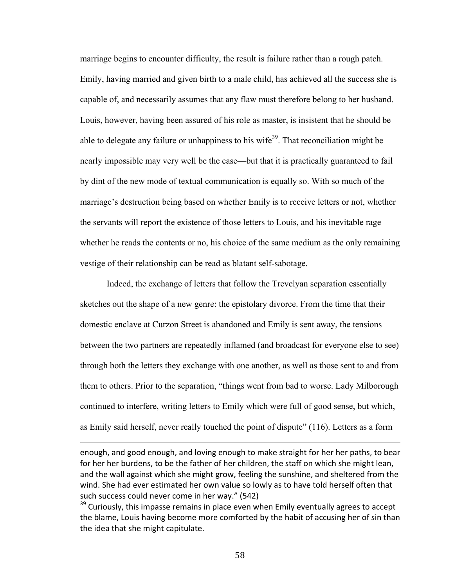marriage begins to encounter difficulty, the result is failure rather than a rough patch. Emily, having married and given birth to a male child, has achieved all the success she is capable of, and necessarily assumes that any flaw must therefore belong to her husband. Louis, however, having been assured of his role as master, is insistent that he should be able to delegate any failure or unhappiness to his wife<sup>39</sup>. That reconciliation might be nearly impossible may very well be the case—but that it is practically guaranteed to fail by dint of the new mode of textual communication is equally so. With so much of the marriage's destruction being based on whether Emily is to receive letters or not, whether the servants will report the existence of those letters to Louis, and his inevitable rage whether he reads the contents or no, his choice of the same medium as the only remaining vestige of their relationship can be read as blatant self-sabotage.

Indeed, the exchange of letters that follow the Trevelyan separation essentially sketches out the shape of a new genre: the epistolary divorce. From the time that their domestic enclave at Curzon Street is abandoned and Emily is sent away, the tensions between the two partners are repeatedly inflamed (and broadcast for everyone else to see) through both the letters they exchange with one another, as well as those sent to and from them to others. Prior to the separation, "things went from bad to worse. Lady Milborough continued to interfere, writing letters to Emily which were full of good sense, but which, as Emily said herself, never really touched the point of dispute" (116). Letters as a form

<u> 1989 - Andrea San Andrea San Andrea San Andrea San Andrea San Andrea San Andrea San Andrea San Andrea San An</u>

enough, and good enough, and loving enough to make straight for her her paths, to bear for her her burdens, to be the father of her children, the staff on which she might lean, and the wall against which she might grow, feeling the sunshine, and sheltered from the wind. She had ever estimated her own value so lowly as to have told herself often that such success could never come in her way." (542)

 $39$  Curiously, this impasse remains in place even when Emily eventually agrees to accept the blame, Louis having become more comforted by the habit of accusing her of sin than the idea that she might capitulate.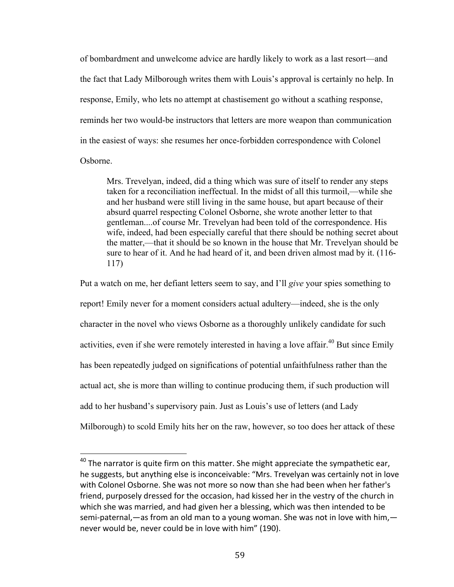of bombardment and unwelcome advice are hardly likely to work as a last resort—and the fact that Lady Milborough writes them with Louis's approval is certainly no help. In response, Emily, who lets no attempt at chastisement go without a scathing response, reminds her two would-be instructors that letters are more weapon than communication in the easiest of ways: she resumes her once-forbidden correspondence with Colonel Osborne.

Mrs. Trevelyan, indeed, did a thing which was sure of itself to render any steps taken for a reconciliation ineffectual. In the midst of all this turmoil,—while she and her husband were still living in the same house, but apart because of their absurd quarrel respecting Colonel Osborne, she wrote another letter to that gentleman....of course Mr. Trevelyan had been told of the correspondence. His wife, indeed, had been especially careful that there should be nothing secret about the matter,—that it should be so known in the house that Mr. Trevelyan should be sure to hear of it. And he had heard of it, and been driven almost mad by it. (116- 117)

Put a watch on me, her defiant letters seem to say, and I'll *give* your spies something to report! Emily never for a moment considers actual adultery—indeed, she is the only character in the novel who views Osborne as a thoroughly unlikely candidate for such activities, even if she were remotely interested in having a love affair.<sup>40</sup> But since Emily has been repeatedly judged on significations of potential unfaithfulness rather than the actual act, she is more than willing to continue producing them, if such production will add to her husband's supervisory pain. Just as Louis's use of letters (and Lady Milborough) to scold Emily hits her on the raw, however, so too does her attack of these

 $^{40}$  The narrator is quite firm on this matter. She might appreciate the sympathetic ear, he suggests, but anything else is inconceivable: "Mrs. Trevelyan was certainly not in love with Colonel Osborne. She was not more so now than she had been when her father's friend, purposely dressed for the occasion, had kissed her in the vestry of the church in which she was married, and had given her a blessing, which was then intended to be semi-paternal,—as from an old man to a young woman. She was not in love with him, never would be, never could be in love with him" (190).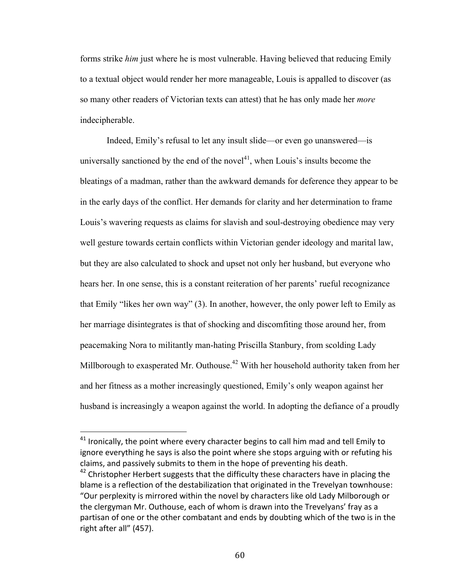forms strike *him* just where he is most vulnerable. Having believed that reducing Emily to a textual object would render her more manageable, Louis is appalled to discover (as so many other readers of Victorian texts can attest) that he has only made her *more* indecipherable.

Indeed, Emily's refusal to let any insult slide—or even go unanswered—is universally sanctioned by the end of the novel $^{41}$ , when Louis's insults become the bleatings of a madman, rather than the awkward demands for deference they appear to be in the early days of the conflict. Her demands for clarity and her determination to frame Louis's wavering requests as claims for slavish and soul-destroying obedience may very well gesture towards certain conflicts within Victorian gender ideology and marital law, but they are also calculated to shock and upset not only her husband, but everyone who hears her. In one sense, this is a constant reiteration of her parents' rueful recognizance that Emily "likes her own way" (3). In another, however, the only power left to Emily as her marriage disintegrates is that of shocking and discomfiting those around her, from peacemaking Nora to militantly man-hating Priscilla Stanbury, from scolding Lady Millborough to exasperated Mr. Outhouse.<sup>42</sup> With her household authority taken from her and her fitness as a mother increasingly questioned, Emily's only weapon against her husband is increasingly a weapon against the world. In adopting the defiance of a proudly

 $41$  Ironically, the point where every character begins to call him mad and tell Emily to ignore everything he says is also the point where she stops arguing with or refuting his claims, and passively submits to them in the hope of preventing his death.  $42$  Christopher Herbert suggests that the difficulty these characters have in placing the blame is a reflection of the destabilization that originated in the Trevelyan townhouse: "Our perplexity is mirrored within the novel by characters like old Lady Milborough or the clergyman Mr. Outhouse, each of whom is drawn into the Trevelyans' fray as a partisan of one or the other combatant and ends by doubting which of the two is in the right after all" (457).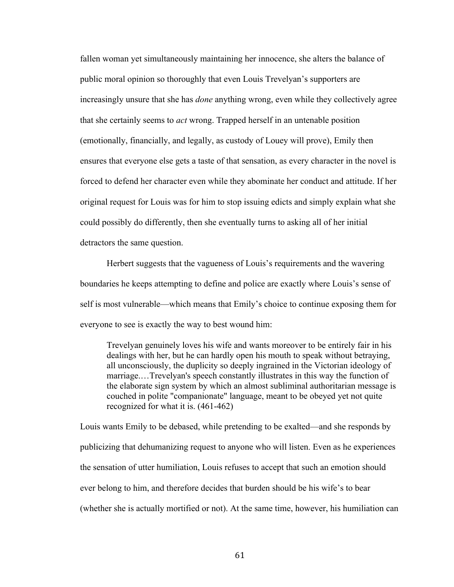fallen woman yet simultaneously maintaining her innocence, she alters the balance of public moral opinion so thoroughly that even Louis Trevelyan's supporters are increasingly unsure that she has *done* anything wrong, even while they collectively agree that she certainly seems to *act* wrong. Trapped herself in an untenable position (emotionally, financially, and legally, as custody of Louey will prove), Emily then ensures that everyone else gets a taste of that sensation, as every character in the novel is forced to defend her character even while they abominate her conduct and attitude. If her original request for Louis was for him to stop issuing edicts and simply explain what she could possibly do differently, then she eventually turns to asking all of her initial detractors the same question.

Herbert suggests that the vagueness of Louis's requirements and the wavering boundaries he keeps attempting to define and police are exactly where Louis's sense of self is most vulnerable—which means that Emily's choice to continue exposing them for everyone to see is exactly the way to best wound him:

Trevelyan genuinely loves his wife and wants moreover to be entirely fair in his dealings with her, but he can hardly open his mouth to speak without betraying, all unconsciously, the duplicity so deeply ingrained in the Victorian ideology of marriage.…Trevelyan's speech constantly illustrates in this way the function of the elaborate sign system by which an almost subliminal authoritarian message is couched in polite "companionate" language, meant to be obeyed yet not quite recognized for what it is. (461-462)

Louis wants Emily to be debased, while pretending to be exalted—and she responds by publicizing that dehumanizing request to anyone who will listen. Even as he experiences the sensation of utter humiliation, Louis refuses to accept that such an emotion should ever belong to him, and therefore decides that burden should be his wife's to bear (whether she is actually mortified or not). At the same time, however, his humiliation can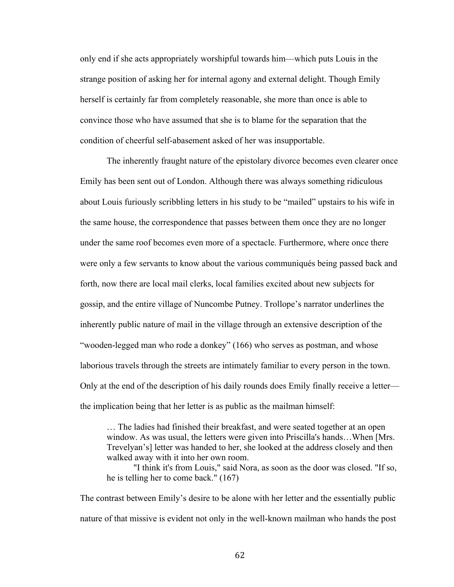only end if she acts appropriately worshipful towards him—which puts Louis in the strange position of asking her for internal agony and external delight. Though Emily herself is certainly far from completely reasonable, she more than once is able to convince those who have assumed that she is to blame for the separation that the condition of cheerful self-abasement asked of her was insupportable.

The inherently fraught nature of the epistolary divorce becomes even clearer once Emily has been sent out of London. Although there was always something ridiculous about Louis furiously scribbling letters in his study to be "mailed" upstairs to his wife in the same house, the correspondence that passes between them once they are no longer under the same roof becomes even more of a spectacle. Furthermore, where once there were only a few servants to know about the various communiqués being passed back and forth, now there are local mail clerks, local families excited about new subjects for gossip, and the entire village of Nuncombe Putney. Trollope's narrator underlines the inherently public nature of mail in the village through an extensive description of the "wooden-legged man who rode a donkey" (166) who serves as postman, and whose laborious travels through the streets are intimately familiar to every person in the town. Only at the end of the description of his daily rounds does Emily finally receive a letter the implication being that her letter is as public as the mailman himself:

… The ladies had finished their breakfast, and were seated together at an open window. As was usual, the letters were given into Priscilla's hands…When [Mrs. Trevelyan's] letter was handed to her, she looked at the address closely and then walked away with it into her own room.

"I think it's from Louis," said Nora, as soon as the door was closed. "If so, he is telling her to come back." (167)

The contrast between Emily's desire to be alone with her letter and the essentially public nature of that missive is evident not only in the well-known mailman who hands the post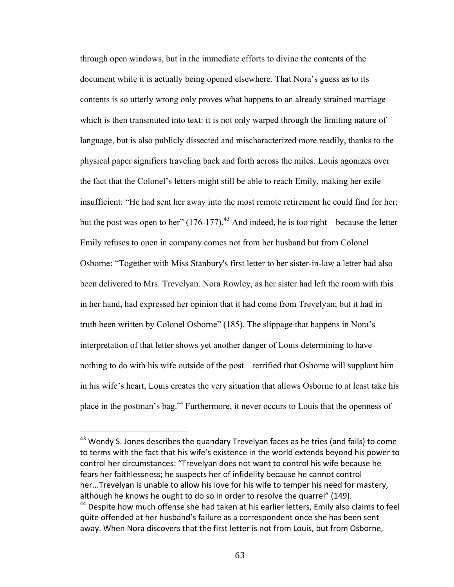through open windows, but in the immediate efforts to divine the contents of the document while it is actually being opened elsewhere. That Nora's guess as to its contents is so utterly wrong only proves what happens to an already strained marriage which is then transmuted into text: it is not only warped through the limiting nature of language, but is also publicly dissected and mischaracterized more readily, thanks to the physical paper signifiers traveling back and forth across the miles. Louis agonizes over the fact that the Colonel's letters might still be able to reach Emily, making her exile insufficient: "He had sent her away into the most remote retirement he could find for her; but the post was open to her"  $(176-177)$ <sup>43</sup> And indeed, he is too right—because the letter Emily refuses to open in company comes not from her husband but from Colonel Osborne: "Together with Miss Stanbury's first letter to her sister-in-law a letter had also been delivered to Mrs. Trevelyan. Nora Rowley, as her sister had left the room with this in her hand, had expressed her opinion that it had come from Trevelyan; but it had in truth been written by Colonel Osborne" (185). The slippage that happens in Nora's interpretation of that letter shows yet another danger of Louis determining to have nothing to do with his wife outside of the post—terrified that Osborne will supplant him in his wife's heart, Louis creates the very situation that allows Osborne to at least take his place in the postman's bag.<sup>44</sup> Furthermore, it never occurs to Louis that the openness of

 $43$  Wendy S. Jones describes the quandary Trevelyan faces as he tries (and fails) to come to terms with the fact that his wife's existence in the world extends beyond his power to control her circumstances: "Trevelyan does not want to control his wife because he fears her faithlessness; he suspects her of infidelity because he cannot control her...Trevelyan is unable to allow his love for his wife to temper his need for mastery, although he knows he ought to do so in order to resolve the quarrel" (149).

<sup>&</sup>lt;sup>44</sup> Despite how much offense she had taken at his earlier letters, Emily also claims to feel quite offended at her husband's failure as a correspondent once she has been sent away. When Nora discovers that the first letter is not from Louis, but from Osborne,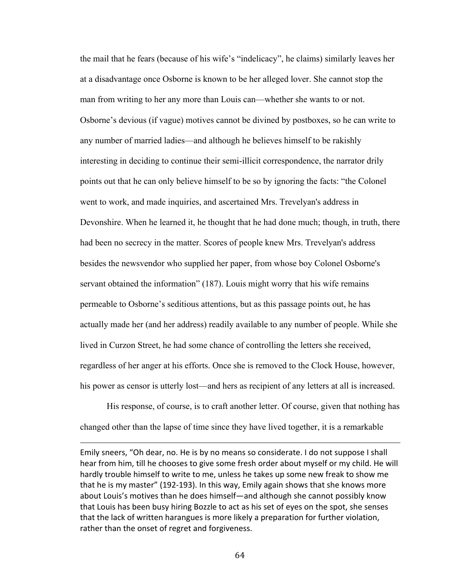the mail that he fears (because of his wife's "indelicacy", he claims) similarly leaves her at a disadvantage once Osborne is known to be her alleged lover. She cannot stop the man from writing to her any more than Louis can—whether she wants to or not. Osborne's devious (if vague) motives cannot be divined by postboxes, so he can write to any number of married ladies—and although he believes himself to be rakishly interesting in deciding to continue their semi-illicit correspondence, the narrator drily points out that he can only believe himself to be so by ignoring the facts: "the Colonel went to work, and made inquiries, and ascertained Mrs. Trevelyan's address in Devonshire. When he learned it, he thought that he had done much; though, in truth, there had been no secrecy in the matter. Scores of people knew Mrs. Trevelyan's address besides the newsvendor who supplied her paper, from whose boy Colonel Osborne's servant obtained the information" (187). Louis might worry that his wife remains permeable to Osborne's seditious attentions, but as this passage points out, he has actually made her (and her address) readily available to any number of people. While she lived in Curzon Street, he had some chance of controlling the letters she received, regardless of her anger at his efforts. Once she is removed to the Clock House, however, his power as censor is utterly lost—and hers as recipient of any letters at all is increased.

His response, of course, is to craft another letter. Of course, given that nothing has changed other than the lapse of time since they have lived together, it is a remarkable

<u> 1989 - Andrea San Andrea San Andrea San Andrea San Andrea San Andrea San Andrea San Andrea San Andrea San An</u>

Emily sneers, "Oh dear, no. He is by no means so considerate. I do not suppose I shall hear from him, till he chooses to give some fresh order about myself or my child. He will hardly trouble himself to write to me, unless he takes up some new freak to show me that he is my master" (192-193). In this way, Emily again shows that she knows more about Louis's motives than he does himself—and although she cannot possibly know that Louis has been busy hiring Bozzle to act as his set of eyes on the spot, she senses that the lack of written harangues is more likely a preparation for further violation, rather than the onset of regret and forgiveness.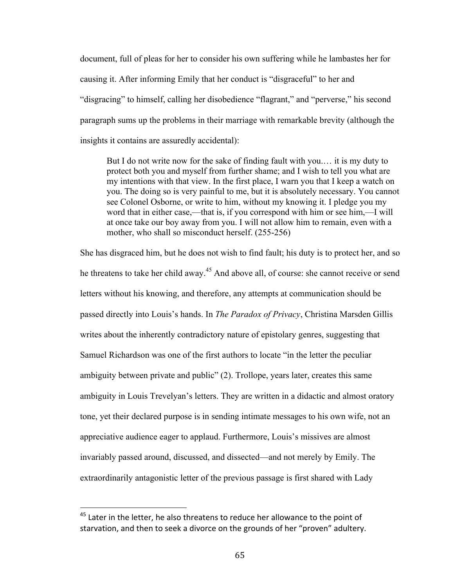document, full of pleas for her to consider his own suffering while he lambastes her for causing it. After informing Emily that her conduct is "disgraceful" to her and "disgracing" to himself, calling her disobedience "flagrant," and "perverse," his second paragraph sums up the problems in their marriage with remarkable brevity (although the insights it contains are assuredly accidental):

But I do not write now for the sake of finding fault with you.… it is my duty to protect both you and myself from further shame; and I wish to tell you what are my intentions with that view. In the first place, I warn you that I keep a watch on you. The doing so is very painful to me, but it is absolutely necessary. You cannot see Colonel Osborne, or write to him, without my knowing it. I pledge you my word that in either case,—that is, if you correspond with him or see him,—I will at once take our boy away from you. I will not allow him to remain, even with a mother, who shall so misconduct herself. (255-256)

She has disgraced him, but he does not wish to find fault; his duty is to protect her, and so he threatens to take her child away.<sup>45</sup> And above all, of course: she cannot receive or send letters without his knowing, and therefore, any attempts at communication should be passed directly into Louis's hands. In *The Paradox of Privacy*, Christina Marsden Gillis writes about the inherently contradictory nature of epistolary genres, suggesting that Samuel Richardson was one of the first authors to locate "in the letter the peculiar ambiguity between private and public" (2). Trollope, years later, creates this same ambiguity in Louis Trevelyan's letters. They are written in a didactic and almost oratory tone, yet their declared purpose is in sending intimate messages to his own wife, not an appreciative audience eager to applaud. Furthermore, Louis's missives are almost invariably passed around, discussed, and dissected—and not merely by Emily. The extraordinarily antagonistic letter of the previous passage is first shared with Lady

 $45$  Later in the letter, he also threatens to reduce her allowance to the point of starvation, and then to seek a divorce on the grounds of her "proven" adultery.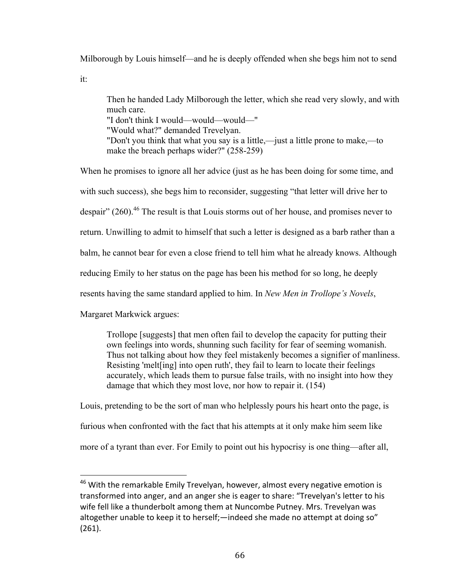Milborough by Louis himself—and he is deeply offended when she begs him not to send

it:

Then he handed Lady Milborough the letter, which she read very slowly, and with much care.

"I don't think I would—would—would—"

"Would what?" demanded Trevelyan.

"Don't you think that what you say is a little,—just a little prone to make,—to make the breach perhaps wider?" (258-259)

When he promises to ignore all her advice (just as he has been doing for some time, and with such success), she begs him to reconsider, suggesting "that letter will drive her to despair"  $(260)$ .<sup>46</sup> The result is that Louis storms out of her house, and promises never to return. Unwilling to admit to himself that such a letter is designed as a barb rather than a balm, he cannot bear for even a close friend to tell him what he already knows. Although reducing Emily to her status on the page has been his method for so long, he deeply resents having the same standard applied to him. In *New Men in Trollope's Novels*, Margaret Markwick argues:

Trollope [suggests] that men often fail to develop the capacity for putting their own feelings into words, shunning such facility for fear of seeming womanish. Thus not talking about how they feel mistakenly becomes a signifier of manliness. Resisting 'melt[ing] into open ruth', they fail to learn to locate their feelings accurately, which leads them to pursue false trails, with no insight into how they damage that which they most love, nor how to repair it. (154)

Louis, pretending to be the sort of man who helplessly pours his heart onto the page, is furious when confronted with the fact that his attempts at it only make him seem like more of a tyrant than ever. For Emily to point out his hypocrisy is one thing—after all,

 $46$  With the remarkable Emily Trevelyan, however, almost every negative emotion is transformed into anger, and an anger she is eager to share: "Trevelyan's letter to his wife fell like a thunderbolt among them at Nuncombe Putney. Mrs. Trevelyan was altogether unable to keep it to herself; — indeed she made no attempt at doing so" (261).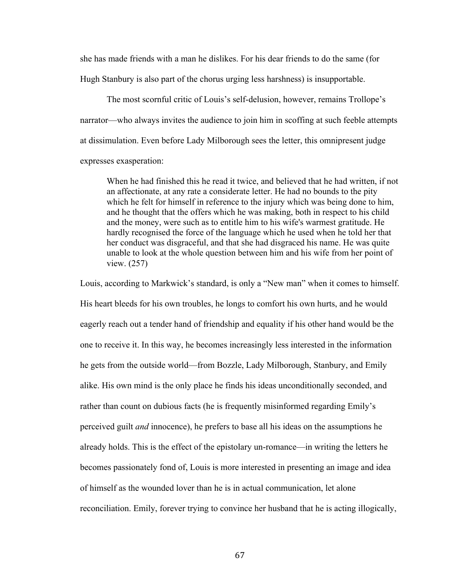she has made friends with a man he dislikes. For his dear friends to do the same (for Hugh Stanbury is also part of the chorus urging less harshness) is insupportable.

The most scornful critic of Louis's self-delusion, however, remains Trollope's narrator—who always invites the audience to join him in scoffing at such feeble attempts at dissimulation. Even before Lady Milborough sees the letter, this omnipresent judge expresses exasperation:

When he had finished this he read it twice, and believed that he had written, if not an affectionate, at any rate a considerate letter. He had no bounds to the pity which he felt for himself in reference to the injury which was being done to him, and he thought that the offers which he was making, both in respect to his child and the money, were such as to entitle him to his wife's warmest gratitude. He hardly recognised the force of the language which he used when he told her that her conduct was disgraceful, and that she had disgraced his name. He was quite unable to look at the whole question between him and his wife from her point of view. (257)

Louis, according to Markwick's standard, is only a "New man" when it comes to himself. His heart bleeds for his own troubles, he longs to comfort his own hurts, and he would eagerly reach out a tender hand of friendship and equality if his other hand would be the one to receive it. In this way, he becomes increasingly less interested in the information he gets from the outside world—from Bozzle, Lady Milborough, Stanbury, and Emily alike. His own mind is the only place he finds his ideas unconditionally seconded, and rather than count on dubious facts (he is frequently misinformed regarding Emily's perceived guilt *and* innocence), he prefers to base all his ideas on the assumptions he already holds. This is the effect of the epistolary un-romance—in writing the letters he becomes passionately fond of, Louis is more interested in presenting an image and idea of himself as the wounded lover than he is in actual communication, let alone reconciliation. Emily, forever trying to convince her husband that he is acting illogically,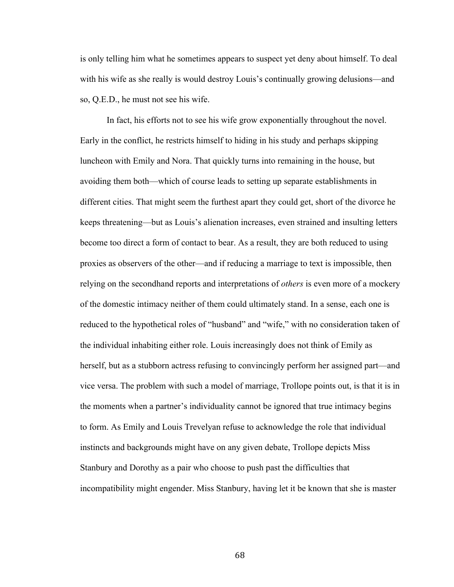is only telling him what he sometimes appears to suspect yet deny about himself. To deal with his wife as she really is would destroy Louis's continually growing delusions—and so, Q.E.D., he must not see his wife.

In fact, his efforts not to see his wife grow exponentially throughout the novel. Early in the conflict, he restricts himself to hiding in his study and perhaps skipping luncheon with Emily and Nora. That quickly turns into remaining in the house, but avoiding them both—which of course leads to setting up separate establishments in different cities. That might seem the furthest apart they could get, short of the divorce he keeps threatening—but as Louis's alienation increases, even strained and insulting letters become too direct a form of contact to bear. As a result, they are both reduced to using proxies as observers of the other—and if reducing a marriage to text is impossible, then relying on the secondhand reports and interpretations of *others* is even more of a mockery of the domestic intimacy neither of them could ultimately stand. In a sense, each one is reduced to the hypothetical roles of "husband" and "wife," with no consideration taken of the individual inhabiting either role. Louis increasingly does not think of Emily as herself, but as a stubborn actress refusing to convincingly perform her assigned part—and vice versa. The problem with such a model of marriage, Trollope points out, is that it is in the moments when a partner's individuality cannot be ignored that true intimacy begins to form. As Emily and Louis Trevelyan refuse to acknowledge the role that individual instincts and backgrounds might have on any given debate, Trollope depicts Miss Stanbury and Dorothy as a pair who choose to push past the difficulties that incompatibility might engender. Miss Stanbury, having let it be known that she is master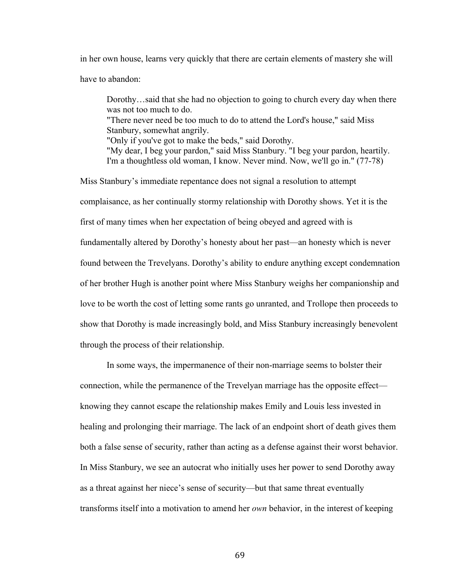in her own house, learns very quickly that there are certain elements of mastery she will have to abandon:

Dorothy…said that she had no objection to going to church every day when there was not too much to do. "There never need be too much to do to attend the Lord's house," said Miss Stanbury, somewhat angrily. "Only if you've got to make the beds," said Dorothy. "My dear, I beg your pardon," said Miss Stanbury. "I beg your pardon, heartily. I'm a thoughtless old woman, I know. Never mind. Now, we'll go in." (77-78)

Miss Stanbury's immediate repentance does not signal a resolution to attempt complaisance, as her continually stormy relationship with Dorothy shows. Yet it is the first of many times when her expectation of being obeyed and agreed with is fundamentally altered by Dorothy's honesty about her past—an honesty which is never found between the Trevelyans. Dorothy's ability to endure anything except condemnation of her brother Hugh is another point where Miss Stanbury weighs her companionship and love to be worth the cost of letting some rants go unranted, and Trollope then proceeds to show that Dorothy is made increasingly bold, and Miss Stanbury increasingly benevolent through the process of their relationship.

In some ways, the impermanence of their non-marriage seems to bolster their connection, while the permanence of the Trevelyan marriage has the opposite effect knowing they cannot escape the relationship makes Emily and Louis less invested in healing and prolonging their marriage. The lack of an endpoint short of death gives them both a false sense of security, rather than acting as a defense against their worst behavior. In Miss Stanbury, we see an autocrat who initially uses her power to send Dorothy away as a threat against her niece's sense of security—but that same threat eventually transforms itself into a motivation to amend her *own* behavior, in the interest of keeping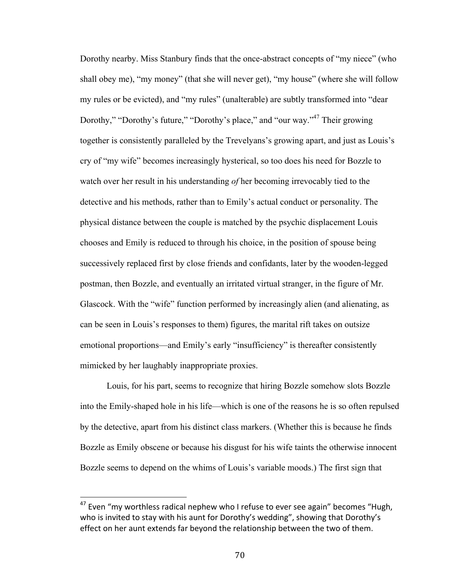Dorothy nearby. Miss Stanbury finds that the once-abstract concepts of "my niece" (who shall obey me), "my money" (that she will never get), "my house" (where she will follow my rules or be evicted), and "my rules" (unalterable) are subtly transformed into "dear Dorothy," "Dorothy's future," "Dorothy's place," and "our way."<sup>47</sup> Their growing together is consistently paralleled by the Trevelyans's growing apart, and just as Louis's cry of "my wife" becomes increasingly hysterical, so too does his need for Bozzle to watch over her result in his understanding *of* her becoming irrevocably tied to the detective and his methods, rather than to Emily's actual conduct or personality. The physical distance between the couple is matched by the psychic displacement Louis chooses and Emily is reduced to through his choice, in the position of spouse being successively replaced first by close friends and confidants, later by the wooden-legged postman, then Bozzle, and eventually an irritated virtual stranger, in the figure of Mr. Glascock. With the "wife" function performed by increasingly alien (and alienating, as can be seen in Louis's responses to them) figures, the marital rift takes on outsize emotional proportions—and Emily's early "insufficiency" is thereafter consistently mimicked by her laughably inappropriate proxies.

Louis, for his part, seems to recognize that hiring Bozzle somehow slots Bozzle into the Emily-shaped hole in his life—which is one of the reasons he is so often repulsed by the detective, apart from his distinct class markers. (Whether this is because he finds Bozzle as Emily obscene or because his disgust for his wife taints the otherwise innocent Bozzle seems to depend on the whims of Louis's variable moods.) The first sign that

 $47$  Even "my worthless radical nephew who I refuse to ever see again" becomes "Hugh, who is invited to stay with his aunt for Dorothy's wedding", showing that Dorothy's effect on her aunt extends far beyond the relationship between the two of them.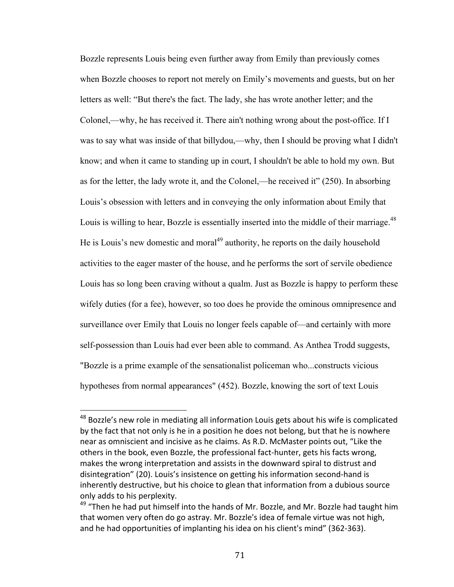Bozzle represents Louis being even further away from Emily than previously comes when Bozzle chooses to report not merely on Emily's movements and guests, but on her letters as well: "But there's the fact. The lady, she has wrote another letter; and the Colonel,—why, he has received it. There ain't nothing wrong about the post-office. If I was to say what was inside of that billydou,—why, then I should be proving what I didn't know; and when it came to standing up in court, I shouldn't be able to hold my own. But as for the letter, the lady wrote it, and the Colonel,—he received it" (250). In absorbing Louis's obsession with letters and in conveying the only information about Emily that Louis is willing to hear, Bozzle is essentially inserted into the middle of their marriage.<sup>48</sup> He is Louis's new domestic and moral<sup>49</sup> authority, he reports on the daily household activities to the eager master of the house, and he performs the sort of servile obedience Louis has so long been craving without a qualm. Just as Bozzle is happy to perform these wifely duties (for a fee), however, so too does he provide the ominous omnipresence and surveillance over Emily that Louis no longer feels capable of—and certainly with more self-possession than Louis had ever been able to command. As Anthea Trodd suggests, "Bozzle is a prime example of the sensationalist policeman who...constructs vicious hypotheses from normal appearances" (452). Bozzle, knowing the sort of text Louis

 $48$  Bozzle's new role in mediating all information Louis gets about his wife is complicated by the fact that not only is he in a position he does not belong, but that he is nowhere near as omniscient and incisive as he claims. As R.D. McMaster points out, "Like the others in the book, even Bozzle, the professional fact-hunter, gets his facts wrong, makes the wrong interpretation and assists in the downward spiral to distrust and disintegration" (20). Louis's insistence on getting his information second-hand is inherently destructive, but his choice to glean that information from a dubious source only adds to his perplexity.

 $49$  "Then he had put himself into the hands of Mr. Bozzle, and Mr. Bozzle had taught him that women very often do go astray. Mr. Bozzle's idea of female virtue was not high, and he had opportunities of implanting his idea on his client's mind" (362-363).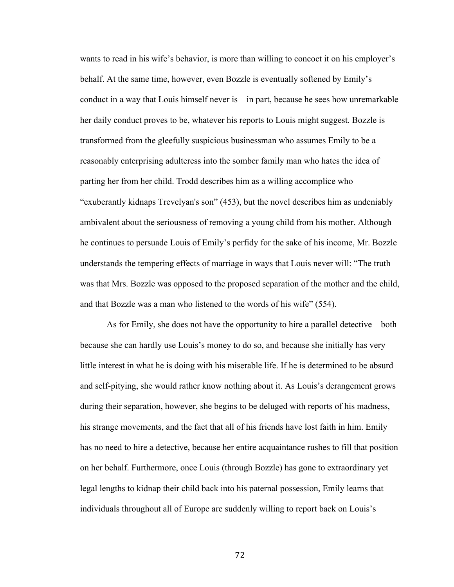wants to read in his wife's behavior, is more than willing to concoct it on his employer's behalf. At the same time, however, even Bozzle is eventually softened by Emily's conduct in a way that Louis himself never is—in part, because he sees how unremarkable her daily conduct proves to be, whatever his reports to Louis might suggest. Bozzle is transformed from the gleefully suspicious businessman who assumes Emily to be a reasonably enterprising adulteress into the somber family man who hates the idea of parting her from her child. Trodd describes him as a willing accomplice who "exuberantly kidnaps Trevelyan's son" (453), but the novel describes him as undeniably ambivalent about the seriousness of removing a young child from his mother. Although he continues to persuade Louis of Emily's perfidy for the sake of his income, Mr. Bozzle understands the tempering effects of marriage in ways that Louis never will: "The truth was that Mrs. Bozzle was opposed to the proposed separation of the mother and the child, and that Bozzle was a man who listened to the words of his wife" (554).

As for Emily, she does not have the opportunity to hire a parallel detective—both because she can hardly use Louis's money to do so, and because she initially has very little interest in what he is doing with his miserable life. If he is determined to be absurd and self-pitying, she would rather know nothing about it. As Louis's derangement grows during their separation, however, she begins to be deluged with reports of his madness, his strange movements, and the fact that all of his friends have lost faith in him. Emily has no need to hire a detective, because her entire acquaintance rushes to fill that position on her behalf. Furthermore, once Louis (through Bozzle) has gone to extraordinary yet legal lengths to kidnap their child back into his paternal possession, Emily learns that individuals throughout all of Europe are suddenly willing to report back on Louis's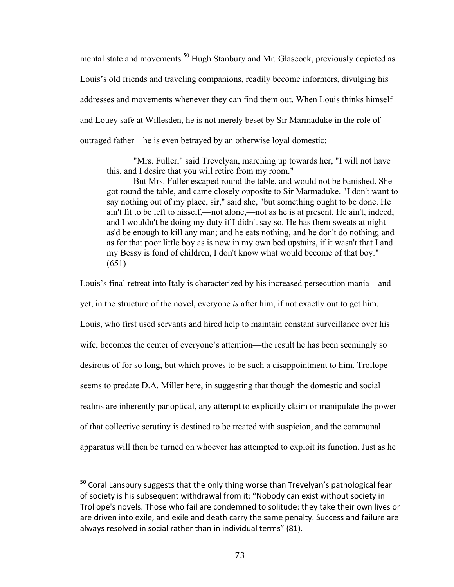mental state and movements.<sup>50</sup> Hugh Stanbury and Mr. Glascock, previously depicted as Louis's old friends and traveling companions, readily become informers, divulging his addresses and movements whenever they can find them out. When Louis thinks himself and Louey safe at Willesden, he is not merely beset by Sir Marmaduke in the role of outraged father—he is even betrayed by an otherwise loyal domestic:

"Mrs. Fuller," said Trevelyan, marching up towards her, "I will not have this, and I desire that you will retire from my room."

But Mrs. Fuller escaped round the table, and would not be banished. She got round the table, and came closely opposite to Sir Marmaduke. "I don't want to say nothing out of my place, sir," said she, "but something ought to be done. He ain't fit to be left to hisself,—not alone,—not as he is at present. He ain't, indeed, and I wouldn't be doing my duty if I didn't say so. He has them sweats at night as'd be enough to kill any man; and he eats nothing, and he don't do nothing; and as for that poor little boy as is now in my own bed upstairs, if it wasn't that I and my Bessy is fond of children, I don't know what would become of that boy." (651)

Louis's final retreat into Italy is characterized by his increased persecution mania—and

yet, in the structure of the novel, everyone *is* after him, if not exactly out to get him.

Louis, who first used servants and hired help to maintain constant surveillance over his wife, becomes the center of everyone's attention—the result he has been seemingly so desirous of for so long, but which proves to be such a disappointment to him. Trollope seems to predate D.A. Miller here, in suggesting that though the domestic and social realms are inherently panoptical, any attempt to explicitly claim or manipulate the power of that collective scrutiny is destined to be treated with suspicion, and the communal apparatus will then be turned on whoever has attempted to exploit its function. Just as he

 $50$  Coral Lansbury suggests that the only thing worse than Trevelyan's pathological fear of society is his subsequent withdrawal from it: "Nobody can exist without society in Trollope's novels. Those who fail are condemned to solitude: they take their own lives or are driven into exile, and exile and death carry the same penalty. Success and failure are always resolved in social rather than in individual terms" (81).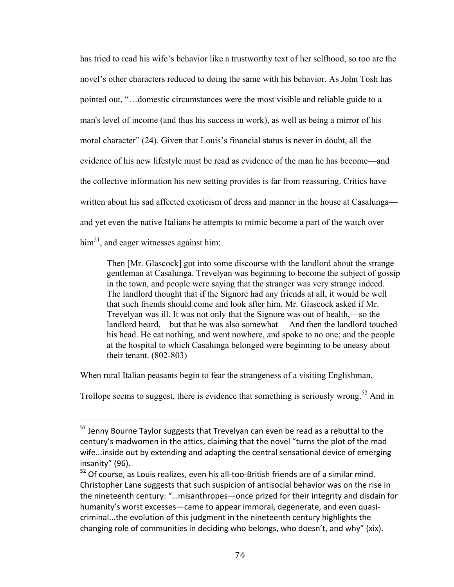has tried to read his wife's behavior like a trustworthy text of her selfhood, so too are the novel's other characters reduced to doing the same with his behavior. As John Tosh has pointed out, "…domestic circumstances were the most visible and reliable guide to a man's level of income (and thus his success in work), as well as being a mirror of his moral character" (24). Given that Louis's financial status is never in doubt, all the evidence of his new lifestyle must be read as evidence of the man he has become—and the collective information his new setting provides is far from reassuring. Critics have written about his sad affected exoticism of dress and manner in the house at Casalunga and yet even the native Italians he attempts to mimic become a part of the watch over  $\text{him}^{51}$ , and eager witnesses against him:

Then [Mr. Glascock] got into some discourse with the landlord about the strange gentleman at Casalunga. Trevelyan was beginning to become the subject of gossip in the town, and people were saying that the stranger was very strange indeed. The landlord thought that if the Signore had any friends at all, it would be well that such friends should come and look after him. Mr. Glascock asked if Mr. Trevelyan was ill. It was not only that the Signore was out of health,—so the landlord heard,—but that he was also somewhat— And then the landlord touched his head. He eat nothing, and went nowhere, and spoke to no one; and the people at the hospital to which Casalunga belonged were beginning to be uneasy about their tenant. (802-803)

When rural Italian peasants begin to fear the strangeness of a visiting Englishman,

 

Trollope seems to suggest, there is evidence that something is seriously wrong.<sup>52</sup> And in

 $51$  Jenny Bourne Taylor suggests that Trevelyan can even be read as a rebuttal to the century's madwomen in the attics, claiming that the novel "turns the plot of the mad wife...inside out by extending and adapting the central sensational device of emerging insanity" (96).

 $52$  Of course, as Louis realizes, even his all-too-British friends are of a similar mind. Christopher Lane suggests that such suspicion of antisocial behavior was on the rise in the nineteenth century: "...misanthropes—once prized for their integrity and disdain for humanity's worst excesses—came to appear immoral, degenerate, and even quasicriminal...the evolution of this judgment in the nineteenth century highlights the changing role of communities in deciding who belongs, who doesn't, and why" (xix).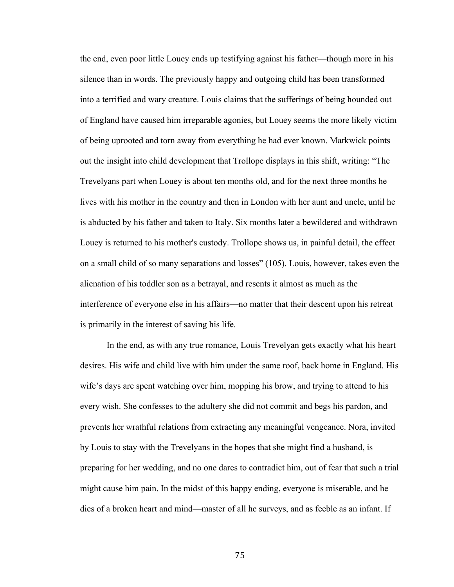the end, even poor little Louey ends up testifying against his father—though more in his silence than in words. The previously happy and outgoing child has been transformed into a terrified and wary creature. Louis claims that the sufferings of being hounded out of England have caused him irreparable agonies, but Louey seems the more likely victim of being uprooted and torn away from everything he had ever known. Markwick points out the insight into child development that Trollope displays in this shift, writing: "The Trevelyans part when Louey is about ten months old, and for the next three months he lives with his mother in the country and then in London with her aunt and uncle, until he is abducted by his father and taken to Italy. Six months later a bewildered and withdrawn Louey is returned to his mother's custody. Trollope shows us, in painful detail, the effect on a small child of so many separations and losses" (105). Louis, however, takes even the alienation of his toddler son as a betrayal, and resents it almost as much as the interference of everyone else in his affairs—no matter that their descent upon his retreat is primarily in the interest of saving his life.

In the end, as with any true romance, Louis Trevelyan gets exactly what his heart desires. His wife and child live with him under the same roof, back home in England. His wife's days are spent watching over him, mopping his brow, and trying to attend to his every wish. She confesses to the adultery she did not commit and begs his pardon, and prevents her wrathful relations from extracting any meaningful vengeance. Nora, invited by Louis to stay with the Trevelyans in the hopes that she might find a husband, is preparing for her wedding, and no one dares to contradict him, out of fear that such a trial might cause him pain. In the midst of this happy ending, everyone is miserable, and he dies of a broken heart and mind—master of all he surveys, and as feeble as an infant. If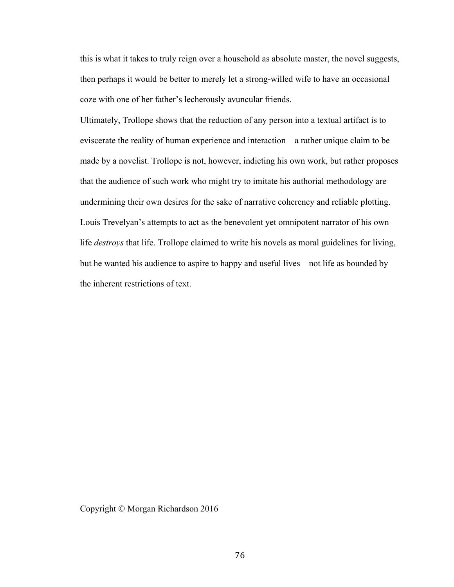this is what it takes to truly reign over a household as absolute master, the novel suggests, then perhaps it would be better to merely let a strong-willed wife to have an occasional coze with one of her father's lecherously avuncular friends.

Ultimately, Trollope shows that the reduction of any person into a textual artifact is to eviscerate the reality of human experience and interaction—a rather unique claim to be made by a novelist. Trollope is not, however, indicting his own work, but rather proposes that the audience of such work who might try to imitate his authorial methodology are undermining their own desires for the sake of narrative coherency and reliable plotting. Louis Trevelyan's attempts to act as the benevolent yet omnipotent narrator of his own life *destroys* that life. Trollope claimed to write his novels as moral guidelines for living, but he wanted his audience to aspire to happy and useful lives—not life as bounded by the inherent restrictions of text.

Copyright © Morgan Richardson 2016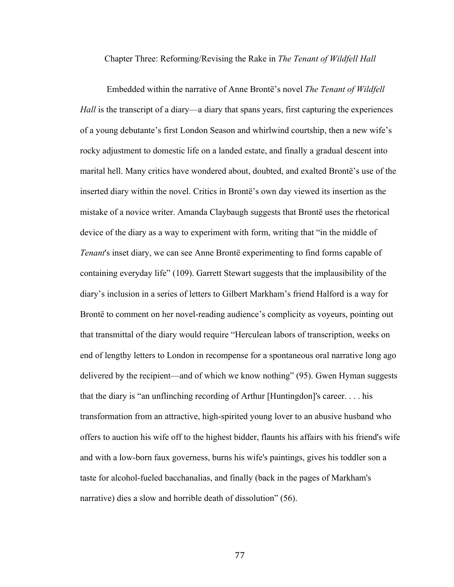## Chapter Three: Reforming/Revising the Rake in *The Tenant of Wildfell Hall*

Embedded within the narrative of Anne Brontë's novel *The Tenant of Wildfell Hall* is the transcript of a diary—a diary that spans years, first capturing the experiences of a young debutante's first London Season and whirlwind courtship, then a new wife's rocky adjustment to domestic life on a landed estate, and finally a gradual descent into marital hell. Many critics have wondered about, doubted, and exalted Brontë's use of the inserted diary within the novel. Critics in Brontë's own day viewed its insertion as the mistake of a novice writer. Amanda Claybaugh suggests that Brontë uses the rhetorical device of the diary as a way to experiment with form, writing that "in the middle of *Tenant*'s inset diary, we can see Anne Brontë experimenting to find forms capable of containing everyday life" (109). Garrett Stewart suggests that the implausibility of the diary's inclusion in a series of letters to Gilbert Markham's friend Halford is a way for Brontë to comment on her novel-reading audience's complicity as voyeurs, pointing out that transmittal of the diary would require "Herculean labors of transcription, weeks on end of lengthy letters to London in recompense for a spontaneous oral narrative long ago delivered by the recipient—and of which we know nothing" (95). Gwen Hyman suggests that the diary is "an unflinching recording of Arthur [Huntingdon]'s career. . . . his transformation from an attractive, high-spirited young lover to an abusive husband who offers to auction his wife off to the highest bidder, flaunts his affairs with his friend's wife and with a low-born faux governess, burns his wife's paintings, gives his toddler son a taste for alcohol-fueled bacchanalias, and finally (back in the pages of Markham's narrative) dies a slow and horrible death of dissolution" (56).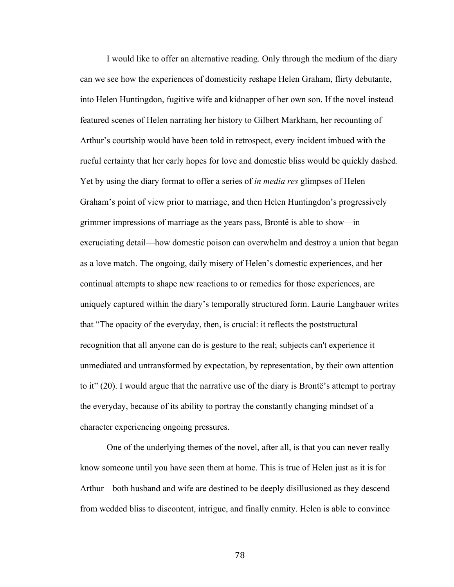I would like to offer an alternative reading. Only through the medium of the diary can we see how the experiences of domesticity reshape Helen Graham, flirty debutante, into Helen Huntingdon, fugitive wife and kidnapper of her own son. If the novel instead featured scenes of Helen narrating her history to Gilbert Markham, her recounting of Arthur's courtship would have been told in retrospect, every incident imbued with the rueful certainty that her early hopes for love and domestic bliss would be quickly dashed. Yet by using the diary format to offer a series of *in media res* glimpses of Helen Graham's point of view prior to marriage, and then Helen Huntingdon's progressively grimmer impressions of marriage as the years pass, Brontë is able to show—in excruciating detail—how domestic poison can overwhelm and destroy a union that began as a love match. The ongoing, daily misery of Helen's domestic experiences, and her continual attempts to shape new reactions to or remedies for those experiences, are uniquely captured within the diary's temporally structured form. Laurie Langbauer writes that "The opacity of the everyday, then, is crucial: it reflects the poststructural recognition that all anyone can do is gesture to the real; subjects can't experience it unmediated and untransformed by expectation, by representation, by their own attention to it" (20). I would argue that the narrative use of the diary is Brontë's attempt to portray the everyday, because of its ability to portray the constantly changing mindset of a character experiencing ongoing pressures.

One of the underlying themes of the novel, after all, is that you can never really know someone until you have seen them at home. This is true of Helen just as it is for Arthur—both husband and wife are destined to be deeply disillusioned as they descend from wedded bliss to discontent, intrigue, and finally enmity. Helen is able to convince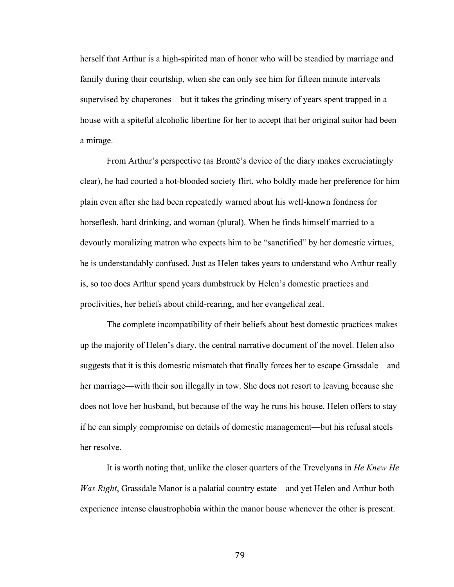herself that Arthur is a high-spirited man of honor who will be steadied by marriage and family during their courtship, when she can only see him for fifteen minute intervals supervised by chaperones—but it takes the grinding misery of years spent trapped in a house with a spiteful alcoholic libertine for her to accept that her original suitor had been a mirage.

From Arthur's perspective (as Brontë's device of the diary makes excruciatingly clear), he had courted a hot-blooded society flirt, who boldly made her preference for him plain even after she had been repeatedly warned about his well-known fondness for horseflesh, hard drinking, and woman (plural). When he finds himself married to a devoutly moralizing matron who expects him to be "sanctified" by her domestic virtues, he is understandably confused. Just as Helen takes years to understand who Arthur really is, so too does Arthur spend years dumbstruck by Helen's domestic practices and proclivities, her beliefs about child-rearing, and her evangelical zeal.

The complete incompatibility of their beliefs about best domestic practices makes up the majority of Helen's diary, the central narrative document of the novel. Helen also suggests that it is this domestic mismatch that finally forces her to escape Grassdale—and her marriage—with their son illegally in tow. She does not resort to leaving because she does not love her husband, but because of the way he runs his house. Helen offers to stay if he can simply compromise on details of domestic management—but his refusal steels her resolve.

It is worth noting that, unlike the closer quarters of the Trevelyans in *He Knew He Was Right*, Grassdale Manor is a palatial country estate—and yet Helen and Arthur both experience intense claustrophobia within the manor house whenever the other is present.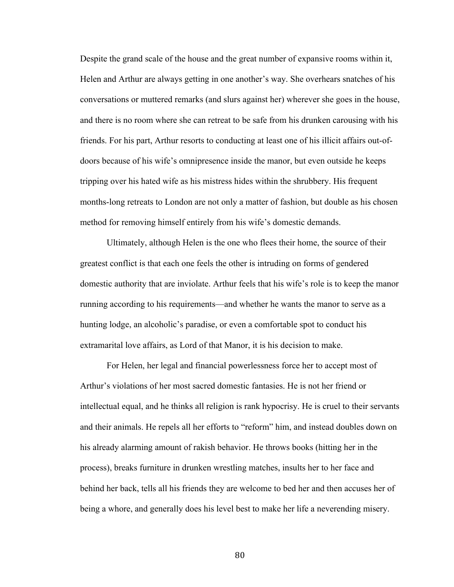Despite the grand scale of the house and the great number of expansive rooms within it, Helen and Arthur are always getting in one another's way. She overhears snatches of his conversations or muttered remarks (and slurs against her) wherever she goes in the house, and there is no room where she can retreat to be safe from his drunken carousing with his friends. For his part, Arthur resorts to conducting at least one of his illicit affairs out-ofdoors because of his wife's omnipresence inside the manor, but even outside he keeps tripping over his hated wife as his mistress hides within the shrubbery. His frequent months-long retreats to London are not only a matter of fashion, but double as his chosen method for removing himself entirely from his wife's domestic demands.

Ultimately, although Helen is the one who flees their home, the source of their greatest conflict is that each one feels the other is intruding on forms of gendered domestic authority that are inviolate. Arthur feels that his wife's role is to keep the manor running according to his requirements—and whether he wants the manor to serve as a hunting lodge, an alcoholic's paradise, or even a comfortable spot to conduct his extramarital love affairs, as Lord of that Manor, it is his decision to make.

For Helen, her legal and financial powerlessness force her to accept most of Arthur's violations of her most sacred domestic fantasies. He is not her friend or intellectual equal, and he thinks all religion is rank hypocrisy. He is cruel to their servants and their animals. He repels all her efforts to "reform" him, and instead doubles down on his already alarming amount of rakish behavior. He throws books (hitting her in the process), breaks furniture in drunken wrestling matches, insults her to her face and behind her back, tells all his friends they are welcome to bed her and then accuses her of being a whore, and generally does his level best to make her life a neverending misery.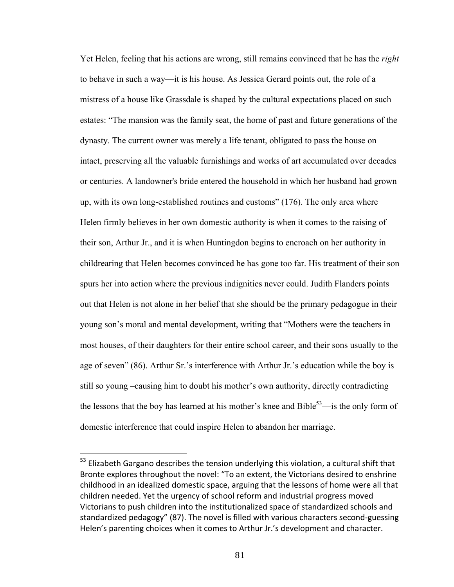Yet Helen, feeling that his actions are wrong, still remains convinced that he has the *right* to behave in such a way—it is his house. As Jessica Gerard points out, the role of a mistress of a house like Grassdale is shaped by the cultural expectations placed on such estates: "The mansion was the family seat, the home of past and future generations of the dynasty. The current owner was merely a life tenant, obligated to pass the house on intact, preserving all the valuable furnishings and works of art accumulated over decades or centuries. A landowner's bride entered the household in which her husband had grown up, with its own long-established routines and customs" (176). The only area where Helen firmly believes in her own domestic authority is when it comes to the raising of their son, Arthur Jr., and it is when Huntingdon begins to encroach on her authority in childrearing that Helen becomes convinced he has gone too far. His treatment of their son spurs her into action where the previous indignities never could. Judith Flanders points out that Helen is not alone in her belief that she should be the primary pedagogue in their young son's moral and mental development, writing that "Mothers were the teachers in most houses, of their daughters for their entire school career, and their sons usually to the age of seven" (86). Arthur Sr.'s interference with Arthur Jr.'s education while the boy is still so young –causing him to doubt his mother's own authority, directly contradicting the lessons that the boy has learned at his mother's knee and Bible<sup>53</sup>—is the only form of domestic interference that could inspire Helen to abandon her marriage.

 $53$  Elizabeth Gargano describes the tension underlying this violation, a cultural shift that Bronte explores throughout the novel: "To an extent, the Victorians desired to enshrine childhood in an idealized domestic space, arguing that the lessons of home were all that children needed. Yet the urgency of school reform and industrial progress moved Victorians to push children into the institutionalized space of standardized schools and standardized pedagogy" (87). The novel is filled with various characters second-guessing Helen's parenting choices when it comes to Arthur Jr.'s development and character.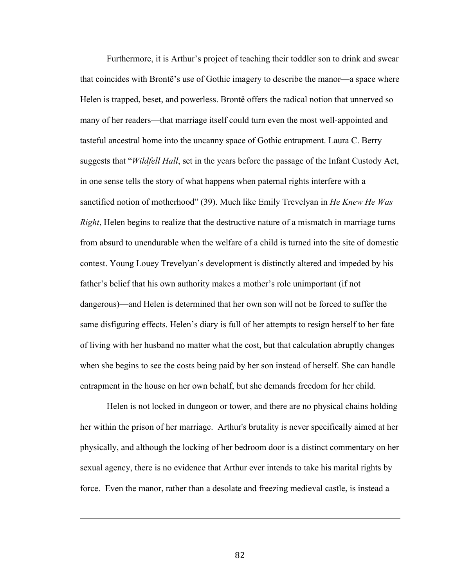Furthermore, it is Arthur's project of teaching their toddler son to drink and swear that coincides with Brontë's use of Gothic imagery to describe the manor—a space where Helen is trapped, beset, and powerless. Brontë offers the radical notion that unnerved so many of her readers—that marriage itself could turn even the most well-appointed and tasteful ancestral home into the uncanny space of Gothic entrapment. Laura C. Berry suggests that "*Wildfell Hall*, set in the years before the passage of the Infant Custody Act, in one sense tells the story of what happens when paternal rights interfere with a sanctified notion of motherhood" (39). Much like Emily Trevelyan in *He Knew He Was Right*, Helen begins to realize that the destructive nature of a mismatch in marriage turns from absurd to unendurable when the welfare of a child is turned into the site of domestic contest. Young Louey Trevelyan's development is distinctly altered and impeded by his father's belief that his own authority makes a mother's role unimportant (if not dangerous)—and Helen is determined that her own son will not be forced to suffer the same disfiguring effects. Helen's diary is full of her attempts to resign herself to her fate of living with her husband no matter what the cost, but that calculation abruptly changes when she begins to see the costs being paid by her son instead of herself. She can handle entrapment in the house on her own behalf, but she demands freedom for her child.

Helen is not locked in dungeon or tower, and there are no physical chains holding her within the prison of her marriage. Arthur's brutality is never specifically aimed at her physically, and although the locking of her bedroom door is a distinct commentary on her sexual agency, there is no evidence that Arthur ever intends to take his marital rights by force. Even the manor, rather than a desolate and freezing medieval castle, is instead a

82

<u> 1989 - Andrea San Andrea San Andrea San Andrea San Andrea San Andrea San Andrea San Andrea San Andrea San An</u>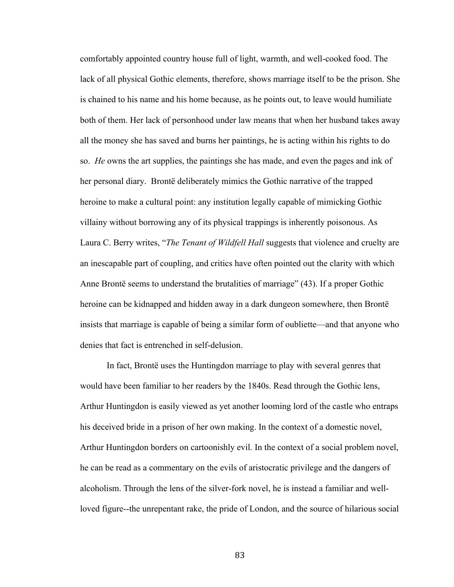comfortably appointed country house full of light, warmth, and well-cooked food. The lack of all physical Gothic elements, therefore, shows marriage itself to be the prison. She is chained to his name and his home because, as he points out, to leave would humiliate both of them. Her lack of personhood under law means that when her husband takes away all the money she has saved and burns her paintings, he is acting within his rights to do so. *He* owns the art supplies, the paintings she has made, and even the pages and ink of her personal diary. Brontë deliberately mimics the Gothic narrative of the trapped heroine to make a cultural point: any institution legally capable of mimicking Gothic villainy without borrowing any of its physical trappings is inherently poisonous. As Laura C. Berry writes, "*The Tenant of Wildfell Hall* suggests that violence and cruelty are an inescapable part of coupling, and critics have often pointed out the clarity with which Anne Brontë seems to understand the brutalities of marriage" (43). If a proper Gothic heroine can be kidnapped and hidden away in a dark dungeon somewhere, then Brontë insists that marriage is capable of being a similar form of oubliette—and that anyone who denies that fact is entrenched in self-delusion.

In fact, Brontë uses the Huntingdon marriage to play with several genres that would have been familiar to her readers by the 1840s. Read through the Gothic lens, Arthur Huntingdon is easily viewed as yet another looming lord of the castle who entraps his deceived bride in a prison of her own making. In the context of a domestic novel, Arthur Huntingdon borders on cartoonishly evil. In the context of a social problem novel, he can be read as a commentary on the evils of aristocratic privilege and the dangers of alcoholism. Through the lens of the silver-fork novel, he is instead a familiar and wellloved figure--the unrepentant rake, the pride of London, and the source of hilarious social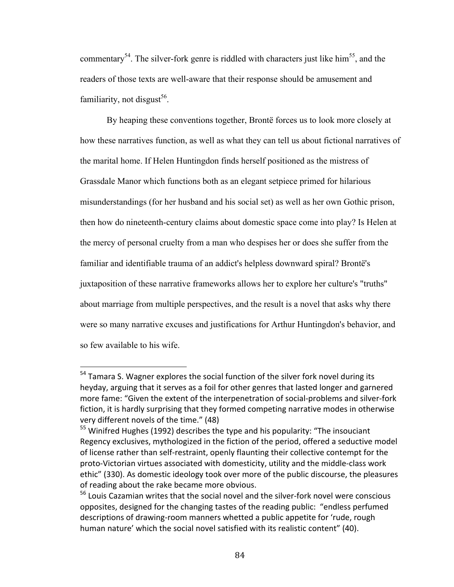commentary<sup>54</sup>. The silver-fork genre is riddled with characters just like him<sup>55</sup>, and the readers of those texts are well-aware that their response should be amusement and familiarity, not disgust<sup>56</sup>.

By heaping these conventions together, Brontë forces us to look more closely at how these narratives function, as well as what they can tell us about fictional narratives of the marital home. If Helen Huntingdon finds herself positioned as the mistress of Grassdale Manor which functions both as an elegant setpiece primed for hilarious misunderstandings (for her husband and his social set) as well as her own Gothic prison, then how do nineteenth-century claims about domestic space come into play? Is Helen at the mercy of personal cruelty from a man who despises her or does she suffer from the familiar and identifiable trauma of an addict's helpless downward spiral? Brontë's juxtaposition of these narrative frameworks allows her to explore her culture's "truths" about marriage from multiple perspectives, and the result is a novel that asks why there were so many narrative excuses and justifications for Arthur Huntingdon's behavior, and so few available to his wife.

 $54$  Tamara S. Wagner explores the social function of the silver fork novel during its heyday, arguing that it serves as a foil for other genres that lasted longer and garnered more fame: "Given the extent of the interpenetration of social-problems and silver-fork fiction, it is hardly surprising that they formed competing narrative modes in otherwise very different novels of the time." (48)

 $55$  Winifred Hughes (1992) describes the type and his popularity: "The insouciant Regency exclusives, mythologized in the fiction of the period, offered a seductive model of license rather than self-restraint, openly flaunting their collective contempt for the proto-Victorian virtues associated with domesticity, utility and the middle-class work ethic" (330). As domestic ideology took over more of the public discourse, the pleasures of reading about the rake became more obvious.

 $56$  Louis Cazamian writes that the social novel and the silver-fork novel were conscious opposites, designed for the changing tastes of the reading public: "endless perfumed descriptions of drawing-room manners whetted a public appetite for 'rude, rough human nature' which the social novel satisfied with its realistic content" (40).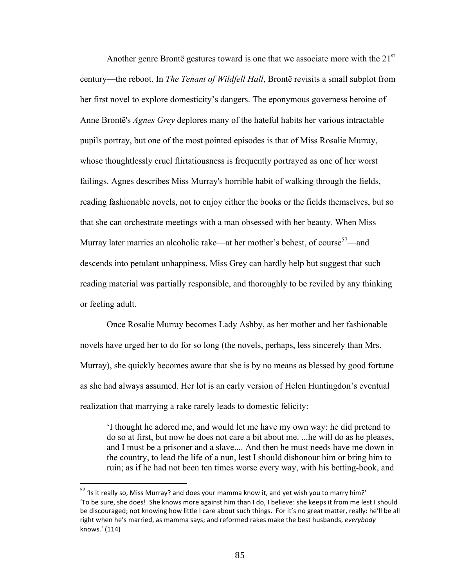Another genre Brontë gestures toward is one that we associate more with the  $21<sup>st</sup>$ century—the reboot. In *The Tenant of Wildfell Hall*, Brontë revisits a small subplot from her first novel to explore domesticity's dangers. The eponymous governess heroine of Anne Brontë's *Agnes Grey* deplores many of the hateful habits her various intractable pupils portray, but one of the most pointed episodes is that of Miss Rosalie Murray, whose thoughtlessly cruel flirtatiousness is frequently portrayed as one of her worst failings. Agnes describes Miss Murray's horrible habit of walking through the fields, reading fashionable novels, not to enjoy either the books or the fields themselves, but so that she can orchestrate meetings with a man obsessed with her beauty. When Miss Murray later marries an alcoholic rake—at her mother's behest, of course<sup>57</sup>—and descends into petulant unhappiness, Miss Grey can hardly help but suggest that such reading material was partially responsible, and thoroughly to be reviled by any thinking or feeling adult.

Once Rosalie Murray becomes Lady Ashby, as her mother and her fashionable novels have urged her to do for so long (the novels, perhaps, less sincerely than Mrs. Murray), she quickly becomes aware that she is by no means as blessed by good fortune as she had always assumed. Her lot is an early version of Helen Huntingdon's eventual realization that marrying a rake rarely leads to domestic felicity:

'I thought he adored me, and would let me have my own way: he did pretend to do so at first, but now he does not care a bit about me. ...he will do as he pleases, and I must be a prisoner and a slave.... And then he must needs have me down in the country, to lead the life of a nun, lest I should dishonour him or bring him to ruin; as if he had not been ten times worse every way, with his betting-book, and

 $57$  'Is it really so, Miss Murray? and does your mamma know it, and yet wish you to marry him?' 'To be sure, she does! She knows more against him than I do, I believe: she keeps it from me lest I should be discouraged; not knowing how little I care about such things. For it's no great matter, really: he'll be all right when he's married, as mamma says; and reformed rakes make the best husbands, *everybody* knows.' (114)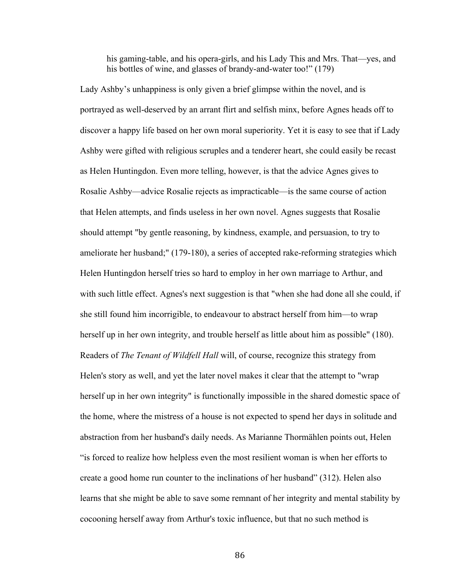his gaming-table, and his opera-girls, and his Lady This and Mrs. That—yes, and his bottles of wine, and glasses of brandy-and-water too!" (179)

Lady Ashby's unhappiness is only given a brief glimpse within the novel, and is portrayed as well-deserved by an arrant flirt and selfish minx, before Agnes heads off to discover a happy life based on her own moral superiority. Yet it is easy to see that if Lady Ashby were gifted with religious scruples and a tenderer heart, she could easily be recast as Helen Huntingdon. Even more telling, however, is that the advice Agnes gives to Rosalie Ashby—advice Rosalie rejects as impracticable—is the same course of action that Helen attempts, and finds useless in her own novel. Agnes suggests that Rosalie should attempt "by gentle reasoning, by kindness, example, and persuasion, to try to ameliorate her husband;" (179-180), a series of accepted rake-reforming strategies which Helen Huntingdon herself tries so hard to employ in her own marriage to Arthur, and with such little effect. Agnes's next suggestion is that "when she had done all she could, if she still found him incorrigible, to endeavour to abstract herself from him—to wrap herself up in her own integrity, and trouble herself as little about him as possible" (180). Readers of *The Tenant of Wildfell Hall* will, of course, recognize this strategy from Helen's story as well, and yet the later novel makes it clear that the attempt to "wrap herself up in her own integrity" is functionally impossible in the shared domestic space of the home, where the mistress of a house is not expected to spend her days in solitude and abstraction from her husband's daily needs. As Marianne Thormählen points out, Helen "is forced to realize how helpless even the most resilient woman is when her efforts to create a good home run counter to the inclinations of her husband" (312). Helen also learns that she might be able to save some remnant of her integrity and mental stability by cocooning herself away from Arthur's toxic influence, but that no such method is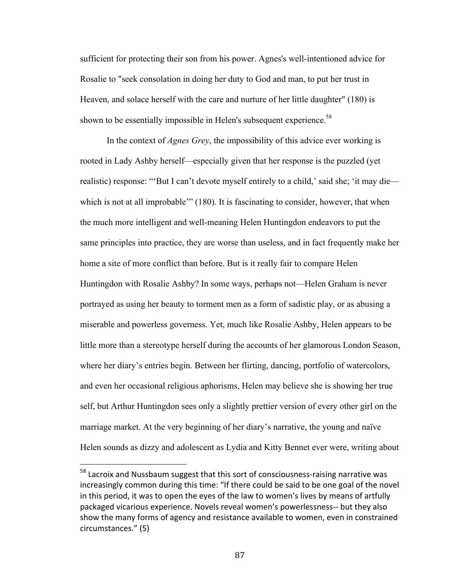sufficient for protecting their son from his power. Agnes's well-intentioned advice for Rosalie to "seek consolation in doing her duty to God and man, to put her trust in Heaven, and solace herself with the care and nurture of her little daughter" (180) is shown to be essentially impossible in Helen's subsequent experience.<sup>58</sup>

In the context of *Agnes Grey*, the impossibility of this advice ever working is rooted in Lady Ashby herself—especially given that her response is the puzzled (yet realistic) response: "'But I can't devote myself entirely to a child,' said she; 'it may die which is not at all improbable" (180). It is fascinating to consider, however, that when the much more intelligent and well-meaning Helen Huntingdon endeavors to put the same principles into practice, they are worse than useless, and in fact frequently make her home a site of more conflict than before. But is it really fair to compare Helen Huntingdon with Rosalie Ashby? In some ways, perhaps not—Helen Graham is never portrayed as using her beauty to torment men as a form of sadistic play, or as abusing a miserable and powerless governess. Yet, much like Rosalie Ashby, Helen appears to be little more than a stereotype herself during the accounts of her glamorous London Season, where her diary's entries begin. Between her flirting, dancing, portfolio of watercolors, and even her occasional religious aphorisms, Helen may believe she is showing her true self, but Arthur Huntingdon sees only a slightly prettier version of every other girl on the marriage market. At the very beginning of her diary's narrative, the young and naïve Helen sounds as dizzy and adolescent as Lydia and Kitty Bennet ever were, writing about

 $58$  Lacroix and Nussbaum suggest that this sort of consciousness-raising narrative was increasingly common during this time: "If there could be said to be one goal of the novel in this period, it was to open the eyes of the law to women's lives by means of artfully packaged vicarious experience. Novels reveal women's powerlessness-- but they also show the many forms of agency and resistance available to women, even in constrained circumstances." (5)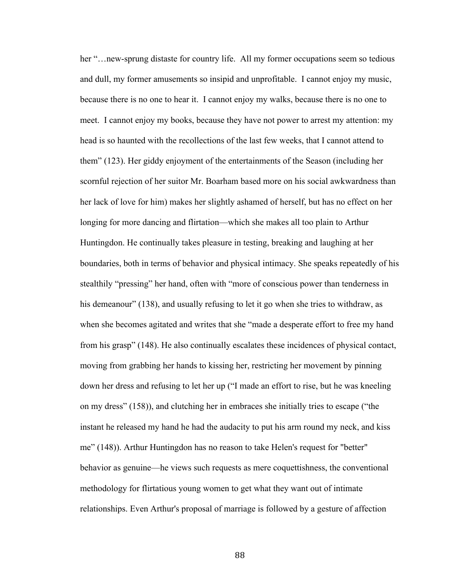her "…new-sprung distaste for country life. All my former occupations seem so tedious and dull, my former amusements so insipid and unprofitable. I cannot enjoy my music, because there is no one to hear it. I cannot enjoy my walks, because there is no one to meet. I cannot enjoy my books, because they have not power to arrest my attention: my head is so haunted with the recollections of the last few weeks, that I cannot attend to them" (123). Her giddy enjoyment of the entertainments of the Season (including her scornful rejection of her suitor Mr. Boarham based more on his social awkwardness than her lack of love for him) makes her slightly ashamed of herself, but has no effect on her longing for more dancing and flirtation—which she makes all too plain to Arthur Huntingdon. He continually takes pleasure in testing, breaking and laughing at her boundaries, both in terms of behavior and physical intimacy. She speaks repeatedly of his stealthily "pressing" her hand, often with "more of conscious power than tenderness in his demeanour" (138), and usually refusing to let it go when she tries to withdraw, as when she becomes agitated and writes that she "made a desperate effort to free my hand from his grasp" (148). He also continually escalates these incidences of physical contact, moving from grabbing her hands to kissing her, restricting her movement by pinning down her dress and refusing to let her up ("I made an effort to rise, but he was kneeling on my dress" (158)), and clutching her in embraces she initially tries to escape ("the instant he released my hand he had the audacity to put his arm round my neck, and kiss me" (148)). Arthur Huntingdon has no reason to take Helen's request for "better" behavior as genuine—he views such requests as mere coquettishness, the conventional methodology for flirtatious young women to get what they want out of intimate relationships. Even Arthur's proposal of marriage is followed by a gesture of affection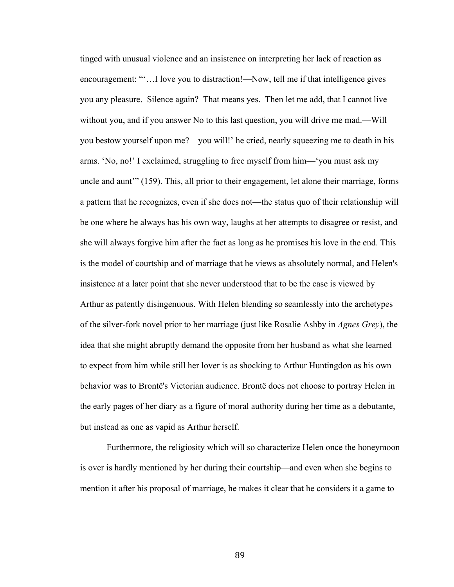tinged with unusual violence and an insistence on interpreting her lack of reaction as encouragement: ""....I love you to distraction!—Now, tell me if that intelligence gives you any pleasure. Silence again? That means yes. Then let me add, that I cannot live without you, and if you answer No to this last question, you will drive me mad.—Will you bestow yourself upon me?—you will!' he cried, nearly squeezing me to death in his arms. 'No, no!' I exclaimed, struggling to free myself from him—'you must ask my uncle and aunt'" (159). This, all prior to their engagement, let alone their marriage, forms a pattern that he recognizes, even if she does not—the status quo of their relationship will be one where he always has his own way, laughs at her attempts to disagree or resist, and she will always forgive him after the fact as long as he promises his love in the end. This is the model of courtship and of marriage that he views as absolutely normal, and Helen's insistence at a later point that she never understood that to be the case is viewed by Arthur as patently disingenuous. With Helen blending so seamlessly into the archetypes of the silver-fork novel prior to her marriage (just like Rosalie Ashby in *Agnes Grey*), the idea that she might abruptly demand the opposite from her husband as what she learned to expect from him while still her lover is as shocking to Arthur Huntingdon as his own behavior was to Brontë's Victorian audience. Brontë does not choose to portray Helen in the early pages of her diary as a figure of moral authority during her time as a debutante, but instead as one as vapid as Arthur herself.

Furthermore, the religiosity which will so characterize Helen once the honeymoon is over is hardly mentioned by her during their courtship—and even when she begins to mention it after his proposal of marriage, he makes it clear that he considers it a game to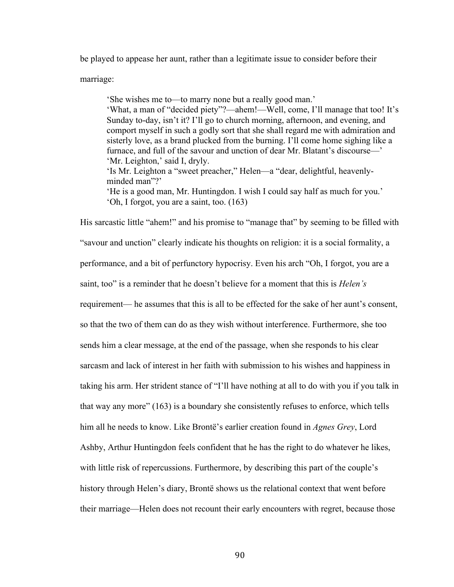be played to appease her aunt, rather than a legitimate issue to consider before their

marriage:

'She wishes me to—to marry none but a really good man.' 'What, a man of "decided piety"?—ahem!—Well, come, I'll manage that too! It's Sunday to-day, isn't it? I'll go to church morning, afternoon, and evening, and comport myself in such a godly sort that she shall regard me with admiration and sisterly love, as a brand plucked from the burning. I'll come home sighing like a furnace, and full of the savour and unction of dear Mr. Blatant's discourse—' 'Mr. Leighton,' said I, dryly. 'Is Mr. Leighton a "sweet preacher," Helen—a "dear, delightful, heavenlyminded man"?'

'He is a good man, Mr. Huntingdon. I wish I could say half as much for you.' 'Oh, I forgot, you are a saint, too. (163)

His sarcastic little "ahem!" and his promise to "manage that" by seeming to be filled with "savour and unction" clearly indicate his thoughts on religion: it is a social formality, a performance, and a bit of perfunctory hypocrisy. Even his arch "Oh, I forgot, you are a saint, too" is a reminder that he doesn't believe for a moment that this is *Helen's* requirement— he assumes that this is all to be effected for the sake of her aunt's consent, so that the two of them can do as they wish without interference. Furthermore, she too sends him a clear message, at the end of the passage, when she responds to his clear sarcasm and lack of interest in her faith with submission to his wishes and happiness in taking his arm. Her strident stance of "I'll have nothing at all to do with you if you talk in that way any more" (163) is a boundary she consistently refuses to enforce, which tells him all he needs to know. Like Brontë's earlier creation found in *Agnes Grey*, Lord Ashby, Arthur Huntingdon feels confident that he has the right to do whatever he likes, with little risk of repercussions. Furthermore, by describing this part of the couple's history through Helen's diary, Brontë shows us the relational context that went before their marriage—Helen does not recount their early encounters with regret, because those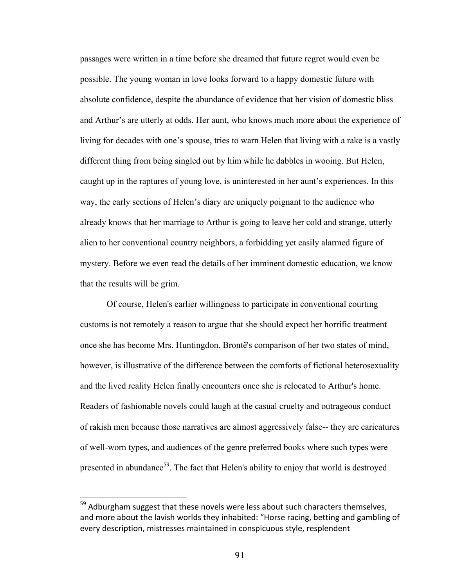passages were written in a time before she dreamed that future regret would even be possible. The young woman in love looks forward to a happy domestic future with absolute confidence, despite the abundance of evidence that her vision of domestic bliss and Arthur's are utterly at odds. Her aunt, who knows much more about the experience of living for decades with one's spouse, tries to warn Helen that living with a rake is a vastly different thing from being singled out by him while he dabbles in wooing. But Helen, caught up in the raptures of young love, is uninterested in her aunt's experiences. In this way, the early sections of Helen's diary are uniquely poignant to the audience who already knows that her marriage to Arthur is going to leave her cold and strange, utterly alien to her conventional country neighbors, a forbidding yet easily alarmed figure of mystery. Before we even read the details of her imminent domestic education, we know that the results will be grim.

Of course, Helen's earlier willingness to participate in conventional courting customs is not remotely a reason to argue that she should expect her horrific treatment once she has become Mrs. Huntingdon. Brontë's comparison of her two states of mind, however, is illustrative of the difference between the comforts of fictional heterosexuality and the lived reality Helen finally encounters once she is relocated to Arthur's home. Readers of fashionable novels could laugh at the casual cruelty and outrageous conduct of rakish men because those narratives are almost aggressively false-- they are caricatures of well-worn types, and audiences of the genre preferred books where such types were presented in abundance<sup>59</sup>. The fact that Helen's ability to enjoy that world is destroyed

 $59$  Adburgham suggest that these novels were less about such characters themselves, and more about the lavish worlds they inhabited: "Horse racing, betting and gambling of every description, mistresses maintained in conspicuous style, resplendent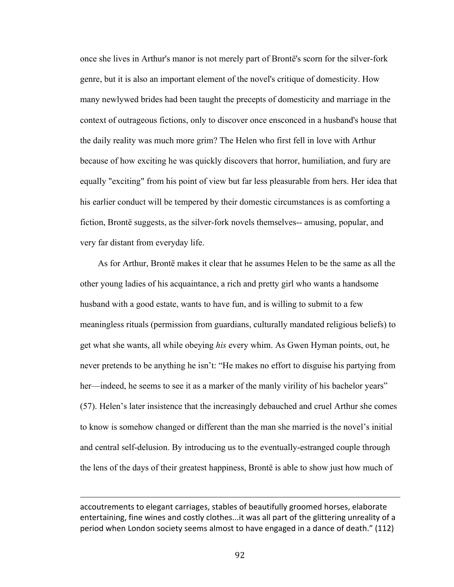once she lives in Arthur's manor is not merely part of Brontë's scorn for the silver-fork genre, but it is also an important element of the novel's critique of domesticity. How many newlywed brides had been taught the precepts of domesticity and marriage in the context of outrageous fictions, only to discover once ensconced in a husband's house that the daily reality was much more grim? The Helen who first fell in love with Arthur because of how exciting he was quickly discovers that horror, humiliation, and fury are equally "exciting" from his point of view but far less pleasurable from hers. Her idea that his earlier conduct will be tempered by their domestic circumstances is as comforting a fiction, Brontë suggests, as the silver-fork novels themselves-- amusing, popular, and very far distant from everyday life.

As for Arthur, Brontë makes it clear that he assumes Helen to be the same as all the other young ladies of his acquaintance, a rich and pretty girl who wants a handsome husband with a good estate, wants to have fun, and is willing to submit to a few meaningless rituals (permission from guardians, culturally mandated religious beliefs) to get what she wants, all while obeying *his* every whim. As Gwen Hyman points, out, he never pretends to be anything he isn't: "He makes no effort to disguise his partying from her—indeed, he seems to see it as a marker of the manly virility of his bachelor years" (57). Helen's later insistence that the increasingly debauched and cruel Arthur she comes to know is somehow changed or different than the man she married is the novel's initial and central self-delusion. By introducing us to the eventually-estranged couple through the lens of the days of their greatest happiness, Brontë is able to show just how much of

<u> 1989 - Andrea San Andrea San Andrea San Andrea San Andrea San Andrea San Andrea San Andrea San Andrea San An</u>

accoutrements to elegant carriages, stables of beautifully groomed horses, elaborate entertaining, fine wines and costly clothes...it was all part of the glittering unreality of a period when London society seems almost to have engaged in a dance of death." (112)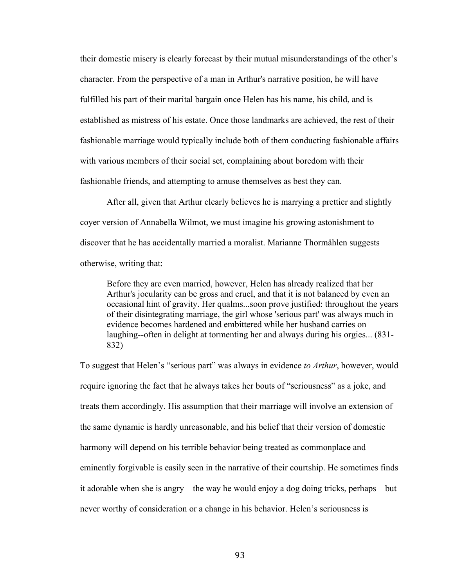their domestic misery is clearly forecast by their mutual misunderstandings of the other's character. From the perspective of a man in Arthur's narrative position, he will have fulfilled his part of their marital bargain once Helen has his name, his child, and is established as mistress of his estate. Once those landmarks are achieved, the rest of their fashionable marriage would typically include both of them conducting fashionable affairs with various members of their social set, complaining about boredom with their fashionable friends, and attempting to amuse themselves as best they can.

After all, given that Arthur clearly believes he is marrying a prettier and slightly coyer version of Annabella Wilmot, we must imagine his growing astonishment to discover that he has accidentally married a moralist. Marianne Thormählen suggests otherwise, writing that:

Before they are even married, however, Helen has already realized that her Arthur's jocularity can be gross and cruel, and that it is not balanced by even an occasional hint of gravity. Her qualms...soon prove justified: throughout the years of their disintegrating marriage, the girl whose 'serious part' was always much in evidence becomes hardened and embittered while her husband carries on laughing--often in delight at tormenting her and always during his orgies... (831- 832)

To suggest that Helen's "serious part" was always in evidence *to Arthur*, however, would require ignoring the fact that he always takes her bouts of "seriousness" as a joke, and treats them accordingly. His assumption that their marriage will involve an extension of the same dynamic is hardly unreasonable, and his belief that their version of domestic harmony will depend on his terrible behavior being treated as commonplace and eminently forgivable is easily seen in the narrative of their courtship. He sometimes finds it adorable when she is angry—the way he would enjoy a dog doing tricks, perhaps—but never worthy of consideration or a change in his behavior. Helen's seriousness is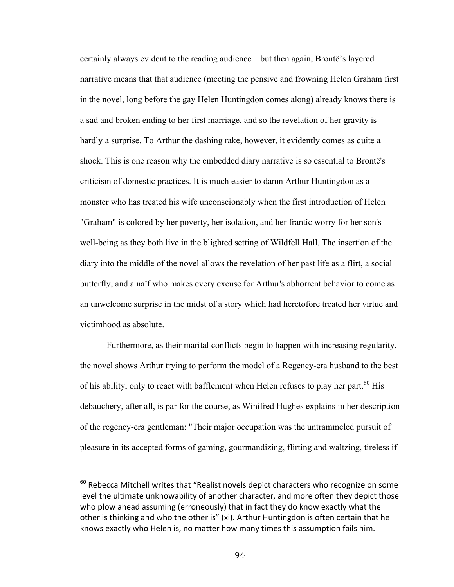certainly always evident to the reading audience—but then again, Brontë's layered narrative means that that audience (meeting the pensive and frowning Helen Graham first in the novel, long before the gay Helen Huntingdon comes along) already knows there is a sad and broken ending to her first marriage, and so the revelation of her gravity is hardly a surprise. To Arthur the dashing rake, however, it evidently comes as quite a shock. This is one reason why the embedded diary narrative is so essential to Brontë's criticism of domestic practices. It is much easier to damn Arthur Huntingdon as a monster who has treated his wife unconscionably when the first introduction of Helen "Graham" is colored by her poverty, her isolation, and her frantic worry for her son's well-being as they both live in the blighted setting of Wildfell Hall. The insertion of the diary into the middle of the novel allows the revelation of her past life as a flirt, a social butterfly, and a naïf who makes every excuse for Arthur's abhorrent behavior to come as an unwelcome surprise in the midst of a story which had heretofore treated her virtue and victimhood as absolute.

Furthermore, as their marital conflicts begin to happen with increasing regularity, the novel shows Arthur trying to perform the model of a Regency-era husband to the best of his ability, only to react with bafflement when Helen refuses to play her part.<sup>60</sup> His debauchery, after all, is par for the course, as Winifred Hughes explains in her description of the regency-era gentleman: "Their major occupation was the untrammeled pursuit of pleasure in its accepted forms of gaming, gourmandizing, flirting and waltzing, tireless if

 $60$  Rebecca Mitchell writes that "Realist novels depict characters who recognize on some level the ultimate unknowability of another character, and more often they depict those who plow ahead assuming (erroneously) that in fact they do know exactly what the other is thinking and who the other is" (xi). Arthur Huntingdon is often certain that he knows exactly who Helen is, no matter how many times this assumption fails him.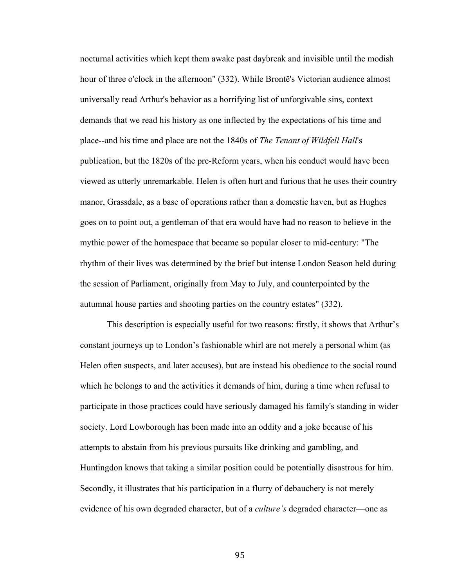nocturnal activities which kept them awake past daybreak and invisible until the modish hour of three o'clock in the afternoon" (332). While Brontë's Victorian audience almost universally read Arthur's behavior as a horrifying list of unforgivable sins, context demands that we read his history as one inflected by the expectations of his time and place--and his time and place are not the 1840s of *The Tenant of Wildfell Hall*'s publication, but the 1820s of the pre-Reform years, when his conduct would have been viewed as utterly unremarkable. Helen is often hurt and furious that he uses their country manor, Grassdale, as a base of operations rather than a domestic haven, but as Hughes goes on to point out, a gentleman of that era would have had no reason to believe in the mythic power of the homespace that became so popular closer to mid-century: "The rhythm of their lives was determined by the brief but intense London Season held during the session of Parliament, originally from May to July, and counterpointed by the autumnal house parties and shooting parties on the country estates" (332).

This description is especially useful for two reasons: firstly, it shows that Arthur's constant journeys up to London's fashionable whirl are not merely a personal whim (as Helen often suspects, and later accuses), but are instead his obedience to the social round which he belongs to and the activities it demands of him, during a time when refusal to participate in those practices could have seriously damaged his family's standing in wider society. Lord Lowborough has been made into an oddity and a joke because of his attempts to abstain from his previous pursuits like drinking and gambling, and Huntingdon knows that taking a similar position could be potentially disastrous for him. Secondly, it illustrates that his participation in a flurry of debauchery is not merely evidence of his own degraded character, but of a *culture's* degraded character—one as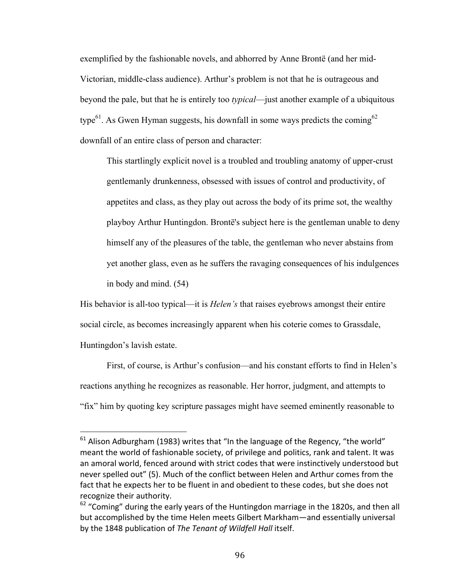exemplified by the fashionable novels, and abhorred by Anne Brontë (and her mid-Victorian, middle-class audience). Arthur's problem is not that he is outrageous and beyond the pale, but that he is entirely too *typical*—just another example of a ubiquitous type<sup>61</sup>. As Gwen Hyman suggests, his downfall in some ways predicts the coming<sup>62</sup> downfall of an entire class of person and character:

This startlingly explicit novel is a troubled and troubling anatomy of upper-crust gentlemanly drunkenness, obsessed with issues of control and productivity, of appetites and class, as they play out across the body of its prime sot, the wealthy playboy Arthur Huntingdon. Brontë's subject here is the gentleman unable to deny himself any of the pleasures of the table, the gentleman who never abstains from yet another glass, even as he suffers the ravaging consequences of his indulgences in body and mind. (54)

His behavior is all-too typical—it is *Helen's* that raises eyebrows amongst their entire social circle, as becomes increasingly apparent when his coterie comes to Grassdale, Huntingdon's lavish estate.

First, of course, is Arthur's confusion—and his constant efforts to find in Helen's reactions anything he recognizes as reasonable. Her horror, judgment, and attempts to "fix" him by quoting key scripture passages might have seemed eminently reasonable to

 $61$  Alison Adburgham (1983) writes that "In the language of the Regency, "the world" meant the world of fashionable society, of privilege and politics, rank and talent. It was an amoral world, fenced around with strict codes that were instinctively understood but never spelled out" (5). Much of the conflict between Helen and Arthur comes from the fact that he expects her to be fluent in and obedient to these codes, but she does not recognize their authority.

 $62$  "Coming" during the early years of the Huntingdon marriage in the 1820s, and then all but accomplished by the time Helen meets Gilbert Markham—and essentially universal by the 1848 publication of The Tenant of Wildfell Hall itself.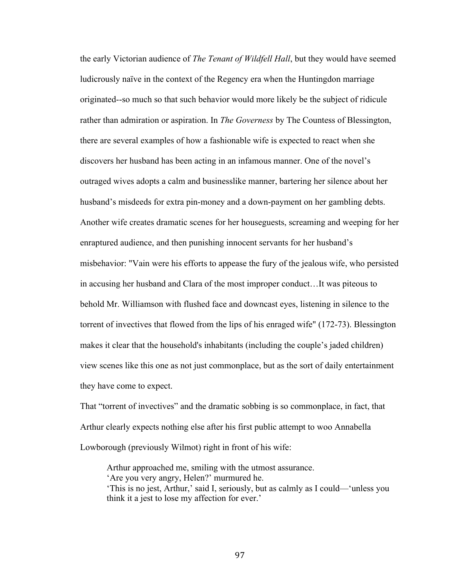the early Victorian audience of *The Tenant of Wildfell Hall*, but they would have seemed ludicrously naïve in the context of the Regency era when the Huntingdon marriage originated--so much so that such behavior would more likely be the subject of ridicule rather than admiration or aspiration. In *The Governess* by The Countess of Blessington, there are several examples of how a fashionable wife is expected to react when she discovers her husband has been acting in an infamous manner. One of the novel's outraged wives adopts a calm and businesslike manner, bartering her silence about her husband's misdeeds for extra pin-money and a down-payment on her gambling debts. Another wife creates dramatic scenes for her houseguests, screaming and weeping for her enraptured audience, and then punishing innocent servants for her husband's misbehavior: "Vain were his efforts to appease the fury of the jealous wife, who persisted in accusing her husband and Clara of the most improper conduct…It was piteous to behold Mr. Williamson with flushed face and downcast eyes, listening in silence to the torrent of invectives that flowed from the lips of his enraged wife" (172-73). Blessington makes it clear that the household's inhabitants (including the couple's jaded children) view scenes like this one as not just commonplace, but as the sort of daily entertainment they have come to expect.

That "torrent of invectives" and the dramatic sobbing is so commonplace, in fact, that Arthur clearly expects nothing else after his first public attempt to woo Annabella Lowborough (previously Wilmot) right in front of his wife:

Arthur approached me, smiling with the utmost assurance. 'Are you very angry, Helen?' murmured he. 'This is no jest, Arthur,' said I, seriously, but as calmly as I could—'unless you think it a jest to lose my affection for ever.'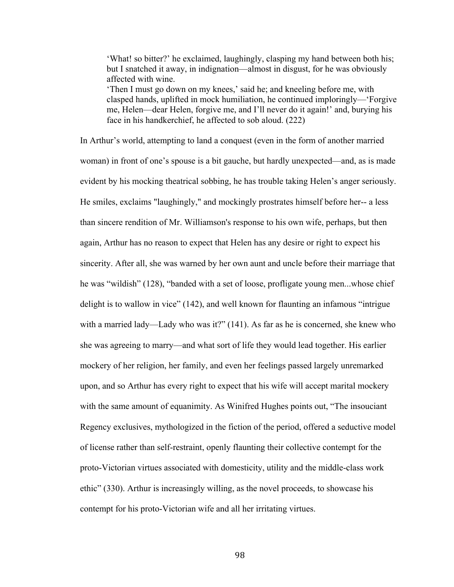'What! so bitter?' he exclaimed, laughingly, clasping my hand between both his; but I snatched it away, in indignation—almost in disgust, for he was obviously affected with wine.

'Then I must go down on my knees,' said he; and kneeling before me, with clasped hands, uplifted in mock humiliation, he continued imploringly—'Forgive me, Helen—dear Helen, forgive me, and I'll never do it again!' and, burying his face in his handkerchief, he affected to sob aloud. (222)

In Arthur's world, attempting to land a conquest (even in the form of another married woman) in front of one's spouse is a bit gauche, but hardly unexpected—and, as is made evident by his mocking theatrical sobbing, he has trouble taking Helen's anger seriously. He smiles, exclaims "laughingly," and mockingly prostrates himself before her-- a less than sincere rendition of Mr. Williamson's response to his own wife, perhaps, but then again, Arthur has no reason to expect that Helen has any desire or right to expect his sincerity. After all, she was warned by her own aunt and uncle before their marriage that he was "wildish" (128), "banded with a set of loose, profligate young men...whose chief delight is to wallow in vice" (142), and well known for flaunting an infamous "intrigue with a married lady—Lady who was it?" (141). As far as he is concerned, she knew who she was agreeing to marry—and what sort of life they would lead together. His earlier mockery of her religion, her family, and even her feelings passed largely unremarked upon, and so Arthur has every right to expect that his wife will accept marital mockery with the same amount of equanimity. As Winifred Hughes points out, "The insouciant Regency exclusives, mythologized in the fiction of the period, offered a seductive model of license rather than self-restraint, openly flaunting their collective contempt for the proto-Victorian virtues associated with domesticity, utility and the middle-class work ethic" (330). Arthur is increasingly willing, as the novel proceeds, to showcase his contempt for his proto-Victorian wife and all her irritating virtues.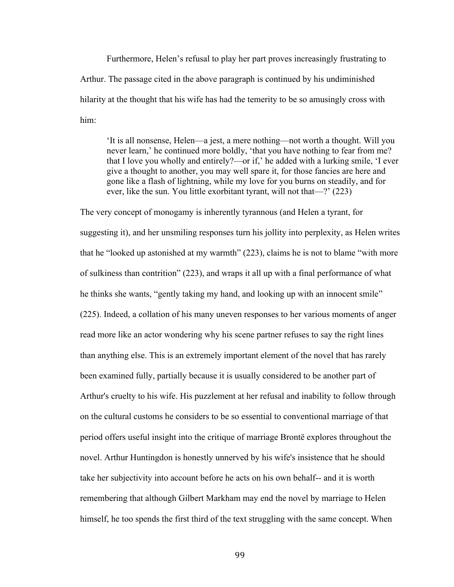Furthermore, Helen's refusal to play her part proves increasingly frustrating to Arthur. The passage cited in the above paragraph is continued by his undiminished hilarity at the thought that his wife has had the temerity to be so amusingly cross with him:

'It is all nonsense, Helen—a jest, a mere nothing—not worth a thought. Will you never learn,' he continued more boldly, 'that you have nothing to fear from me? that I love you wholly and entirely?—or if,' he added with a lurking smile, 'I ever give a thought to another, you may well spare it, for those fancies are here and gone like a flash of lightning, while my love for you burns on steadily, and for ever, like the sun. You little exorbitant tyrant, will not that—?' (223)

The very concept of monogamy is inherently tyrannous (and Helen a tyrant, for suggesting it), and her unsmiling responses turn his jollity into perplexity, as Helen writes that he "looked up astonished at my warmth" (223), claims he is not to blame "with more of sulkiness than contrition" (223), and wraps it all up with a final performance of what he thinks she wants, "gently taking my hand, and looking up with an innocent smile" (225). Indeed, a collation of his many uneven responses to her various moments of anger read more like an actor wondering why his scene partner refuses to say the right lines than anything else. This is an extremely important element of the novel that has rarely been examined fully, partially because it is usually considered to be another part of Arthur's cruelty to his wife. His puzzlement at her refusal and inability to follow through on the cultural customs he considers to be so essential to conventional marriage of that period offers useful insight into the critique of marriage Brontë explores throughout the novel. Arthur Huntingdon is honestly unnerved by his wife's insistence that he should take her subjectivity into account before he acts on his own behalf-- and it is worth remembering that although Gilbert Markham may end the novel by marriage to Helen himself, he too spends the first third of the text struggling with the same concept. When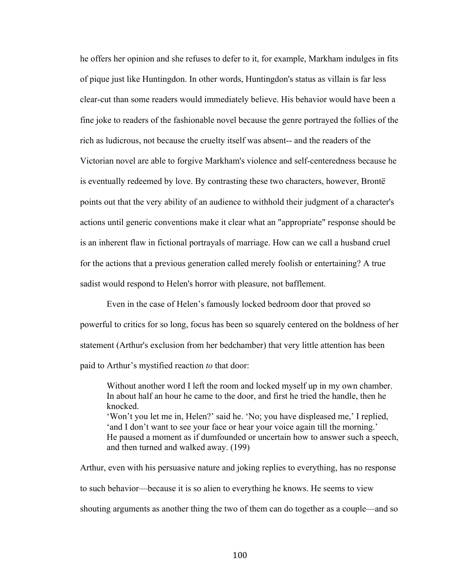he offers her opinion and she refuses to defer to it, for example, Markham indulges in fits of pique just like Huntingdon. In other words, Huntingdon's status as villain is far less clear-cut than some readers would immediately believe. His behavior would have been a fine joke to readers of the fashionable novel because the genre portrayed the follies of the rich as ludicrous, not because the cruelty itself was absent-- and the readers of the Victorian novel are able to forgive Markham's violence and self-centeredness because he is eventually redeemed by love. By contrasting these two characters, however, Brontë points out that the very ability of an audience to withhold their judgment of a character's actions until generic conventions make it clear what an "appropriate" response should be is an inherent flaw in fictional portrayals of marriage. How can we call a husband cruel for the actions that a previous generation called merely foolish or entertaining? A true sadist would respond to Helen's horror with pleasure, not bafflement.

Even in the case of Helen's famously locked bedroom door that proved so powerful to critics for so long, focus has been so squarely centered on the boldness of her statement (Arthur's exclusion from her bedchamber) that very little attention has been paid to Arthur's mystified reaction *to* that door:

Without another word I left the room and locked myself up in my own chamber. In about half an hour he came to the door, and first he tried the handle, then he knocked. 'Won't you let me in, Helen?' said he. 'No; you have displeased me,' I replied, 'and I don't want to see your face or hear your voice again till the morning.' He paused a moment as if dumfounded or uncertain how to answer such a speech, and then turned and walked away. (199)

Arthur, even with his persuasive nature and joking replies to everything, has no response to such behavior—because it is so alien to everything he knows. He seems to view shouting arguments as another thing the two of them can do together as a couple—and so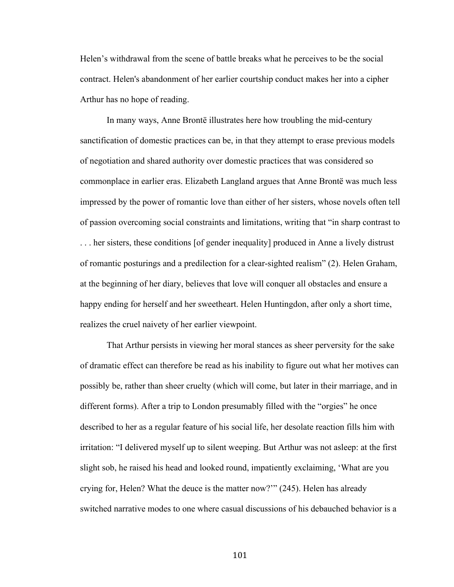Helen's withdrawal from the scene of battle breaks what he perceives to be the social contract. Helen's abandonment of her earlier courtship conduct makes her into a cipher Arthur has no hope of reading.

In many ways, Anne Brontë illustrates here how troubling the mid-century sanctification of domestic practices can be, in that they attempt to erase previous models of negotiation and shared authority over domestic practices that was considered so commonplace in earlier eras. Elizabeth Langland argues that Anne Brontë was much less impressed by the power of romantic love than either of her sisters, whose novels often tell of passion overcoming social constraints and limitations, writing that "in sharp contrast to

. . . her sisters, these conditions [of gender inequality] produced in Anne a lively distrust of romantic posturings and a predilection for a clear-sighted realism" (2). Helen Graham, at the beginning of her diary, believes that love will conquer all obstacles and ensure a happy ending for herself and her sweetheart. Helen Huntingdon, after only a short time, realizes the cruel naivety of her earlier viewpoint.

That Arthur persists in viewing her moral stances as sheer perversity for the sake of dramatic effect can therefore be read as his inability to figure out what her motives can possibly be, rather than sheer cruelty (which will come, but later in their marriage, and in different forms). After a trip to London presumably filled with the "orgies" he once described to her as a regular feature of his social life, her desolate reaction fills him with irritation: "I delivered myself up to silent weeping. But Arthur was not asleep: at the first slight sob, he raised his head and looked round, impatiently exclaiming, 'What are you crying for, Helen? What the deuce is the matter now?'" (245). Helen has already switched narrative modes to one where casual discussions of his debauched behavior is a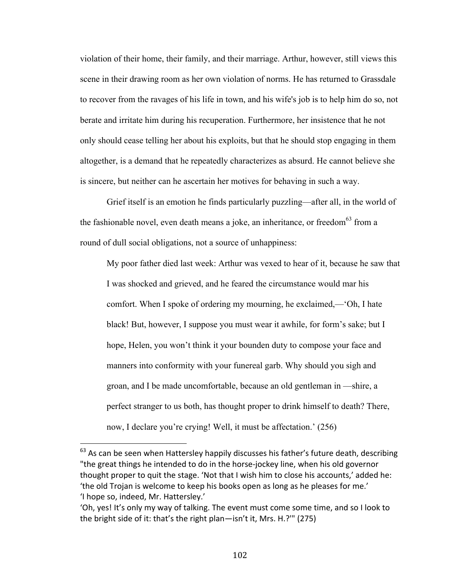violation of their home, their family, and their marriage. Arthur, however, still views this scene in their drawing room as her own violation of norms. He has returned to Grassdale to recover from the ravages of his life in town, and his wife's job is to help him do so, not berate and irritate him during his recuperation. Furthermore, her insistence that he not only should cease telling her about his exploits, but that he should stop engaging in them altogether, is a demand that he repeatedly characterizes as absurd. He cannot believe she is sincere, but neither can he ascertain her motives for behaving in such a way.

Grief itself is an emotion he finds particularly puzzling—after all, in the world of the fashionable novel, even death means a joke, an inheritance, or freedom<sup>63</sup> from a round of dull social obligations, not a source of unhappiness:

My poor father died last week: Arthur was vexed to hear of it, because he saw that I was shocked and grieved, and he feared the circumstance would mar his comfort. When I spoke of ordering my mourning, he exclaimed,—'Oh, I hate black! But, however, I suppose you must wear it awhile, for form's sake; but I hope, Helen, you won't think it your bounden duty to compose your face and manners into conformity with your funereal garb. Why should you sigh and groan, and I be made uncomfortable, because an old gentleman in —shire, a perfect stranger to us both, has thought proper to drink himself to death? There, now, I declare you're crying! Well, it must be affectation.' (256)

 $63$  As can be seen when Hattersley happily discusses his father's future death, describing "the great things he intended to do in the horse-jockey line, when his old governor thought proper to quit the stage. 'Not that I wish him to close his accounts,' added he: 'the old Trojan is welcome to keep his books open as long as he pleases for me.' 'I hope so, indeed, Mr. Hattersley.'

<sup>&#</sup>x27;Oh, yes! It's only my way of talking. The event must come some time, and so I look to the bright side of it: that's the right plan—isn't it, Mrs. H.?"" (275)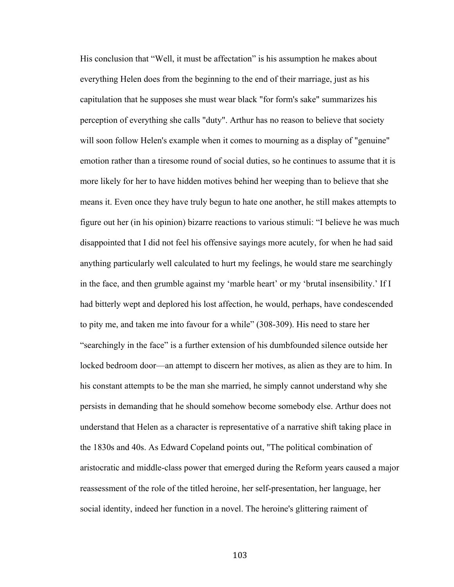His conclusion that "Well, it must be affectation" is his assumption he makes about everything Helen does from the beginning to the end of their marriage, just as his capitulation that he supposes she must wear black "for form's sake" summarizes his perception of everything she calls "duty". Arthur has no reason to believe that society will soon follow Helen's example when it comes to mourning as a display of "genuine" emotion rather than a tiresome round of social duties, so he continues to assume that it is more likely for her to have hidden motives behind her weeping than to believe that she means it. Even once they have truly begun to hate one another, he still makes attempts to figure out her (in his opinion) bizarre reactions to various stimuli: "I believe he was much disappointed that I did not feel his offensive sayings more acutely, for when he had said anything particularly well calculated to hurt my feelings, he would stare me searchingly in the face, and then grumble against my 'marble heart' or my 'brutal insensibility.' If I had bitterly wept and deplored his lost affection, he would, perhaps, have condescended to pity me, and taken me into favour for a while" (308-309). His need to stare her "searchingly in the face" is a further extension of his dumbfounded silence outside her locked bedroom door—an attempt to discern her motives, as alien as they are to him. In his constant attempts to be the man she married, he simply cannot understand why she persists in demanding that he should somehow become somebody else. Arthur does not understand that Helen as a character is representative of a narrative shift taking place in the 1830s and 40s. As Edward Copeland points out, "The political combination of aristocratic and middle-class power that emerged during the Reform years caused a major reassessment of the role of the titled heroine, her self-presentation, her language, her social identity, indeed her function in a novel. The heroine's glittering raiment of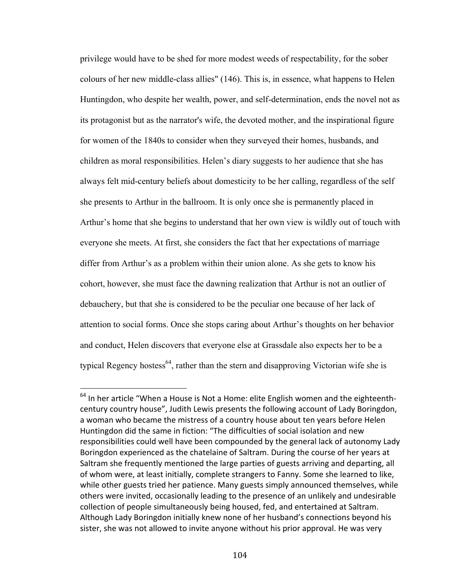privilege would have to be shed for more modest weeds of respectability, for the sober colours of her new middle-class allies" (146). This is, in essence, what happens to Helen Huntingdon, who despite her wealth, power, and self-determination, ends the novel not as its protagonist but as the narrator's wife, the devoted mother, and the inspirational figure for women of the 1840s to consider when they surveyed their homes, husbands, and children as moral responsibilities. Helen's diary suggests to her audience that she has always felt mid-century beliefs about domesticity to be her calling, regardless of the self she presents to Arthur in the ballroom. It is only once she is permanently placed in Arthur's home that she begins to understand that her own view is wildly out of touch with everyone she meets. At first, she considers the fact that her expectations of marriage differ from Arthur's as a problem within their union alone. As she gets to know his cohort, however, she must face the dawning realization that Arthur is not an outlier of debauchery, but that she is considered to be the peculiar one because of her lack of attention to social forms. Once she stops caring about Arthur's thoughts on her behavior and conduct, Helen discovers that everyone else at Grassdale also expects her to be a typical Regency hostess<sup>64</sup>, rather than the stern and disapproving Victorian wife she is

 $64$  In her article "When a House is Not a Home: elite English women and the eighteenthcentury country house", Judith Lewis presents the following account of Lady Boringdon, a woman who became the mistress of a country house about ten years before Helen Huntingdon did the same in fiction: "The difficulties of social isolation and new responsibilities could well have been compounded by the general lack of autonomy Lady Boringdon experienced as the chatelaine of Saltram. During the course of her years at Saltram she frequently mentioned the large parties of guests arriving and departing, all of whom were, at least initially, complete strangers to Fanny. Some she learned to like, while other guests tried her patience. Many guests simply announced themselves, while others were invited, occasionally leading to the presence of an unlikely and undesirable collection of people simultaneously being housed, fed, and entertained at Saltram. Although Lady Boringdon initially knew none of her husband's connections beyond his sister, she was not allowed to invite anyone without his prior approval. He was very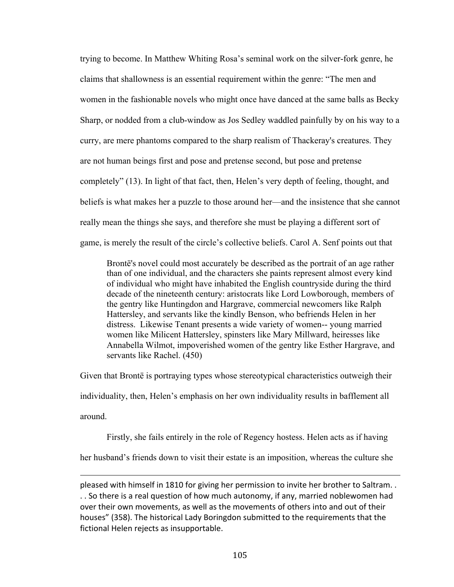trying to become. In Matthew Whiting Rosa's seminal work on the silver-fork genre, he claims that shallowness is an essential requirement within the genre: "The men and women in the fashionable novels who might once have danced at the same balls as Becky Sharp, or nodded from a club-window as Jos Sedley waddled painfully by on his way to a curry, are mere phantoms compared to the sharp realism of Thackeray's creatures. They are not human beings first and pose and pretense second, but pose and pretense completely" (13). In light of that fact, then, Helen's very depth of feeling, thought, and beliefs is what makes her a puzzle to those around her—and the insistence that she cannot really mean the things she says, and therefore she must be playing a different sort of game, is merely the result of the circle's collective beliefs. Carol A. Senf points out that

Brontë's novel could most accurately be described as the portrait of an age rather than of one individual, and the characters she paints represent almost every kind of individual who might have inhabited the English countryside during the third decade of the nineteenth century: aristocrats like Lord Lowborough, members of the gentry like Huntingdon and Hargrave, commercial newcomers like Ralph Hattersley, and servants like the kindly Benson, who befriends Helen in her distress. Likewise Tenant presents a wide variety of women-- young married women like Milicent Hattersley, spinsters like Mary Millward, heiresses like Annabella Wilmot, impoverished women of the gentry like Esther Hargrave, and servants like Rachel. (450)

Given that Brontë is portraying types whose stereotypical characteristics outweigh their individuality, then, Helen's emphasis on her own individuality results in bafflement all around.

Firstly, she fails entirely in the role of Regency hostess. Helen acts as if having

her husband's friends down to visit their estate is an imposition, whereas the culture she

<u> 1989 - Andrea San Andrea San Andrea San Andrea San Andrea San Andrea San Andrea San Andrea San Andrea San An</u>

pleased with himself in 1810 for giving her permission to invite her brother to Saltram.. .. So there is a real question of how much autonomy, if any, married noblewomen had over their own movements, as well as the movements of others into and out of their houses" (358). The historical Lady Boringdon submitted to the requirements that the fictional Helen rejects as insupportable.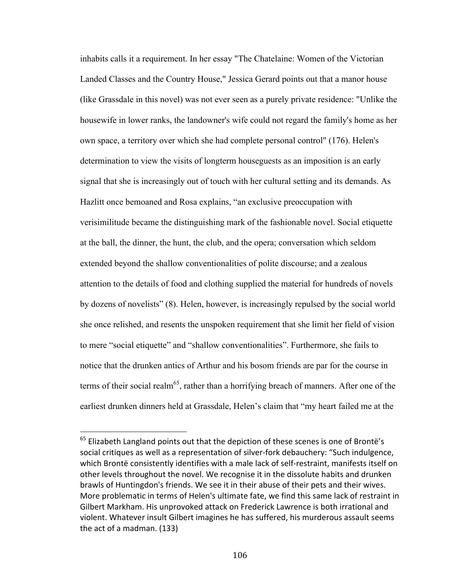inhabits calls it a requirement. In her essay "The Chatelaine: Women of the Victorian Landed Classes and the Country House," Jessica Gerard points out that a manor house (like Grassdale in this novel) was not ever seen as a purely private residence: "Unlike the housewife in lower ranks, the landowner's wife could not regard the family's home as her own space, a territory over which she had complete personal control" (176). Helen's determination to view the visits of longterm houseguests as an imposition is an early signal that she is increasingly out of touch with her cultural setting and its demands. As Hazlitt once bemoaned and Rosa explains, "an exclusive preoccupation with verisimilitude became the distinguishing mark of the fashionable novel. Social etiquette at the ball, the dinner, the hunt, the club, and the opera; conversation which seldom extended beyond the shallow conventionalities of polite discourse; and a zealous attention to the details of food and clothing supplied the material for hundreds of novels by dozens of novelists" (8). Helen, however, is increasingly repulsed by the social world she once relished, and resents the unspoken requirement that she limit her field of vision to mere "social etiquette" and "shallow conventionalities". Furthermore, she fails to notice that the drunken antics of Arthur and his bosom friends are par for the course in terms of their social realm<sup>65</sup>, rather than a horrifying breach of manners. After one of the earliest drunken dinners held at Grassdale, Helen's claim that "my heart failed me at the

 $65$  Elizabeth Langland points out that the depiction of these scenes is one of Brontë's social critiques as well as a representation of silver-fork debauchery: "Such indulgence, which Brontë consistently identifies with a male lack of self-restraint, manifests itself on other levels throughout the novel. We recognise it in the dissolute habits and drunken brawls of Huntingdon's friends. We see it in their abuse of their pets and their wives. More problematic in terms of Helen's ultimate fate, we find this same lack of restraint in Gilbert Markham. His unprovoked attack on Frederick Lawrence is both irrational and violent. Whatever insult Gilbert imagines he has suffered, his murderous assault seems the act of a madman. (133)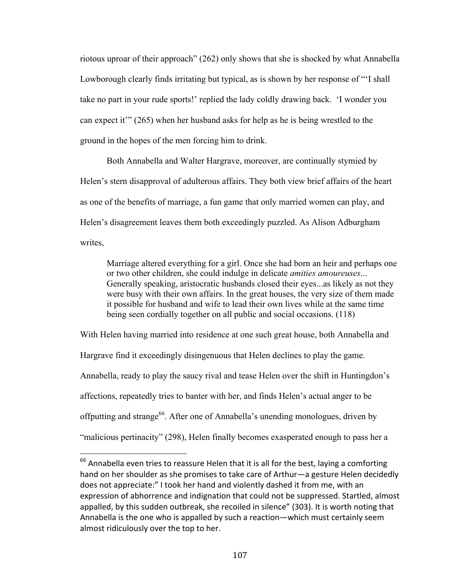riotous uproar of their approach" (262) only shows that she is shocked by what Annabella Lowborough clearly finds irritating but typical, as is shown by her response of "'I shall take no part in your rude sports!' replied the lady coldly drawing back. 'I wonder you can expect it'" (265) when her husband asks for help as he is being wrestled to the ground in the hopes of the men forcing him to drink.

Both Annabella and Walter Hargrave, moreover, are continually stymied by Helen's stern disapproval of adulterous affairs. They both view brief affairs of the heart as one of the benefits of marriage, a fun game that only married women can play, and Helen's disagreement leaves them both exceedingly puzzled. As Alison Adburgham writes,

Marriage altered everything for a girl. Once she had born an heir and perhaps one or two other children, she could indulge in delicate *amities amoureuses*... Generally speaking, aristocratic husbands closed their eyes...as likely as not they were busy with their own affairs. In the great houses, the very size of them made it possible for husband and wife to lead their own lives while at the same time being seen cordially together on all public and social occasions. (118)

With Helen having married into residence at one such great house, both Annabella and

Hargrave find it exceedingly disingenuous that Helen declines to play the game.

Annabella, ready to play the saucy rival and tease Helen over the shift in Huntingdon's

affections, repeatedly tries to banter with her, and finds Helen's actual anger to be

offputting and strange<sup>66</sup>. After one of Annabella's unending monologues, driven by

 

"malicious pertinacity" (298), Helen finally becomes exasperated enough to pass her a

 $^{66}$  Annabella even tries to reassure Helen that it is all for the best, laying a comforting hand on her shoulder as she promises to take care of Arthur—a gesture Helen decidedly does not appreciate:" I took her hand and violently dashed it from me, with an expression of abhorrence and indignation that could not be suppressed. Startled, almost appalled, by this sudden outbreak, she recoiled in silence" (303). It is worth noting that Annabella is the one who is appalled by such a reaction—which must certainly seem almost ridiculously over the top to her.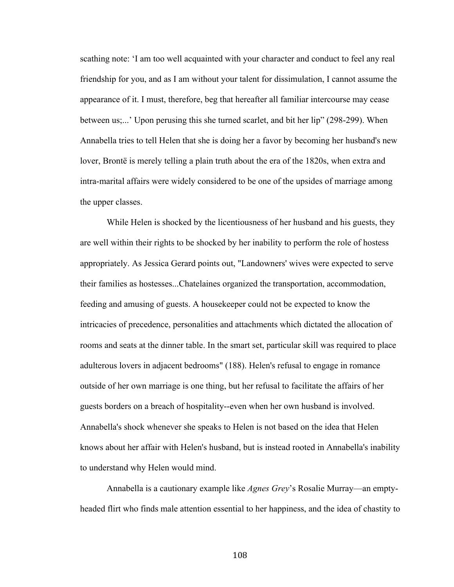scathing note: 'I am too well acquainted with your character and conduct to feel any real friendship for you, and as I am without your talent for dissimulation, I cannot assume the appearance of it. I must, therefore, beg that hereafter all familiar intercourse may cease between us;...' Upon perusing this she turned scarlet, and bit her lip" (298-299). When Annabella tries to tell Helen that she is doing her a favor by becoming her husband's new lover, Brontë is merely telling a plain truth about the era of the 1820s, when extra and intra-marital affairs were widely considered to be one of the upsides of marriage among the upper classes.

While Helen is shocked by the licentiousness of her husband and his guests, they are well within their rights to be shocked by her inability to perform the role of hostess appropriately. As Jessica Gerard points out, "Landowners' wives were expected to serve their families as hostesses...Chatelaines organized the transportation, accommodation, feeding and amusing of guests. A housekeeper could not be expected to know the intricacies of precedence, personalities and attachments which dictated the allocation of rooms and seats at the dinner table. In the smart set, particular skill was required to place adulterous lovers in adjacent bedrooms" (188). Helen's refusal to engage in romance outside of her own marriage is one thing, but her refusal to facilitate the affairs of her guests borders on a breach of hospitality--even when her own husband is involved. Annabella's shock whenever she speaks to Helen is not based on the idea that Helen knows about her affair with Helen's husband, but is instead rooted in Annabella's inability to understand why Helen would mind.

Annabella is a cautionary example like *Agnes Grey*'s Rosalie Murray—an emptyheaded flirt who finds male attention essential to her happiness, and the idea of chastity to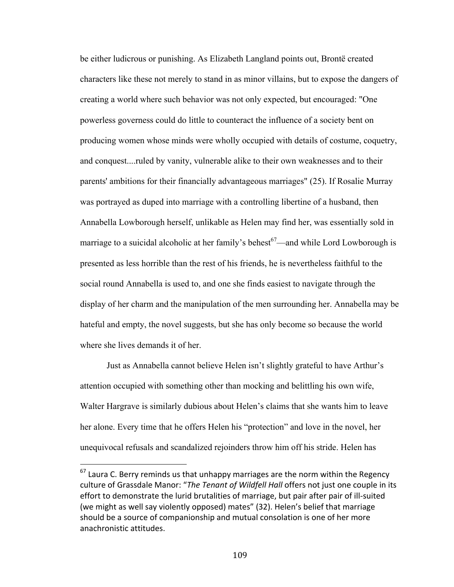be either ludicrous or punishing. As Elizabeth Langland points out, Brontë created characters like these not merely to stand in as minor villains, but to expose the dangers of creating a world where such behavior was not only expected, but encouraged: "One powerless governess could do little to counteract the influence of a society bent on producing women whose minds were wholly occupied with details of costume, coquetry, and conquest....ruled by vanity, vulnerable alike to their own weaknesses and to their parents' ambitions for their financially advantageous marriages" (25). If Rosalie Murray was portrayed as duped into marriage with a controlling libertine of a husband, then Annabella Lowborough herself, unlikable as Helen may find her, was essentially sold in marriage to a suicidal alcoholic at her family's behest<sup>67</sup>—and while Lord Lowborough is presented as less horrible than the rest of his friends, he is nevertheless faithful to the social round Annabella is used to, and one she finds easiest to navigate through the display of her charm and the manipulation of the men surrounding her. Annabella may be hateful and empty, the novel suggests, but she has only become so because the world where she lives demands it of her.

Just as Annabella cannot believe Helen isn't slightly grateful to have Arthur's attention occupied with something other than mocking and belittling his own wife, Walter Hargrave is similarly dubious about Helen's claims that she wants him to leave her alone. Every time that he offers Helen his "protection" and love in the novel, her unequivocal refusals and scandalized rejoinders throw him off his stride. Helen has

 $67$  Laura C. Berry reminds us that unhappy marriages are the norm within the Regency culture of Grassdale Manor: "The Tenant of Wildfell Hall offers not just one couple in its effort to demonstrate the lurid brutalities of marriage, but pair after pair of ill-suited (we might as well say violently opposed) mates" (32). Helen's belief that marriage should be a source of companionship and mutual consolation is one of her more anachronistic attitudes.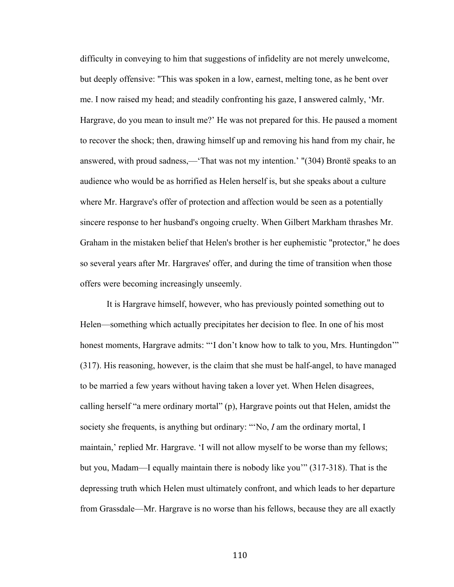difficulty in conveying to him that suggestions of infidelity are not merely unwelcome, but deeply offensive: "This was spoken in a low, earnest, melting tone, as he bent over me. I now raised my head; and steadily confronting his gaze, I answered calmly, 'Mr. Hargrave, do you mean to insult me?' He was not prepared for this. He paused a moment to recover the shock; then, drawing himself up and removing his hand from my chair, he answered, with proud sadness,—'That was not my intention.' "(304) Brontë speaks to an audience who would be as horrified as Helen herself is, but she speaks about a culture where Mr. Hargrave's offer of protection and affection would be seen as a potentially sincere response to her husband's ongoing cruelty. When Gilbert Markham thrashes Mr. Graham in the mistaken belief that Helen's brother is her euphemistic "protector," he does so several years after Mr. Hargraves' offer, and during the time of transition when those offers were becoming increasingly unseemly.

It is Hargrave himself, however, who has previously pointed something out to Helen—something which actually precipitates her decision to flee. In one of his most honest moments, Hargrave admits: ""I don't know how to talk to you, Mrs. Huntingdon'" (317). His reasoning, however, is the claim that she must be half-angel, to have managed to be married a few years without having taken a lover yet. When Helen disagrees, calling herself "a mere ordinary mortal" (p), Hargrave points out that Helen, amidst the society she frequents, is anything but ordinary: "'No, *I* am the ordinary mortal, I maintain,' replied Mr. Hargrave. 'I will not allow myself to be worse than my fellows; but you, Madam—I equally maintain there is nobody like you'" (317-318). That is the depressing truth which Helen must ultimately confront, and which leads to her departure from Grassdale—Mr. Hargrave is no worse than his fellows, because they are all exactly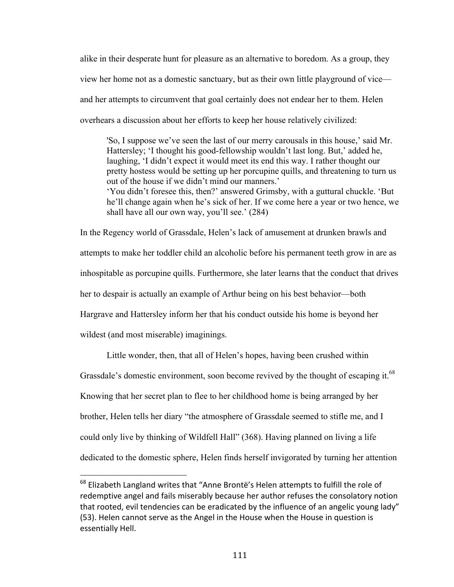alike in their desperate hunt for pleasure as an alternative to boredom. As a group, they view her home not as a domestic sanctuary, but as their own little playground of vice and her attempts to circumvent that goal certainly does not endear her to them. Helen overhears a discussion about her efforts to keep her house relatively civilized:

'So, I suppose we've seen the last of our merry carousals in this house,' said Mr. Hattersley; 'I thought his good-fellowship wouldn't last long. But,' added he, laughing, 'I didn't expect it would meet its end this way. I rather thought our pretty hostess would be setting up her porcupine quills, and threatening to turn us out of the house if we didn't mind our manners.' 'You didn't foresee this, then?' answered Grimsby, with a guttural chuckle. 'But he'll change again when he's sick of her. If we come here a year or two hence, we shall have all our own way, you'll see.' (284)

In the Regency world of Grassdale, Helen's lack of amusement at drunken brawls and attempts to make her toddler child an alcoholic before his permanent teeth grow in are as inhospitable as porcupine quills. Furthermore, she later learns that the conduct that drives her to despair is actually an example of Arthur being on his best behavior—both Hargrave and Hattersley inform her that his conduct outside his home is beyond her wildest (and most miserable) imaginings.

Little wonder, then, that all of Helen's hopes, having been crushed within Grassdale's domestic environment, soon become revived by the thought of escaping it.<sup>68</sup> Knowing that her secret plan to flee to her childhood home is being arranged by her brother, Helen tells her diary "the atmosphere of Grassdale seemed to stifle me, and I could only live by thinking of Wildfell Hall" (368). Having planned on living a life dedicated to the domestic sphere, Helen finds herself invigorated by turning her attention

 $68$  Elizabeth Langland writes that "Anne Brontë's Helen attempts to fulfill the role of redemptive angel and fails miserably because her author refuses the consolatory notion that rooted, evil tendencies can be eradicated by the influence of an angelic young lady" (53). Helen cannot serve as the Angel in the House when the House in question is essentially Hell.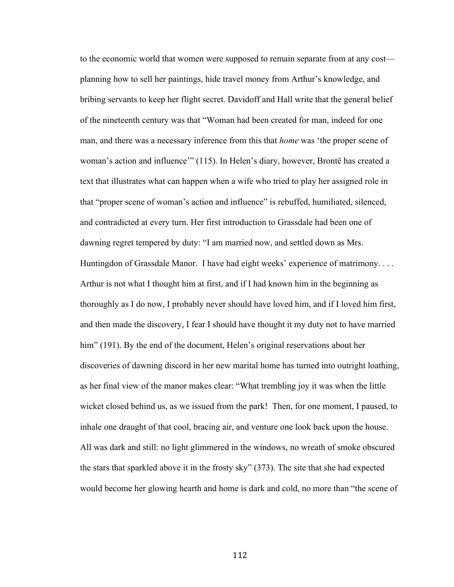to the economic world that women were supposed to remain separate from at any cost planning how to sell her paintings, hide travel money from Arthur's knowledge, and bribing servants to keep her flight secret. Davidoff and Hall write that the general belief of the nineteenth century was that "Woman had been created for man, indeed for one man, and there was a necessary inference from this that *home* was 'the proper scene of woman's action and influence'" (115). In Helen's diary, however, Brontë has created a text that illustrates what can happen when a wife who tried to play her assigned role in that "proper scene of woman's action and influence" is rebuffed, humiliated, silenced, and contradicted at every turn. Her first introduction to Grassdale had been one of dawning regret tempered by duty: "I am married now, and settled down as Mrs. Huntingdon of Grassdale Manor. I have had eight weeks' experience of matrimony. . . . Arthur is not what I thought him at first, and if I had known him in the beginning as thoroughly as I do now, I probably never should have loved him, and if I loved him first, and then made the discovery, I fear I should have thought it my duty not to have married him" (191). By the end of the document, Helen's original reservations about her discoveries of dawning discord in her new marital home has turned into outright loathing, as her final view of the manor makes clear: "What trembling joy it was when the little wicket closed behind us, as we issued from the park! Then, for one moment, I paused, to inhale one draught of that cool, bracing air, and venture one look back upon the house. All was dark and still: no light glimmered in the windows, no wreath of smoke obscured the stars that sparkled above it in the frosty sky" (373). The site that she had expected would become her glowing hearth and home is dark and cold, no more than "the scene of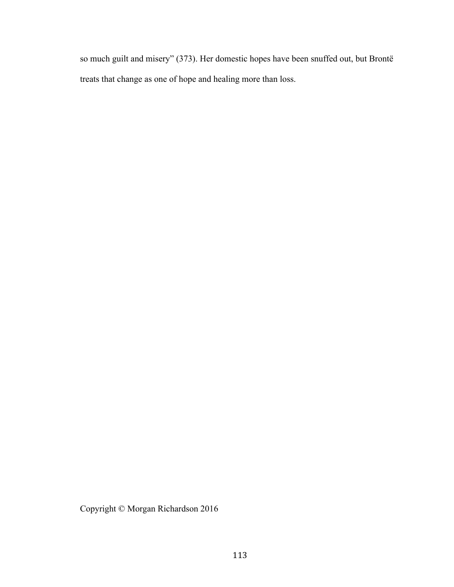so much guilt and misery" (373). Her domestic hopes have been snuffed out, but Brontë treats that change as one of hope and healing more than loss.

Copyright © Morgan Richardson 2016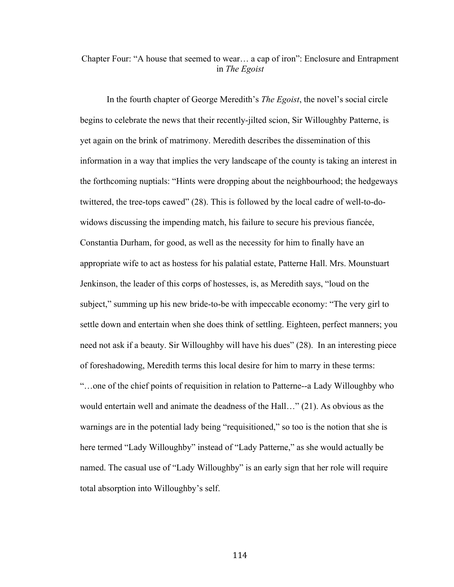## Chapter Four: "A house that seemed to wear… a cap of iron": Enclosure and Entrapment in *The Egoist*

In the fourth chapter of George Meredith's *The Egoist*, the novel's social circle begins to celebrate the news that their recently-jilted scion, Sir Willoughby Patterne, is yet again on the brink of matrimony. Meredith describes the dissemination of this information in a way that implies the very landscape of the county is taking an interest in the forthcoming nuptials: "Hints were dropping about the neighbourhood; the hedgeways twittered, the tree-tops cawed" (28). This is followed by the local cadre of well-to-dowidows discussing the impending match, his failure to secure his previous fiancée, Constantia Durham, for good, as well as the necessity for him to finally have an appropriate wife to act as hostess for his palatial estate, Patterne Hall. Mrs. Mounstuart Jenkinson, the leader of this corps of hostesses, is, as Meredith says, "loud on the subject," summing up his new bride-to-be with impeccable economy: "The very girl to settle down and entertain when she does think of settling. Eighteen, perfect manners; you need not ask if a beauty. Sir Willoughby will have his dues" (28). In an interesting piece of foreshadowing, Meredith terms this local desire for him to marry in these terms: "…one of the chief points of requisition in relation to Patterne--a Lady Willoughby who would entertain well and animate the deadness of the Hall…" (21). As obvious as the warnings are in the potential lady being "requisitioned," so too is the notion that she is here termed "Lady Willoughby" instead of "Lady Patterne," as she would actually be named. The casual use of "Lady Willoughby" is an early sign that her role will require total absorption into Willoughby's self.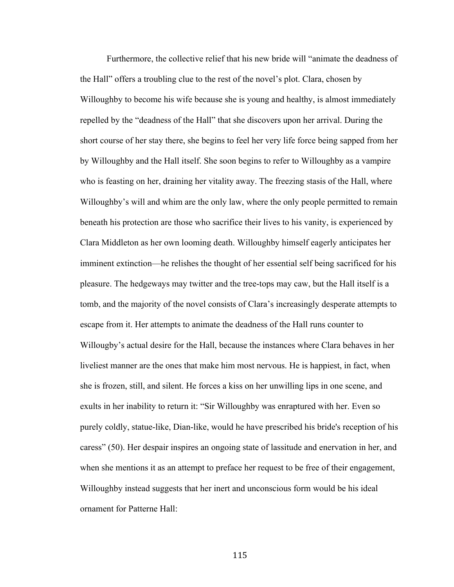Furthermore, the collective relief that his new bride will "animate the deadness of the Hall" offers a troubling clue to the rest of the novel's plot. Clara, chosen by Willoughby to become his wife because she is young and healthy, is almost immediately repelled by the "deadness of the Hall" that she discovers upon her arrival. During the short course of her stay there, she begins to feel her very life force being sapped from her by Willoughby and the Hall itself. She soon begins to refer to Willoughby as a vampire who is feasting on her, draining her vitality away. The freezing stasis of the Hall, where Willoughby's will and whim are the only law, where the only people permitted to remain beneath his protection are those who sacrifice their lives to his vanity, is experienced by Clara Middleton as her own looming death. Willoughby himself eagerly anticipates her imminent extinction—he relishes the thought of her essential self being sacrificed for his pleasure. The hedgeways may twitter and the tree-tops may caw, but the Hall itself is a tomb, and the majority of the novel consists of Clara's increasingly desperate attempts to escape from it. Her attempts to animate the deadness of the Hall runs counter to Willougby's actual desire for the Hall, because the instances where Clara behaves in her liveliest manner are the ones that make him most nervous. He is happiest, in fact, when she is frozen, still, and silent. He forces a kiss on her unwilling lips in one scene, and exults in her inability to return it: "Sir Willoughby was enraptured with her. Even so purely coldly, statue-like, Dian-like, would he have prescribed his bride's reception of his caress" (50). Her despair inspires an ongoing state of lassitude and enervation in her, and when she mentions it as an attempt to preface her request to be free of their engagement, Willoughby instead suggests that her inert and unconscious form would be his ideal ornament for Patterne Hall: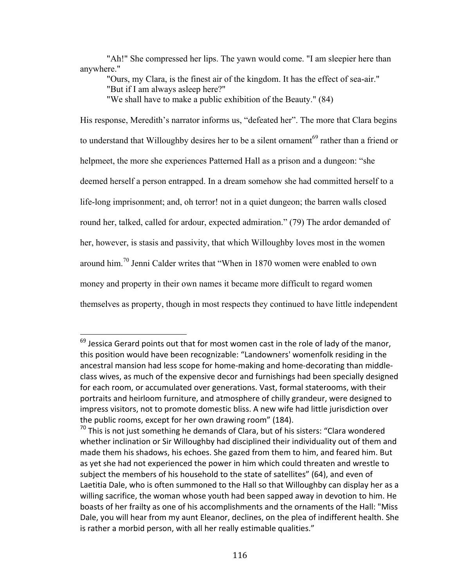"Ah!" She compressed her lips. The yawn would come. "I am sleepier here than anywhere."

"Ours, my Clara, is the finest air of the kingdom. It has the effect of sea-air." "But if I am always asleep here?"

"We shall have to make a public exhibition of the Beauty." (84)

His response, Meredith's narrator informs us, "defeated her". The more that Clara begins to understand that Willoughby desires her to be a silent ornament<sup>69</sup> rather than a friend or helpmeet, the more she experiences Patterned Hall as a prison and a dungeon: "she deemed herself a person entrapped. In a dream somehow she had committed herself to a life-long imprisonment; and, oh terror! not in a quiet dungeon; the barren walls closed round her, talked, called for ardour, expected admiration." (79) The ardor demanded of her, however, is stasis and passivity, that which Willoughby loves most in the women around him.<sup>70</sup> Jenni Calder writes that "When in 1870 women were enabled to own money and property in their own names it became more difficult to regard women themselves as property, though in most respects they continued to have little independent

 $^{69}$  Jessica Gerard points out that for most women cast in the role of lady of the manor, this position would have been recognizable: "Landowners' womenfolk residing in the ancestral mansion had less scope for home-making and home-decorating than middleclass wives, as much of the expensive decor and furnishings had been specially designed for each room, or accumulated over generations. Vast, formal staterooms, with their portraits and heirloom furniture, and atmosphere of chilly grandeur, were designed to impress visitors, not to promote domestic bliss. A new wife had little jurisdiction over the public rooms, except for her own drawing room" (184).

 $70$  This is not just something he demands of Clara, but of his sisters: "Clara wondered whether inclination or Sir Willoughby had disciplined their individuality out of them and made them his shadows, his echoes. She gazed from them to him, and feared him. But as yet she had not experienced the power in him which could threaten and wrestle to subject the members of his household to the state of satellites" (64), and even of Laetitia Dale, who is often summoned to the Hall so that Willoughby can display her as a willing sacrifice, the woman whose youth had been sapped away in devotion to him. He boasts of her frailty as one of his accomplishments and the ornaments of the Hall: "Miss Dale, you will hear from my aunt Eleanor, declines, on the plea of indifferent health. She is rather a morbid person, with all her really estimable qualities."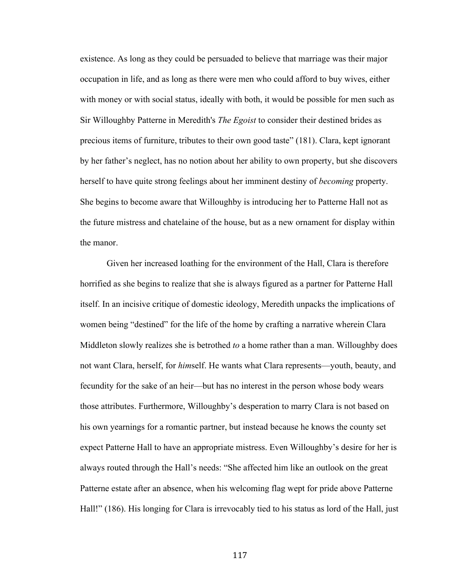existence. As long as they could be persuaded to believe that marriage was their major occupation in life, and as long as there were men who could afford to buy wives, either with money or with social status, ideally with both, it would be possible for men such as Sir Willoughby Patterne in Meredith's *The Egoist* to consider their destined brides as precious items of furniture, tributes to their own good taste" (181). Clara, kept ignorant by her father's neglect, has no notion about her ability to own property, but she discovers herself to have quite strong feelings about her imminent destiny of *becoming* property. She begins to become aware that Willoughby is introducing her to Patterne Hall not as the future mistress and chatelaine of the house, but as a new ornament for display within the manor.

Given her increased loathing for the environment of the Hall, Clara is therefore horrified as she begins to realize that she is always figured as a partner for Patterne Hall itself. In an incisive critique of domestic ideology, Meredith unpacks the implications of women being "destined" for the life of the home by crafting a narrative wherein Clara Middleton slowly realizes she is betrothed *to* a home rather than a man. Willoughby does not want Clara, herself, for *him*self. He wants what Clara represents—youth, beauty, and fecundity for the sake of an heir—but has no interest in the person whose body wears those attributes. Furthermore, Willoughby's desperation to marry Clara is not based on his own yearnings for a romantic partner, but instead because he knows the county set expect Patterne Hall to have an appropriate mistress. Even Willoughby's desire for her is always routed through the Hall's needs: "She affected him like an outlook on the great Patterne estate after an absence, when his welcoming flag wept for pride above Patterne Hall!" (186). His longing for Clara is irrevocably tied to his status as lord of the Hall, just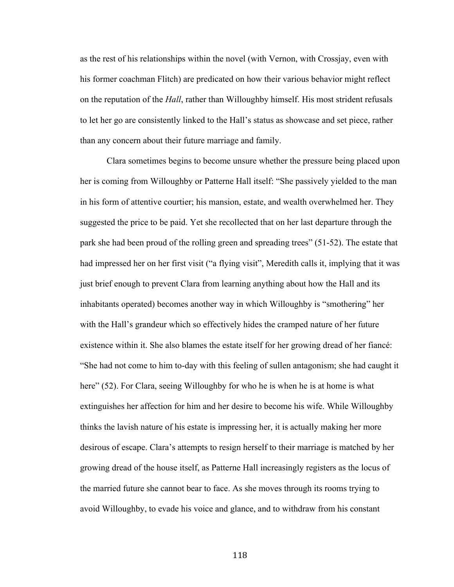as the rest of his relationships within the novel (with Vernon, with Crossjay, even with his former coachman Flitch) are predicated on how their various behavior might reflect on the reputation of the *Hall*, rather than Willoughby himself. His most strident refusals to let her go are consistently linked to the Hall's status as showcase and set piece, rather than any concern about their future marriage and family.

Clara sometimes begins to become unsure whether the pressure being placed upon her is coming from Willoughby or Patterne Hall itself: "She passively yielded to the man in his form of attentive courtier; his mansion, estate, and wealth overwhelmed her. They suggested the price to be paid. Yet she recollected that on her last departure through the park she had been proud of the rolling green and spreading trees" (51-52). The estate that had impressed her on her first visit ("a flying visit", Meredith calls it, implying that it was just brief enough to prevent Clara from learning anything about how the Hall and its inhabitants operated) becomes another way in which Willoughby is "smothering" her with the Hall's grandeur which so effectively hides the cramped nature of her future existence within it. She also blames the estate itself for her growing dread of her fiancé: "She had not come to him to-day with this feeling of sullen antagonism; she had caught it here" (52). For Clara, seeing Willoughby for who he is when he is at home is what extinguishes her affection for him and her desire to become his wife. While Willoughby thinks the lavish nature of his estate is impressing her, it is actually making her more desirous of escape. Clara's attempts to resign herself to their marriage is matched by her growing dread of the house itself, as Patterne Hall increasingly registers as the locus of the married future she cannot bear to face. As she moves through its rooms trying to avoid Willoughby, to evade his voice and glance, and to withdraw from his constant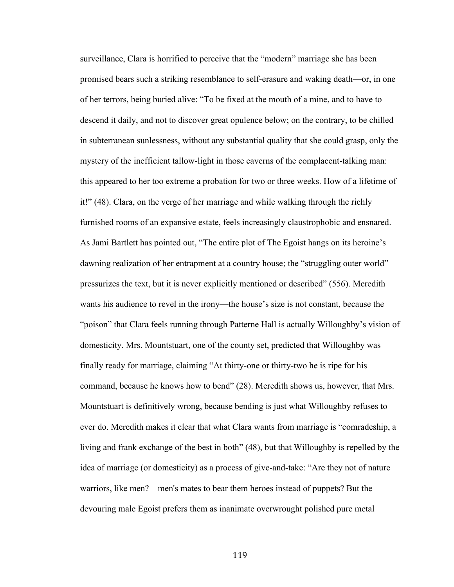surveillance, Clara is horrified to perceive that the "modern" marriage she has been promised bears such a striking resemblance to self-erasure and waking death—or, in one of her terrors, being buried alive: "To be fixed at the mouth of a mine, and to have to descend it daily, and not to discover great opulence below; on the contrary, to be chilled in subterranean sunlessness, without any substantial quality that she could grasp, only the mystery of the inefficient tallow-light in those caverns of the complacent-talking man: this appeared to her too extreme a probation for two or three weeks. How of a lifetime of it!" (48). Clara, on the verge of her marriage and while walking through the richly furnished rooms of an expansive estate, feels increasingly claustrophobic and ensnared. As Jami Bartlett has pointed out, "The entire plot of The Egoist hangs on its heroine's dawning realization of her entrapment at a country house; the "struggling outer world" pressurizes the text, but it is never explicitly mentioned or described" (556). Meredith wants his audience to revel in the irony—the house's size is not constant, because the "poison" that Clara feels running through Patterne Hall is actually Willoughby's vision of domesticity. Mrs. Mountstuart, one of the county set, predicted that Willoughby was finally ready for marriage, claiming "At thirty-one or thirty-two he is ripe for his command, because he knows how to bend" (28). Meredith shows us, however, that Mrs. Mountstuart is definitively wrong, because bending is just what Willoughby refuses to ever do. Meredith makes it clear that what Clara wants from marriage is "comradeship, a living and frank exchange of the best in both" (48), but that Willoughby is repelled by the idea of marriage (or domesticity) as a process of give-and-take: "Are they not of nature warriors, like men?—men's mates to bear them heroes instead of puppets? But the devouring male Egoist prefers them as inanimate overwrought polished pure metal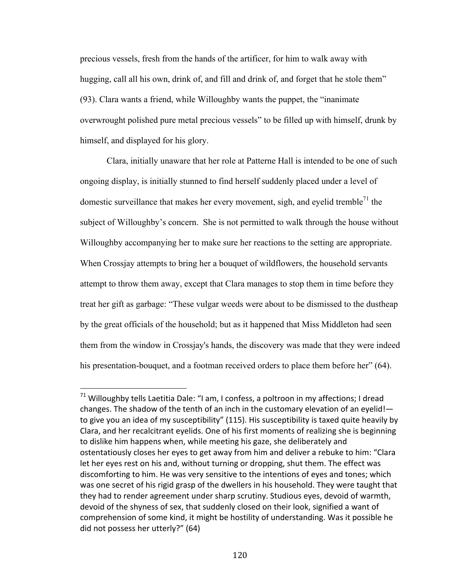precious vessels, fresh from the hands of the artificer, for him to walk away with hugging, call all his own, drink of, and fill and drink of, and forget that he stole them" (93). Clara wants a friend, while Willoughby wants the puppet, the "inanimate overwrought polished pure metal precious vessels" to be filled up with himself, drunk by himself, and displayed for his glory.

Clara, initially unaware that her role at Patterne Hall is intended to be one of such ongoing display, is initially stunned to find herself suddenly placed under a level of domestic surveillance that makes her every movement, sigh, and evelid tremble<sup>71</sup> the subject of Willoughby's concern. She is not permitted to walk through the house without Willoughby accompanying her to make sure her reactions to the setting are appropriate. When Crossjay attempts to bring her a bouquet of wildflowers, the household servants attempt to throw them away, except that Clara manages to stop them in time before they treat her gift as garbage: "These vulgar weeds were about to be dismissed to the dustheap by the great officials of the household; but as it happened that Miss Middleton had seen them from the window in Crossjay's hands, the discovery was made that they were indeed his presentation-bouquet, and a footman received orders to place them before her" (64).

 $71$  Willoughby tells Laetitia Dale: "I am, I confess, a poltroon in my affections; I dread changes. The shadow of the tenth of an inch in the customary elevation of an eyelid! $$ to give you an idea of my susceptibility" (115). His susceptibility is taxed quite heavily by Clara, and her recalcitrant eyelids. One of his first moments of realizing she is beginning to dislike him happens when, while meeting his gaze, she deliberately and ostentatiously closes her eyes to get away from him and deliver a rebuke to him: "Clara let her eyes rest on his and, without turning or dropping, shut them. The effect was discomforting to him. He was very sensitive to the intentions of eyes and tones; which was one secret of his rigid grasp of the dwellers in his household. They were taught that they had to render agreement under sharp scrutiny. Studious eyes, devoid of warmth, devoid of the shyness of sex, that suddenly closed on their look, signified a want of comprehension of some kind, it might be hostility of understanding. Was it possible he did not possess her utterly?" (64)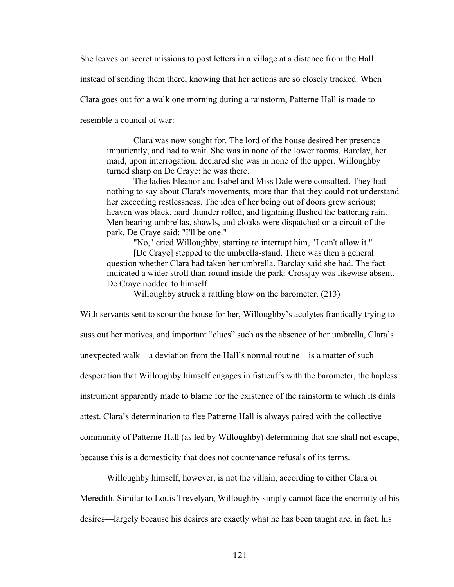She leaves on secret missions to post letters in a village at a distance from the Hall

instead of sending them there, knowing that her actions are so closely tracked. When

Clara goes out for a walk one morning during a rainstorm, Patterne Hall is made to

resemble a council of war:

Clara was now sought for. The lord of the house desired her presence impatiently, and had to wait. She was in none of the lower rooms. Barclay, her maid, upon interrogation, declared she was in none of the upper. Willoughby turned sharp on De Craye: he was there.

The ladies Eleanor and Isabel and Miss Dale were consulted. They had nothing to say about Clara's movements, more than that they could not understand her exceeding restlessness. The idea of her being out of doors grew serious; heaven was black, hard thunder rolled, and lightning flushed the battering rain. Men bearing umbrellas, shawls, and cloaks were dispatched on a circuit of the park. De Craye said: "I'll be one."

"No," cried Willoughby, starting to interrupt him, "I can't allow it."

[De Craye] stepped to the umbrella-stand. There was then a general question whether Clara had taken her umbrella. Barclay said she had. The fact indicated a wider stroll than round inside the park: Crossjay was likewise absent. De Craye nodded to himself.

Willoughby struck a rattling blow on the barometer. (213)

With servants sent to scour the house for her, Willoughby's acolytes frantically trying to suss out her motives, and important "clues" such as the absence of her umbrella, Clara's unexpected walk—a deviation from the Hall's normal routine—is a matter of such desperation that Willoughby himself engages in fisticuffs with the barometer, the hapless instrument apparently made to blame for the existence of the rainstorm to which its dials attest. Clara's determination to flee Patterne Hall is always paired with the collective community of Patterne Hall (as led by Willoughby) determining that she shall not escape, because this is a domesticity that does not countenance refusals of its terms.

Willoughby himself, however, is not the villain, according to either Clara or

Meredith. Similar to Louis Trevelyan, Willoughby simply cannot face the enormity of his desires—largely because his desires are exactly what he has been taught are, in fact, his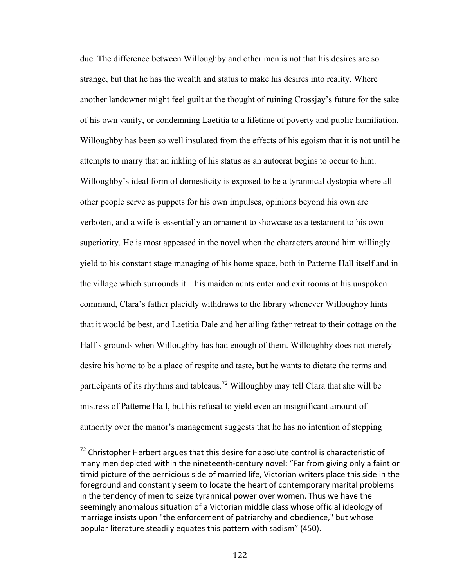due. The difference between Willoughby and other men is not that his desires are so strange, but that he has the wealth and status to make his desires into reality. Where another landowner might feel guilt at the thought of ruining Crossjay's future for the sake of his own vanity, or condemning Laetitia to a lifetime of poverty and public humiliation, Willoughby has been so well insulated from the effects of his egoism that it is not until he attempts to marry that an inkling of his status as an autocrat begins to occur to him. Willoughby's ideal form of domesticity is exposed to be a tyrannical dystopia where all other people serve as puppets for his own impulses, opinions beyond his own are verboten, and a wife is essentially an ornament to showcase as a testament to his own superiority. He is most appeased in the novel when the characters around him willingly yield to his constant stage managing of his home space, both in Patterne Hall itself and in the village which surrounds it—his maiden aunts enter and exit rooms at his unspoken command, Clara's father placidly withdraws to the library whenever Willoughby hints that it would be best, and Laetitia Dale and her ailing father retreat to their cottage on the Hall's grounds when Willoughby has had enough of them. Willoughby does not merely desire his home to be a place of respite and taste, but he wants to dictate the terms and participants of its rhythms and tableaus.<sup>72</sup> Willoughby may tell Clara that she will be mistress of Patterne Hall, but his refusal to yield even an insignificant amount of authority over the manor's management suggests that he has no intention of stepping

 $72$  Christopher Herbert argues that this desire for absolute control is characteristic of many men depicted within the nineteenth-century novel: "Far from giving only a faint or timid picture of the pernicious side of married life, Victorian writers place this side in the foreground and constantly seem to locate the heart of contemporary marital problems in the tendency of men to seize tyrannical power over women. Thus we have the seemingly anomalous situation of a Victorian middle class whose official ideology of marriage insists upon "the enforcement of patriarchy and obedience," but whose popular literature steadily equates this pattern with sadism" (450).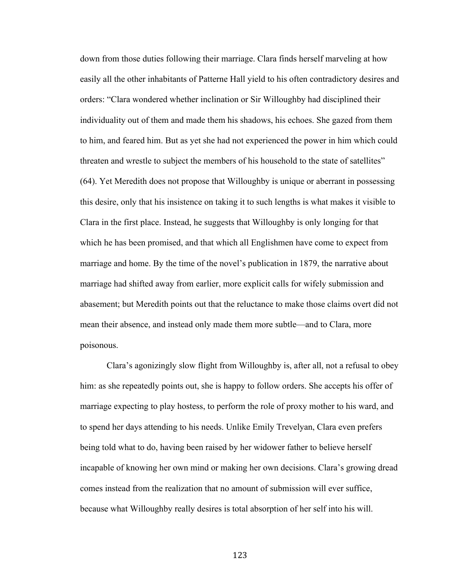down from those duties following their marriage. Clara finds herself marveling at how easily all the other inhabitants of Patterne Hall yield to his often contradictory desires and orders: "Clara wondered whether inclination or Sir Willoughby had disciplined their individuality out of them and made them his shadows, his echoes. She gazed from them to him, and feared him. But as yet she had not experienced the power in him which could threaten and wrestle to subject the members of his household to the state of satellites" (64). Yet Meredith does not propose that Willoughby is unique or aberrant in possessing this desire, only that his insistence on taking it to such lengths is what makes it visible to Clara in the first place. Instead, he suggests that Willoughby is only longing for that which he has been promised, and that which all Englishmen have come to expect from marriage and home. By the time of the novel's publication in 1879, the narrative about marriage had shifted away from earlier, more explicit calls for wifely submission and abasement; but Meredith points out that the reluctance to make those claims overt did not mean their absence, and instead only made them more subtle—and to Clara, more poisonous.

Clara's agonizingly slow flight from Willoughby is, after all, not a refusal to obey him: as she repeatedly points out, she is happy to follow orders. She accepts his offer of marriage expecting to play hostess, to perform the role of proxy mother to his ward, and to spend her days attending to his needs. Unlike Emily Trevelyan, Clara even prefers being told what to do, having been raised by her widower father to believe herself incapable of knowing her own mind or making her own decisions. Clara's growing dread comes instead from the realization that no amount of submission will ever suffice, because what Willoughby really desires is total absorption of her self into his will.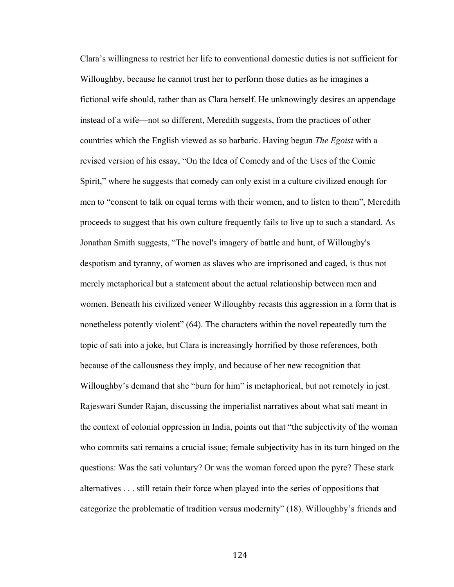Clara's willingness to restrict her life to conventional domestic duties is not sufficient for Willoughby, because he cannot trust her to perform those duties as he imagines a fictional wife should, rather than as Clara herself. He unknowingly desires an appendage instead of a wife—not so different, Meredith suggests, from the practices of other countries which the English viewed as so barbaric. Having begun *The Egoist* with a revised version of his essay, "On the Idea of Comedy and of the Uses of the Comic Spirit," where he suggests that comedy can only exist in a culture civilized enough for men to "consent to talk on equal terms with their women, and to listen to them", Meredith proceeds to suggest that his own culture frequently fails to live up to such a standard. As Jonathan Smith suggests, "The novel's imagery of battle and hunt, of Willougby's despotism and tyranny, of women as slaves who are imprisoned and caged, is thus not merely metaphorical but a statement about the actual relationship between men and women. Beneath his civilized veneer Willoughby recasts this aggression in a form that is nonetheless potently violent" (64). The characters within the novel repeatedly turn the topic of sati into a joke, but Clara is increasingly horrified by those references, both because of the callousness they imply, and because of her new recognition that Willoughby's demand that she "burn for him" is metaphorical, but not remotely in jest. Rajeswari Sunder Rajan, discussing the imperialist narratives about what sati meant in the context of colonial oppression in India, points out that "the subjectivity of the woman who commits sati remains a crucial issue; female subjectivity has in its turn hinged on the questions: Was the sati voluntary? Or was the woman forced upon the pyre? These stark alternatives . . . still retain their force when played into the series of oppositions that categorize the problematic of tradition versus modernity" (18). Willoughby's friends and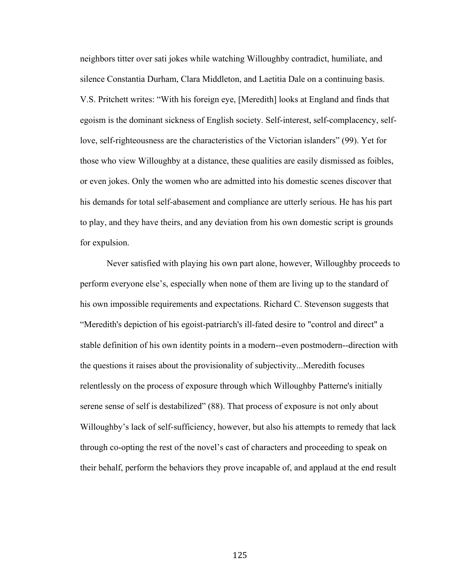neighbors titter over sati jokes while watching Willoughby contradict, humiliate, and silence Constantia Durham, Clara Middleton, and Laetitia Dale on a continuing basis. V.S. Pritchett writes: "With his foreign eye, [Meredith] looks at England and finds that egoism is the dominant sickness of English society. Self-interest, self-complacency, selflove, self-righteousness are the characteristics of the Victorian islanders" (99). Yet for those who view Willoughby at a distance, these qualities are easily dismissed as foibles, or even jokes. Only the women who are admitted into his domestic scenes discover that his demands for total self-abasement and compliance are utterly serious. He has his part to play, and they have theirs, and any deviation from his own domestic script is grounds for expulsion.

Never satisfied with playing his own part alone, however, Willoughby proceeds to perform everyone else's, especially when none of them are living up to the standard of his own impossible requirements and expectations. Richard C. Stevenson suggests that "Meredith's depiction of his egoist-patriarch's ill-fated desire to "control and direct" a stable definition of his own identity points in a modern--even postmodern--direction with the questions it raises about the provisionality of subjectivity...Meredith focuses relentlessly on the process of exposure through which Willoughby Patterne's initially serene sense of self is destabilized" (88). That process of exposure is not only about Willoughby's lack of self-sufficiency, however, but also his attempts to remedy that lack through co-opting the rest of the novel's cast of characters and proceeding to speak on their behalf, perform the behaviors they prove incapable of, and applaud at the end result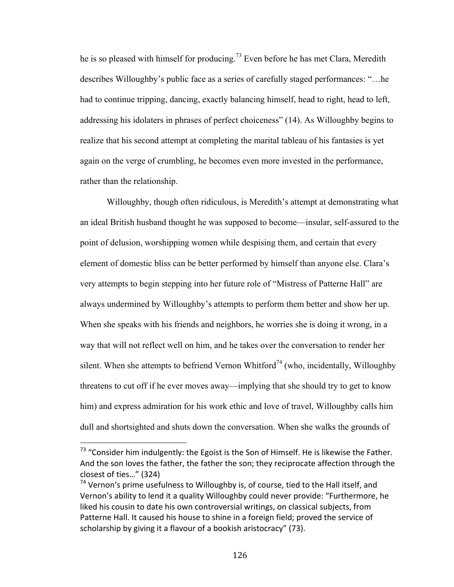he is so pleased with himself for producing.<sup>73</sup> Even before he has met Clara, Meredith describes Willoughby's public face as a series of carefully staged performances: "…he had to continue tripping, dancing, exactly balancing himself, head to right, head to left, addressing his idolaters in phrases of perfect choiceness" (14). As Willoughby begins to realize that his second attempt at completing the marital tableau of his fantasies is yet again on the verge of crumbling, he becomes even more invested in the performance, rather than the relationship.

Willoughby, though often ridiculous, is Meredith's attempt at demonstrating what an ideal British husband thought he was supposed to become—insular, self-assured to the point of delusion, worshipping women while despising them, and certain that every element of domestic bliss can be better performed by himself than anyone else. Clara's very attempts to begin stepping into her future role of "Mistress of Patterne Hall" are always undermined by Willoughby's attempts to perform them better and show her up. When she speaks with his friends and neighbors, he worries she is doing it wrong, in a way that will not reflect well on him, and he takes over the conversation to render her silent. When she attempts to befriend Vernon Whitford<sup>74</sup> (who, incidentally, Willoughby threatens to cut off if he ever moves away—implying that she should try to get to know him) and express admiration for his work ethic and love of travel, Willoughby calls him dull and shortsighted and shuts down the conversation. When she walks the grounds of

 $73$  "Consider him indulgently: the Egoist is the Son of Himself. He is likewise the Father. And the son loves the father, the father the son; they reciprocate affection through the closest of ties..." (324)

 $74$  Vernon's prime usefulness to Willoughby is, of course, tied to the Hall itself, and Vernon's ability to lend it a quality Willoughby could never provide: "Furthermore, he liked his cousin to date his own controversial writings, on classical subjects, from Patterne Hall. It caused his house to shine in a foreign field; proved the service of scholarship by giving it a flavour of a bookish aristocracy" (73).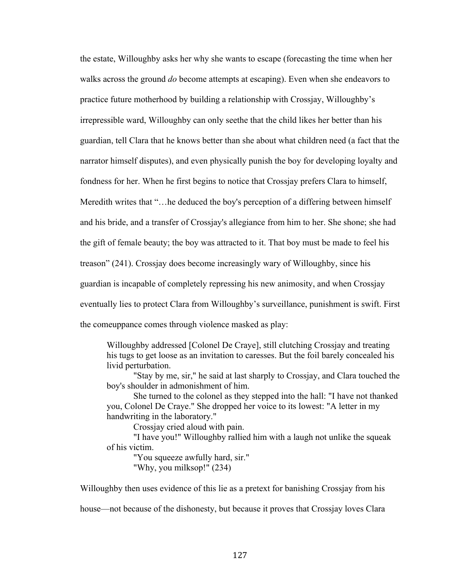the estate, Willoughby asks her why she wants to escape (forecasting the time when her walks across the ground *do* become attempts at escaping). Even when she endeavors to practice future motherhood by building a relationship with Crossjay, Willoughby's irrepressible ward, Willoughby can only seethe that the child likes her better than his guardian, tell Clara that he knows better than she about what children need (a fact that the narrator himself disputes), and even physically punish the boy for developing loyalty and fondness for her. When he first begins to notice that Crossjay prefers Clara to himself, Meredith writes that "…he deduced the boy's perception of a differing between himself and his bride, and a transfer of Crossjay's allegiance from him to her. She shone; she had the gift of female beauty; the boy was attracted to it. That boy must be made to feel his treason" (241). Crossjay does become increasingly wary of Willoughby, since his guardian is incapable of completely repressing his new animosity, and when Crossjay eventually lies to protect Clara from Willoughby's surveillance, punishment is swift. First the comeuppance comes through violence masked as play:

Willoughby addressed [Colonel De Craye], still clutching Crossjay and treating his tugs to get loose as an invitation to caresses. But the foil barely concealed his livid perturbation.

"Stay by me, sir," he said at last sharply to Crossjay, and Clara touched the boy's shoulder in admonishment of him.

She turned to the colonel as they stepped into the hall: "I have not thanked you, Colonel De Craye." She dropped her voice to its lowest: "A letter in my handwriting in the laboratory."

Crossjay cried aloud with pain.

"I have you!" Willoughby rallied him with a laugh not unlike the squeak of his victim.

"You squeeze awfully hard, sir." "Why, you milksop!" (234)

Willoughby then uses evidence of this lie as a pretext for banishing Crossjay from his

house—not because of the dishonesty, but because it proves that Crossjay loves Clara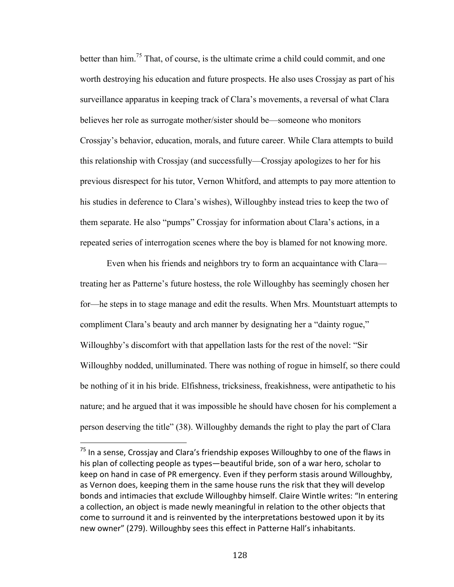better than him.<sup>75</sup> That, of course, is the ultimate crime a child could commit, and one worth destroying his education and future prospects. He also uses Crossjay as part of his surveillance apparatus in keeping track of Clara's movements, a reversal of what Clara believes her role as surrogate mother/sister should be—someone who monitors Crossjay's behavior, education, morals, and future career. While Clara attempts to build this relationship with Crossjay (and successfully—Crossjay apologizes to her for his previous disrespect for his tutor, Vernon Whitford, and attempts to pay more attention to his studies in deference to Clara's wishes), Willoughby instead tries to keep the two of them separate. He also "pumps" Crossjay for information about Clara's actions, in a repeated series of interrogation scenes where the boy is blamed for not knowing more.

Even when his friends and neighbors try to form an acquaintance with Clara treating her as Patterne's future hostess, the role Willoughby has seemingly chosen her for—he steps in to stage manage and edit the results. When Mrs. Mountstuart attempts to compliment Clara's beauty and arch manner by designating her a "dainty rogue," Willoughby's discomfort with that appellation lasts for the rest of the novel: "Sir Willoughby nodded, unilluminated. There was nothing of rogue in himself, so there could be nothing of it in his bride. Elfishness, tricksiness, freakishness, were antipathetic to his nature; and he argued that it was impossible he should have chosen for his complement a person deserving the title" (38). Willoughby demands the right to play the part of Clara

 $75$  In a sense, Crossiay and Clara's friendship exposes Willoughby to one of the flaws in his plan of collecting people as types—beautiful bride, son of a war hero, scholar to keep on hand in case of PR emergency. Even if they perform stasis around Willoughby, as Vernon does, keeping them in the same house runs the risk that they will develop bonds and intimacies that exclude Willoughby himself. Claire Wintle writes: "In entering a collection, an object is made newly meaningful in relation to the other objects that come to surround it and is reinvented by the interpretations bestowed upon it by its new owner" (279). Willoughby sees this effect in Patterne Hall's inhabitants.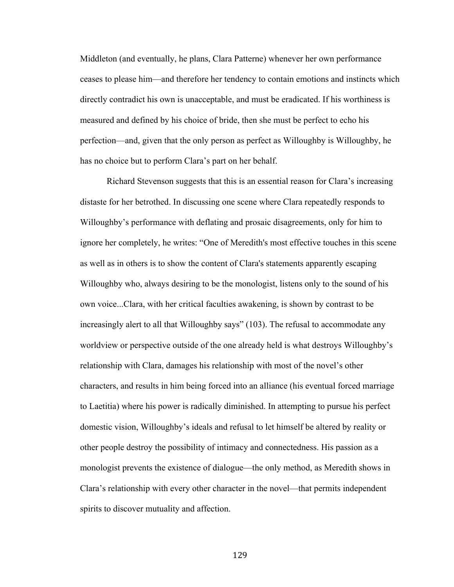Middleton (and eventually, he plans, Clara Patterne) whenever her own performance ceases to please him—and therefore her tendency to contain emotions and instincts which directly contradict his own is unacceptable, and must be eradicated. If his worthiness is measured and defined by his choice of bride, then she must be perfect to echo his perfection—and, given that the only person as perfect as Willoughby is Willoughby, he has no choice but to perform Clara's part on her behalf.

Richard Stevenson suggests that this is an essential reason for Clara's increasing distaste for her betrothed. In discussing one scene where Clara repeatedly responds to Willoughby's performance with deflating and prosaic disagreements, only for him to ignore her completely, he writes: "One of Meredith's most effective touches in this scene as well as in others is to show the content of Clara's statements apparently escaping Willoughby who, always desiring to be the monologist, listens only to the sound of his own voice...Clara, with her critical faculties awakening, is shown by contrast to be increasingly alert to all that Willoughby says" (103). The refusal to accommodate any worldview or perspective outside of the one already held is what destroys Willoughby's relationship with Clara, damages his relationship with most of the novel's other characters, and results in him being forced into an alliance (his eventual forced marriage to Laetitia) where his power is radically diminished. In attempting to pursue his perfect domestic vision, Willoughby's ideals and refusal to let himself be altered by reality or other people destroy the possibility of intimacy and connectedness. His passion as a monologist prevents the existence of dialogue—the only method, as Meredith shows in Clara's relationship with every other character in the novel—that permits independent spirits to discover mutuality and affection.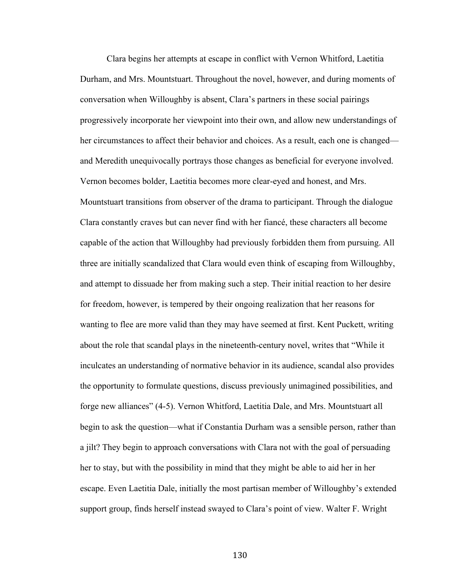Clara begins her attempts at escape in conflict with Vernon Whitford, Laetitia Durham, and Mrs. Mountstuart. Throughout the novel, however, and during moments of conversation when Willoughby is absent, Clara's partners in these social pairings progressively incorporate her viewpoint into their own, and allow new understandings of her circumstances to affect their behavior and choices. As a result, each one is changed and Meredith unequivocally portrays those changes as beneficial for everyone involved. Vernon becomes bolder, Laetitia becomes more clear-eyed and honest, and Mrs. Mountstuart transitions from observer of the drama to participant. Through the dialogue Clara constantly craves but can never find with her fiancé, these characters all become capable of the action that Willoughby had previously forbidden them from pursuing. All three are initially scandalized that Clara would even think of escaping from Willoughby, and attempt to dissuade her from making such a step. Their initial reaction to her desire for freedom, however, is tempered by their ongoing realization that her reasons for wanting to flee are more valid than they may have seemed at first. Kent Puckett, writing about the role that scandal plays in the nineteenth-century novel, writes that "While it inculcates an understanding of normative behavior in its audience, scandal also provides the opportunity to formulate questions, discuss previously unimagined possibilities, and forge new alliances" (4-5). Vernon Whitford, Laetitia Dale, and Mrs. Mountstuart all begin to ask the question—what if Constantia Durham was a sensible person, rather than a jilt? They begin to approach conversations with Clara not with the goal of persuading her to stay, but with the possibility in mind that they might be able to aid her in her escape. Even Laetitia Dale, initially the most partisan member of Willoughby's extended support group, finds herself instead swayed to Clara's point of view. Walter F. Wright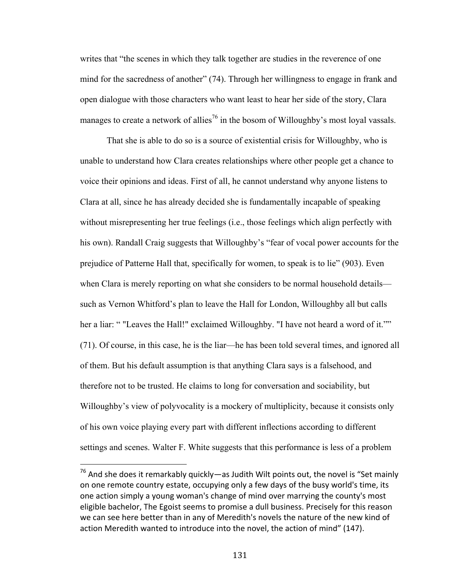writes that "the scenes in which they talk together are studies in the reverence of one mind for the sacredness of another" (74). Through her willingness to engage in frank and open dialogue with those characters who want least to hear her side of the story, Clara manages to create a network of allies<sup>76</sup> in the bosom of Willoughby's most loyal vassals.

That she is able to do so is a source of existential crisis for Willoughby, who is unable to understand how Clara creates relationships where other people get a chance to voice their opinions and ideas. First of all, he cannot understand why anyone listens to Clara at all, since he has already decided she is fundamentally incapable of speaking without misrepresenting her true feelings (i.e., those feelings which align perfectly with his own). Randall Craig suggests that Willoughby's "fear of vocal power accounts for the prejudice of Patterne Hall that, specifically for women, to speak is to lie" (903). Even when Clara is merely reporting on what she considers to be normal household details such as Vernon Whitford's plan to leave the Hall for London, Willoughby all but calls her a liar: " "Leaves the Hall!" exclaimed Willoughby. "I have not heard a word of it."" (71). Of course, in this case, he is the liar—he has been told several times, and ignored all of them. But his default assumption is that anything Clara says is a falsehood, and therefore not to be trusted. He claims to long for conversation and sociability, but Willoughby's view of polyvocality is a mockery of multiplicity, because it consists only of his own voice playing every part with different inflections according to different settings and scenes. Walter F. White suggests that this performance is less of a problem

 $76$  And she does it remarkably quickly—as Judith Wilt points out, the novel is "Set mainly on one remote country estate, occupying only a few days of the busy world's time, its one action simply a young woman's change of mind over marrying the county's most eligible bachelor, The Egoist seems to promise a dull business. Precisely for this reason we can see here better than in any of Meredith's novels the nature of the new kind of action Meredith wanted to introduce into the novel, the action of mind" (147).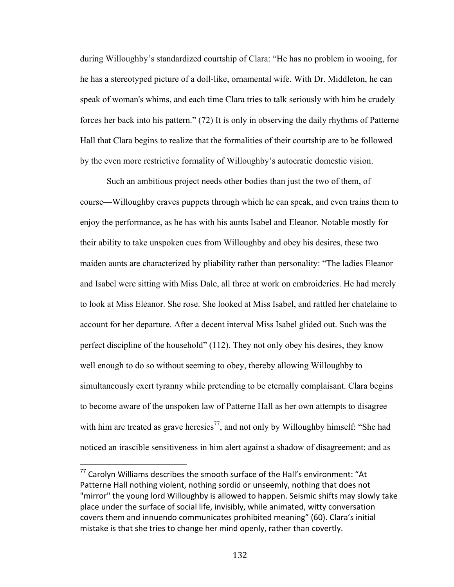during Willoughby's standardized courtship of Clara: "He has no problem in wooing, for he has a stereotyped picture of a doll-like, ornamental wife. With Dr. Middleton, he can speak of woman's whims, and each time Clara tries to talk seriously with him he crudely forces her back into his pattern." (72) It is only in observing the daily rhythms of Patterne Hall that Clara begins to realize that the formalities of their courtship are to be followed by the even more restrictive formality of Willoughby's autocratic domestic vision.

Such an ambitious project needs other bodies than just the two of them, of course—Willoughby craves puppets through which he can speak, and even trains them to enjoy the performance, as he has with his aunts Isabel and Eleanor. Notable mostly for their ability to take unspoken cues from Willoughby and obey his desires, these two maiden aunts are characterized by pliability rather than personality: "The ladies Eleanor and Isabel were sitting with Miss Dale, all three at work on embroideries. He had merely to look at Miss Eleanor. She rose. She looked at Miss Isabel, and rattled her chatelaine to account for her departure. After a decent interval Miss Isabel glided out. Such was the perfect discipline of the household" (112). They not only obey his desires, they know well enough to do so without seeming to obey, thereby allowing Willoughby to simultaneously exert tyranny while pretending to be eternally complaisant. Clara begins to become aware of the unspoken law of Patterne Hall as her own attempts to disagree with him are treated as grave heresies<sup>77</sup>, and not only by Willoughby himself: "She had noticed an irascible sensitiveness in him alert against a shadow of disagreement; and as

 $77$  Carolyn Williams describes the smooth surface of the Hall's environment: "At Patterne Hall nothing violent, nothing sordid or unseemly, nothing that does not "mirror" the young lord Willoughby is allowed to happen. Seismic shifts may slowly take place under the surface of social life, invisibly, while animated, witty conversation covers them and innuendo communicates prohibited meaning" (60). Clara's initial mistake is that she tries to change her mind openly, rather than covertly.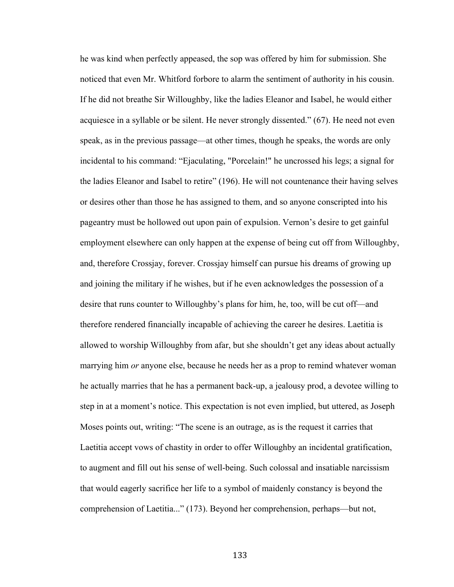he was kind when perfectly appeased, the sop was offered by him for submission. She noticed that even Mr. Whitford forbore to alarm the sentiment of authority in his cousin. If he did not breathe Sir Willoughby, like the ladies Eleanor and Isabel, he would either acquiesce in a syllable or be silent. He never strongly dissented." (67). He need not even speak, as in the previous passage—at other times, though he speaks, the words are only incidental to his command: "Ejaculating, "Porcelain!" he uncrossed his legs; a signal for the ladies Eleanor and Isabel to retire" (196). He will not countenance their having selves or desires other than those he has assigned to them, and so anyone conscripted into his pageantry must be hollowed out upon pain of expulsion. Vernon's desire to get gainful employment elsewhere can only happen at the expense of being cut off from Willoughby, and, therefore Crossjay, forever. Crossjay himself can pursue his dreams of growing up and joining the military if he wishes, but if he even acknowledges the possession of a desire that runs counter to Willoughby's plans for him, he, too, will be cut off—and therefore rendered financially incapable of achieving the career he desires. Laetitia is allowed to worship Willoughby from afar, but she shouldn't get any ideas about actually marrying him *or* anyone else, because he needs her as a prop to remind whatever woman he actually marries that he has a permanent back-up, a jealousy prod, a devotee willing to step in at a moment's notice. This expectation is not even implied, but uttered, as Joseph Moses points out, writing: "The scene is an outrage, as is the request it carries that Laetitia accept vows of chastity in order to offer Willoughby an incidental gratification, to augment and fill out his sense of well-being. Such colossal and insatiable narcissism that would eagerly sacrifice her life to a symbol of maidenly constancy is beyond the comprehension of Laetitia..." (173). Beyond her comprehension, perhaps—but not,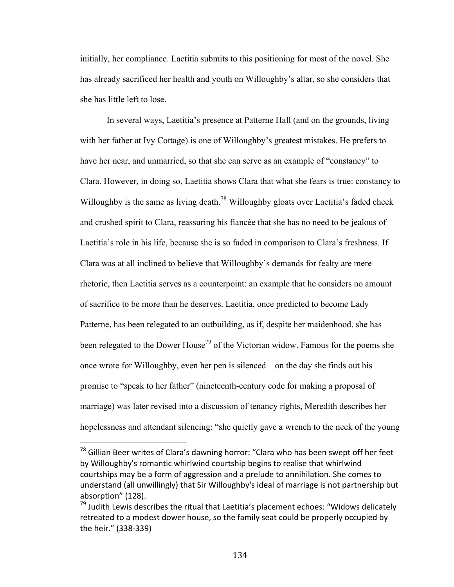initially, her compliance. Laetitia submits to this positioning for most of the novel. She has already sacrificed her health and youth on Willoughby's altar, so she considers that she has little left to lose.

In several ways, Laetitia's presence at Patterne Hall (and on the grounds, living with her father at Ivy Cottage) is one of Willoughby's greatest mistakes. He prefers to have her near, and unmarried, so that she can serve as an example of "constancy" to Clara. However, in doing so, Laetitia shows Clara that what she fears is true: constancy to Willoughby is the same as living death.<sup>78</sup> Willoughby gloats over Laetitia's faded cheek and crushed spirit to Clara, reassuring his fiancée that she has no need to be jealous of Laetitia's role in his life, because she is so faded in comparison to Clara's freshness. If Clara was at all inclined to believe that Willoughby's demands for fealty are mere rhetoric, then Laetitia serves as a counterpoint: an example that he considers no amount of sacrifice to be more than he deserves. Laetitia, once predicted to become Lady Patterne, has been relegated to an outbuilding, as if, despite her maidenhood, she has been relegated to the Dower House<sup>79</sup> of the Victorian widow. Famous for the poems she once wrote for Willoughby, even her pen is silenced—on the day she finds out his promise to "speak to her father" (nineteenth-century code for making a proposal of marriage) was later revised into a discussion of tenancy rights, Meredith describes her hopelessness and attendant silencing: "she quietly gave a wrench to the neck of the young

 $78$  Gillian Beer writes of Clara's dawning horror: "Clara who has been swept off her feet by Willoughby's romantic whirlwind courtship begins to realise that whirlwind courtships may be a form of aggression and a prelude to annihilation. She comes to understand (all unwillingly) that Sir Willoughby's ideal of marriage is not partnership but absorption" (128).

 $79$  Judith Lewis describes the ritual that Laetitia's placement echoes: "Widows delicately retreated to a modest dower house, so the family seat could be properly occupied by the heir." (338-339)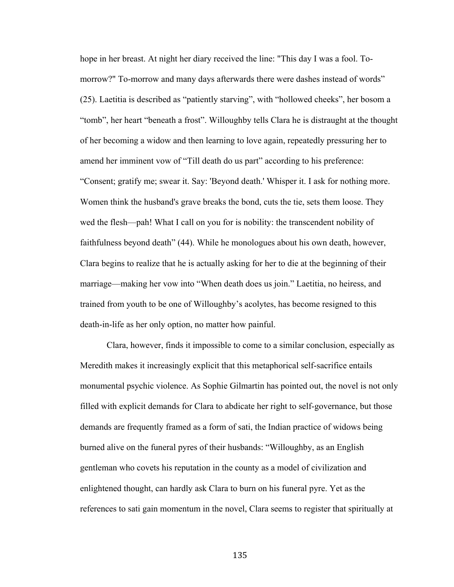hope in her breast. At night her diary received the line: "This day I was a fool. Tomorrow?" To-morrow and many days afterwards there were dashes instead of words" (25). Laetitia is described as "patiently starving", with "hollowed cheeks", her bosom a "tomb", her heart "beneath a frost". Willoughby tells Clara he is distraught at the thought of her becoming a widow and then learning to love again, repeatedly pressuring her to amend her imminent vow of "Till death do us part" according to his preference: "Consent; gratify me; swear it. Say: 'Beyond death.' Whisper it. I ask for nothing more. Women think the husband's grave breaks the bond, cuts the tie, sets them loose. They wed the flesh—pah! What I call on you for is nobility: the transcendent nobility of faithfulness beyond death" (44). While he monologues about his own death, however, Clara begins to realize that he is actually asking for her to die at the beginning of their marriage—making her vow into "When death does us join." Laetitia, no heiress, and trained from youth to be one of Willoughby's acolytes, has become resigned to this death-in-life as her only option, no matter how painful.

Clara, however, finds it impossible to come to a similar conclusion, especially as Meredith makes it increasingly explicit that this metaphorical self-sacrifice entails monumental psychic violence. As Sophie Gilmartin has pointed out, the novel is not only filled with explicit demands for Clara to abdicate her right to self-governance, but those demands are frequently framed as a form of sati, the Indian practice of widows being burned alive on the funeral pyres of their husbands: "Willoughby, as an English gentleman who covets his reputation in the county as a model of civilization and enlightened thought, can hardly ask Clara to burn on his funeral pyre. Yet as the references to sati gain momentum in the novel, Clara seems to register that spiritually at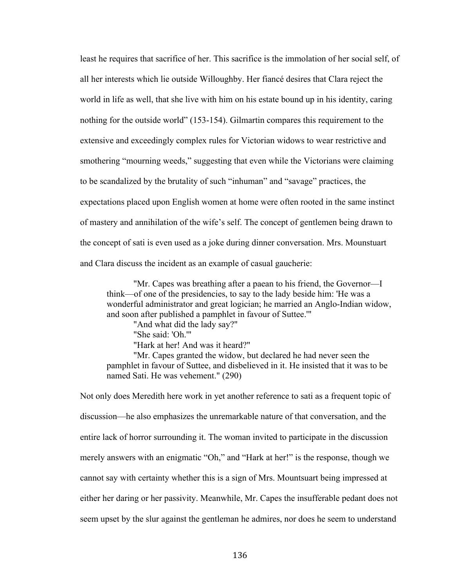least he requires that sacrifice of her. This sacrifice is the immolation of her social self, of all her interests which lie outside Willoughby. Her fiancé desires that Clara reject the world in life as well, that she live with him on his estate bound up in his identity, caring nothing for the outside world" (153-154). Gilmartin compares this requirement to the extensive and exceedingly complex rules for Victorian widows to wear restrictive and smothering "mourning weeds," suggesting that even while the Victorians were claiming to be scandalized by the brutality of such "inhuman" and "savage" practices, the expectations placed upon English women at home were often rooted in the same instinct of mastery and annihilation of the wife's self. The concept of gentlemen being drawn to the concept of sati is even used as a joke during dinner conversation. Mrs. Mounstuart and Clara discuss the incident as an example of casual gaucherie:

"Mr. Capes was breathing after a paean to his friend, the Governor—I think—of one of the presidencies, to say to the lady beside him: 'He was a wonderful administrator and great logician; he married an Anglo-Indian widow, and soon after published a pamphlet in favour of Suttee.'"

"And what did the lady say?" "She said: 'Oh.'" "Hark at her! And was it heard?" "Mr. Capes granted the widow, but declared he had never seen the pamphlet in favour of Suttee, and disbelieved in it. He insisted that it was to be

named Sati. He was vehement." (290)

Not only does Meredith here work in yet another reference to sati as a frequent topic of discussion—he also emphasizes the unremarkable nature of that conversation, and the entire lack of horror surrounding it. The woman invited to participate in the discussion merely answers with an enigmatic "Oh," and "Hark at her!" is the response, though we cannot say with certainty whether this is a sign of Mrs. Mountsuart being impressed at either her daring or her passivity. Meanwhile, Mr. Capes the insufferable pedant does not seem upset by the slur against the gentleman he admires, nor does he seem to understand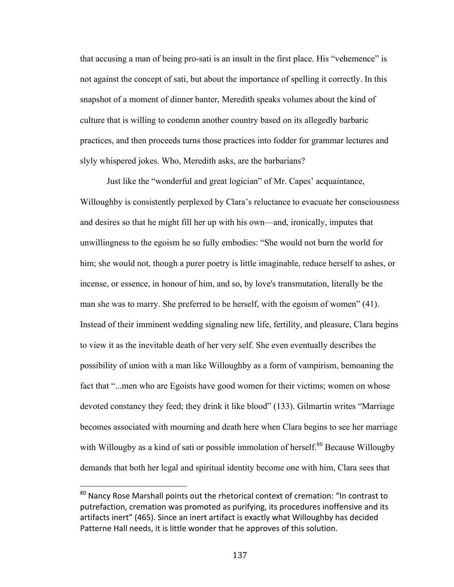that accusing a man of being pro-sati is an insult in the first place. His "vehemence" is not against the concept of sati, but about the importance of spelling it correctly. In this snapshot of a moment of dinner banter, Meredith speaks volumes about the kind of culture that is willing to condemn another country based on its allegedly barbaric practices, and then proceeds turns those practices into fodder for grammar lectures and slyly whispered jokes. Who, Meredith asks, are the barbarians?

Just like the "wonderful and great logician" of Mr. Capes' acquaintance, Willoughby is consistently perplexed by Clara's reluctance to evacuate her consciousness and desires so that he might fill her up with his own—and, ironically, imputes that unwillingness to the egoism he so fully embodies: "She would not burn the world for him; she would not, though a purer poetry is little imaginable, reduce herself to ashes, or incense, or essence, in honour of him, and so, by love's transmutation, literally be the man she was to marry. She preferred to be herself, with the egoism of women" (41). Instead of their imminent wedding signaling new life, fertility, and pleasure, Clara begins to view it as the inevitable death of her very self. She even eventually describes the possibility of union with a man like Willoughby as a form of vampirism, bemoaning the fact that "...men who are Egoists have good women for their victims; women on whose devoted constancy they feed; they drink it like blood" (133). Gilmartin writes "Marriage becomes associated with mourning and death here when Clara begins to see her marriage with Willougby as a kind of sati or possible immolation of herself.<sup>80</sup> Because Willougby demands that both her legal and spiritual identity become one with him, Clara sees that

 $80$  Nancy Rose Marshall points out the rhetorical context of cremation: "In contrast to putrefaction, cremation was promoted as purifying, its procedures inoffensive and its artifacts inert" (465). Since an inert artifact is exactly what Willoughby has decided Patterne Hall needs, it is little wonder that he approves of this solution.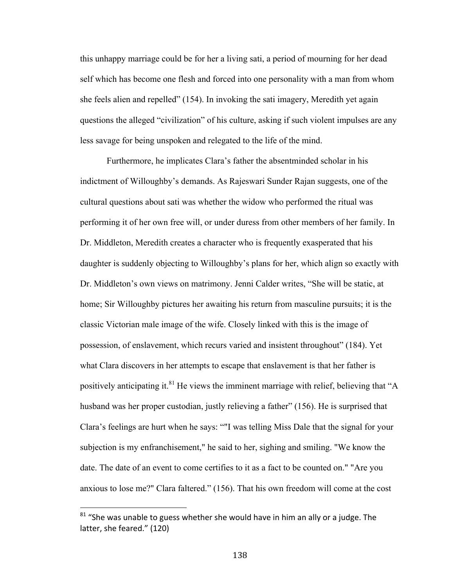this unhappy marriage could be for her a living sati, a period of mourning for her dead self which has become one flesh and forced into one personality with a man from whom she feels alien and repelled" (154). In invoking the sati imagery, Meredith yet again questions the alleged "civilization" of his culture, asking if such violent impulses are any less savage for being unspoken and relegated to the life of the mind.

Furthermore, he implicates Clara's father the absentminded scholar in his indictment of Willoughby's demands. As Rajeswari Sunder Rajan suggests, one of the cultural questions about sati was whether the widow who performed the ritual was performing it of her own free will, or under duress from other members of her family. In Dr. Middleton, Meredith creates a character who is frequently exasperated that his daughter is suddenly objecting to Willoughby's plans for her, which align so exactly with Dr. Middleton's own views on matrimony. Jenni Calder writes, "She will be static, at home; Sir Willoughby pictures her awaiting his return from masculine pursuits; it is the classic Victorian male image of the wife. Closely linked with this is the image of possession, of enslavement, which recurs varied and insistent throughout" (184). Yet what Clara discovers in her attempts to escape that enslavement is that her father is positively anticipating it.<sup>81</sup> He views the imminent marriage with relief, believing that "A husband was her proper custodian, justly relieving a father" (156). He is surprised that Clara's feelings are hurt when he says: ""I was telling Miss Dale that the signal for your subjection is my enfranchisement," he said to her, sighing and smiling. "We know the date. The date of an event to come certifies to it as a fact to be counted on." "Are you anxious to lose me?" Clara faltered." (156). That his own freedom will come at the cost

 $81$  "She was unable to guess whether she would have in him an ally or a judge. The latter, she feared." (120)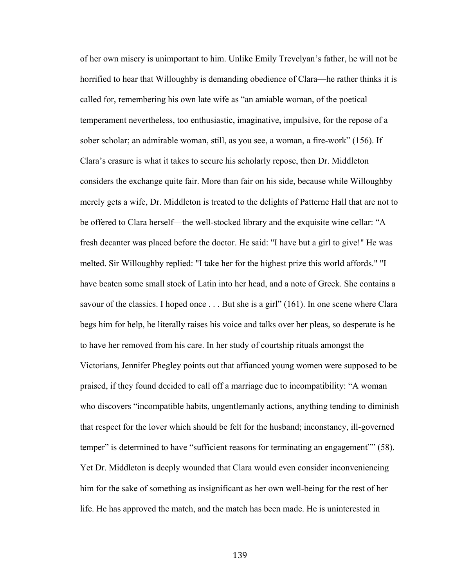of her own misery is unimportant to him. Unlike Emily Trevelyan's father, he will not be horrified to hear that Willoughby is demanding obedience of Clara—he rather thinks it is called for, remembering his own late wife as "an amiable woman, of the poetical temperament nevertheless, too enthusiastic, imaginative, impulsive, for the repose of a sober scholar; an admirable woman, still, as you see, a woman, a fire-work" (156). If Clara's erasure is what it takes to secure his scholarly repose, then Dr. Middleton considers the exchange quite fair. More than fair on his side, because while Willoughby merely gets a wife, Dr. Middleton is treated to the delights of Patterne Hall that are not to be offered to Clara herself—the well-stocked library and the exquisite wine cellar: "A fresh decanter was placed before the doctor. He said: "I have but a girl to give!" He was melted. Sir Willoughby replied: "I take her for the highest prize this world affords." "I have beaten some small stock of Latin into her head, and a note of Greek. She contains a savour of the classics. I hoped once . . . But she is a girl" (161). In one scene where Clara begs him for help, he literally raises his voice and talks over her pleas, so desperate is he to have her removed from his care. In her study of courtship rituals amongst the Victorians, Jennifer Phegley points out that affianced young women were supposed to be praised, if they found decided to call off a marriage due to incompatibility: "A woman who discovers "incompatible habits, ungentlemanly actions, anything tending to diminish that respect for the lover which should be felt for the husband; inconstancy, ill-governed temper" is determined to have "sufficient reasons for terminating an engagement"" (58). Yet Dr. Middleton is deeply wounded that Clara would even consider inconveniencing him for the sake of something as insignificant as her own well-being for the rest of her life. He has approved the match, and the match has been made. He is uninterested in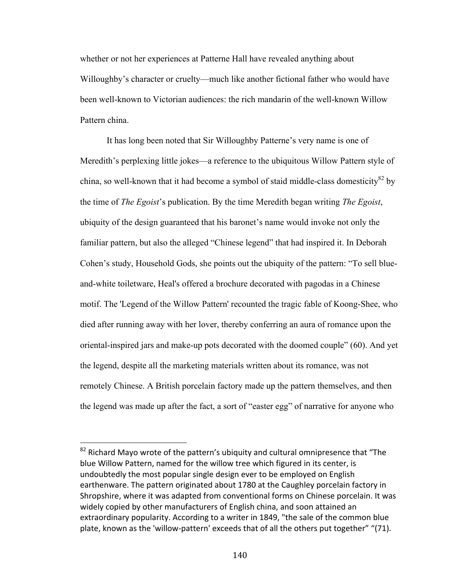whether or not her experiences at Patterne Hall have revealed anything about Willoughby's character or cruelty—much like another fictional father who would have been well-known to Victorian audiences: the rich mandarin of the well-known Willow Pattern china.

It has long been noted that Sir Willoughby Patterne's very name is one of Meredith's perplexing little jokes—a reference to the ubiquitous Willow Pattern style of china, so well-known that it had become a symbol of staid middle-class domesticity<sup>82</sup> by the time of *The Egoist*'s publication. By the time Meredith began writing *The Egoist*, ubiquity of the design guaranteed that his baronet's name would invoke not only the familiar pattern, but also the alleged "Chinese legend" that had inspired it. In Deborah Cohen's study, Household Gods, she points out the ubiquity of the pattern: "To sell blueand-white toiletware, Heal's offered a brochure decorated with pagodas in a Chinese motif. The 'Legend of the Willow Pattern' recounted the tragic fable of Koong-Shee, who died after running away with her lover, thereby conferring an aura of romance upon the oriental-inspired jars and make-up pots decorated with the doomed couple" (60). And yet the legend, despite all the marketing materials written about its romance, was not remotely Chinese. A British porcelain factory made up the pattern themselves, and then the legend was made up after the fact, a sort of "easter egg" of narrative for anyone who

 $82$  Richard Mayo wrote of the pattern's ubiquity and cultural omnipresence that "The blue Willow Pattern, named for the willow tree which figured in its center, is undoubtedly the most popular single design ever to be employed on English earthenware. The pattern originated about 1780 at the Caughley porcelain factory in Shropshire, where it was adapted from conventional forms on Chinese porcelain. It was widely copied by other manufacturers of English china, and soon attained an extraordinary popularity. According to a writer in 1849, "the sale of the common blue plate, known as the 'willow-pattern' exceeds that of all the others put together" "(71).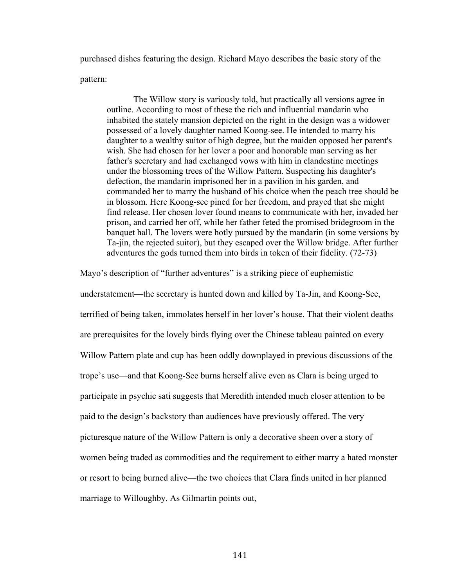purchased dishes featuring the design. Richard Mayo describes the basic story of the

pattern:

The Willow story is variously told, but practically all versions agree in outline. According to most of these the rich and influential mandarin who inhabited the stately mansion depicted on the right in the design was a widower possessed of a lovely daughter named Koong-see. He intended to marry his daughter to a wealthy suitor of high degree, but the maiden opposed her parent's wish. She had chosen for her lover a poor and honorable man serving as her father's secretary and had exchanged vows with him in clandestine meetings under the blossoming trees of the Willow Pattern. Suspecting his daughter's defection, the mandarin imprisoned her in a pavilion in his garden, and commanded her to marry the husband of his choice when the peach tree should be in blossom. Here Koong-see pined for her freedom, and prayed that she might find release. Her chosen lover found means to communicate with her, invaded her prison, and carried her off, while her father feted the promised bridegroom in the banquet hall. The lovers were hotly pursued by the mandarin (in some versions by Ta-jin, the rejected suitor), but they escaped over the Willow bridge. After further adventures the gods turned them into birds in token of their fidelity. (72-73)

Mayo's description of "further adventures" is a striking piece of euphemistic

understatement—the secretary is hunted down and killed by Ta-Jin, and Koong-See, terrified of being taken, immolates herself in her lover's house. That their violent deaths are prerequisites for the lovely birds flying over the Chinese tableau painted on every Willow Pattern plate and cup has been oddly downplayed in previous discussions of the trope's use—and that Koong-See burns herself alive even as Clara is being urged to participate in psychic sati suggests that Meredith intended much closer attention to be paid to the design's backstory than audiences have previously offered. The very picturesque nature of the Willow Pattern is only a decorative sheen over a story of women being traded as commodities and the requirement to either marry a hated monster or resort to being burned alive—the two choices that Clara finds united in her planned marriage to Willoughby. As Gilmartin points out,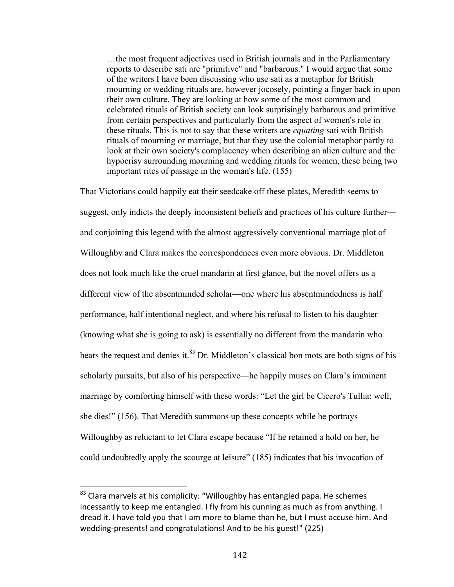…the most frequent adjectives used in British journals and in the Parliamentary reports to describe sati are "primitive" and "barbarous." I would argue that some of the writers I have been discussing who use sati as a metaphor for British mourning or wedding rituals are, however jocosely, pointing a finger back in upon their own culture. They are looking at how some of the most common and celebrated rituals of British society can look surprisingly barbarous and primitive from certain perspectives and particularly from the aspect of women's role in these rituals. This is not to say that these writers are *equating* sati with British rituals of mourning or marriage, but that they use the colonial metaphor partly to look at their own society's complacency when describing an alien culture and the hypocrisy surrounding mourning and wedding rituals for women, these being two important rites of passage in the woman's life. (155)

That Victorians could happily eat their seedcake off these plates, Meredith seems to suggest, only indicts the deeply inconsistent beliefs and practices of his culture further and conjoining this legend with the almost aggressively conventional marriage plot of Willoughby and Clara makes the correspondences even more obvious. Dr. Middleton does not look much like the cruel mandarin at first glance, but the novel offers us a different view of the absentminded scholar—one where his absentmindedness is half performance, half intentional neglect, and where his refusal to listen to his daughter (knowing what she is going to ask) is essentially no different from the mandarin who hears the request and denies it. $83$  Dr. Middleton's classical bon mots are both signs of his scholarly pursuits, but also of his perspective—he happily muses on Clara's imminent marriage by comforting himself with these words: "Let the girl be Cicero's Tullia: well, she dies!" (156). That Meredith summons up these concepts while he portrays Willoughby as reluctant to let Clara escape because "If he retained a hold on her, he could undoubtedly apply the scourge at leisure" (185) indicates that his invocation of

 $83$  Clara marvels at his complicity: "Willoughby has entangled papa. He schemes incessantly to keep me entangled. I fly from his cunning as much as from anything. I dread it. I have told you that I am more to blame than he, but I must accuse him. And wedding-presents! and congratulations! And to be his guest!" (225)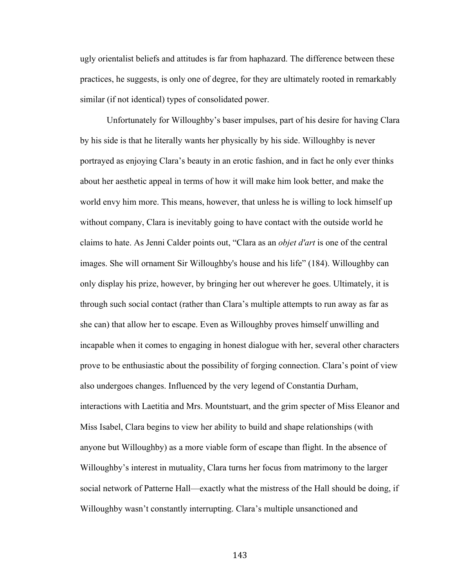ugly orientalist beliefs and attitudes is far from haphazard. The difference between these practices, he suggests, is only one of degree, for they are ultimately rooted in remarkably similar (if not identical) types of consolidated power.

Unfortunately for Willoughby's baser impulses, part of his desire for having Clara by his side is that he literally wants her physically by his side. Willoughby is never portrayed as enjoying Clara's beauty in an erotic fashion, and in fact he only ever thinks about her aesthetic appeal in terms of how it will make him look better, and make the world envy him more. This means, however, that unless he is willing to lock himself up without company, Clara is inevitably going to have contact with the outside world he claims to hate. As Jenni Calder points out, "Clara as an *objet d'art* is one of the central images. She will ornament Sir Willoughby's house and his life" (184). Willoughby can only display his prize, however, by bringing her out wherever he goes. Ultimately, it is through such social contact (rather than Clara's multiple attempts to run away as far as she can) that allow her to escape. Even as Willoughby proves himself unwilling and incapable when it comes to engaging in honest dialogue with her, several other characters prove to be enthusiastic about the possibility of forging connection. Clara's point of view also undergoes changes. Influenced by the very legend of Constantia Durham, interactions with Laetitia and Mrs. Mountstuart, and the grim specter of Miss Eleanor and Miss Isabel, Clara begins to view her ability to build and shape relationships (with anyone but Willoughby) as a more viable form of escape than flight. In the absence of Willoughby's interest in mutuality, Clara turns her focus from matrimony to the larger social network of Patterne Hall—exactly what the mistress of the Hall should be doing, if Willoughby wasn't constantly interrupting. Clara's multiple unsanctioned and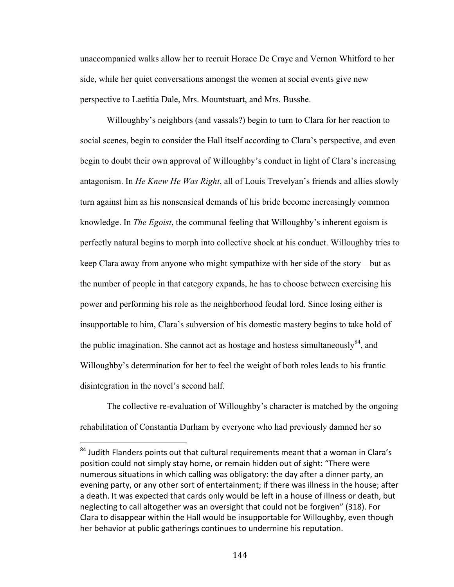unaccompanied walks allow her to recruit Horace De Craye and Vernon Whitford to her side, while her quiet conversations amongst the women at social events give new perspective to Laetitia Dale, Mrs. Mountstuart, and Mrs. Busshe.

Willoughby's neighbors (and vassals?) begin to turn to Clara for her reaction to social scenes, begin to consider the Hall itself according to Clara's perspective, and even begin to doubt their own approval of Willoughby's conduct in light of Clara's increasing antagonism. In *He Knew He Was Right*, all of Louis Trevelyan's friends and allies slowly turn against him as his nonsensical demands of his bride become increasingly common knowledge. In *The Egoist*, the communal feeling that Willoughby's inherent egoism is perfectly natural begins to morph into collective shock at his conduct. Willoughby tries to keep Clara away from anyone who might sympathize with her side of the story—but as the number of people in that category expands, he has to choose between exercising his power and performing his role as the neighborhood feudal lord. Since losing either is insupportable to him, Clara's subversion of his domestic mastery begins to take hold of the public imagination. She cannot act as hostage and hostess simultaneously  $84$ , and Willoughby's determination for her to feel the weight of both roles leads to his frantic disintegration in the novel's second half.

The collective re-evaluation of Willoughby's character is matched by the ongoing rehabilitation of Constantia Durham by everyone who had previously damned her so

 $84$  Judith Flanders points out that cultural requirements meant that a woman in Clara's position could not simply stay home, or remain hidden out of sight: "There were numerous situations in which calling was obligatory: the day after a dinner party, an evening party, or any other sort of entertainment; if there was illness in the house; after a death. It was expected that cards only would be left in a house of illness or death, but neglecting to call altogether was an oversight that could not be forgiven" (318). For Clara to disappear within the Hall would be insupportable for Willoughby, even though her behavior at public gatherings continues to undermine his reputation.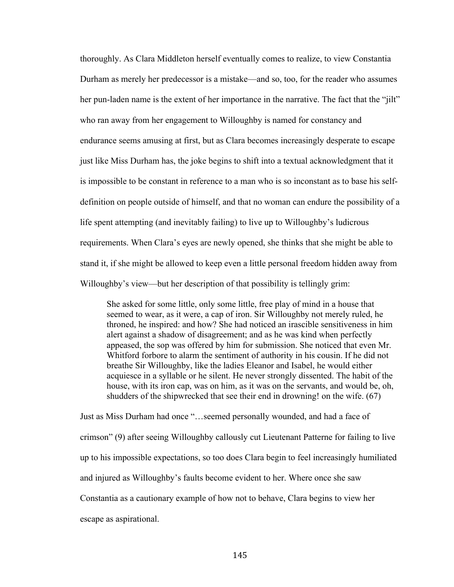thoroughly. As Clara Middleton herself eventually comes to realize, to view Constantia Durham as merely her predecessor is a mistake—and so, too, for the reader who assumes her pun-laden name is the extent of her importance in the narrative. The fact that the "jilt" who ran away from her engagement to Willoughby is named for constancy and endurance seems amusing at first, but as Clara becomes increasingly desperate to escape just like Miss Durham has, the joke begins to shift into a textual acknowledgment that it is impossible to be constant in reference to a man who is so inconstant as to base his selfdefinition on people outside of himself, and that no woman can endure the possibility of a life spent attempting (and inevitably failing) to live up to Willoughby's ludicrous requirements. When Clara's eyes are newly opened, she thinks that she might be able to stand it, if she might be allowed to keep even a little personal freedom hidden away from Willoughby's view—but her description of that possibility is tellingly grim:

She asked for some little, only some little, free play of mind in a house that seemed to wear, as it were, a cap of iron. Sir Willoughby not merely ruled, he throned, he inspired: and how? She had noticed an irascible sensitiveness in him alert against a shadow of disagreement; and as he was kind when perfectly appeased, the sop was offered by him for submission. She noticed that even Mr. Whitford forbore to alarm the sentiment of authority in his cousin. If he did not breathe Sir Willoughby, like the ladies Eleanor and Isabel, he would either acquiesce in a syllable or he silent. He never strongly dissented. The habit of the house, with its iron cap, was on him, as it was on the servants, and would be, oh, shudders of the shipwrecked that see their end in drowning! on the wife. (67)

Just as Miss Durham had once "…seemed personally wounded, and had a face of crimson" (9) after seeing Willoughby callously cut Lieutenant Patterne for failing to live up to his impossible expectations, so too does Clara begin to feel increasingly humiliated and injured as Willoughby's faults become evident to her. Where once she saw Constantia as a cautionary example of how not to behave, Clara begins to view her escape as aspirational.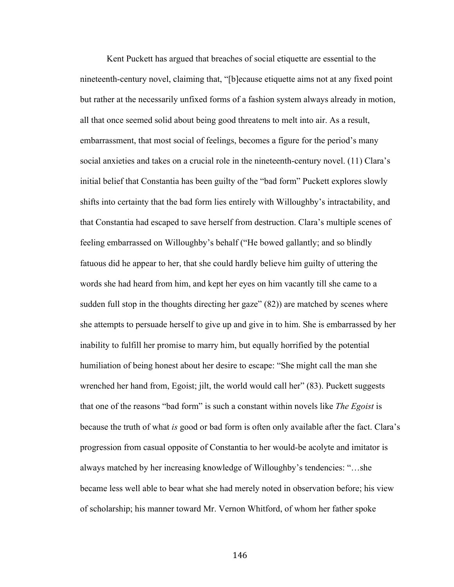Kent Puckett has argued that breaches of social etiquette are essential to the nineteenth-century novel, claiming that, "[b]ecause etiquette aims not at any fixed point but rather at the necessarily unfixed forms of a fashion system always already in motion, all that once seemed solid about being good threatens to melt into air. As a result, embarrassment, that most social of feelings, becomes a figure for the period's many social anxieties and takes on a crucial role in the nineteenth-century novel. (11) Clara's initial belief that Constantia has been guilty of the "bad form" Puckett explores slowly shifts into certainty that the bad form lies entirely with Willoughby's intractability, and that Constantia had escaped to save herself from destruction. Clara's multiple scenes of feeling embarrassed on Willoughby's behalf ("He bowed gallantly; and so blindly fatuous did he appear to her, that she could hardly believe him guilty of uttering the words she had heard from him, and kept her eyes on him vacantly till she came to a sudden full stop in the thoughts directing her gaze" (82)) are matched by scenes where she attempts to persuade herself to give up and give in to him. She is embarrassed by her inability to fulfill her promise to marry him, but equally horrified by the potential humiliation of being honest about her desire to escape: "She might call the man she wrenched her hand from, Egoist; jilt, the world would call her" (83). Puckett suggests that one of the reasons "bad form" is such a constant within novels like *The Egoist* is because the truth of what *is* good or bad form is often only available after the fact. Clara's progression from casual opposite of Constantia to her would-be acolyte and imitator is always matched by her increasing knowledge of Willoughby's tendencies: "…she became less well able to bear what she had merely noted in observation before; his view of scholarship; his manner toward Mr. Vernon Whitford, of whom her father spoke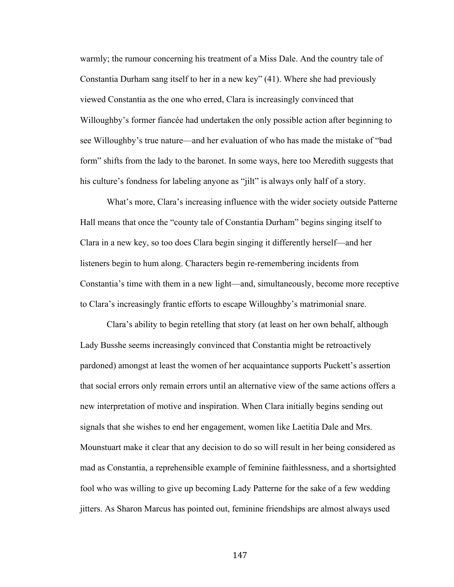warmly; the rumour concerning his treatment of a Miss Dale. And the country tale of Constantia Durham sang itself to her in a new key" (41). Where she had previously viewed Constantia as the one who erred, Clara is increasingly convinced that Willoughby's former fiancée had undertaken the only possible action after beginning to see Willoughby's true nature—and her evaluation of who has made the mistake of "bad form" shifts from the lady to the baronet. In some ways, here too Meredith suggests that his culture's fondness for labeling anyone as "jilt" is always only half of a story.

What's more, Clara's increasing influence with the wider society outside Patterne Hall means that once the "county tale of Constantia Durham" begins singing itself to Clara in a new key, so too does Clara begin singing it differently herself—and her listeners begin to hum along. Characters begin re-remembering incidents from Constantia's time with them in a new light—and, simultaneously, become more receptive to Clara's increasingly frantic efforts to escape Willoughby's matrimonial snare.

Clara's ability to begin retelling that story (at least on her own behalf, although Lady Busshe seems increasingly convinced that Constantia might be retroactively pardoned) amongst at least the women of her acquaintance supports Puckett's assertion that social errors only remain errors until an alternative view of the same actions offers a new interpretation of motive and inspiration. When Clara initially begins sending out signals that she wishes to end her engagement, women like Laetitia Dale and Mrs. Mounstuart make it clear that any decision to do so will result in her being considered as mad as Constantia, a reprehensible example of feminine faithlessness, and a shortsighted fool who was willing to give up becoming Lady Patterne for the sake of a few wedding jitters. As Sharon Marcus has pointed out, feminine friendships are almost always used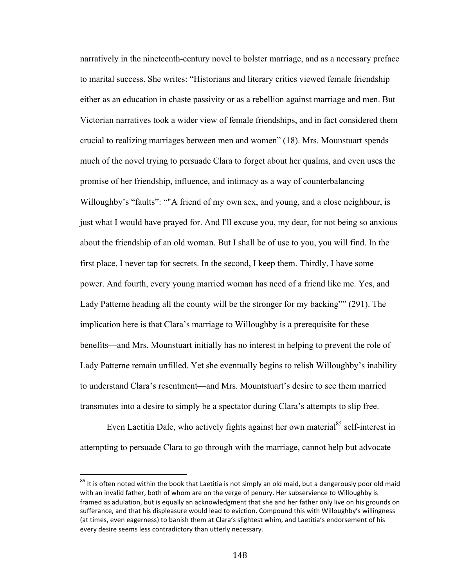narratively in the nineteenth-century novel to bolster marriage, and as a necessary preface to marital success. She writes: "Historians and literary critics viewed female friendship either as an education in chaste passivity or as a rebellion against marriage and men. But Victorian narratives took a wider view of female friendships, and in fact considered them crucial to realizing marriages between men and women" (18). Mrs. Mounstuart spends much of the novel trying to persuade Clara to forget about her qualms, and even uses the promise of her friendship, influence, and intimacy as a way of counterbalancing Willoughby's "faults": ""A friend of my own sex, and young, and a close neighbour, is just what I would have prayed for. And I'll excuse you, my dear, for not being so anxious about the friendship of an old woman. But I shall be of use to you, you will find. In the first place, I never tap for secrets. In the second, I keep them. Thirdly, I have some power. And fourth, every young married woman has need of a friend like me. Yes, and Lady Patterne heading all the county will be the stronger for my backing"" (291). The implication here is that Clara's marriage to Willoughby is a prerequisite for these benefits—and Mrs. Mounstuart initially has no interest in helping to prevent the role of Lady Patterne remain unfilled. Yet she eventually begins to relish Willoughby's inability to understand Clara's resentment—and Mrs. Mountstuart's desire to see them married transmutes into a desire to simply be a spectator during Clara's attempts to slip free.

Even Laetitia Dale, who actively fights against her own material<sup>85</sup> self-interest in attempting to persuade Clara to go through with the marriage, cannot help but advocate

 $85$  It is often noted within the book that Laetitia is not simply an old maid, but a dangerously poor old maid with an invalid father, both of whom are on the verge of penury. Her subservience to Willoughby is framed as adulation, but is equally an acknowledgment that she and her father only live on his grounds on sufferance, and that his displeasure would lead to eviction. Compound this with Willoughby's willingness (at times, even eagerness) to banish them at Clara's slightest whim, and Laetitia's endorsement of his every desire seems less contradictory than utterly necessary.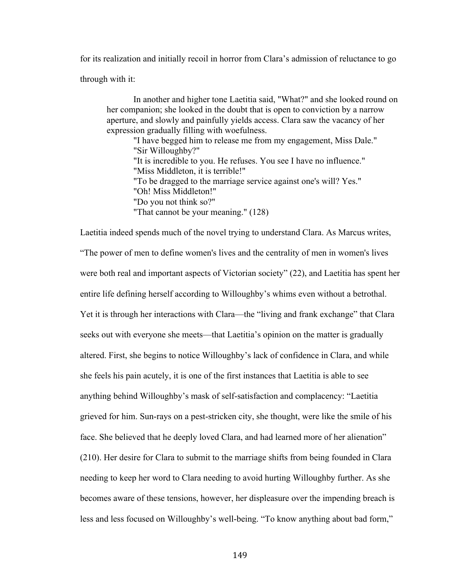for its realization and initially recoil in horror from Clara's admission of reluctance to go

through with it:

In another and higher tone Laetitia said, "What?" and she looked round on her companion; she looked in the doubt that is open to conviction by a narrow aperture, and slowly and painfully yields access. Clara saw the vacancy of her expression gradually filling with woefulness.

"I have begged him to release me from my engagement, Miss Dale." "Sir Willoughby?" "It is incredible to you. He refuses. You see I have no influence." "Miss Middleton, it is terrible!" "To be dragged to the marriage service against one's will? Yes." "Oh! Miss Middleton!" "Do you not think so?" "That cannot be your meaning." (128)

Laetitia indeed spends much of the novel trying to understand Clara. As Marcus writes, "The power of men to define women's lives and the centrality of men in women's lives were both real and important aspects of Victorian society" (22), and Laetitia has spent her entire life defining herself according to Willoughby's whims even without a betrothal. Yet it is through her interactions with Clara—the "living and frank exchange" that Clara seeks out with everyone she meets—that Laetitia's opinion on the matter is gradually altered. First, she begins to notice Willoughby's lack of confidence in Clara, and while she feels his pain acutely, it is one of the first instances that Laetitia is able to see anything behind Willoughby's mask of self-satisfaction and complacency: "Laetitia grieved for him. Sun-rays on a pest-stricken city, she thought, were like the smile of his face. She believed that he deeply loved Clara, and had learned more of her alienation" (210). Her desire for Clara to submit to the marriage shifts from being founded in Clara needing to keep her word to Clara needing to avoid hurting Willoughby further. As she becomes aware of these tensions, however, her displeasure over the impending breach is less and less focused on Willoughby's well-being. "To know anything about bad form,"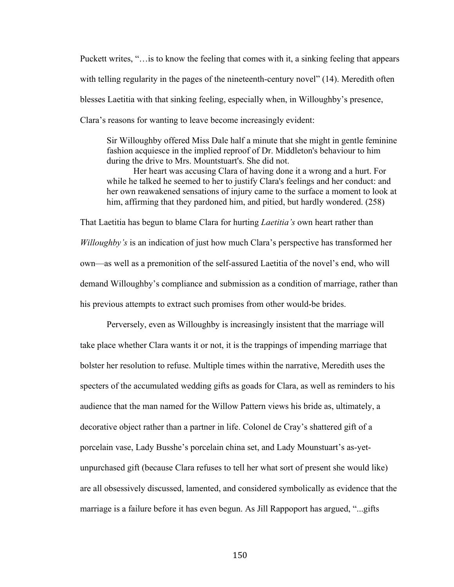Puckett writes, "…is to know the feeling that comes with it, a sinking feeling that appears with telling regularity in the pages of the nineteenth-century novel" (14). Meredith often blesses Laetitia with that sinking feeling, especially when, in Willoughby's presence, Clara's reasons for wanting to leave become increasingly evident:

Sir Willoughby offered Miss Dale half a minute that she might in gentle feminine fashion acquiesce in the implied reproof of Dr. Middleton's behaviour to him during the drive to Mrs. Mountstuart's. She did not.

Her heart was accusing Clara of having done it a wrong and a hurt. For while he talked he seemed to her to justify Clara's feelings and her conduct: and her own reawakened sensations of injury came to the surface a moment to look at him, affirming that they pardoned him, and pitied, but hardly wondered. (258)

That Laetitia has begun to blame Clara for hurting *Laetitia's* own heart rather than *Willoughby's* is an indication of just how much Clara's perspective has transformed her own—as well as a premonition of the self-assured Laetitia of the novel's end, who will demand Willoughby's compliance and submission as a condition of marriage, rather than his previous attempts to extract such promises from other would-be brides.

Perversely, even as Willoughby is increasingly insistent that the marriage will take place whether Clara wants it or not, it is the trappings of impending marriage that bolster her resolution to refuse. Multiple times within the narrative, Meredith uses the specters of the accumulated wedding gifts as goads for Clara, as well as reminders to his audience that the man named for the Willow Pattern views his bride as, ultimately, a decorative object rather than a partner in life. Colonel de Cray's shattered gift of a porcelain vase, Lady Busshe's porcelain china set, and Lady Mounstuart's as-yetunpurchased gift (because Clara refuses to tell her what sort of present she would like) are all obsessively discussed, lamented, and considered symbolically as evidence that the marriage is a failure before it has even begun. As Jill Rappoport has argued, "...gifts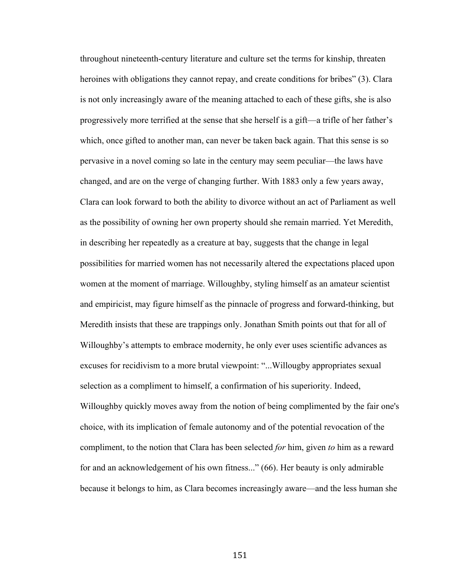throughout nineteenth-century literature and culture set the terms for kinship, threaten heroines with obligations they cannot repay, and create conditions for bribes" (3). Clara is not only increasingly aware of the meaning attached to each of these gifts, she is also progressively more terrified at the sense that she herself is a gift—a trifle of her father's which, once gifted to another man, can never be taken back again. That this sense is so pervasive in a novel coming so late in the century may seem peculiar—the laws have changed, and are on the verge of changing further. With 1883 only a few years away, Clara can look forward to both the ability to divorce without an act of Parliament as well as the possibility of owning her own property should she remain married. Yet Meredith, in describing her repeatedly as a creature at bay, suggests that the change in legal possibilities for married women has not necessarily altered the expectations placed upon women at the moment of marriage. Willoughby, styling himself as an amateur scientist and empiricist, may figure himself as the pinnacle of progress and forward-thinking, but Meredith insists that these are trappings only. Jonathan Smith points out that for all of Willoughby's attempts to embrace modernity, he only ever uses scientific advances as excuses for recidivism to a more brutal viewpoint: "...Willougby appropriates sexual selection as a compliment to himself, a confirmation of his superiority. Indeed, Willoughby quickly moves away from the notion of being complimented by the fair one's choice, with its implication of female autonomy and of the potential revocation of the compliment, to the notion that Clara has been selected *for* him, given *to* him as a reward for and an acknowledgement of his own fitness..." (66). Her beauty is only admirable because it belongs to him, as Clara becomes increasingly aware—and the less human she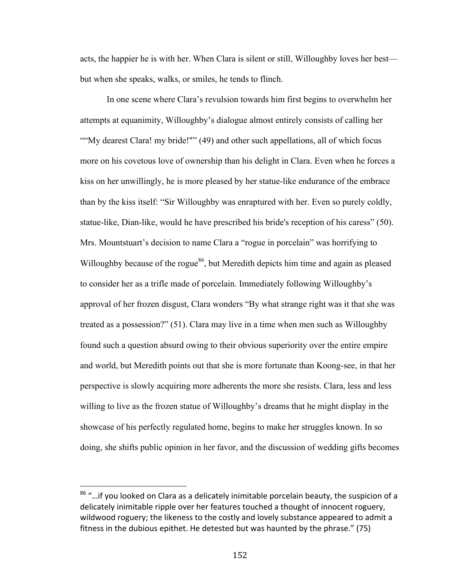acts, the happier he is with her. When Clara is silent or still, Willoughby loves her best but when she speaks, walks, or smiles, he tends to flinch.

In one scene where Clara's revulsion towards him first begins to overwhelm her attempts at equanimity, Willoughby's dialogue almost entirely consists of calling her ""My dearest Clara! my bride!"" (49) and other such appellations, all of which focus more on his covetous love of ownership than his delight in Clara. Even when he forces a kiss on her unwillingly, he is more pleased by her statue-like endurance of the embrace than by the kiss itself: "Sir Willoughby was enraptured with her. Even so purely coldly, statue-like, Dian-like, would he have prescribed his bride's reception of his caress" (50). Mrs. Mountstuart's decision to name Clara a "rogue in porcelain" was horrifying to Willoughby because of the rogue<sup>86</sup>, but Meredith depicts him time and again as pleased to consider her as a trifle made of porcelain. Immediately following Willoughby's approval of her frozen disgust, Clara wonders "By what strange right was it that she was treated as a possession?" (51). Clara may live in a time when men such as Willoughby found such a question absurd owing to their obvious superiority over the entire empire and world, but Meredith points out that she is more fortunate than Koong-see, in that her perspective is slowly acquiring more adherents the more she resists. Clara, less and less willing to live as the frozen statue of Willoughby's dreams that he might display in the showcase of his perfectly regulated home, begins to make her struggles known. In so doing, she shifts public opinion in her favor, and the discussion of wedding gifts becomes

 $86$  "...if you looked on Clara as a delicately inimitable porcelain beauty, the suspicion of a delicately inimitable ripple over her features touched a thought of innocent roguery, wildwood roguery; the likeness to the costly and lovely substance appeared to admit a fitness in the dubious epithet. He detested but was haunted by the phrase."  $(75)$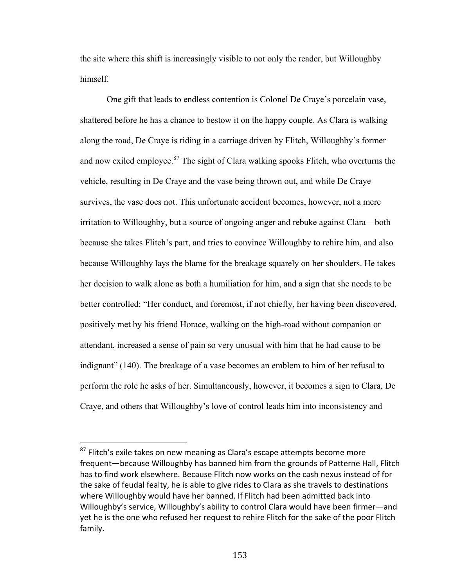the site where this shift is increasingly visible to not only the reader, but Willoughby himself.

One gift that leads to endless contention is Colonel De Craye's porcelain vase, shattered before he has a chance to bestow it on the happy couple. As Clara is walking along the road, De Craye is riding in a carriage driven by Flitch, Willoughby's former and now exiled employee. $87$  The sight of Clara walking spooks Flitch, who overturns the vehicle, resulting in De Craye and the vase being thrown out, and while De Craye survives, the vase does not. This unfortunate accident becomes, however, not a mere irritation to Willoughby, but a source of ongoing anger and rebuke against Clara—both because she takes Flitch's part, and tries to convince Willoughby to rehire him, and also because Willoughby lays the blame for the breakage squarely on her shoulders. He takes her decision to walk alone as both a humiliation for him, and a sign that she needs to be better controlled: "Her conduct, and foremost, if not chiefly, her having been discovered, positively met by his friend Horace, walking on the high-road without companion or attendant, increased a sense of pain so very unusual with him that he had cause to be indignant" (140). The breakage of a vase becomes an emblem to him of her refusal to perform the role he asks of her. Simultaneously, however, it becomes a sign to Clara, De Craye, and others that Willoughby's love of control leads him into inconsistency and

 $87$  Flitch's exile takes on new meaning as Clara's escape attempts become more frequent—because Willoughby has banned him from the grounds of Patterne Hall, Flitch has to find work elsewhere. Because Flitch now works on the cash nexus instead of for the sake of feudal fealty, he is able to give rides to Clara as she travels to destinations where Willoughby would have her banned. If Flitch had been admitted back into Willoughby's service, Willoughby's ability to control Clara would have been firmer—and yet he is the one who refused her request to rehire Flitch for the sake of the poor Flitch family.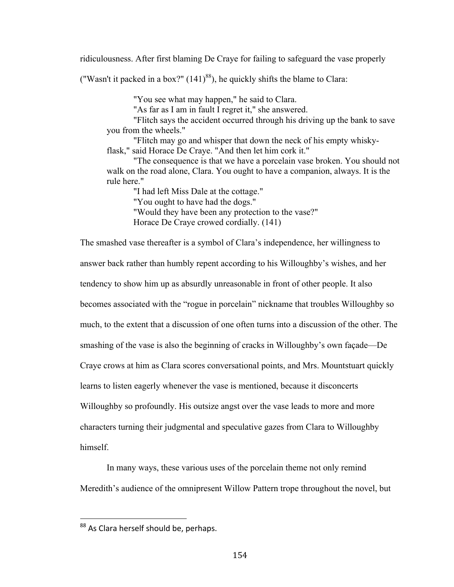ridiculousness. After first blaming De Craye for failing to safeguard the vase properly

("Wasn't it packed in a box?"  $(141)^{88}$ ), he quickly shifts the blame to Clara:

"You see what may happen," he said to Clara.

"As far as I am in fault I regret it," she answered.

"Flitch says the accident occurred through his driving up the bank to save you from the wheels."

"Flitch may go and whisper that down the neck of his empty whiskyflask," said Horace De Craye. "And then let him cork it."

"The consequence is that we have a porcelain vase broken. You should not walk on the road alone, Clara. You ought to have a companion, always. It is the rule here."

"I had left Miss Dale at the cottage." "You ought to have had the dogs." "Would they have been any protection to the vase?" Horace De Craye crowed cordially. (141)

The smashed vase thereafter is a symbol of Clara's independence, her willingness to answer back rather than humbly repent according to his Willoughby's wishes, and her tendency to show him up as absurdly unreasonable in front of other people. It also becomes associated with the "rogue in porcelain" nickname that troubles Willoughby so much, to the extent that a discussion of one often turns into a discussion of the other. The smashing of the vase is also the beginning of cracks in Willoughby's own façade—De Craye crows at him as Clara scores conversational points, and Mrs. Mountstuart quickly learns to listen eagerly whenever the vase is mentioned, because it disconcerts Willoughby so profoundly. His outsize angst over the vase leads to more and more characters turning their judgmental and speculative gazes from Clara to Willoughby himself.

In many ways, these various uses of the porcelain theme not only remind Meredith's audience of the omnipresent Willow Pattern trope throughout the novel, but

<sup>&</sup>lt;sup>88</sup> As Clara herself should be, perhaps.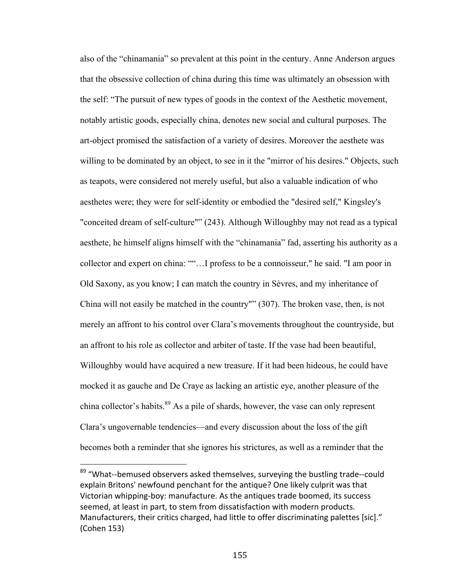also of the "chinamania" so prevalent at this point in the century. Anne Anderson argues that the obsessive collection of china during this time was ultimately an obsession with the self: "The pursuit of new types of goods in the context of the Aesthetic movement, notably artistic goods, especially china, denotes new social and cultural purposes. The art-object promised the satisfaction of a variety of desires. Moreover the aesthete was willing to be dominated by an object, to see in it the "mirror of his desires." Objects, such as teapots, were considered not merely useful, but also a valuable indication of who aesthetes were; they were for self-identity or embodied the "desired self," Kingsley's "conceited dream of self-culture"" (243). Although Willoughby may not read as a typical aesthete, he himself aligns himself with the "chinamania" fad, asserting his authority as a collector and expert on china: ""…I profess to be a connoisseur," he said. "I am poor in Old Saxony, as you know; I can match the country in Sèvres, and my inheritance of China will not easily be matched in the country"" (307). The broken vase, then, is not merely an affront to his control over Clara's movements throughout the countryside, but an affront to his role as collector and arbiter of taste. If the vase had been beautiful, Willoughby would have acquired a new treasure. If it had been hideous, he could have mocked it as gauche and De Craye as lacking an artistic eye, another pleasure of the china collector's habits. $8^9$  As a pile of shards, however, the vase can only represent Clara's ungovernable tendencies—and every discussion about the loss of the gift becomes both a reminder that she ignores his strictures, as well as a reminder that the

<sup>89 &</sup>quot;What--bemused observers asked themselves, surveying the bustling trade--could explain Britons' newfound penchant for the antique? One likely culprit was that Victorian whipping-boy: manufacture. As the antiques trade boomed, its success seemed, at least in part, to stem from dissatisfaction with modern products. Manufacturers, their critics charged, had little to offer discriminating palettes [sic]." (Cohen 153)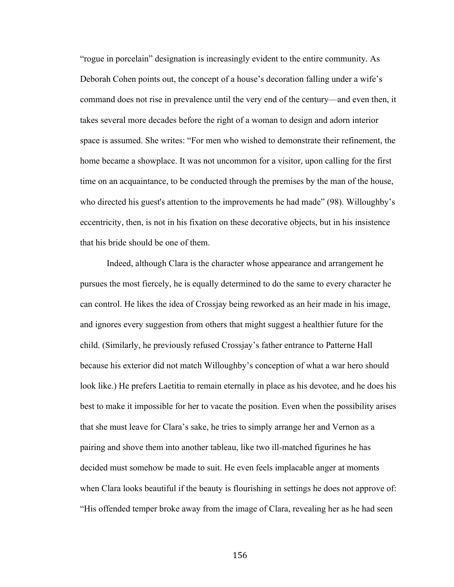"rogue in porcelain" designation is increasingly evident to the entire community. As Deborah Cohen points out, the concept of a house's decoration falling under a wife's command does not rise in prevalence until the very end of the century—and even then, it takes several more decades before the right of a woman to design and adorn interior space is assumed. She writes: "For men who wished to demonstrate their refinement, the home became a showplace. It was not uncommon for a visitor, upon calling for the first time on an acquaintance, to be conducted through the premises by the man of the house, who directed his guest's attention to the improvements he had made" (98). Willoughby's eccentricity, then, is not in his fixation on these decorative objects, but in his insistence that his bride should be one of them.

Indeed, although Clara is the character whose appearance and arrangement he pursues the most fiercely, he is equally determined to do the same to every character he can control. He likes the idea of Crossjay being reworked as an heir made in his image, and ignores every suggestion from others that might suggest a healthier future for the child. (Similarly, he previously refused Crossjay's father entrance to Patterne Hall because his exterior did not match Willoughby's conception of what a war hero should look like.) He prefers Laetitia to remain eternally in place as his devotee, and he does his best to make it impossible for her to vacate the position. Even when the possibility arises that she must leave for Clara's sake, he tries to simply arrange her and Vernon as a pairing and shove them into another tableau, like two ill-matched figurines he has decided must somehow be made to suit. He even feels implacable anger at moments when Clara looks beautiful if the beauty is flourishing in settings he does not approve of: "His offended temper broke away from the image of Clara, revealing her as he had seen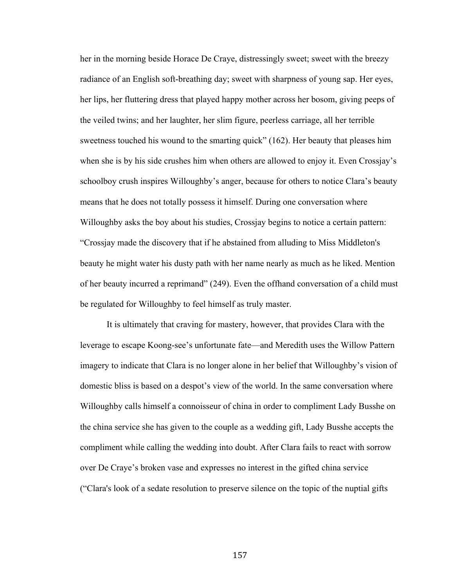her in the morning beside Horace De Craye, distressingly sweet; sweet with the breezy radiance of an English soft-breathing day; sweet with sharpness of young sap. Her eyes, her lips, her fluttering dress that played happy mother across her bosom, giving peeps of the veiled twins; and her laughter, her slim figure, peerless carriage, all her terrible sweetness touched his wound to the smarting quick" (162). Her beauty that pleases him when she is by his side crushes him when others are allowed to enjoy it. Even Crossjay's schoolboy crush inspires Willoughby's anger, because for others to notice Clara's beauty means that he does not totally possess it himself. During one conversation where Willoughby asks the boy about his studies, Crossjay begins to notice a certain pattern: "Crossjay made the discovery that if he abstained from alluding to Miss Middleton's beauty he might water his dusty path with her name nearly as much as he liked. Mention of her beauty incurred a reprimand" (249). Even the offhand conversation of a child must be regulated for Willoughby to feel himself as truly master.

It is ultimately that craving for mastery, however, that provides Clara with the leverage to escape Koong-see's unfortunate fate—and Meredith uses the Willow Pattern imagery to indicate that Clara is no longer alone in her belief that Willoughby's vision of domestic bliss is based on a despot's view of the world. In the same conversation where Willoughby calls himself a connoisseur of china in order to compliment Lady Busshe on the china service she has given to the couple as a wedding gift, Lady Busshe accepts the compliment while calling the wedding into doubt. After Clara fails to react with sorrow over De Craye's broken vase and expresses no interest in the gifted china service ("Clara's look of a sedate resolution to preserve silence on the topic of the nuptial gifts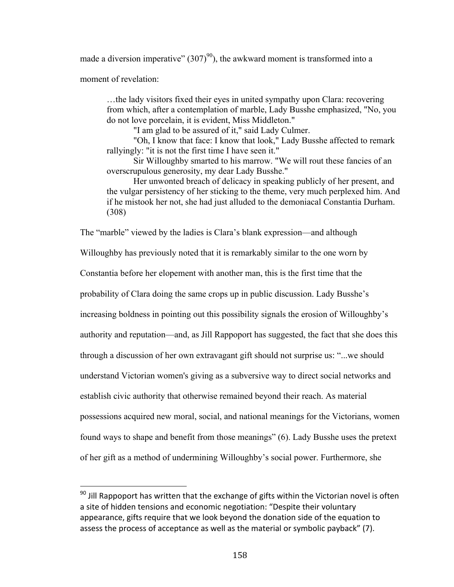made a diversion imperative"  $(307)^{90}$ ), the awkward moment is transformed into a moment of revelation:

…the lady visitors fixed their eyes in united sympathy upon Clara: recovering from which, after a contemplation of marble, Lady Busshe emphasized, "No, you do not love porcelain, it is evident, Miss Middleton."

"I am glad to be assured of it," said Lady Culmer.

"Oh, I know that face: I know that look," Lady Busshe affected to remark rallyingly: "it is not the first time I have seen it."

Sir Willoughby smarted to his marrow. "We will rout these fancies of an overscrupulous generosity, my dear Lady Busshe."

Her unwonted breach of delicacy in speaking publicly of her present, and the vulgar persistency of her sticking to the theme, very much perplexed him. And if he mistook her not, she had just alluded to the demoniacal Constantia Durham. (308)

The "marble" viewed by the ladies is Clara's blank expression—and although

Willoughby has previously noted that it is remarkably similar to the one worn by

Constantia before her elopement with another man, this is the first time that the

probability of Clara doing the same crops up in public discussion. Lady Busshe's

increasing boldness in pointing out this possibility signals the erosion of Willoughby's

authority and reputation—and, as Jill Rappoport has suggested, the fact that she does this

through a discussion of her own extravagant gift should not surprise us: "...we should

understand Victorian women's giving as a subversive way to direct social networks and

establish civic authority that otherwise remained beyond their reach. As material

possessions acquired new moral, social, and national meanings for the Victorians, women

found ways to shape and benefit from those meanings" (6). Lady Busshe uses the pretext

of her gift as a method of undermining Willoughby's social power. Furthermore, she

 $90$  Jill Rappoport has written that the exchange of gifts within the Victorian novel is often a site of hidden tensions and economic negotiation: "Despite their voluntary appearance, gifts require that we look beyond the donation side of the equation to assess the process of acceptance as well as the material or symbolic payback" (7).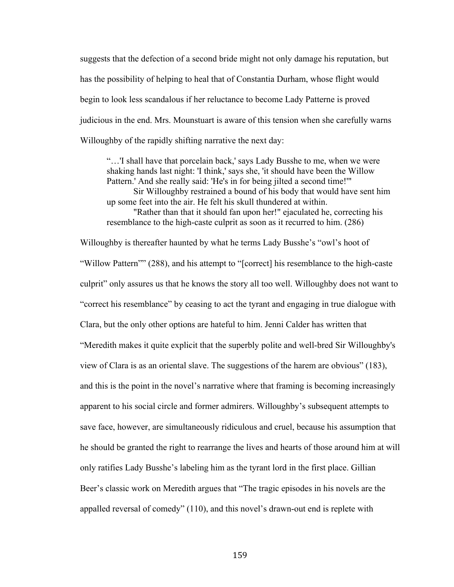suggests that the defection of a second bride might not only damage his reputation, but has the possibility of helping to heal that of Constantia Durham, whose flight would begin to look less scandalous if her reluctance to become Lady Patterne is proved judicious in the end. Mrs. Mounstuart is aware of this tension when she carefully warns Willoughby of the rapidly shifting narrative the next day:

"…'I shall have that porcelain back,' says Lady Busshe to me, when we were shaking hands last night: 'I think,' says she, 'it should have been the Willow Pattern.' And she really said: 'He's in for being jilted a second time!'"

Sir Willoughby restrained a bound of his body that would have sent him up some feet into the air. He felt his skull thundered at within.

"Rather than that it should fan upon her!" ejaculated he, correcting his resemblance to the high-caste culprit as soon as it recurred to him. (286)

Willoughby is thereafter haunted by what he terms Lady Busshe's "owl's hoot of "Willow Pattern"" (288), and his attempt to "[correct] his resemblance to the high-caste culprit" only assures us that he knows the story all too well. Willoughby does not want to "correct his resemblance" by ceasing to act the tyrant and engaging in true dialogue with Clara, but the only other options are hateful to him. Jenni Calder has written that "Meredith makes it quite explicit that the superbly polite and well-bred Sir Willoughby's view of Clara is as an oriental slave. The suggestions of the harem are obvious" (183), and this is the point in the novel's narrative where that framing is becoming increasingly apparent to his social circle and former admirers. Willoughby's subsequent attempts to save face, however, are simultaneously ridiculous and cruel, because his assumption that he should be granted the right to rearrange the lives and hearts of those around him at will only ratifies Lady Busshe's labeling him as the tyrant lord in the first place. Gillian Beer's classic work on Meredith argues that "The tragic episodes in his novels are the appalled reversal of comedy" (110), and this novel's drawn-out end is replete with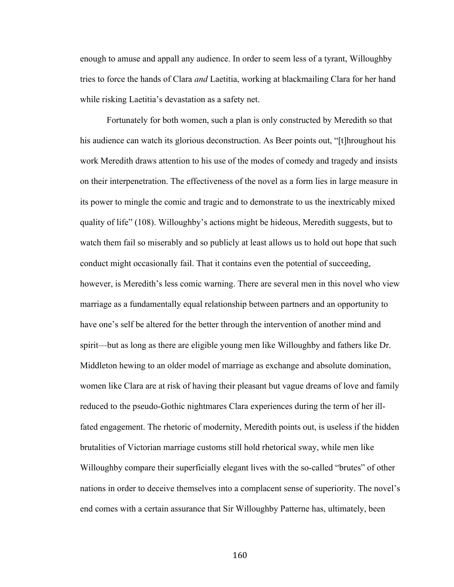enough to amuse and appall any audience. In order to seem less of a tyrant, Willoughby tries to force the hands of Clara *and* Laetitia, working at blackmailing Clara for her hand while risking Laetitia's devastation as a safety net.

Fortunately for both women, such a plan is only constructed by Meredith so that his audience can watch its glorious deconstruction. As Beer points out, "[t]hroughout his work Meredith draws attention to his use of the modes of comedy and tragedy and insists on their interpenetration. The effectiveness of the novel as a form lies in large measure in its power to mingle the comic and tragic and to demonstrate to us the inextricably mixed quality of life" (108). Willoughby's actions might be hideous, Meredith suggests, but to watch them fail so miserably and so publicly at least allows us to hold out hope that such conduct might occasionally fail. That it contains even the potential of succeeding, however, is Meredith's less comic warning. There are several men in this novel who view marriage as a fundamentally equal relationship between partners and an opportunity to have one's self be altered for the better through the intervention of another mind and spirit—but as long as there are eligible young men like Willoughby and fathers like Dr. Middleton hewing to an older model of marriage as exchange and absolute domination, women like Clara are at risk of having their pleasant but vague dreams of love and family reduced to the pseudo-Gothic nightmares Clara experiences during the term of her illfated engagement. The rhetoric of modernity, Meredith points out, is useless if the hidden brutalities of Victorian marriage customs still hold rhetorical sway, while men like Willoughby compare their superficially elegant lives with the so-called "brutes" of other nations in order to deceive themselves into a complacent sense of superiority. The novel's end comes with a certain assurance that Sir Willoughby Patterne has, ultimately, been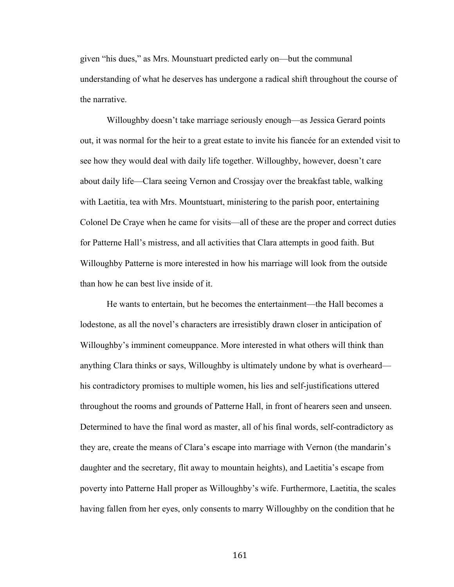given "his dues," as Mrs. Mounstuart predicted early on—but the communal understanding of what he deserves has undergone a radical shift throughout the course of the narrative.

Willoughby doesn't take marriage seriously enough—as Jessica Gerard points out, it was normal for the heir to a great estate to invite his fiancée for an extended visit to see how they would deal with daily life together. Willoughby, however, doesn't care about daily life—Clara seeing Vernon and Crossjay over the breakfast table, walking with Laetitia, tea with Mrs. Mountstuart, ministering to the parish poor, entertaining Colonel De Craye when he came for visits—all of these are the proper and correct duties for Patterne Hall's mistress, and all activities that Clara attempts in good faith. But Willoughby Patterne is more interested in how his marriage will look from the outside than how he can best live inside of it.

He wants to entertain, but he becomes the entertainment—the Hall becomes a lodestone, as all the novel's characters are irresistibly drawn closer in anticipation of Willoughby's imminent comeuppance. More interested in what others will think than anything Clara thinks or says, Willoughby is ultimately undone by what is overheard his contradictory promises to multiple women, his lies and self-justifications uttered throughout the rooms and grounds of Patterne Hall, in front of hearers seen and unseen. Determined to have the final word as master, all of his final words, self-contradictory as they are, create the means of Clara's escape into marriage with Vernon (the mandarin's daughter and the secretary, flit away to mountain heights), and Laetitia's escape from poverty into Patterne Hall proper as Willoughby's wife. Furthermore, Laetitia, the scales having fallen from her eyes, only consents to marry Willoughby on the condition that he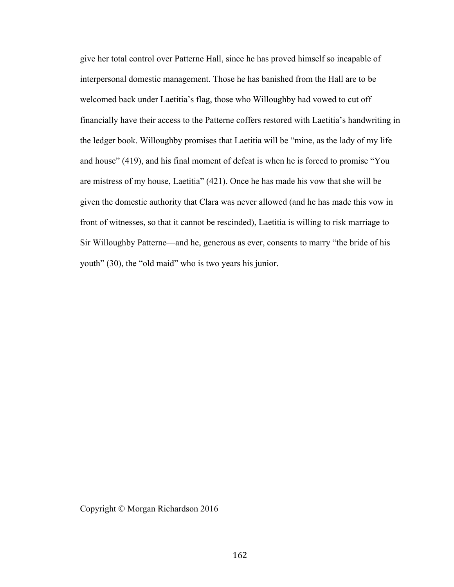give her total control over Patterne Hall, since he has proved himself so incapable of interpersonal domestic management. Those he has banished from the Hall are to be welcomed back under Laetitia's flag, those who Willoughby had vowed to cut off financially have their access to the Patterne coffers restored with Laetitia's handwriting in the ledger book. Willoughby promises that Laetitia will be "mine, as the lady of my life and house" (419), and his final moment of defeat is when he is forced to promise "You are mistress of my house, Laetitia" (421). Once he has made his vow that she will be given the domestic authority that Clara was never allowed (and he has made this vow in front of witnesses, so that it cannot be rescinded), Laetitia is willing to risk marriage to Sir Willoughby Patterne—and he, generous as ever, consents to marry "the bride of his youth" (30), the "old maid" who is two years his junior.

## Copyright © Morgan Richardson 2016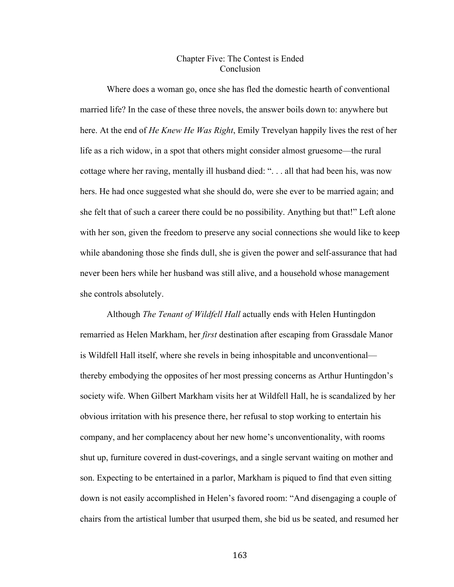## Chapter Five: The Contest is Ended Conclusion

Where does a woman go, once she has fled the domestic hearth of conventional married life? In the case of these three novels, the answer boils down to: anywhere but here. At the end of *He Knew He Was Right*, Emily Trevelyan happily lives the rest of her life as a rich widow, in a spot that others might consider almost gruesome—the rural cottage where her raving, mentally ill husband died: ". . . all that had been his, was now hers. He had once suggested what she should do, were she ever to be married again; and she felt that of such a career there could be no possibility. Anything but that!" Left alone with her son, given the freedom to preserve any social connections she would like to keep while abandoning those she finds dull, she is given the power and self-assurance that had never been hers while her husband was still alive, and a household whose management she controls absolutely.

Although *The Tenant of Wildfell Hall* actually ends with Helen Huntingdon remarried as Helen Markham, her *first* destination after escaping from Grassdale Manor is Wildfell Hall itself, where she revels in being inhospitable and unconventional thereby embodying the opposites of her most pressing concerns as Arthur Huntingdon's society wife. When Gilbert Markham visits her at Wildfell Hall, he is scandalized by her obvious irritation with his presence there, her refusal to stop working to entertain his company, and her complacency about her new home's unconventionality, with rooms shut up, furniture covered in dust-coverings, and a single servant waiting on mother and son. Expecting to be entertained in a parlor, Markham is piqued to find that even sitting down is not easily accomplished in Helen's favored room: "And disengaging a couple of chairs from the artistical lumber that usurped them, she bid us be seated, and resumed her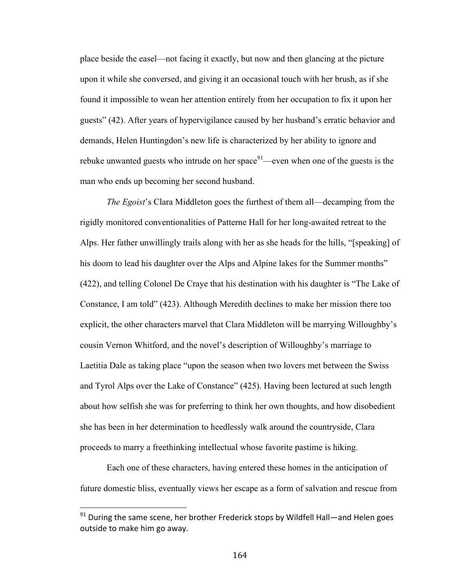place beside the easel—not facing it exactly, but now and then glancing at the picture upon it while she conversed, and giving it an occasional touch with her brush, as if she found it impossible to wean her attention entirely from her occupation to fix it upon her guests" (42). After years of hypervigilance caused by her husband's erratic behavior and demands, Helen Huntingdon's new life is characterized by her ability to ignore and rebuke unwanted guests who intrude on her space<sup>91</sup>—even when one of the guests is the man who ends up becoming her second husband.

*The Egoist*'s Clara Middleton goes the furthest of them all—decamping from the rigidly monitored conventionalities of Patterne Hall for her long-awaited retreat to the Alps. Her father unwillingly trails along with her as she heads for the hills, "[speaking] of his doom to lead his daughter over the Alps and Alpine lakes for the Summer months" (422), and telling Colonel De Craye that his destination with his daughter is "The Lake of Constance, I am told" (423). Although Meredith declines to make her mission there too explicit, the other characters marvel that Clara Middleton will be marrying Willoughby's cousin Vernon Whitford, and the novel's description of Willoughby's marriage to Laetitia Dale as taking place "upon the season when two lovers met between the Swiss and Tyrol Alps over the Lake of Constance" (425). Having been lectured at such length about how selfish she was for preferring to think her own thoughts, and how disobedient she has been in her determination to heedlessly walk around the countryside, Clara proceeds to marry a freethinking intellectual whose favorite pastime is hiking.

Each one of these characters, having entered these homes in the anticipation of future domestic bliss, eventually views her escape as a form of salvation and rescue from

 $91$  During the same scene, her brother Frederick stops by Wildfell Hall—and Helen goes outside to make him go away.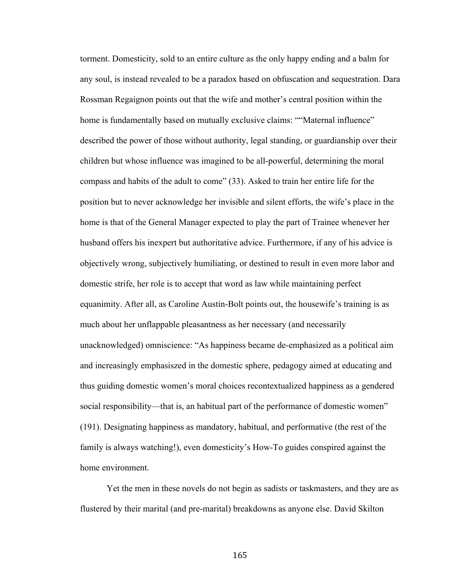torment. Domesticity, sold to an entire culture as the only happy ending and a balm for any soul, is instead revealed to be a paradox based on obfuscation and sequestration. Dara Rossman Regaignon points out that the wife and mother's central position within the home is fundamentally based on mutually exclusive claims: ""Maternal influence" described the power of those without authority, legal standing, or guardianship over their children but whose influence was imagined to be all-powerful, determining the moral compass and habits of the adult to come" (33). Asked to train her entire life for the position but to never acknowledge her invisible and silent efforts, the wife's place in the home is that of the General Manager expected to play the part of Trainee whenever her husband offers his inexpert but authoritative advice. Furthermore, if any of his advice is objectively wrong, subjectively humiliating, or destined to result in even more labor and domestic strife, her role is to accept that word as law while maintaining perfect equanimity. After all, as Caroline Austin-Bolt points out, the housewife's training is as much about her unflappable pleasantness as her necessary (and necessarily unacknowledged) omniscience: "As happiness became de-emphasized as a political aim and increasingly emphasiszed in the domestic sphere, pedagogy aimed at educating and thus guiding domestic women's moral choices recontextualized happiness as a gendered social responsibility—that is, an habitual part of the performance of domestic women" (191). Designating happiness as mandatory, habitual, and performative (the rest of the family is always watching!), even domesticity's How-To guides conspired against the home environment.

Yet the men in these novels do not begin as sadists or taskmasters, and they are as flustered by their marital (and pre-marital) breakdowns as anyone else. David Skilton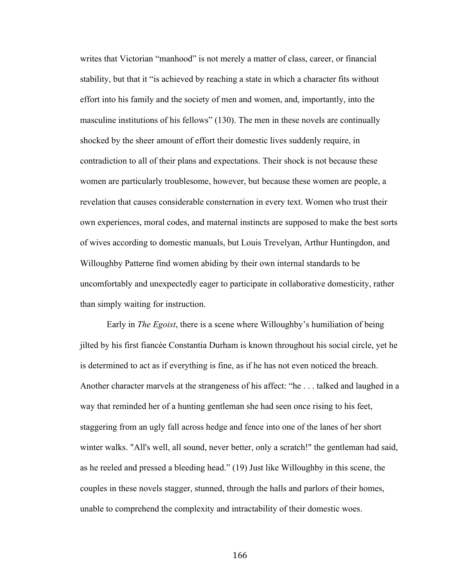writes that Victorian "manhood" is not merely a matter of class, career, or financial stability, but that it "is achieved by reaching a state in which a character fits without effort into his family and the society of men and women, and, importantly, into the masculine institutions of his fellows" (130). The men in these novels are continually shocked by the sheer amount of effort their domestic lives suddenly require, in contradiction to all of their plans and expectations. Their shock is not because these women are particularly troublesome, however, but because these women are people, a revelation that causes considerable consternation in every text. Women who trust their own experiences, moral codes, and maternal instincts are supposed to make the best sorts of wives according to domestic manuals, but Louis Trevelyan, Arthur Huntingdon, and Willoughby Patterne find women abiding by their own internal standards to be uncomfortably and unexpectedly eager to participate in collaborative domesticity, rather than simply waiting for instruction.

Early in *The Egoist*, there is a scene where Willoughby's humiliation of being jilted by his first fiancée Constantia Durham is known throughout his social circle, yet he is determined to act as if everything is fine, as if he has not even noticed the breach. Another character marvels at the strangeness of his affect: "he . . . talked and laughed in a way that reminded her of a hunting gentleman she had seen once rising to his feet, staggering from an ugly fall across hedge and fence into one of the lanes of her short winter walks. "All's well, all sound, never better, only a scratch!" the gentleman had said, as he reeled and pressed a bleeding head." (19) Just like Willoughby in this scene, the couples in these novels stagger, stunned, through the halls and parlors of their homes, unable to comprehend the complexity and intractability of their domestic woes.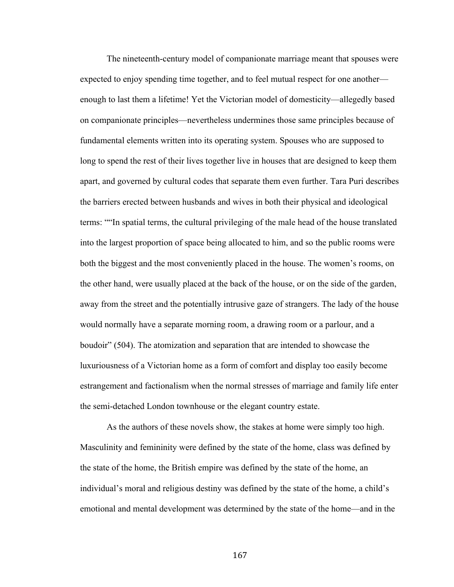The nineteenth-century model of companionate marriage meant that spouses were expected to enjoy spending time together, and to feel mutual respect for one another enough to last them a lifetime! Yet the Victorian model of domesticity—allegedly based on companionate principles—nevertheless undermines those same principles because of fundamental elements written into its operating system. Spouses who are supposed to long to spend the rest of their lives together live in houses that are designed to keep them apart, and governed by cultural codes that separate them even further. Tara Puri describes the barriers erected between husbands and wives in both their physical and ideological terms: ""In spatial terms, the cultural privileging of the male head of the house translated into the largest proportion of space being allocated to him, and so the public rooms were both the biggest and the most conveniently placed in the house. The women's rooms, on the other hand, were usually placed at the back of the house, or on the side of the garden, away from the street and the potentially intrusive gaze of strangers. The lady of the house would normally have a separate morning room, a drawing room or a parlour, and a boudoir" (504). The atomization and separation that are intended to showcase the luxuriousness of a Victorian home as a form of comfort and display too easily become estrangement and factionalism when the normal stresses of marriage and family life enter the semi-detached London townhouse or the elegant country estate.

As the authors of these novels show, the stakes at home were simply too high. Masculinity and femininity were defined by the state of the home, class was defined by the state of the home, the British empire was defined by the state of the home, an individual's moral and religious destiny was defined by the state of the home, a child's emotional and mental development was determined by the state of the home—and in the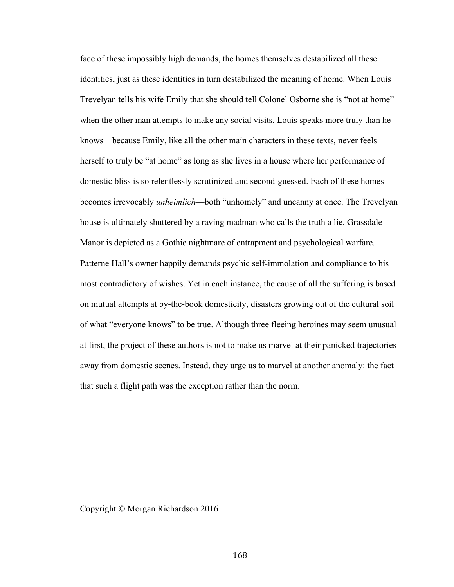face of these impossibly high demands, the homes themselves destabilized all these identities, just as these identities in turn destabilized the meaning of home. When Louis Trevelyan tells his wife Emily that she should tell Colonel Osborne she is "not at home" when the other man attempts to make any social visits, Louis speaks more truly than he knows—because Emily, like all the other main characters in these texts, never feels herself to truly be "at home" as long as she lives in a house where her performance of domestic bliss is so relentlessly scrutinized and second-guessed. Each of these homes becomes irrevocably *unheimlich*—both "unhomely" and uncanny at once. The Trevelyan house is ultimately shuttered by a raving madman who calls the truth a lie. Grassdale Manor is depicted as a Gothic nightmare of entrapment and psychological warfare. Patterne Hall's owner happily demands psychic self-immolation and compliance to his most contradictory of wishes. Yet in each instance, the cause of all the suffering is based on mutual attempts at by-the-book domesticity, disasters growing out of the cultural soil of what "everyone knows" to be true. Although three fleeing heroines may seem unusual at first, the project of these authors is not to make us marvel at their panicked trajectories away from domestic scenes. Instead, they urge us to marvel at another anomaly: the fact that such a flight path was the exception rather than the norm.

## Copyright © Morgan Richardson 2016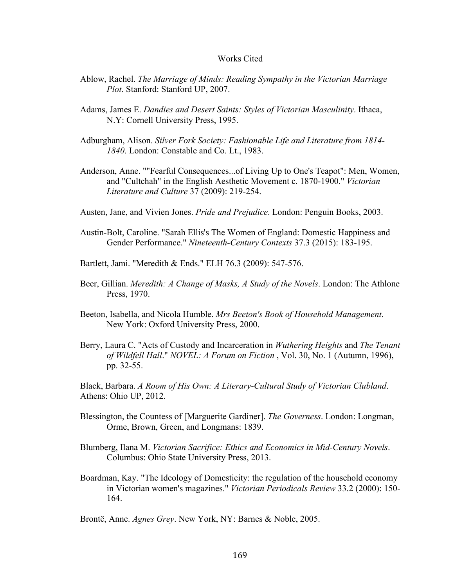## Works Cited

- Ablow, Rachel. *The Marriage of Minds: Reading Sympathy in the Victorian Marriage Plot*. Stanford: Stanford UP, 2007.
- Adams, James E. *Dandies and Desert Saints: Styles of Victorian Masculinity*. Ithaca, N.Y: Cornell University Press, 1995.
- Adburgham, Alison. *Silver Fork Society: Fashionable Life and Literature from 1814- 1840*. London: Constable and Co. Lt., 1983.
- Anderson, Anne. ""Fearful Consequences...of Living Up to One's Teapot": Men, Women, and "Cultchah" in the English Aesthetic Movement c. 1870-1900." *Victorian Literature and Culture* 37 (2009): 219-254.
- Austen, Jane, and Vivien Jones. *Pride and Prejudice*. London: Penguin Books, 2003.
- Austin-Bolt, Caroline. "Sarah Ellis's The Women of England: Domestic Happiness and Gender Performance." *Nineteenth-Century Contexts* 37.3 (2015): 183-195.
- Bartlett, Jami. "Meredith & Ends." ELH 76.3 (2009): 547-576.
- Beer, Gillian. *Meredith: A Change of Masks, A Study of the Novels*. London: The Athlone Press, 1970.
- Beeton, Isabella, and Nicola Humble. *Mrs Beeton's Book of Household Management*. New York: Oxford University Press, 2000.
- Berry, Laura C. "Acts of Custody and Incarceration in *Wuthering Heights* and *The Tenant of Wildfell Hall*." *NOVEL: A Forum on Fiction* , Vol. 30, No. 1 (Autumn, 1996), pp. 32-55.

Black, Barbara. *A Room of His Own: A Literary-Cultural Study of Victorian Clubland*. Athens: Ohio UP, 2012.

- Blessington, the Countess of [Marguerite Gardiner]. *The Governess*. London: Longman, Orme, Brown, Green, and Longmans: 1839.
- Blumberg, Ilana M. *Victorian Sacrifice: Ethics and Economics in Mid-Century Novels*. Columbus: Ohio State University Press, 2013.
- Boardman, Kay. "The Ideology of Domesticity: the regulation of the household economy in Victorian women's magazines." *Victorian Periodicals Review* 33.2 (2000): 150- 164.

Brontë, Anne. *Agnes Grey*. New York, NY: Barnes & Noble, 2005.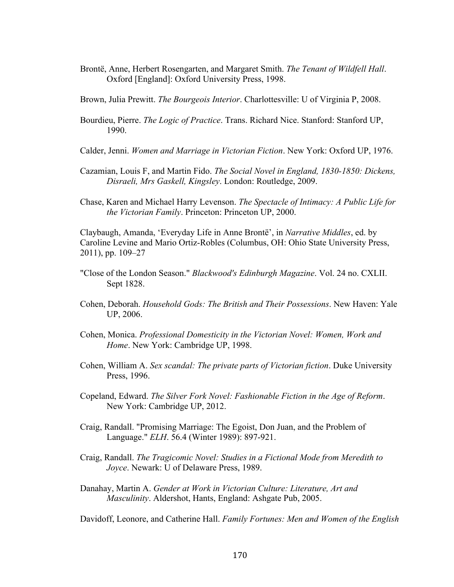- Brontë, Anne, Herbert Rosengarten, and Margaret Smith. *The Tenant of Wildfell Hall*. Oxford [England]: Oxford University Press, 1998.
- Brown, Julia Prewitt. *The Bourgeois Interior*. Charlottesville: U of Virginia P, 2008.
- Bourdieu, Pierre. *The Logic of Practice*. Trans. Richard Nice. Stanford: Stanford UP, 1990.
- Calder, Jenni. *Women and Marriage in Victorian Fiction*. New York: Oxford UP, 1976.
- Cazamian, Louis F, and Martin Fido. *The Social Novel in England, 1830-1850: Dickens, Disraeli, Mrs Gaskell, Kingsley*. London: Routledge, 2009.
- Chase, Karen and Michael Harry Levenson. *The Spectacle of Intimacy: A Public Life for the Victorian Family*. Princeton: Princeton UP, 2000.

Claybaugh, Amanda, 'Everyday Life in Anne Brontë', in *Narrative Middles*, ed. by Caroline Levine and Mario Ortiz-Robles (Columbus, OH: Ohio State University Press, 2011), pp. 109–27

- "Close of the London Season." *Blackwood's Edinburgh Magazine*. Vol. 24 no. CXLII. Sept 1828.
- Cohen, Deborah. *Household Gods: The British and Their Possessions*. New Haven: Yale UP, 2006.
- Cohen, Monica. *Professional Domesticity in the Victorian Novel: Women, Work and Home*. New York: Cambridge UP, 1998.
- Cohen, William A. *Sex scandal: The private parts of Victorian fiction*. Duke University Press, 1996.
- Copeland, Edward. *The Silver Fork Novel: Fashionable Fiction in the Age of Reform*. New York: Cambridge UP, 2012.
- Craig, Randall. "Promising Marriage: The Egoist, Don Juan, and the Problem of Language." *ELH*. 56.4 (Winter 1989): 897-921.
- Craig, Randall. *The Tragicomic Novel: Studies in a Fictional Mode from Meredith to Joyce*. Newark: U of Delaware Press, 1989.
- Danahay, Martin A. *Gender at Work in Victorian Culture: Literature, Art and Masculinity*. Aldershot, Hants, England: Ashgate Pub, 2005.

Davidoff, Leonore, and Catherine Hall. *Family Fortunes: Men and Women of the English*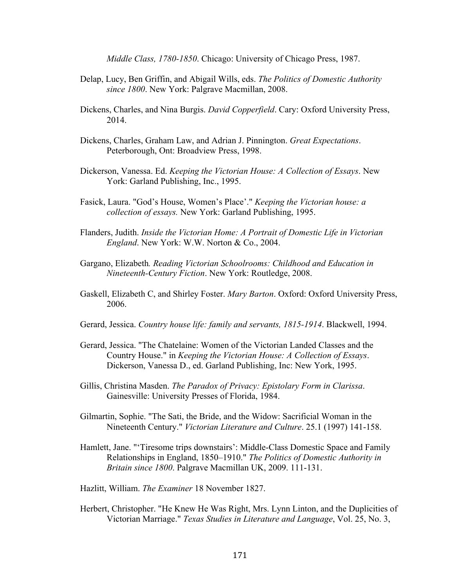*Middle Class, 1780-1850*. Chicago: University of Chicago Press, 1987.

- Delap, Lucy, Ben Griffin, and Abigail Wills, eds. *The Politics of Domestic Authority since 1800*. New York: Palgrave Macmillan, 2008.
- Dickens, Charles, and Nina Burgis. *David Copperfield*. Cary: Oxford University Press, 2014.
- Dickens, Charles, Graham Law, and Adrian J. Pinnington. *Great Expectations*. Peterborough, Ont: Broadview Press, 1998.
- Dickerson, Vanessa. Ed. *Keeping the Victorian House: A Collection of Essays*. New York: Garland Publishing, Inc., 1995.
- Fasick, Laura. "God's House, Women's Place'." *Keeping the Victorian house: a collection of essays.* New York: Garland Publishing, 1995.
- Flanders, Judith. *Inside the Victorian Home: A Portrait of Domestic Life in Victorian England*. New York: W.W. Norton & Co., 2004.
- Gargano, Elizabeth*. Reading Victorian Schoolrooms: Childhood and Education in Nineteenth-Century Fiction*. New York: Routledge, 2008.
- Gaskell, Elizabeth C, and Shirley Foster. *Mary Barton*. Oxford: Oxford University Press, 2006.
- Gerard, Jessica. *Country house life: family and servants, 1815-1914*. Blackwell, 1994.
- Gerard, Jessica. "The Chatelaine: Women of the Victorian Landed Classes and the Country House." in *Keeping the Victorian House: A Collection of Essays*. Dickerson, Vanessa D., ed. Garland Publishing, Inc: New York, 1995.
- Gillis, Christina Masden. *The Paradox of Privacy: Epistolary Form in Clarissa*. Gainesville: University Presses of Florida, 1984.
- Gilmartin, Sophie. "The Sati, the Bride, and the Widow: Sacrificial Woman in the Nineteenth Century." *Victorian Literature and Culture*. 25.1 (1997) 141-158.
- Hamlett, Jane. "'Tiresome trips downstairs': Middle-Class Domestic Space and Family Relationships in England, 1850–1910." *The Politics of Domestic Authority in Britain since 1800*. Palgrave Macmillan UK, 2009. 111-131.
- Hazlitt, William. *The Examiner* 18 November 1827.
- Herbert, Christopher. "He Knew He Was Right, Mrs. Lynn Linton, and the Duplicities of Victorian Marriage." *Texas Studies in Literature and Language*, Vol. 25, No. 3,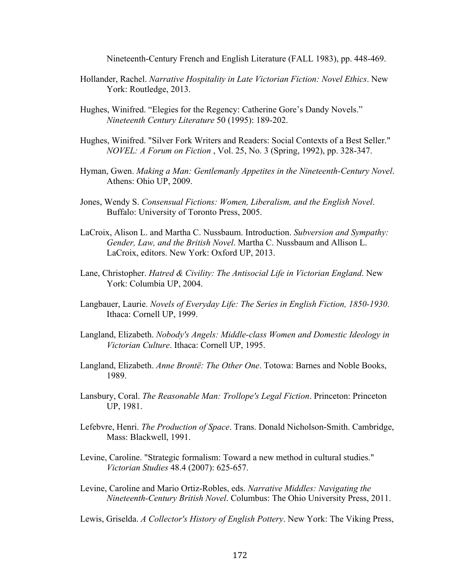Nineteenth-Century French and English Literature (FALL 1983), pp. 448-469.

- Hollander, Rachel. *Narrative Hospitality in Late Victorian Fiction: Novel Ethics*. New York: Routledge, 2013.
- Hughes, Winifred. "Elegies for the Regency: Catherine Gore's Dandy Novels." *Nineteenth Century Literature* 50 (1995): 189-202.
- Hughes, Winifred. "Silver Fork Writers and Readers: Social Contexts of a Best Seller." *NOVEL: A Forum on Fiction* , Vol. 25, No. 3 (Spring, 1992), pp. 328-347.
- Hyman, Gwen. *Making a Man: Gentlemanly Appetites in the Nineteenth-Century Novel*. Athens: Ohio UP, 2009.
- Jones, Wendy S. *Consensual Fictions: Women, Liberalism, and the English Novel*. Buffalo: University of Toronto Press, 2005.
- LaCroix, Alison L. and Martha C. Nussbaum. Introduction. *Subversion and Sympathy: Gender, Law, and the British Novel*. Martha C. Nussbaum and Allison L. LaCroix, editors. New York: Oxford UP, 2013.
- Lane, Christopher. *Hatred & Civility: The Antisocial Life in Victorian England*. New York: Columbia UP, 2004.
- Langbauer, Laurie. *Novels of Everyday Life: The Series in English Fiction, 1850-1930*. Ithaca: Cornell UP, 1999.
- Langland, Elizabeth. *Nobody's Angels: Middle-class Women and Domestic Ideology in Victorian Culture*. Ithaca: Cornell UP, 1995.
- Langland, Elizabeth. *Anne Brontë: The Other One*. Totowa: Barnes and Noble Books, 1989.
- Lansbury, Coral. *The Reasonable Man: Trollope's Legal Fiction*. Princeton: Princeton UP, 1981.
- Lefebvre, Henri. *The Production of Space*. Trans. Donald Nicholson-Smith. Cambridge, Mass: Blackwell, 1991.
- Levine, Caroline. "Strategic formalism: Toward a new method in cultural studies." *Victorian Studies* 48.4 (2007): 625-657.
- Levine, Caroline and Mario Ortiz-Robles, eds. *Narrative Middles: Navigating the Nineteenth-Century British Novel*. Columbus: The Ohio University Press, 2011.
- Lewis, Griselda. *A Collector's History of English Pottery*. New York: The Viking Press,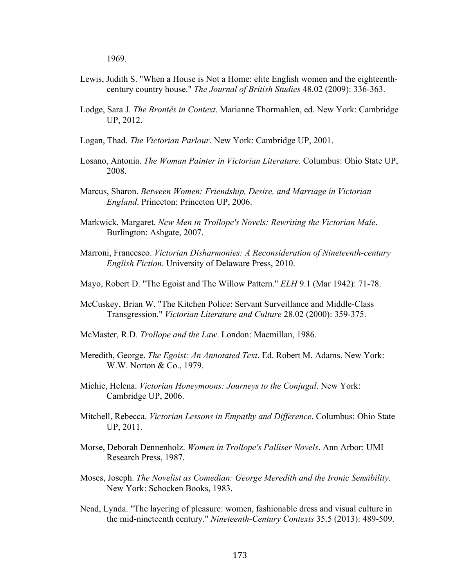1969.

- Lewis, Judith S. "When a House is Not a Home: elite English women and the eighteenthcentury country house." *The Journal of British Studies* 48.02 (2009): 336-363.
- Lodge, Sara J*. The Brontës in Context*. Marianne Thormahlen, ed. New York: Cambridge UP, 2012.
- Logan, Thad. *The Victorian Parlour*. New York: Cambridge UP, 2001.
- Losano, Antonia. *The Woman Painter in Victorian Literature*. Columbus: Ohio State UP, 2008.
- Marcus, Sharon. *Between Women: Friendship, Desire, and Marriage in Victorian England*. Princeton: Princeton UP, 2006.
- Markwick, Margaret. *New Men in Trollope's Novels: Rewriting the Victorian Male*. Burlington: Ashgate, 2007.
- Marroni, Francesco. *Victorian Disharmonies: A Reconsideration of Nineteenth-century English Fiction*. University of Delaware Press, 2010.
- Mayo, Robert D. "The Egoist and The Willow Pattern." *ELH* 9.1 (Mar 1942): 71-78.
- McCuskey, Brian W. "The Kitchen Police: Servant Surveillance and Middle-Class Transgression." *Victorian Literature and Culture* 28.02 (2000): 359-375.
- McMaster, R.D. *Trollope and the Law*. London: Macmillan, 1986.
- Meredith, George. *The Egoist: An Annotated Text*. Ed. Robert M. Adams. New York: W.W. Norton & Co., 1979.
- Michie, Helena. *Victorian Honeymoons: Journeys to the Conjugal*. New York: Cambridge UP, 2006.
- Mitchell, Rebecca. *Victorian Lessons in Empathy and Difference*. Columbus: Ohio State UP, 2011.
- Morse, Deborah Dennenholz. *Women in Trollope's Palliser Novels*. Ann Arbor: UMI Research Press, 1987.
- Moses, Joseph. *The Novelist as Comedian: George Meredith and the Ironic Sensibility*. New York: Schocken Books, 1983.
- Nead, Lynda. "The layering of pleasure: women, fashionable dress and visual culture in the mid-nineteenth century." *Nineteenth-Century Contexts* 35.5 (2013): 489-509.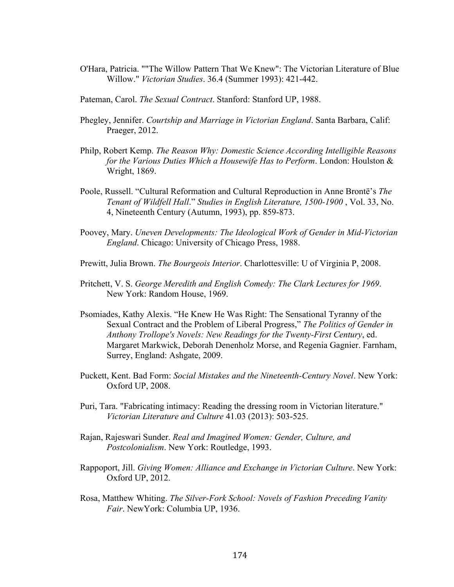- O'Hara, Patricia. ""The Willow Pattern That We Knew": The Victorian Literature of Blue Willow." *Victorian Studies*. 36.4 (Summer 1993): 421-442.
- Pateman, Carol. *The Sexual Contract*. Stanford: Stanford UP, 1988.
- Phegley, Jennifer. *Courtship and Marriage in Victorian England*. Santa Barbara, Calif: Praeger, 2012.
- Philp, Robert Kemp. *The Reason Why: Domestic Science According Intelligible Reasons for the Various Duties Which a Housewife Has to Perform*. London: Houlston & Wright, 1869.
- Poole, Russell. "Cultural Reformation and Cultural Reproduction in Anne Brontë's *The Tenant of Wildfell Hall*." *Studies in English Literature, 1500-1900* , Vol. 33, No. 4, Nineteenth Century (Autumn, 1993), pp. 859-873.
- Poovey, Mary. *Uneven Developments: The Ideological Work of Gender in Mid-Victorian England*. Chicago: University of Chicago Press, 1988.
- Prewitt, Julia Brown. *The Bourgeois Interior*. Charlottesville: U of Virginia P, 2008.
- Pritchett, V. S. *George Meredith and English Comedy: The Clark Lectures for 1969*. New York: Random House, 1969.
- Psomiades, Kathy Alexis. "He Knew He Was Right: The Sensational Tyranny of the Sexual Contract and the Problem of Liberal Progress," *The Politics of Gender in Anthony Trollope's Novels: New Readings for the Twenty-First Century*, ed. Margaret Markwick, Deborah Denenholz Morse, and Regenia Gagnier. Farnham, Surrey, England: Ashgate, 2009.
- Puckett, Kent. Bad Form: *Social Mistakes and the Nineteenth-Century Novel*. New York: Oxford UP, 2008.
- Puri, Tara. "Fabricating intimacy: Reading the dressing room in Victorian literature." *Victorian Literature and Culture* 41.03 (2013): 503-525.
- Rajan, Rajeswari Sunder. *Real and Imagined Women: Gender, Culture, and Postcolonialism*. New York: Routledge, 1993.
- Rappoport, Jill. *Giving Women: Alliance and Exchange in Victorian Culture*. New York: Oxford UP, 2012.
- Rosa, Matthew Whiting. *The Silver-Fork School: Novels of Fashion Preceding Vanity Fair*. NewYork: Columbia UP, 1936.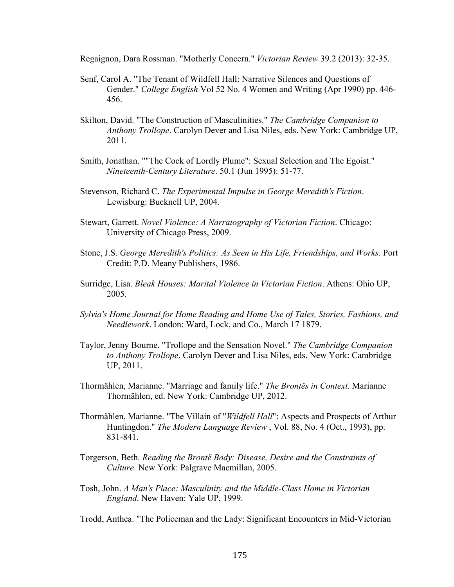Regaignon, Dara Rossman. "Motherly Concern." *Victorian Review* 39.2 (2013): 32-35.

- Senf, Carol A. "The Tenant of Wildfell Hall: Narrative Silences and Questions of Gender." *College English* Vol 52 No. 4 Women and Writing (Apr 1990) pp. 446- 456.
- Skilton, David. "The Construction of Masculinities." *The Cambridge Companion to Anthony Trollope*. Carolyn Dever and Lisa Niles, eds. New York: Cambridge UP, 2011.
- Smith, Jonathan. ""The Cock of Lordly Plume": Sexual Selection and The Egoist." *Nineteenth-Century Literature*. 50.1 (Jun 1995): 51-77.
- Stevenson, Richard C. *The Experimental Impulse in George Meredith's Fiction*. Lewisburg: Bucknell UP, 2004.
- Stewart, Garrett. *Novel Violence: A Narratography of Victorian Fiction*. Chicago: University of Chicago Press, 2009.
- Stone, J.S. *George Meredith's Politics: As Seen in His Life, Friendships, and Works*. Port Credit: P.D. Meany Publishers, 1986.
- Surridge, Lisa. *Bleak Houses: Marital Violence in Victorian Fiction*. Athens: Ohio UP, 2005.
- *Sylvia's Home Journal for Home Reading and Home Use of Tales, Stories, Fashions, and Needlework*. London: Ward, Lock, and Co., March 17 1879.
- Taylor, Jenny Bourne. "Trollope and the Sensation Novel." *The Cambridge Companion to Anthony Trollope*. Carolyn Dever and Lisa Niles, eds. New York: Cambridge UP, 2011.
- Thormählen, Marianne. "Marriage and family life." *The Brontës in Context*. Marianne Thormählen, ed. New York: Cambridge UP, 2012.
- Thormählen, Marianne. "The Villain of "*Wildfell Hall*": Aspects and Prospects of Arthur Huntingdon." *The Modern Language Review* , Vol. 88, No. 4 (Oct., 1993), pp. 831-841.
- Torgerson, Beth. *Reading the Brontë Body: Disease, Desire and the Constraints of Culture*. New York: Palgrave Macmillan, 2005.
- Tosh, John. *A Man's Place: Masculinity and the Middle-Class Home in Victorian England*. New Haven: Yale UP, 1999.
- Trodd, Anthea. "The Policeman and the Lady: Significant Encounters in Mid-Victorian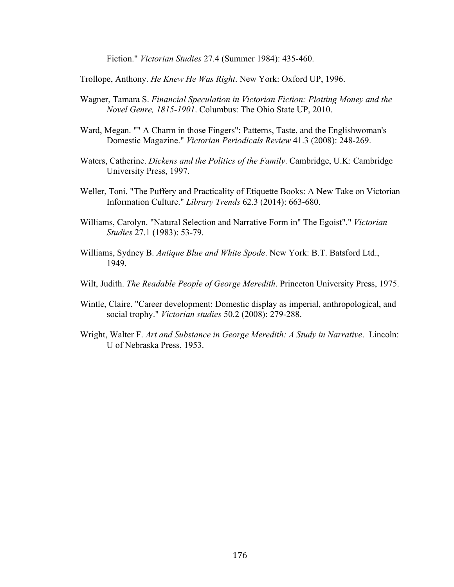Fiction." *Victorian Studies* 27.4 (Summer 1984): 435-460.

Trollope, Anthony. *He Knew He Was Right*. New York: Oxford UP, 1996.

- Wagner, Tamara S. *Financial Speculation in Victorian Fiction: Plotting Money and the Novel Genre, 1815-1901*. Columbus: The Ohio State UP, 2010.
- Ward, Megan. "" A Charm in those Fingers": Patterns, Taste, and the Englishwoman's Domestic Magazine." *Victorian Periodicals Review* 41.3 (2008): 248-269.
- Waters, Catherine. *Dickens and the Politics of the Family*. Cambridge, U.K: Cambridge University Press, 1997.
- Weller, Toni. "The Puffery and Practicality of Etiquette Books: A New Take on Victorian Information Culture." *Library Trends* 62.3 (2014): 663-680.
- Williams, Carolyn. "Natural Selection and Narrative Form in" The Egoist"." *Victorian Studies* 27.1 (1983): 53-79.
- Williams, Sydney B. *Antique Blue and White Spode*. New York: B.T. Batsford Ltd., 1949.
- Wilt, Judith. *The Readable People of George Meredith*. Princeton University Press, 1975.
- Wintle, Claire. "Career development: Domestic display as imperial, anthropological, and social trophy." *Victorian studies* 50.2 (2008): 279-288.
- Wright, Walter F. *Art and Substance in George Meredith: A Study in Narrative*. Lincoln: U of Nebraska Press, 1953.